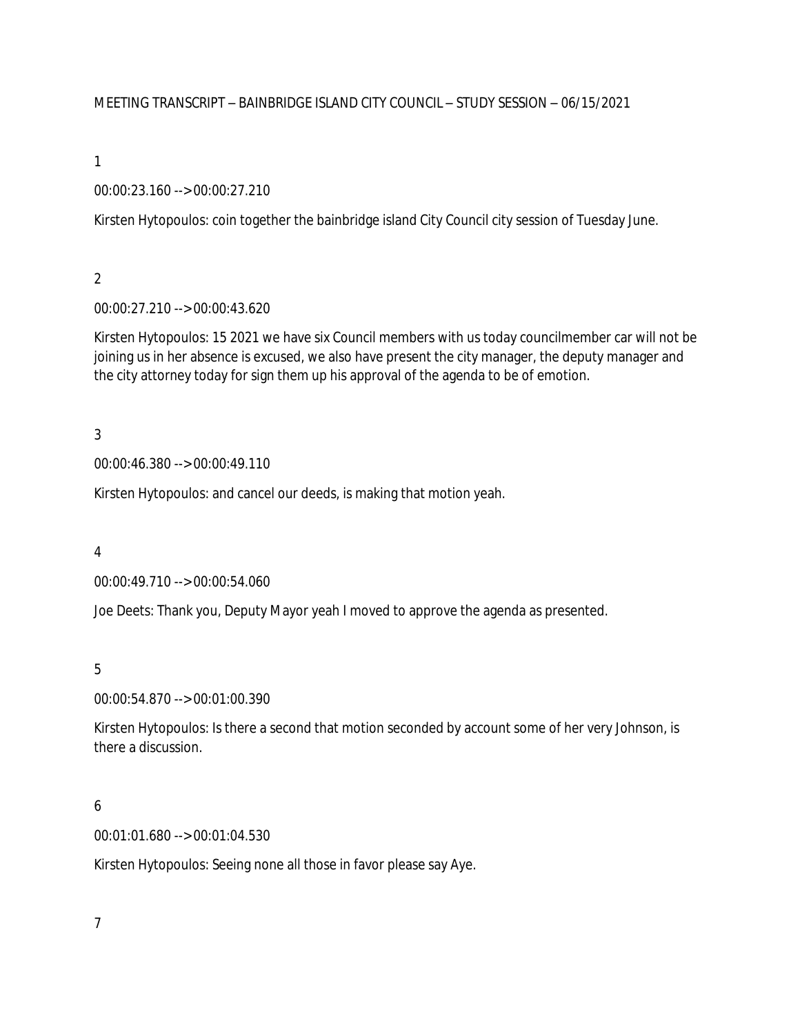MEETING TRANSCRIPT – BAINBRIDGE ISLAND CITY COUNCIL – STUDY SESSION – 06/15/2021

1

00:00:23.160 --> 00:00:27.210

Kirsten Hytopoulos: coin together the bainbridge island City Council city session of Tuesday June.

2

00:00:27.210 --> 00:00:43.620

Kirsten Hytopoulos: 15 2021 we have six Council members with us today councilmember car will not be joining us in her absence is excused, we also have present the city manager, the deputy manager and the city attorney today for sign them up his approval of the agenda to be of emotion.

3

00:00:46.380 --> 00:00:49.110

Kirsten Hytopoulos: and cancel our deeds, is making that motion yeah.

4

00:00:49.710 --> 00:00:54.060

Joe Deets: Thank you, Deputy Mayor yeah I moved to approve the agenda as presented.

5

00:00:54.870 --> 00:01:00.390

Kirsten Hytopoulos: Is there a second that motion seconded by account some of her very Johnson, is there a discussion.

# 6

00:01:01.680 --> 00:01:04.530

Kirsten Hytopoulos: Seeing none all those in favor please say Aye.

7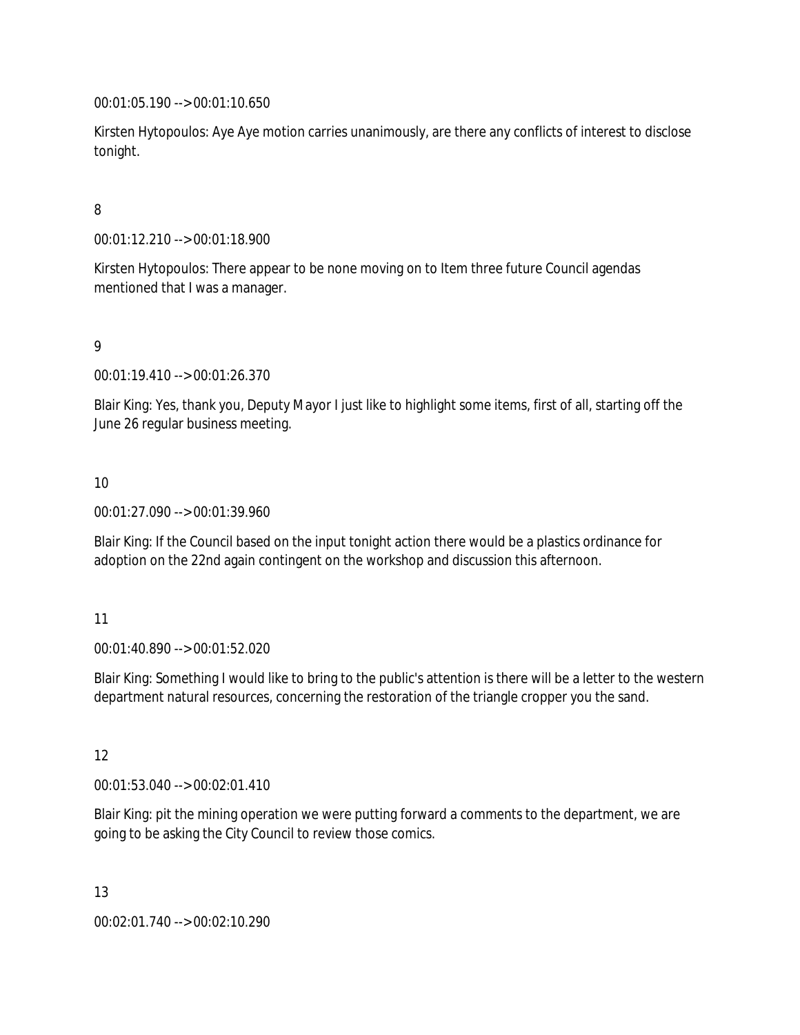00:01:05.190 --> 00:01:10.650

Kirsten Hytopoulos: Aye Aye motion carries unanimously, are there any conflicts of interest to disclose tonight.

## 8

00:01:12.210 --> 00:01:18.900

Kirsten Hytopoulos: There appear to be none moving on to Item three future Council agendas mentioned that I was a manager.

## 9

00:01:19.410 --> 00:01:26.370

Blair King: Yes, thank you, Deputy Mayor I just like to highlight some items, first of all, starting off the June 26 regular business meeting.

### 10

00:01:27.090 --> 00:01:39.960

Blair King: If the Council based on the input tonight action there would be a plastics ordinance for adoption on the 22nd again contingent on the workshop and discussion this afternoon.

### 11

00:01:40.890 --> 00:01:52.020

Blair King: Something I would like to bring to the public's attention is there will be a letter to the western department natural resources, concerning the restoration of the triangle cropper you the sand.

### 12

00:01:53.040 --> 00:02:01.410

Blair King: pit the mining operation we were putting forward a comments to the department, we are going to be asking the City Council to review those comics.

13

00:02:01.740 --> 00:02:10.290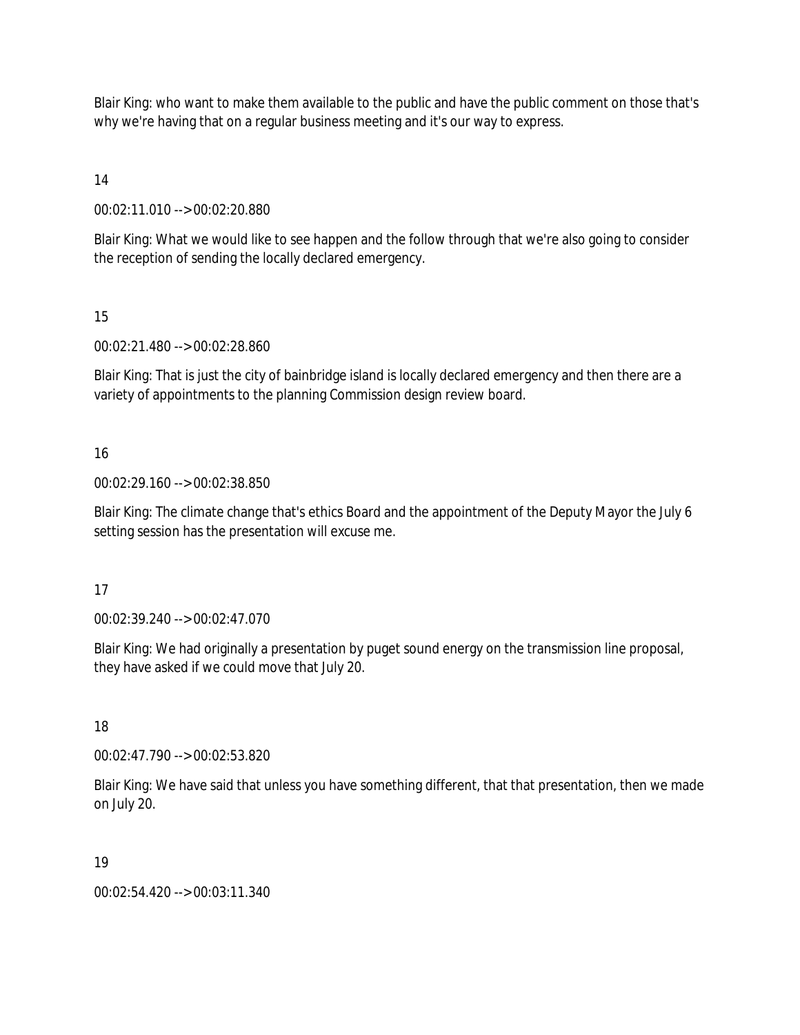Blair King: who want to make them available to the public and have the public comment on those that's why we're having that on a regular business meeting and it's our way to express.

14

00:02:11.010 --> 00:02:20.880

Blair King: What we would like to see happen and the follow through that we're also going to consider the reception of sending the locally declared emergency.

15

00:02:21.480 --> 00:02:28.860

Blair King: That is just the city of bainbridge island is locally declared emergency and then there are a variety of appointments to the planning Commission design review board.

16

00:02:29.160 --> 00:02:38.850

Blair King: The climate change that's ethics Board and the appointment of the Deputy Mayor the July 6 setting session has the presentation will excuse me.

17

00:02:39.240 --> 00:02:47.070

Blair King: We had originally a presentation by puget sound energy on the transmission line proposal, they have asked if we could move that July 20.

18

00:02:47.790 --> 00:02:53.820

Blair King: We have said that unless you have something different, that that presentation, then we made on July 20.

19

00:02:54.420 --> 00:03:11.340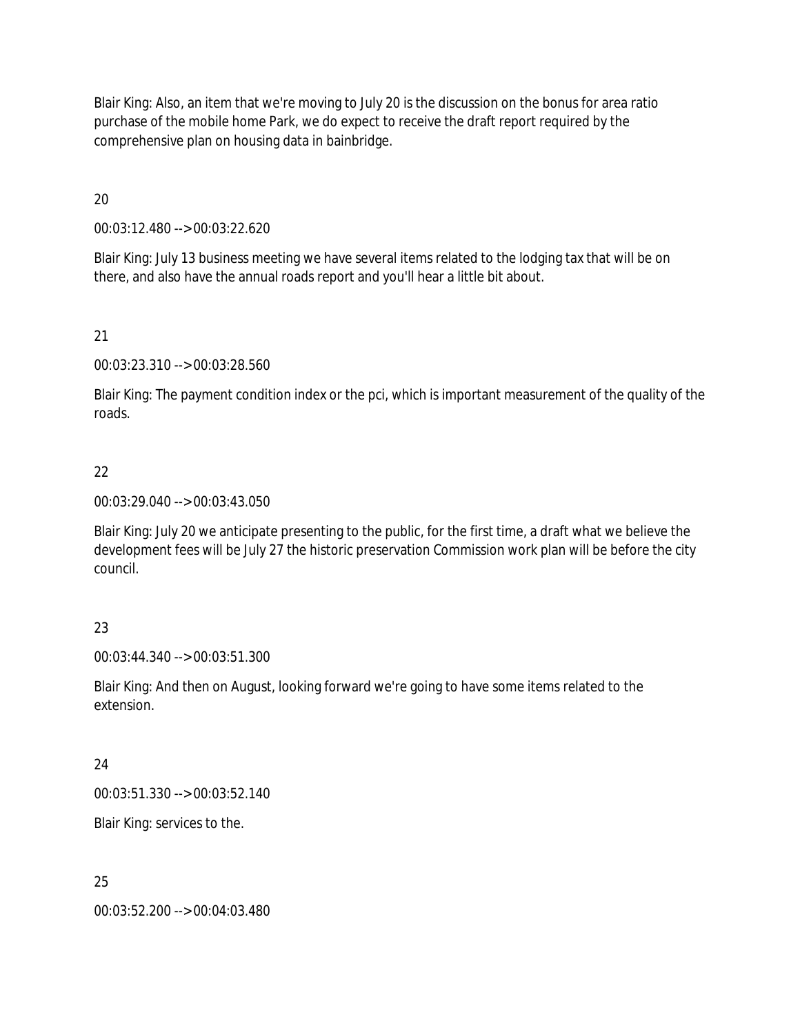Blair King: Also, an item that we're moving to July 20 is the discussion on the bonus for area ratio purchase of the mobile home Park, we do expect to receive the draft report required by the comprehensive plan on housing data in bainbridge.

20

00:03:12.480 --> 00:03:22.620

Blair King: July 13 business meeting we have several items related to the lodging tax that will be on there, and also have the annual roads report and you'll hear a little bit about.

21

00:03:23.310 --> 00:03:28.560

Blair King: The payment condition index or the pci, which is important measurement of the quality of the roads.

## 22

00:03:29.040 --> 00:03:43.050

Blair King: July 20 we anticipate presenting to the public, for the first time, a draft what we believe the development fees will be July 27 the historic preservation Commission work plan will be before the city council.

## 23

00:03:44.340 --> 00:03:51.300

Blair King: And then on August, looking forward we're going to have some items related to the extension.

### 24

00:03:51.330 --> 00:03:52.140

Blair King: services to the.

### 25

00:03:52.200 --> 00:04:03.480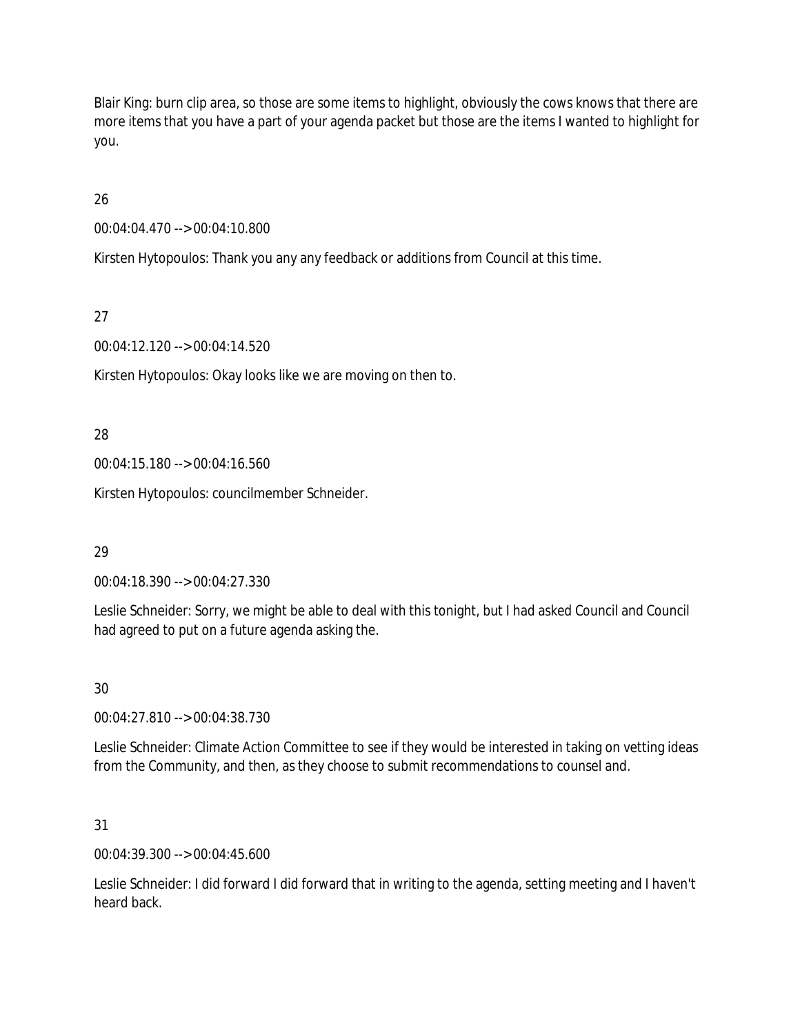Blair King: burn clip area, so those are some items to highlight, obviously the cows knows that there are more items that you have a part of your agenda packet but those are the items I wanted to highlight for you.

26

00:04:04.470 --> 00:04:10.800

Kirsten Hytopoulos: Thank you any any feedback or additions from Council at this time.

27

00:04:12.120 --> 00:04:14.520

Kirsten Hytopoulos: Okay looks like we are moving on then to.

28

00:04:15.180 --> 00:04:16.560

Kirsten Hytopoulos: councilmember Schneider.

29

00:04:18.390 --> 00:04:27.330

Leslie Schneider: Sorry, we might be able to deal with this tonight, but I had asked Council and Council had agreed to put on a future agenda asking the.

30

00:04:27.810 --> 00:04:38.730

Leslie Schneider: Climate Action Committee to see if they would be interested in taking on vetting ideas from the Community, and then, as they choose to submit recommendations to counsel and.

31

00:04:39.300 --> 00:04:45.600

Leslie Schneider: I did forward I did forward that in writing to the agenda, setting meeting and I haven't heard back.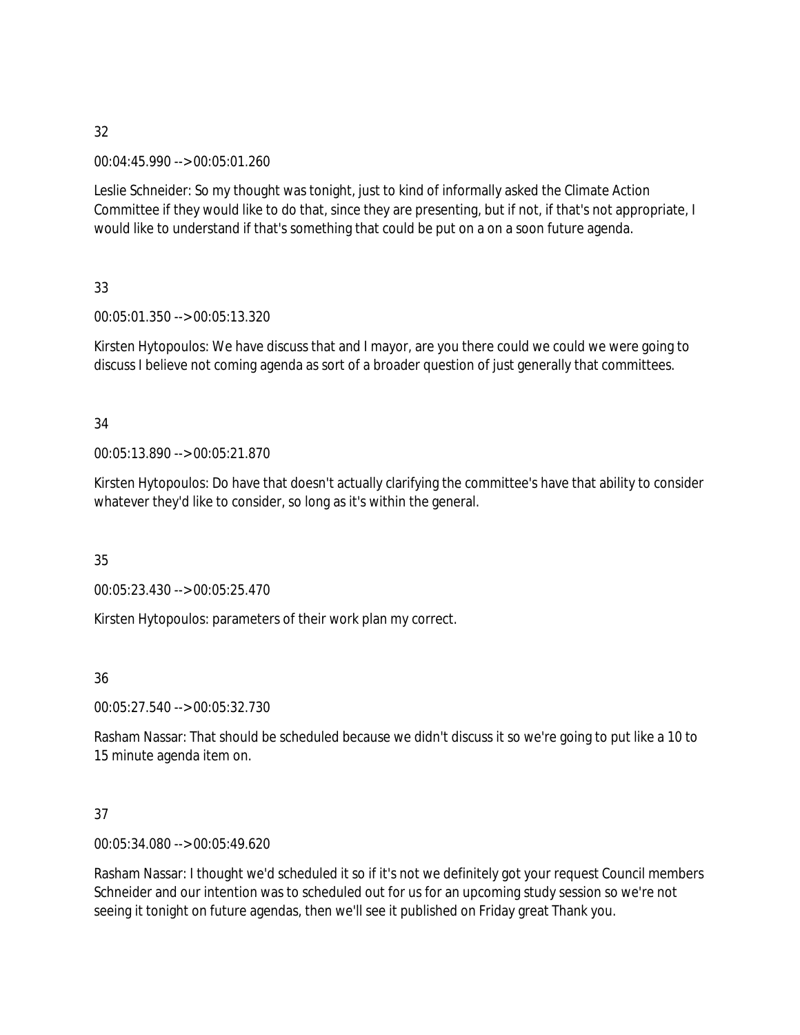00:04:45.990 --> 00:05:01.260

Leslie Schneider: So my thought was tonight, just to kind of informally asked the Climate Action Committee if they would like to do that, since they are presenting, but if not, if that's not appropriate, I would like to understand if that's something that could be put on a on a soon future agenda.

33

00:05:01.350 --> 00:05:13.320

Kirsten Hytopoulos: We have discuss that and I mayor, are you there could we could we were going to discuss I believe not coming agenda as sort of a broader question of just generally that committees.

## 34

00:05:13.890 --> 00:05:21.870

Kirsten Hytopoulos: Do have that doesn't actually clarifying the committee's have that ability to consider whatever they'd like to consider, so long as it's within the general.

35

00:05:23.430 --> 00:05:25.470

Kirsten Hytopoulos: parameters of their work plan my correct.

36

00:05:27.540 --> 00:05:32.730

Rasham Nassar: That should be scheduled because we didn't discuss it so we're going to put like a 10 to 15 minute agenda item on.

## 37

00:05:34.080 --> 00:05:49.620

Rasham Nassar: I thought we'd scheduled it so if it's not we definitely got your request Council members Schneider and our intention was to scheduled out for us for an upcoming study session so we're not seeing it tonight on future agendas, then we'll see it published on Friday great Thank you.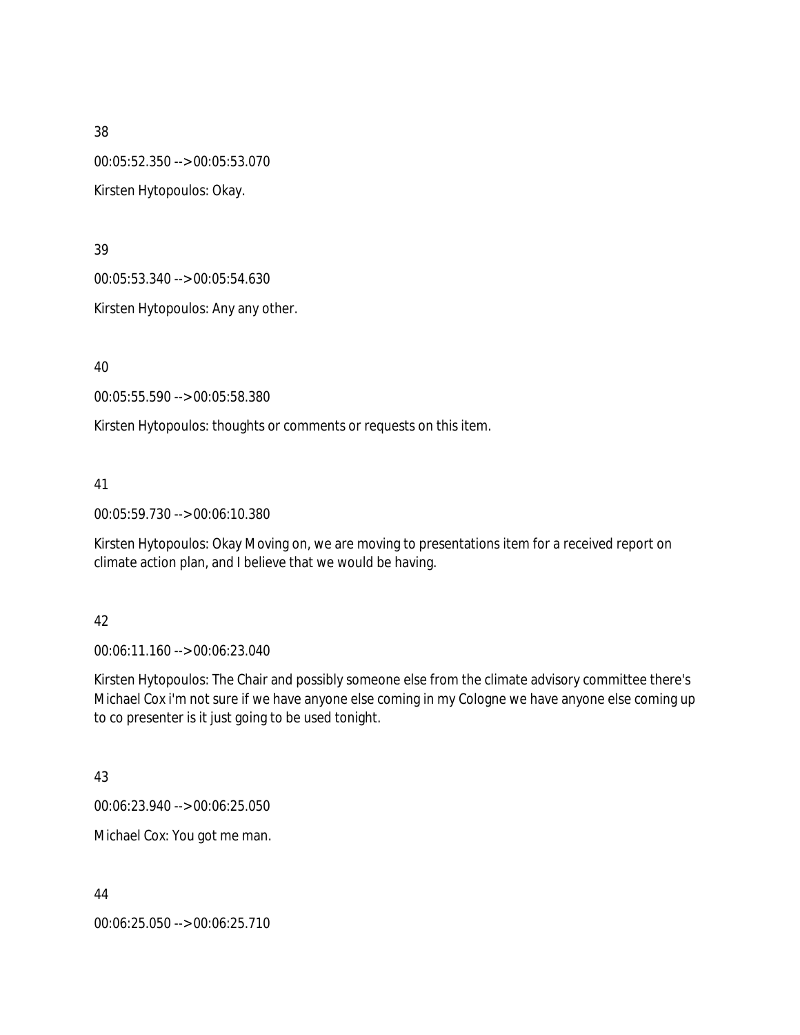00:05:52.350 --> 00:05:53.070 Kirsten Hytopoulos: Okay.

39

00:05:53.340 --> 00:05:54.630

Kirsten Hytopoulos: Any any other.

40

00:05:55.590 --> 00:05:58.380

Kirsten Hytopoulos: thoughts or comments or requests on this item.

41

00:05:59.730 --> 00:06:10.380

Kirsten Hytopoulos: Okay Moving on, we are moving to presentations item for a received report on climate action plan, and I believe that we would be having.

## 42

00:06:11.160 --> 00:06:23.040

Kirsten Hytopoulos: The Chair and possibly someone else from the climate advisory committee there's Michael Cox i'm not sure if we have anyone else coming in my Cologne we have anyone else coming up to co presenter is it just going to be used tonight.

43

00:06:23.940 --> 00:06:25.050

Michael Cox: You got me man.

44

00:06:25.050 --> 00:06:25.710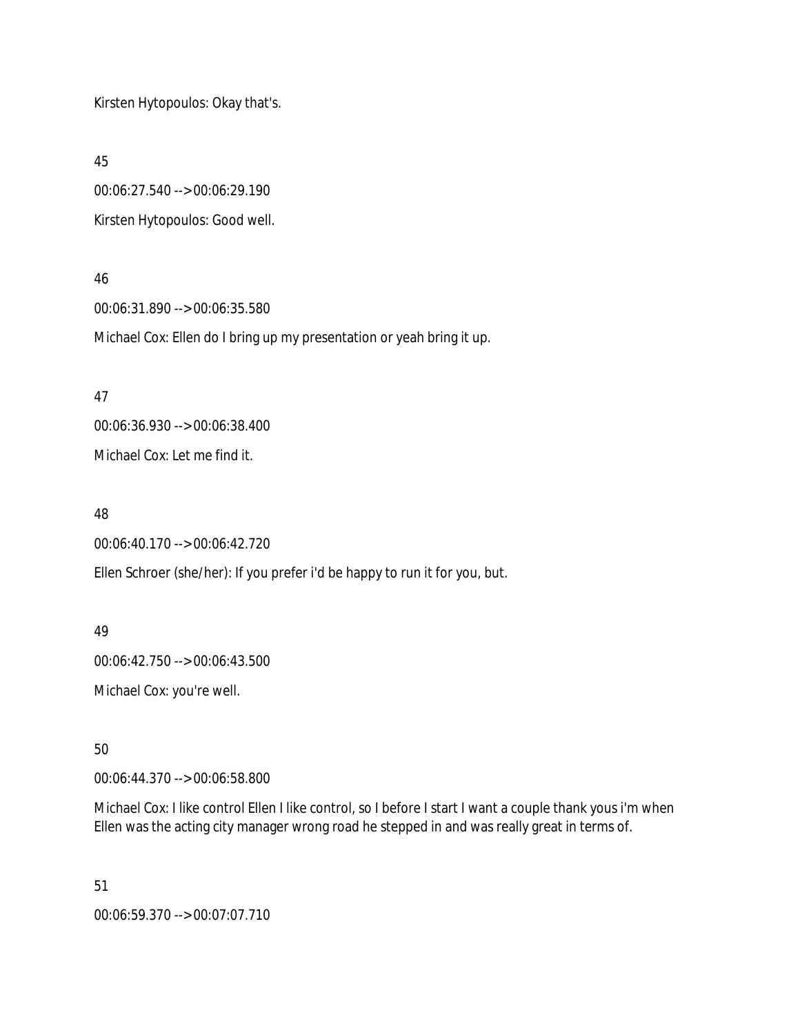Kirsten Hytopoulos: Okay that's.

45

00:06:27.540 --> 00:06:29.190 Kirsten Hytopoulos: Good well.

### 46

00:06:31.890 --> 00:06:35.580 Michael Cox: Ellen do I bring up my presentation or yeah bring it up.

47

00:06:36.930 --> 00:06:38.400 Michael Cox: Let me find it.

## 48

00:06:40.170 --> 00:06:42.720

Ellen Schroer (she/her): If you prefer i'd be happy to run it for you, but.

## 49

00:06:42.750 --> 00:06:43.500

Michael Cox: you're well.

50

00:06:44.370 --> 00:06:58.800

Michael Cox: I like control Ellen I like control, so I before I start I want a couple thank yous i'm when Ellen was the acting city manager wrong road he stepped in and was really great in terms of.

51

00:06:59.370 --> 00:07:07.710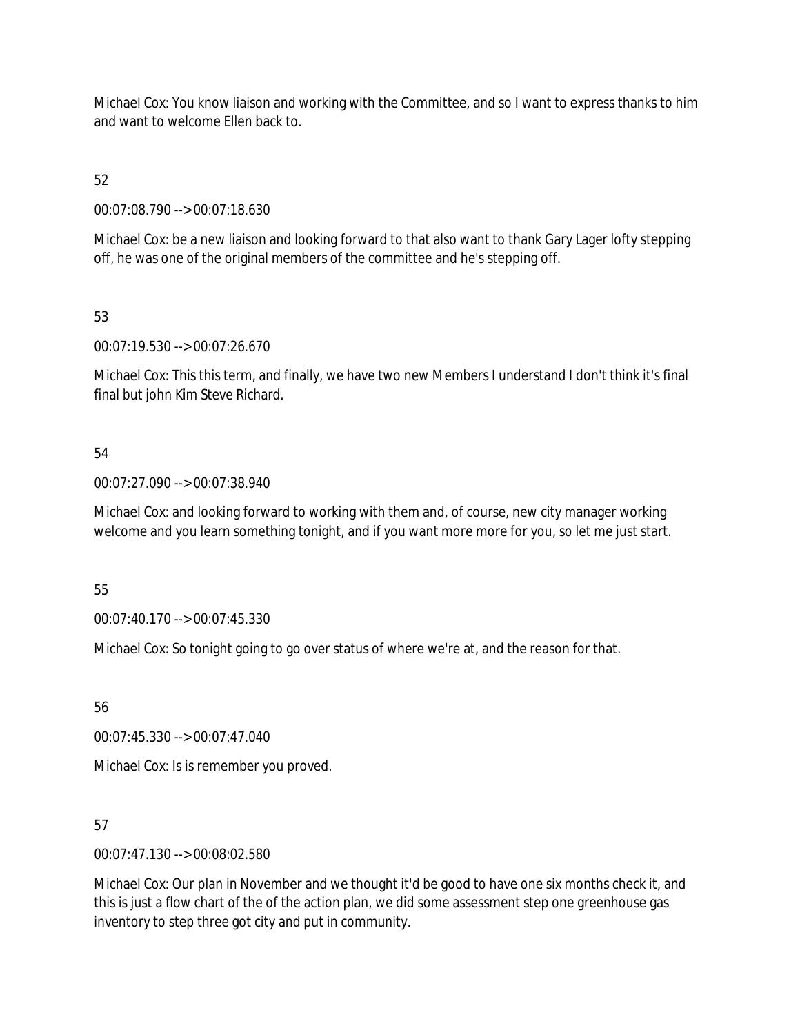Michael Cox: You know liaison and working with the Committee, and so I want to express thanks to him and want to welcome Ellen back to.

52

00:07:08.790 --> 00:07:18.630

Michael Cox: be a new liaison and looking forward to that also want to thank Gary Lager lofty stepping off, he was one of the original members of the committee and he's stepping off.

53

00:07:19.530 --> 00:07:26.670

Michael Cox: This this term, and finally, we have two new Members I understand I don't think it's final final but john Kim Steve Richard.

## 54

00:07:27.090 --> 00:07:38.940

Michael Cox: and looking forward to working with them and, of course, new city manager working welcome and you learn something tonight, and if you want more more for you, so let me just start.

55

00:07:40.170 --> 00:07:45.330

Michael Cox: So tonight going to go over status of where we're at, and the reason for that.

56

00:07:45.330 --> 00:07:47.040

Michael Cox: Is is remember you proved.

57

00:07:47.130 --> 00:08:02.580

Michael Cox: Our plan in November and we thought it'd be good to have one six months check it, and this is just a flow chart of the of the action plan, we did some assessment step one greenhouse gas inventory to step three got city and put in community.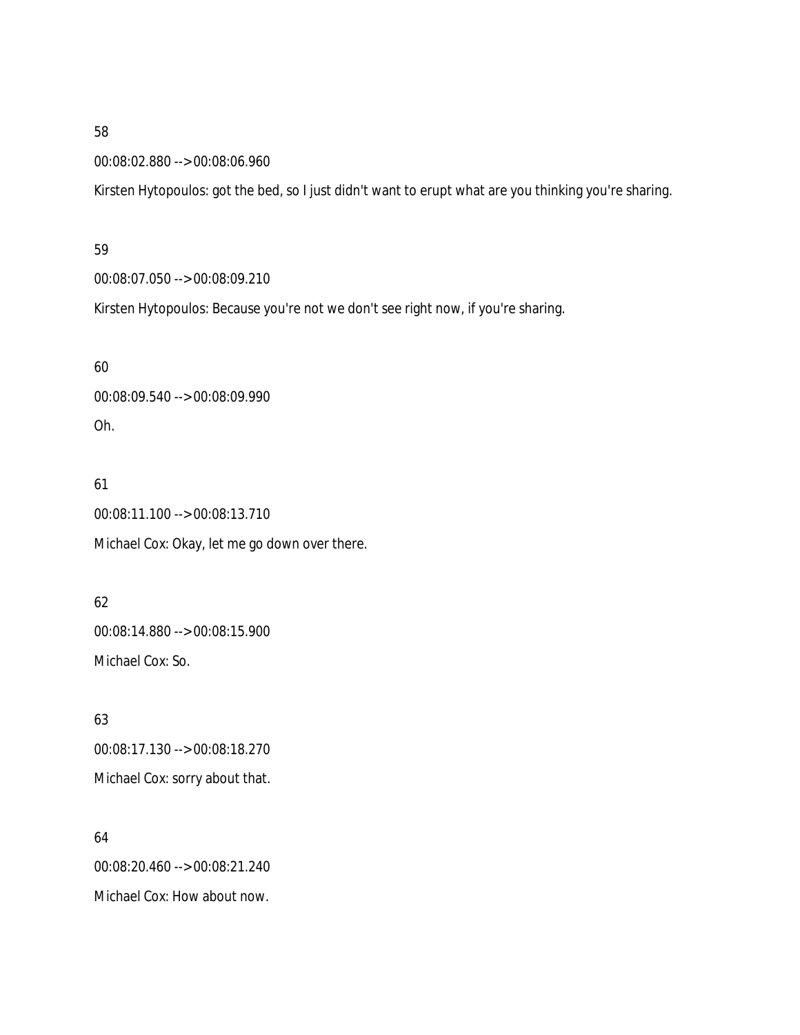### 00:08:02.880 --> 00:08:06.960

Kirsten Hytopoulos: got the bed, so I just didn't want to erupt what are you thinking you're sharing.

#### 59

00:08:07.050 --> 00:08:09.210

Kirsten Hytopoulos: Because you're not we don't see right now, if you're sharing.

### 60

00:08:09.540 --> 00:08:09.990 Oh.

## 61

00:08:11.100 --> 00:08:13.710 Michael Cox: Okay, let me go down over there.

# 62

00:08:14.880 --> 00:08:15.900 Michael Cox: So.

# 63

00:08:17.130 --> 00:08:18.270 Michael Cox: sorry about that.

## 64

00:08:20.460 --> 00:08:21.240 Michael Cox: How about now.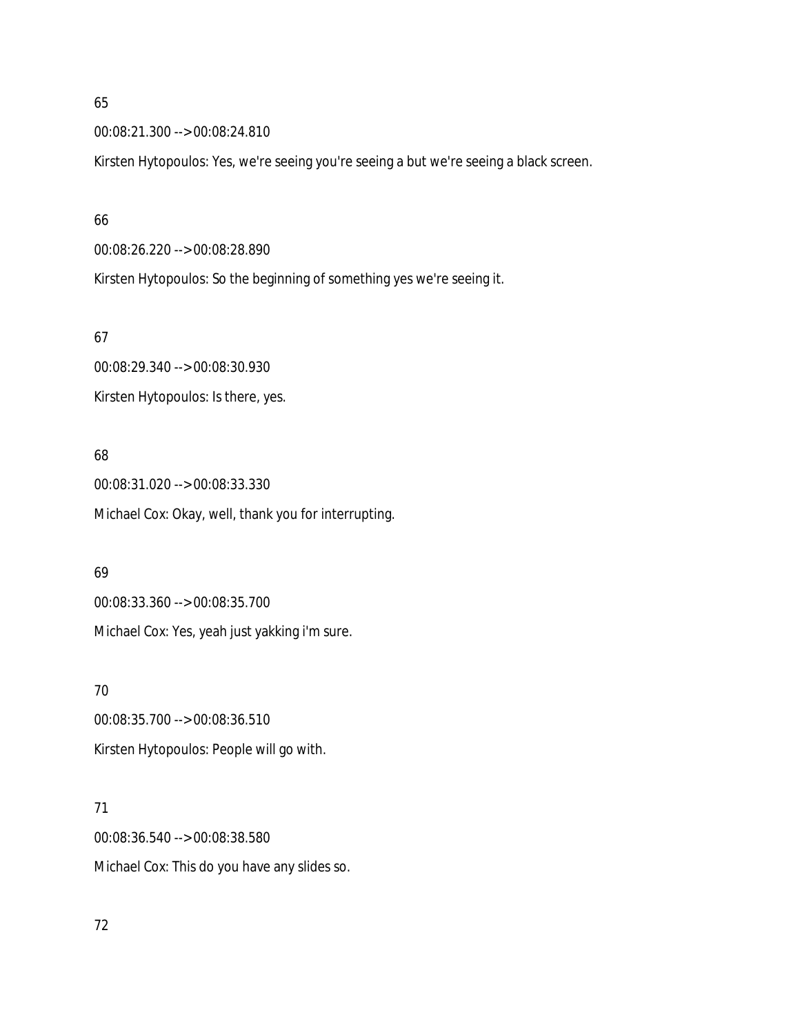00:08:21.300 --> 00:08:24.810

Kirsten Hytopoulos: Yes, we're seeing you're seeing a but we're seeing a black screen.

#### 66

00:08:26.220 --> 00:08:28.890

Kirsten Hytopoulos: So the beginning of something yes we're seeing it.

### 67

00:08:29.340 --> 00:08:30.930 Kirsten Hytopoulos: Is there, yes.

## 68

00:08:31.020 --> 00:08:33.330 Michael Cox: Okay, well, thank you for interrupting.

### 69

00:08:33.360 --> 00:08:35.700 Michael Cox: Yes, yeah just yakking i'm sure.

## 70

00:08:35.700 --> 00:08:36.510 Kirsten Hytopoulos: People will go with.

## 71

00:08:36.540 --> 00:08:38.580 Michael Cox: This do you have any slides so.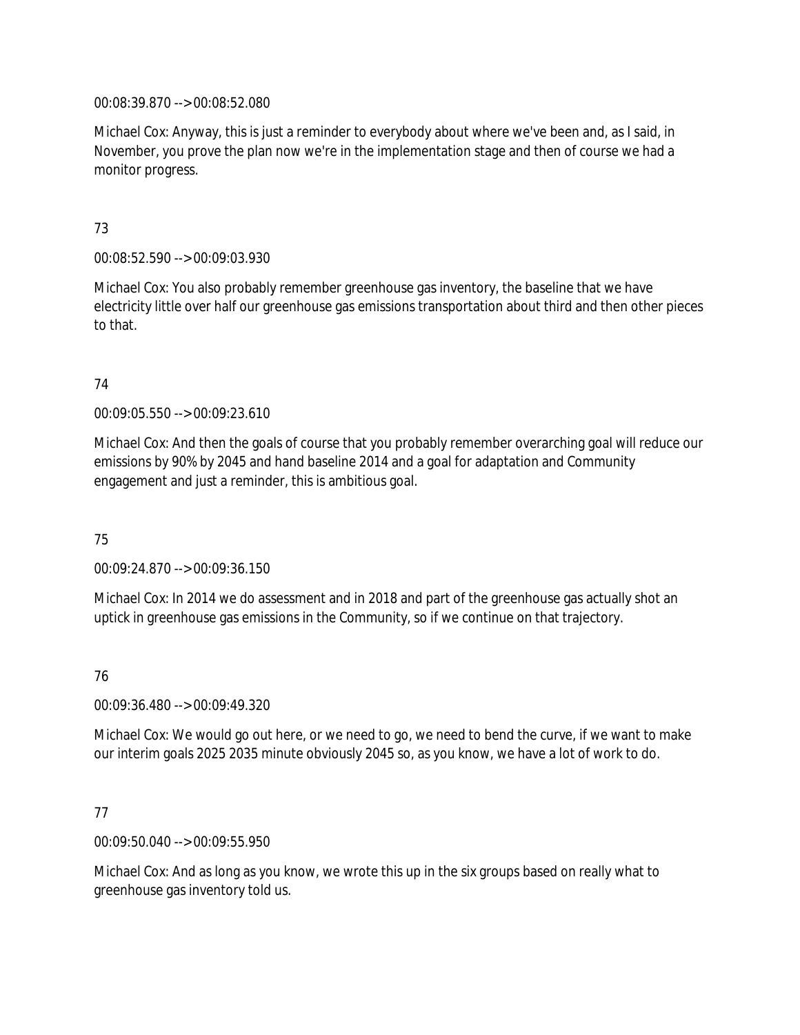00:08:39.870 --> 00:08:52.080

Michael Cox: Anyway, this is just a reminder to everybody about where we've been and, as I said, in November, you prove the plan now we're in the implementation stage and then of course we had a monitor progress.

## 73

00:08:52.590 --> 00:09:03.930

Michael Cox: You also probably remember greenhouse gas inventory, the baseline that we have electricity little over half our greenhouse gas emissions transportation about third and then other pieces to that.

## 74

00:09:05.550 --> 00:09:23.610

Michael Cox: And then the goals of course that you probably remember overarching goal will reduce our emissions by 90% by 2045 and hand baseline 2014 and a goal for adaptation and Community engagement and just a reminder, this is ambitious goal.

## 75

00:09:24.870 --> 00:09:36.150

Michael Cox: In 2014 we do assessment and in 2018 and part of the greenhouse gas actually shot an uptick in greenhouse gas emissions in the Community, so if we continue on that trajectory.

### 76

00:09:36.480 --> 00:09:49.320

Michael Cox: We would go out here, or we need to go, we need to bend the curve, if we want to make our interim goals 2025 2035 minute obviously 2045 so, as you know, we have a lot of work to do.

## 77

00:09:50.040 --> 00:09:55.950

Michael Cox: And as long as you know, we wrote this up in the six groups based on really what to greenhouse gas inventory told us.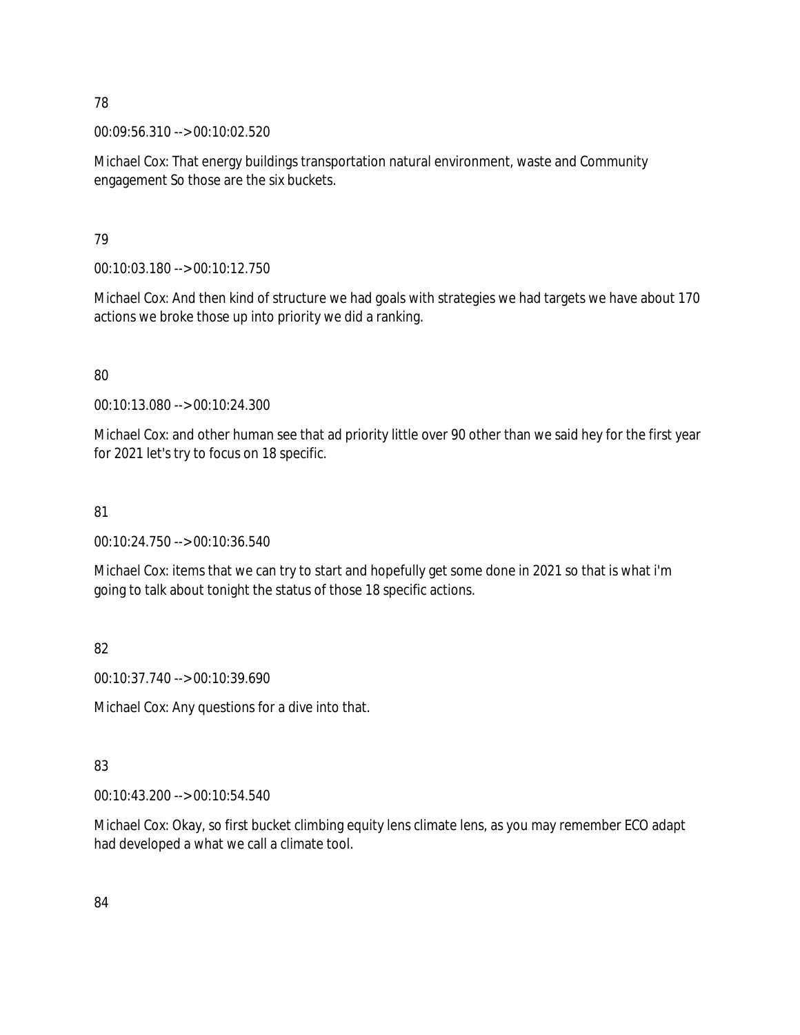00:09:56.310 --> 00:10:02.520

Michael Cox: That energy buildings transportation natural environment, waste and Community engagement So those are the six buckets.

## 79

00:10:03.180 --> 00:10:12.750

Michael Cox: And then kind of structure we had goals with strategies we had targets we have about 170 actions we broke those up into priority we did a ranking.

## 80

00:10:13.080 --> 00:10:24.300

Michael Cox: and other human see that ad priority little over 90 other than we said hey for the first year for 2021 let's try to focus on 18 specific.

## 81

00:10:24.750 --> 00:10:36.540

Michael Cox: items that we can try to start and hopefully get some done in 2021 so that is what i'm going to talk about tonight the status of those 18 specific actions.

# 82

00:10:37.740 --> 00:10:39.690

Michael Cox: Any questions for a dive into that.

# 83

00:10:43.200 --> 00:10:54.540

Michael Cox: Okay, so first bucket climbing equity lens climate lens, as you may remember ECO adapt had developed a what we call a climate tool.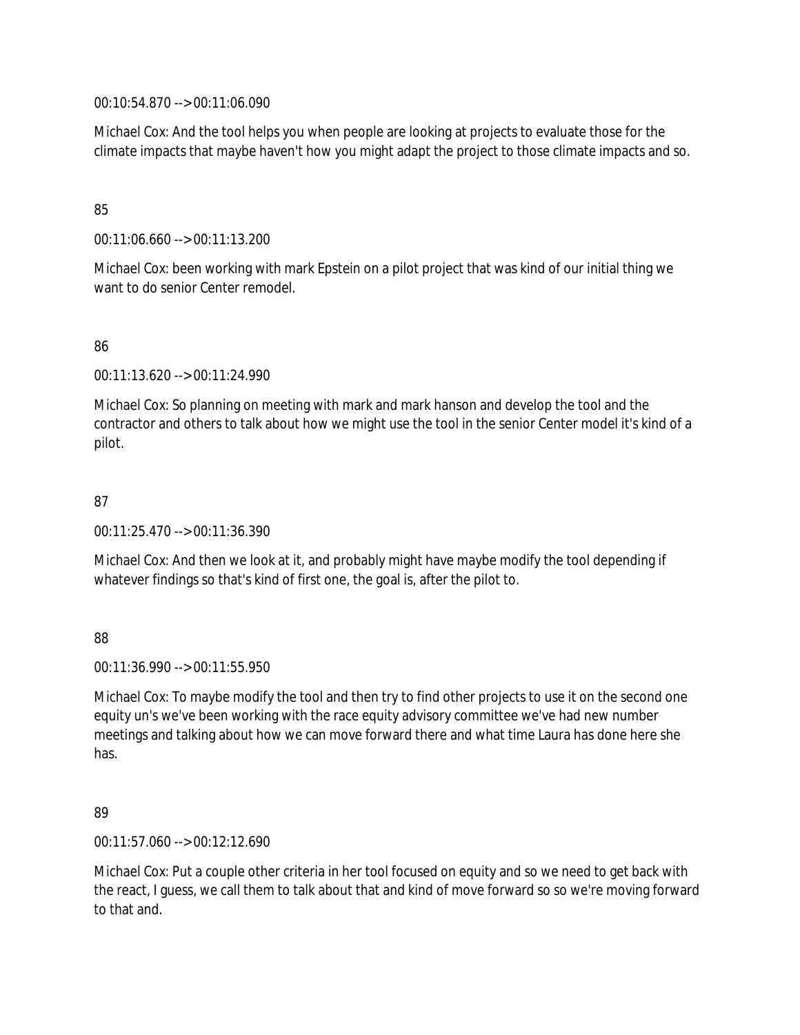00:10:54.870 --> 00:11:06.090

Michael Cox: And the tool helps you when people are looking at projects to evaluate those for the climate impacts that maybe haven't how you might adapt the project to those climate impacts and so.

## 85

00:11:06.660 --> 00:11:13.200

Michael Cox: been working with mark Epstein on a pilot project that was kind of our initial thing we want to do senior Center remodel.

## 86

00:11:13.620 --> 00:11:24.990

Michael Cox: So planning on meeting with mark and mark hanson and develop the tool and the contractor and others to talk about how we might use the tool in the senior Center model it's kind of a pilot.

## 87

00:11:25.470 --> 00:11:36.390

Michael Cox: And then we look at it, and probably might have maybe modify the tool depending if whatever findings so that's kind of first one, the goal is, after the pilot to.

### 88

00:11:36.990 --> 00:11:55.950

Michael Cox: To maybe modify the tool and then try to find other projects to use it on the second one equity un's we've been working with the race equity advisory committee we've had new number meetings and talking about how we can move forward there and what time Laura has done here she has.

### 89

00:11:57.060 --> 00:12:12.690

Michael Cox: Put a couple other criteria in her tool focused on equity and so we need to get back with the react, I guess, we call them to talk about that and kind of move forward so so we're moving forward to that and.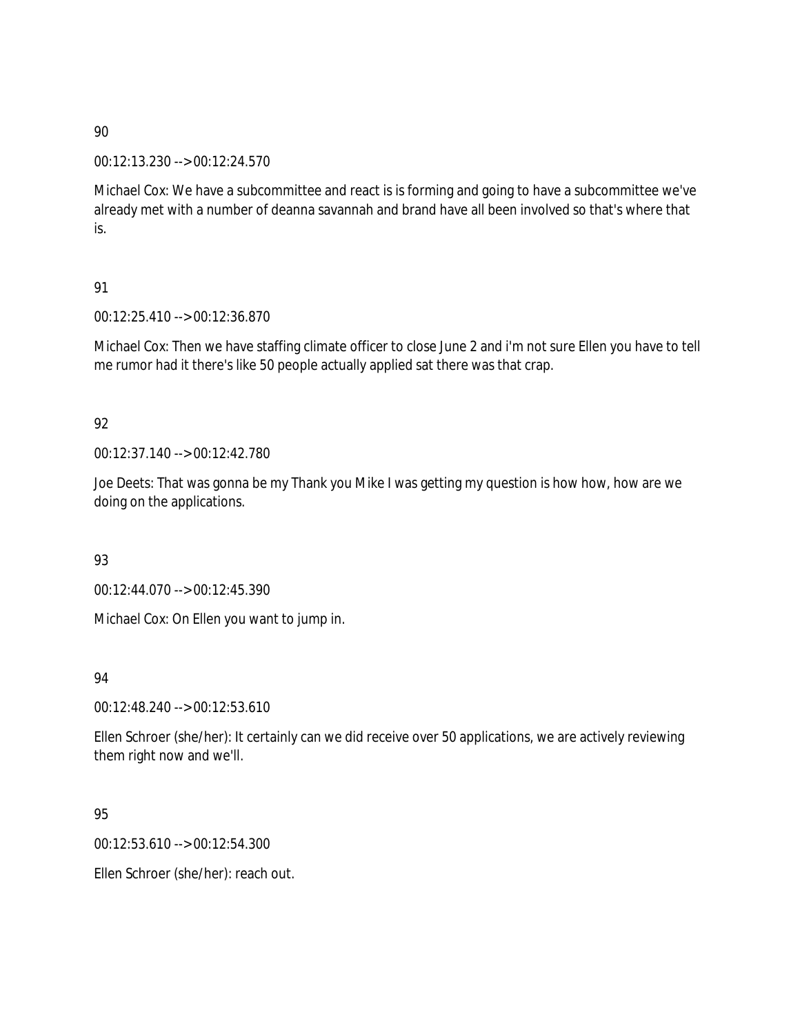00:12:13.230 --> 00:12:24.570

Michael Cox: We have a subcommittee and react is is forming and going to have a subcommittee we've already met with a number of deanna savannah and brand have all been involved so that's where that is.

## 91

00:12:25.410 --> 00:12:36.870

Michael Cox: Then we have staffing climate officer to close June 2 and i'm not sure Ellen you have to tell me rumor had it there's like 50 people actually applied sat there was that crap.

# 92

00:12:37.140 --> 00:12:42.780

Joe Deets: That was gonna be my Thank you Mike I was getting my question is how how, how are we doing on the applications.

## 93

00:12:44.070 --> 00:12:45.390

Michael Cox: On Ellen you want to jump in.

## 94

00:12:48.240 --> 00:12:53.610

Ellen Schroer (she/her): It certainly can we did receive over 50 applications, we are actively reviewing them right now and we'll.

# 95

00:12:53.610 --> 00:12:54.300

Ellen Schroer (she/her): reach out.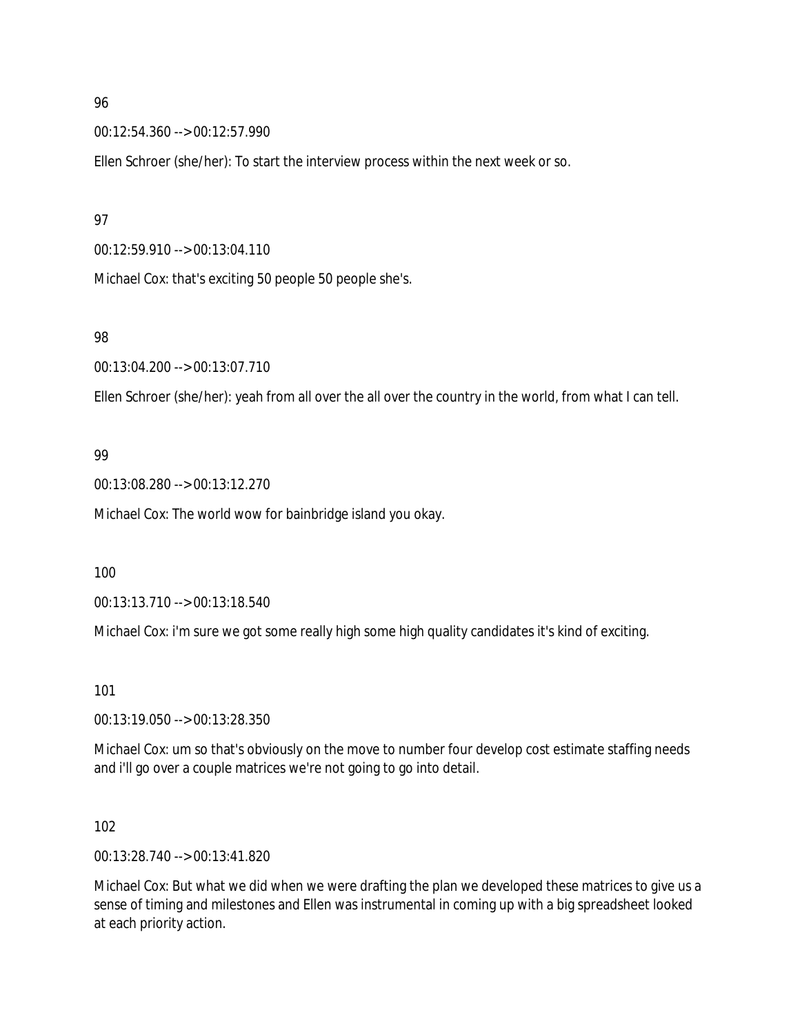00:12:54.360 --> 00:12:57.990

Ellen Schroer (she/her): To start the interview process within the next week or so.

### 97

00:12:59.910 --> 00:13:04.110

Michael Cox: that's exciting 50 people 50 people she's.

### 98

00:13:04.200 --> 00:13:07.710

Ellen Schroer (she/her): yeah from all over the all over the country in the world, from what I can tell.

## 99

00:13:08.280 --> 00:13:12.270

Michael Cox: The world wow for bainbridge island you okay.

### 100

00:13:13.710 --> 00:13:18.540

Michael Cox: i'm sure we got some really high some high quality candidates it's kind of exciting.

### 101

00:13:19.050 --> 00:13:28.350

Michael Cox: um so that's obviously on the move to number four develop cost estimate staffing needs and i'll go over a couple matrices we're not going to go into detail.

### 102

00:13:28.740 --> 00:13:41.820

Michael Cox: But what we did when we were drafting the plan we developed these matrices to give us a sense of timing and milestones and Ellen was instrumental in coming up with a big spreadsheet looked at each priority action.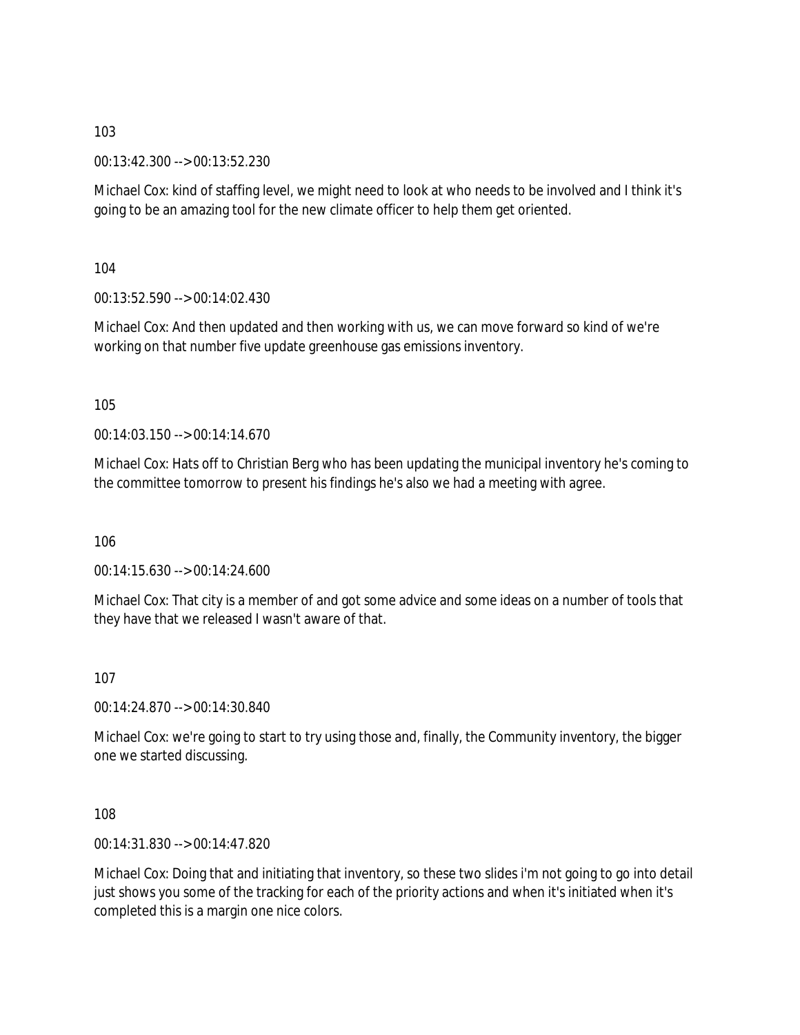00:13:42.300 --> 00:13:52.230

Michael Cox: kind of staffing level, we might need to look at who needs to be involved and I think it's going to be an amazing tool for the new climate officer to help them get oriented.

104

00:13:52.590 --> 00:14:02.430

Michael Cox: And then updated and then working with us, we can move forward so kind of we're working on that number five update greenhouse gas emissions inventory.

105

00:14:03.150 --> 00:14:14.670

Michael Cox: Hats off to Christian Berg who has been updating the municipal inventory he's coming to the committee tomorrow to present his findings he's also we had a meeting with agree.

106

00:14:15.630 --> 00:14:24.600

Michael Cox: That city is a member of and got some advice and some ideas on a number of tools that they have that we released I wasn't aware of that.

107

00:14:24.870 --> 00:14:30.840

Michael Cox: we're going to start to try using those and, finally, the Community inventory, the bigger one we started discussing.

108

00:14:31.830 --> 00:14:47.820

Michael Cox: Doing that and initiating that inventory, so these two slides i'm not going to go into detail just shows you some of the tracking for each of the priority actions and when it's initiated when it's completed this is a margin one nice colors.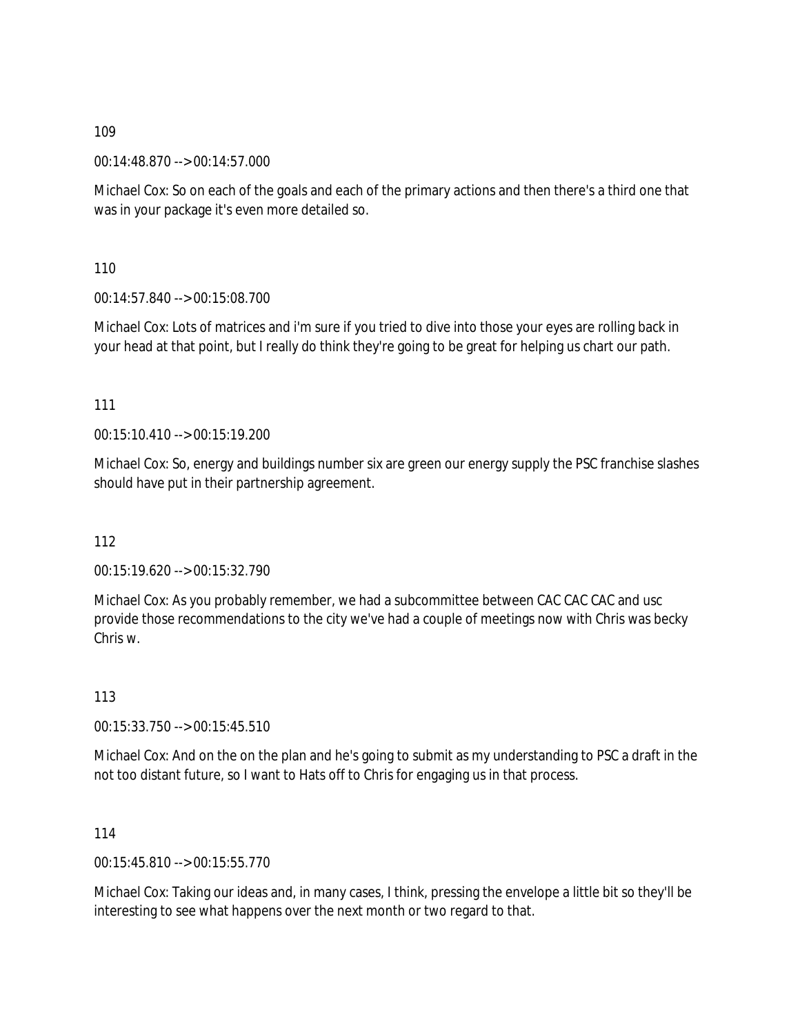00:14:48.870 --> 00:14:57.000

Michael Cox: So on each of the goals and each of the primary actions and then there's a third one that was in your package it's even more detailed so.

110

00:14:57.840 --> 00:15:08.700

Michael Cox: Lots of matrices and i'm sure if you tried to dive into those your eyes are rolling back in your head at that point, but I really do think they're going to be great for helping us chart our path.

111

00:15:10.410 --> 00:15:19.200

Michael Cox: So, energy and buildings number six are green our energy supply the PSC franchise slashes should have put in their partnership agreement.

112

00:15:19.620 --> 00:15:32.790

Michael Cox: As you probably remember, we had a subcommittee between CAC CAC CAC and usc provide those recommendations to the city we've had a couple of meetings now with Chris was becky Chris w.

113

00:15:33.750 --> 00:15:45.510

Michael Cox: And on the on the plan and he's going to submit as my understanding to PSC a draft in the not too distant future, so I want to Hats off to Chris for engaging us in that process.

114

00:15:45.810 --> 00:15:55.770

Michael Cox: Taking our ideas and, in many cases, I think, pressing the envelope a little bit so they'll be interesting to see what happens over the next month or two regard to that.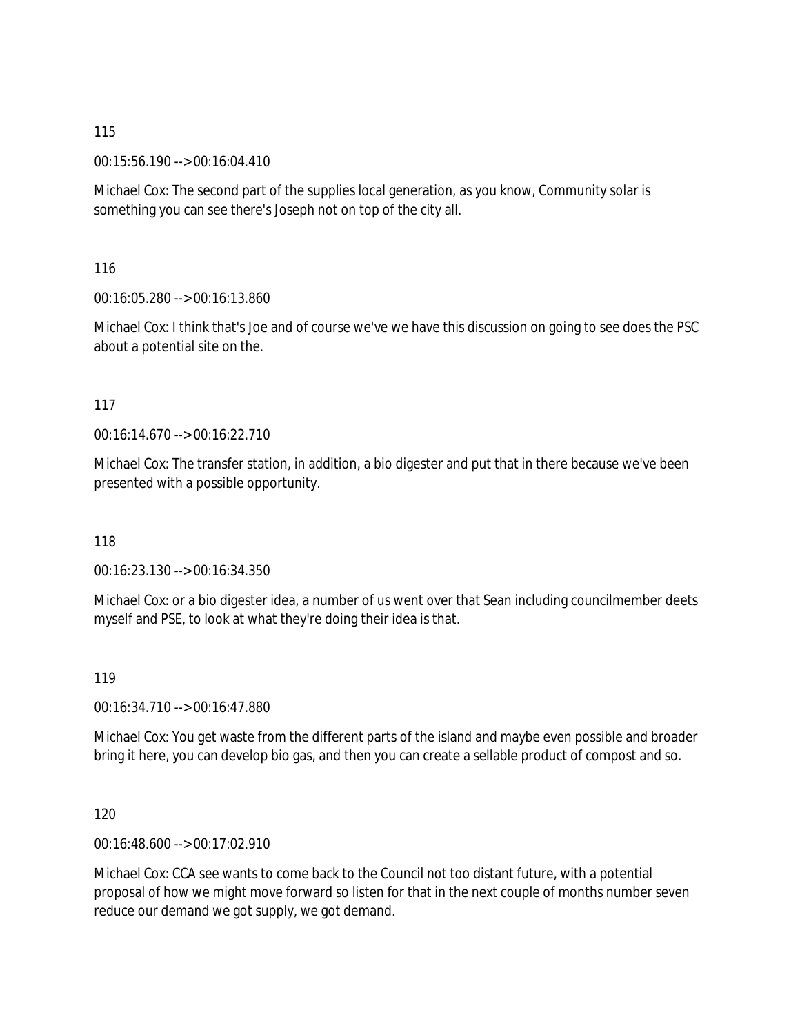00:15:56.190 --> 00:16:04.410

Michael Cox: The second part of the supplies local generation, as you know, Community solar is something you can see there's Joseph not on top of the city all.

116

00:16:05.280 --> 00:16:13.860

Michael Cox: I think that's Joe and of course we've we have this discussion on going to see does the PSC about a potential site on the.

### 117

00:16:14.670 --> 00:16:22.710

Michael Cox: The transfer station, in addition, a bio digester and put that in there because we've been presented with a possible opportunity.

118

00:16:23.130 --> 00:16:34.350

Michael Cox: or a bio digester idea, a number of us went over that Sean including councilmember deets myself and PSE, to look at what they're doing their idea is that.

119

00:16:34.710 --> 00:16:47.880

Michael Cox: You get waste from the different parts of the island and maybe even possible and broader bring it here, you can develop bio gas, and then you can create a sellable product of compost and so.

120

00:16:48.600 --> 00:17:02.910

Michael Cox: CCA see wants to come back to the Council not too distant future, with a potential proposal of how we might move forward so listen for that in the next couple of months number seven reduce our demand we got supply, we got demand.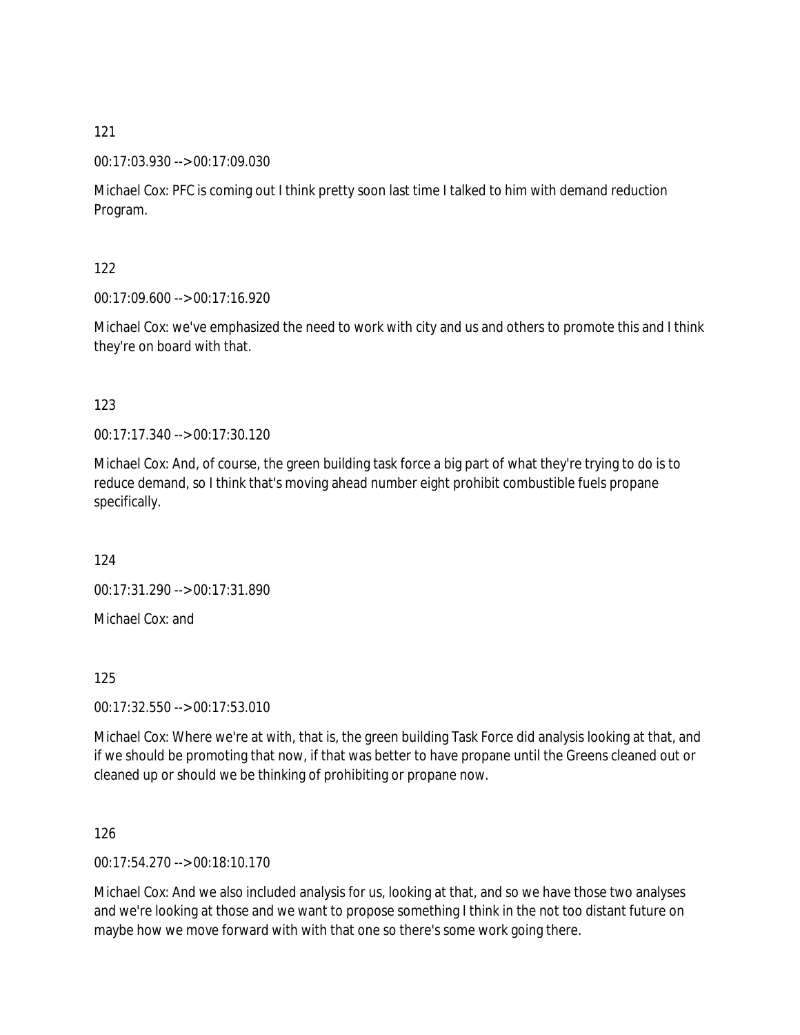## 00:17:03.930 --> 00:17:09.030

Michael Cox: PFC is coming out I think pretty soon last time I talked to him with demand reduction Program.

## 122

00:17:09.600 --> 00:17:16.920

Michael Cox: we've emphasized the need to work with city and us and others to promote this and I think they're on board with that.

## 123

00:17:17.340 --> 00:17:30.120

Michael Cox: And, of course, the green building task force a big part of what they're trying to do is to reduce demand, so I think that's moving ahead number eight prohibit combustible fuels propane specifically.

124

00:17:31.290 --> 00:17:31.890

Michael Cox: and

### 125

00:17:32.550 --> 00:17:53.010

Michael Cox: Where we're at with, that is, the green building Task Force did analysis looking at that, and if we should be promoting that now, if that was better to have propane until the Greens cleaned out or cleaned up or should we be thinking of prohibiting or propane now.

### 126

00:17:54.270 --> 00:18:10.170

Michael Cox: And we also included analysis for us, looking at that, and so we have those two analyses and we're looking at those and we want to propose something I think in the not too distant future on maybe how we move forward with with that one so there's some work going there.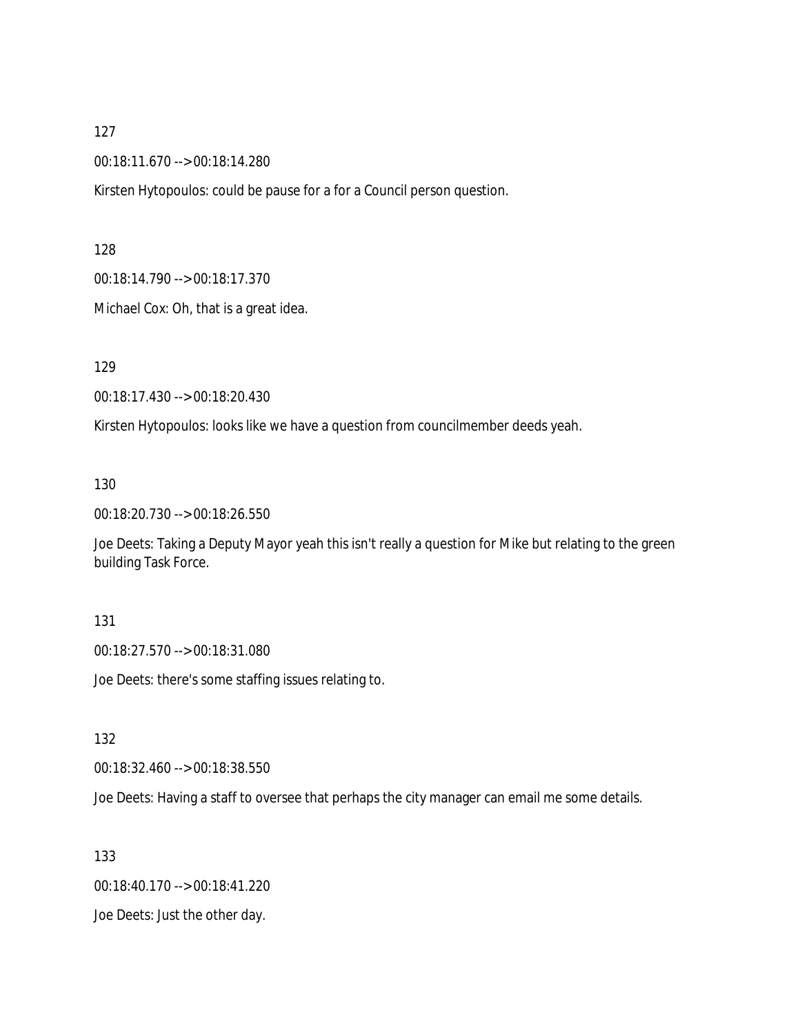00:18:11.670 --> 00:18:14.280

Kirsten Hytopoulos: could be pause for a for a Council person question.

128

00:18:14.790 --> 00:18:17.370

Michael Cox: Oh, that is a great idea.

129

00:18:17.430 --> 00:18:20.430

Kirsten Hytopoulos: looks like we have a question from councilmember deeds yeah.

130

00:18:20.730 --> 00:18:26.550

Joe Deets: Taking a Deputy Mayor yeah this isn't really a question for Mike but relating to the green building Task Force.

#### 131

00:18:27.570 --> 00:18:31.080

Joe Deets: there's some staffing issues relating to.

132

00:18:32.460 --> 00:18:38.550

Joe Deets: Having a staff to oversee that perhaps the city manager can email me some details.

133

00:18:40.170 --> 00:18:41.220

Joe Deets: Just the other day.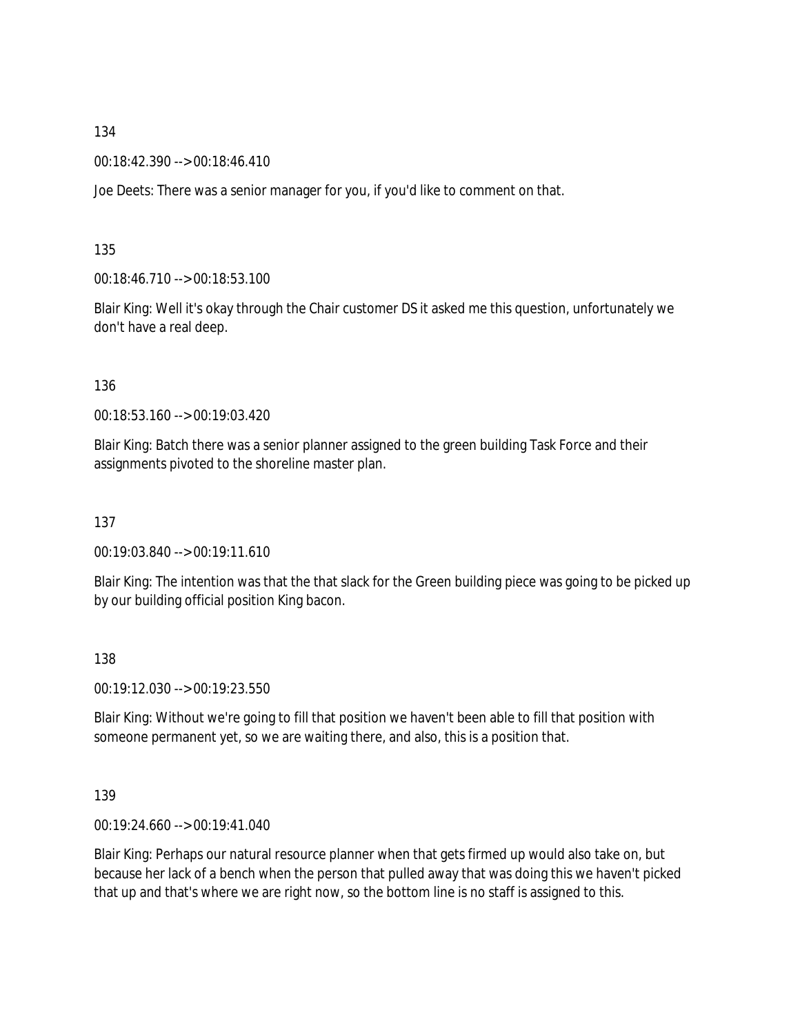00:18:42.390 --> 00:18:46.410

Joe Deets: There was a senior manager for you, if you'd like to comment on that.

135

00:18:46.710 --> 00:18:53.100

Blair King: Well it's okay through the Chair customer DS it asked me this question, unfortunately we don't have a real deep.

136

00:18:53.160 --> 00:19:03.420

Blair King: Batch there was a senior planner assigned to the green building Task Force and their assignments pivoted to the shoreline master plan.

137

00:19:03.840 --> 00:19:11.610

Blair King: The intention was that the that slack for the Green building piece was going to be picked up by our building official position King bacon.

138

00:19:12.030 --> 00:19:23.550

Blair King: Without we're going to fill that position we haven't been able to fill that position with someone permanent yet, so we are waiting there, and also, this is a position that.

139

00:19:24.660 --> 00:19:41.040

Blair King: Perhaps our natural resource planner when that gets firmed up would also take on, but because her lack of a bench when the person that pulled away that was doing this we haven't picked that up and that's where we are right now, so the bottom line is no staff is assigned to this.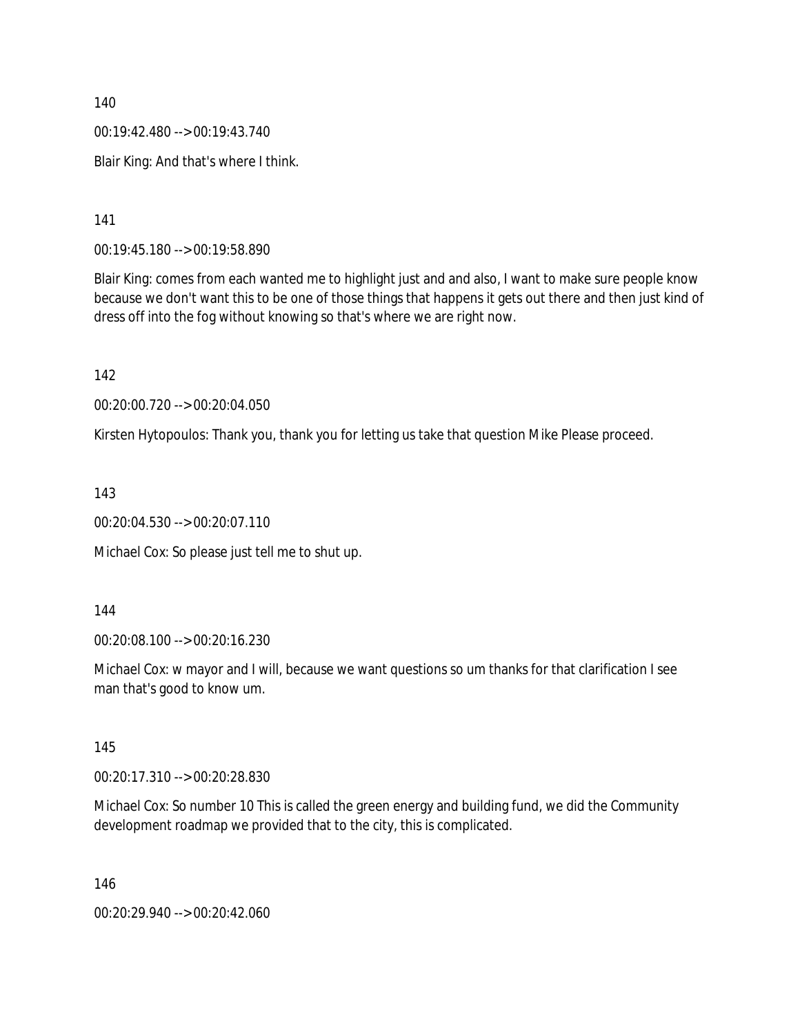00:19:42.480 --> 00:19:43.740

Blair King: And that's where I think.

141

00:19:45.180 --> 00:19:58.890

Blair King: comes from each wanted me to highlight just and and also, I want to make sure people know because we don't want this to be one of those things that happens it gets out there and then just kind of dress off into the fog without knowing so that's where we are right now.

142

00:20:00.720 --> 00:20:04.050

Kirsten Hytopoulos: Thank you, thank you for letting us take that question Mike Please proceed.

143

00:20:04.530 --> 00:20:07.110

Michael Cox: So please just tell me to shut up.

144

00:20:08.100 --> 00:20:16.230

Michael Cox: w mayor and I will, because we want questions so um thanks for that clarification I see man that's good to know um.

145

00:20:17.310 --> 00:20:28.830

Michael Cox: So number 10 This is called the green energy and building fund, we did the Community development roadmap we provided that to the city, this is complicated.

146

00:20:29.940 --> 00:20:42.060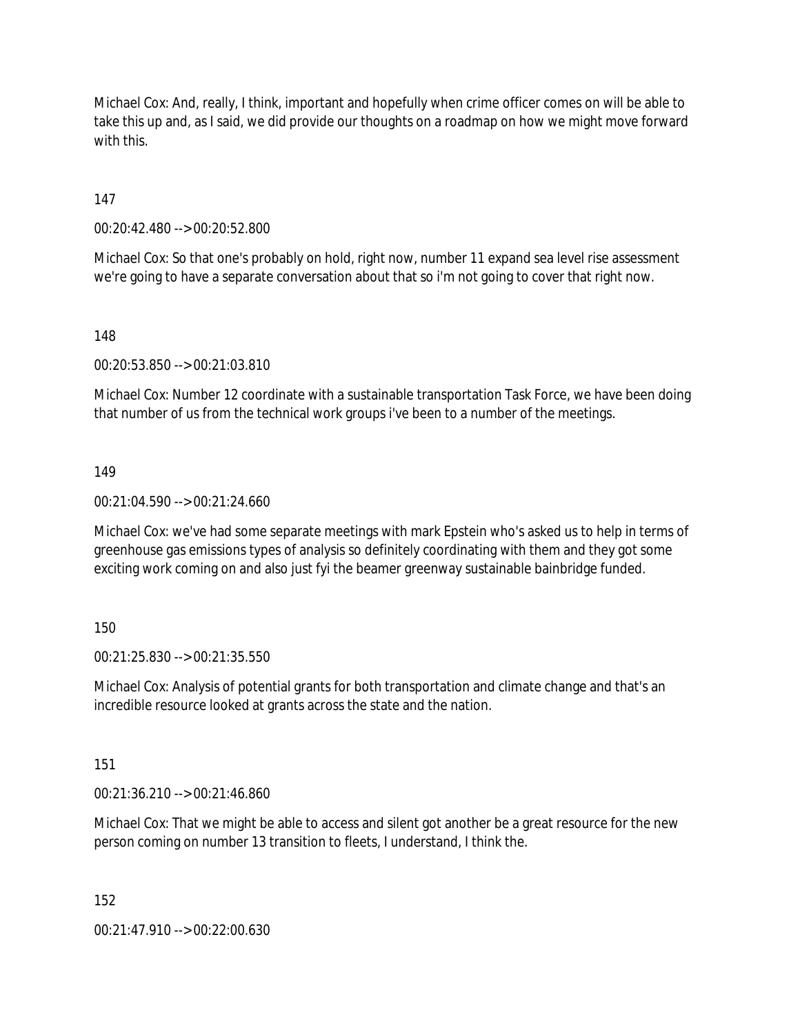Michael Cox: And, really, I think, important and hopefully when crime officer comes on will be able to take this up and, as I said, we did provide our thoughts on a roadmap on how we might move forward with this.

147

00:20:42.480 --> 00:20:52.800

Michael Cox: So that one's probably on hold, right now, number 11 expand sea level rise assessment we're going to have a separate conversation about that so i'm not going to cover that right now.

148

00:20:53.850 --> 00:21:03.810

Michael Cox: Number 12 coordinate with a sustainable transportation Task Force, we have been doing that number of us from the technical work groups i've been to a number of the meetings.

149

00:21:04.590 --> 00:21:24.660

Michael Cox: we've had some separate meetings with mark Epstein who's asked us to help in terms of greenhouse gas emissions types of analysis so definitely coordinating with them and they got some exciting work coming on and also just fyi the beamer greenway sustainable bainbridge funded.

150

00:21:25.830 --> 00:21:35.550

Michael Cox: Analysis of potential grants for both transportation and climate change and that's an incredible resource looked at grants across the state and the nation.

151

00:21:36.210 --> 00:21:46.860

Michael Cox: That we might be able to access and silent got another be a great resource for the new person coming on number 13 transition to fleets, I understand, I think the.

152

00:21:47.910 --> 00:22:00.630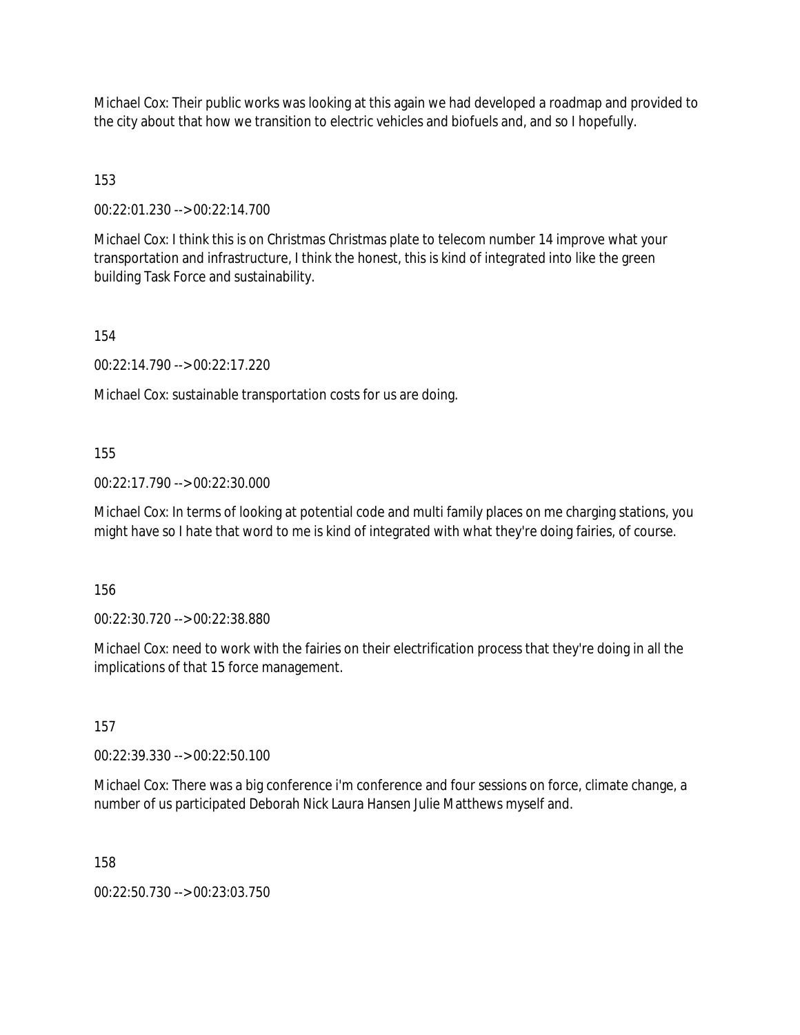Michael Cox: Their public works was looking at this again we had developed a roadmap and provided to the city about that how we transition to electric vehicles and biofuels and, and so I hopefully.

153

00:22:01.230 --> 00:22:14.700

Michael Cox: I think this is on Christmas Christmas plate to telecom number 14 improve what your transportation and infrastructure, I think the honest, this is kind of integrated into like the green building Task Force and sustainability.

154

00:22:14.790 --> 00:22:17.220

Michael Cox: sustainable transportation costs for us are doing.

155

00:22:17.790 --> 00:22:30.000

Michael Cox: In terms of looking at potential code and multi family places on me charging stations, you might have so I hate that word to me is kind of integrated with what they're doing fairies, of course.

156

00:22:30.720 --> 00:22:38.880

Michael Cox: need to work with the fairies on their electrification process that they're doing in all the implications of that 15 force management.

157

00:22:39.330 --> 00:22:50.100

Michael Cox: There was a big conference i'm conference and four sessions on force, climate change, a number of us participated Deborah Nick Laura Hansen Julie Matthews myself and.

158

00:22:50.730 --> 00:23:03.750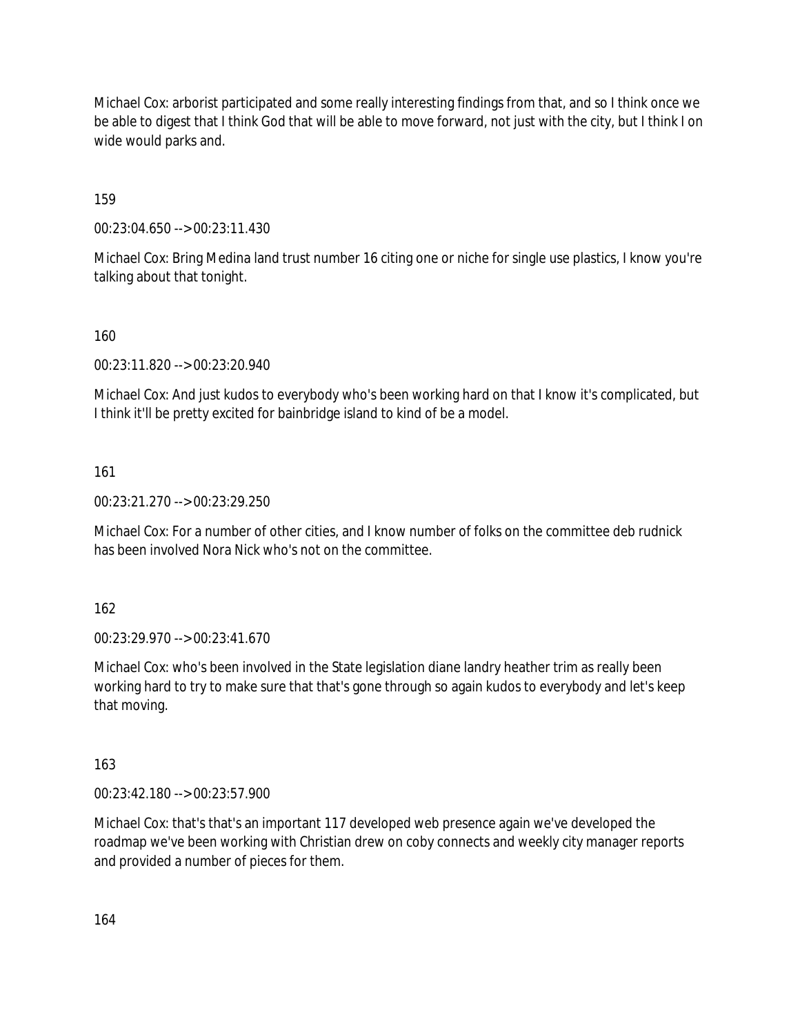Michael Cox: arborist participated and some really interesting findings from that, and so I think once we be able to digest that I think God that will be able to move forward, not just with the city, but I think I on wide would parks and.

159

00:23:04.650 --> 00:23:11.430

Michael Cox: Bring Medina land trust number 16 citing one or niche for single use plastics, I know you're talking about that tonight.

### 160

00:23:11.820 --> 00:23:20.940

Michael Cox: And just kudos to everybody who's been working hard on that I know it's complicated, but I think it'll be pretty excited for bainbridge island to kind of be a model.

161

00:23:21.270 --> 00:23:29.250

Michael Cox: For a number of other cities, and I know number of folks on the committee deb rudnick has been involved Nora Nick who's not on the committee.

162

00:23:29.970 --> 00:23:41.670

Michael Cox: who's been involved in the State legislation diane landry heather trim as really been working hard to try to make sure that that's gone through so again kudos to everybody and let's keep that moving.

163

00:23:42.180 --> 00:23:57.900

Michael Cox: that's that's an important 117 developed web presence again we've developed the roadmap we've been working with Christian drew on coby connects and weekly city manager reports and provided a number of pieces for them.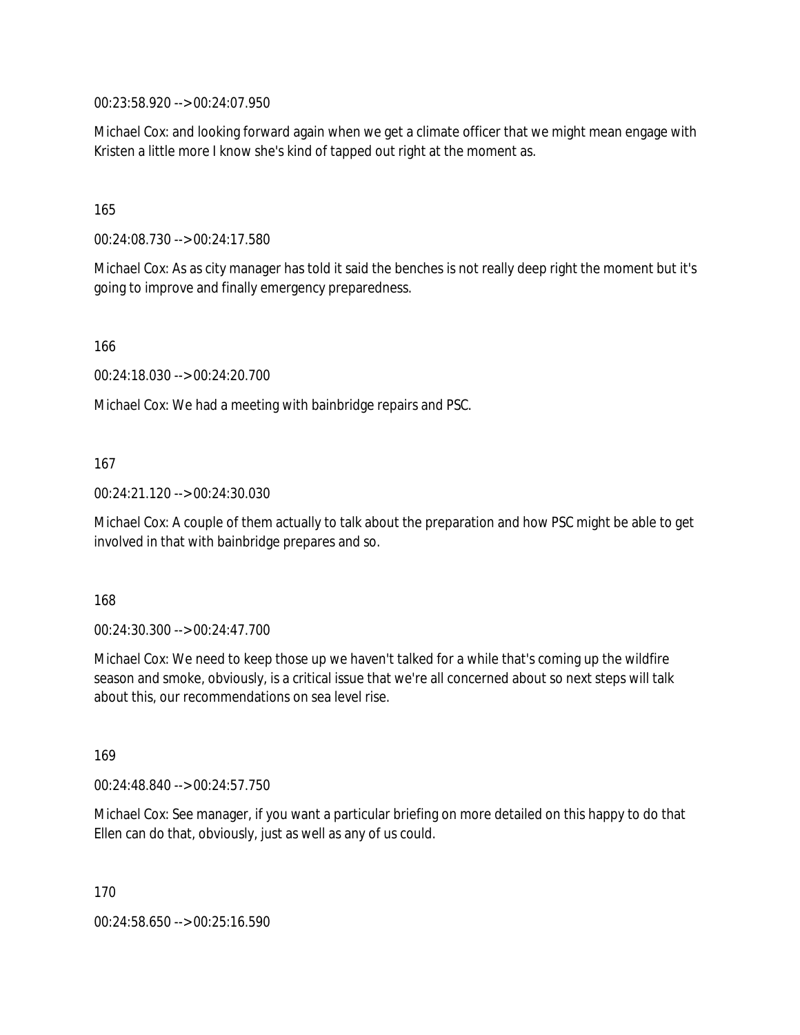00:23:58.920 --> 00:24:07.950

Michael Cox: and looking forward again when we get a climate officer that we might mean engage with Kristen a little more I know she's kind of tapped out right at the moment as.

165

00:24:08.730 --> 00:24:17.580

Michael Cox: As as city manager has told it said the benches is not really deep right the moment but it's going to improve and finally emergency preparedness.

166

00:24:18.030 --> 00:24:20.700

Michael Cox: We had a meeting with bainbridge repairs and PSC.

167

00:24:21.120 --> 00:24:30.030

Michael Cox: A couple of them actually to talk about the preparation and how PSC might be able to get involved in that with bainbridge prepares and so.

168

00:24:30.300 --> 00:24:47.700

Michael Cox: We need to keep those up we haven't talked for a while that's coming up the wildfire season and smoke, obviously, is a critical issue that we're all concerned about so next steps will talk about this, our recommendations on sea level rise.

169

00:24:48.840 --> 00:24:57.750

Michael Cox: See manager, if you want a particular briefing on more detailed on this happy to do that Ellen can do that, obviously, just as well as any of us could.

170

00:24:58.650 --> 00:25:16.590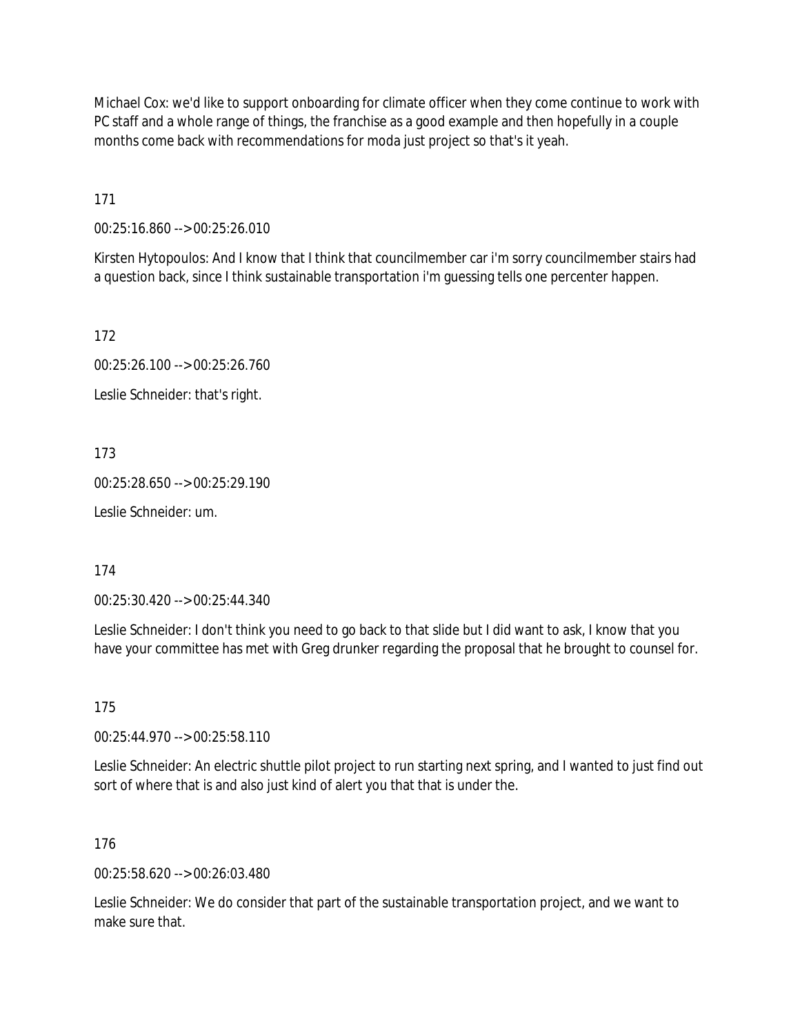Michael Cox: we'd like to support onboarding for climate officer when they come continue to work with PC staff and a whole range of things, the franchise as a good example and then hopefully in a couple months come back with recommendations for moda just project so that's it yeah.

171

00:25:16.860 --> 00:25:26.010

Kirsten Hytopoulos: And I know that I think that councilmember car i'm sorry councilmember stairs had a question back, since I think sustainable transportation i'm guessing tells one percenter happen.

172

00:25:26.100 --> 00:25:26.760

Leslie Schneider: that's right.

173

00:25:28.650 --> 00:25:29.190

Leslie Schneider: um.

174

00:25:30.420 --> 00:25:44.340

Leslie Schneider: I don't think you need to go back to that slide but I did want to ask, I know that you have your committee has met with Greg drunker regarding the proposal that he brought to counsel for.

175

00:25:44.970 --> 00:25:58.110

Leslie Schneider: An electric shuttle pilot project to run starting next spring, and I wanted to just find out sort of where that is and also just kind of alert you that that is under the.

176

00:25:58.620 --> 00:26:03.480

Leslie Schneider: We do consider that part of the sustainable transportation project, and we want to make sure that.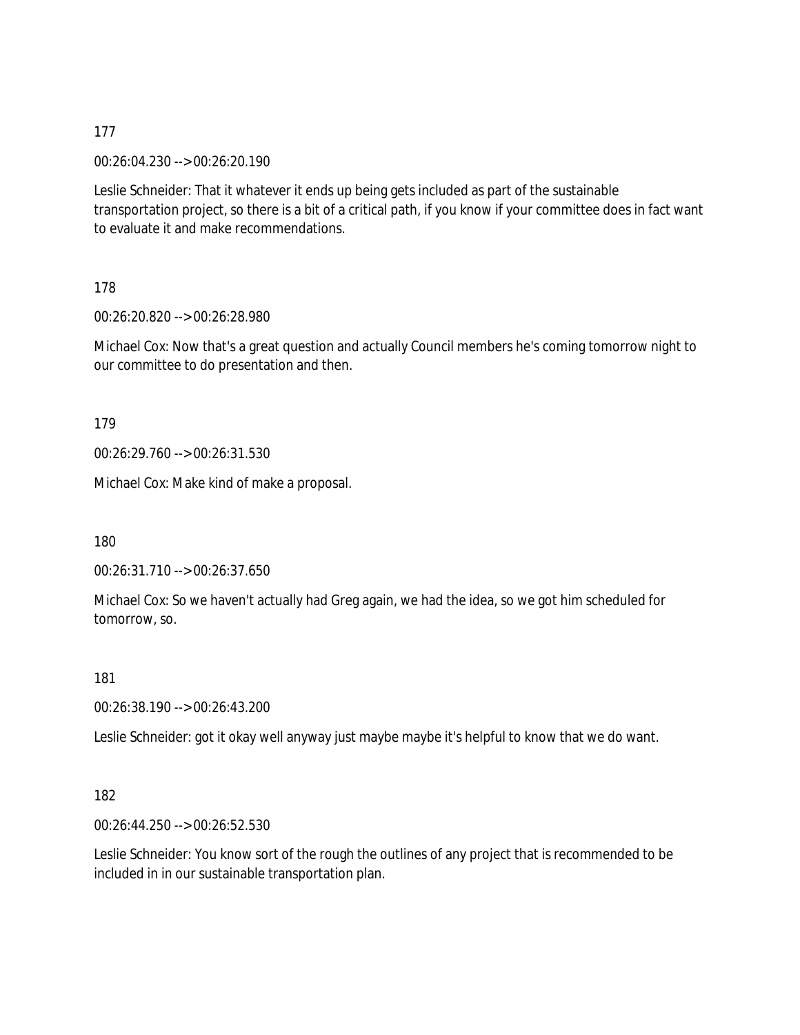00:26:04.230 --> 00:26:20.190

Leslie Schneider: That it whatever it ends up being gets included as part of the sustainable transportation project, so there is a bit of a critical path, if you know if your committee does in fact want to evaluate it and make recommendations.

178

00:26:20.820 --> 00:26:28.980

Michael Cox: Now that's a great question and actually Council members he's coming tomorrow night to our committee to do presentation and then.

179

00:26:29.760 --> 00:26:31.530

Michael Cox: Make kind of make a proposal.

180

00:26:31.710 --> 00:26:37.650

Michael Cox: So we haven't actually had Greg again, we had the idea, so we got him scheduled for tomorrow, so.

181

00:26:38.190 --> 00:26:43.200

Leslie Schneider: got it okay well anyway just maybe maybe it's helpful to know that we do want.

182

00:26:44.250 --> 00:26:52.530

Leslie Schneider: You know sort of the rough the outlines of any project that is recommended to be included in in our sustainable transportation plan.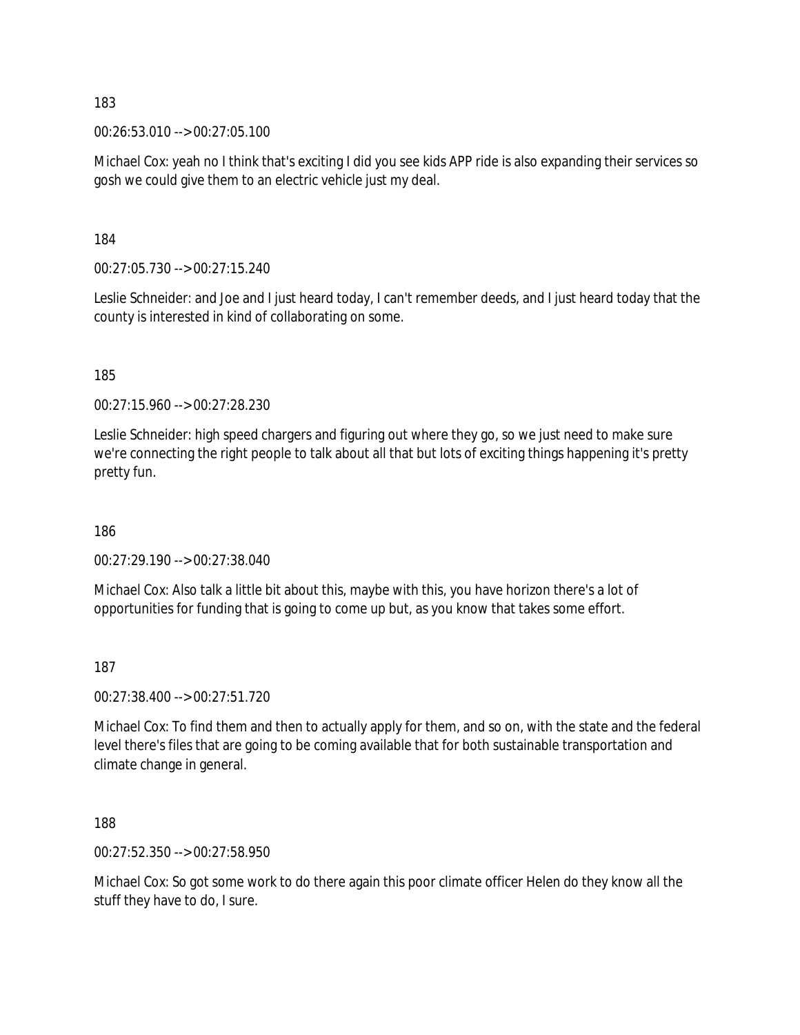00:26:53.010 --> 00:27:05.100

Michael Cox: yeah no I think that's exciting I did you see kids APP ride is also expanding their services so gosh we could give them to an electric vehicle just my deal.

184

00:27:05.730 --> 00:27:15.240

Leslie Schneider: and Joe and I just heard today, I can't remember deeds, and I just heard today that the county is interested in kind of collaborating on some.

185

00:27:15.960 --> 00:27:28.230

Leslie Schneider: high speed chargers and figuring out where they go, so we just need to make sure we're connecting the right people to talk about all that but lots of exciting things happening it's pretty pretty fun.

186

00:27:29.190 --> 00:27:38.040

Michael Cox: Also talk a little bit about this, maybe with this, you have horizon there's a lot of opportunities for funding that is going to come up but, as you know that takes some effort.

187

00:27:38.400 --> 00:27:51.720

Michael Cox: To find them and then to actually apply for them, and so on, with the state and the federal level there's files that are going to be coming available that for both sustainable transportation and climate change in general.

188

00:27:52.350 --> 00:27:58.950

Michael Cox: So got some work to do there again this poor climate officer Helen do they know all the stuff they have to do, I sure.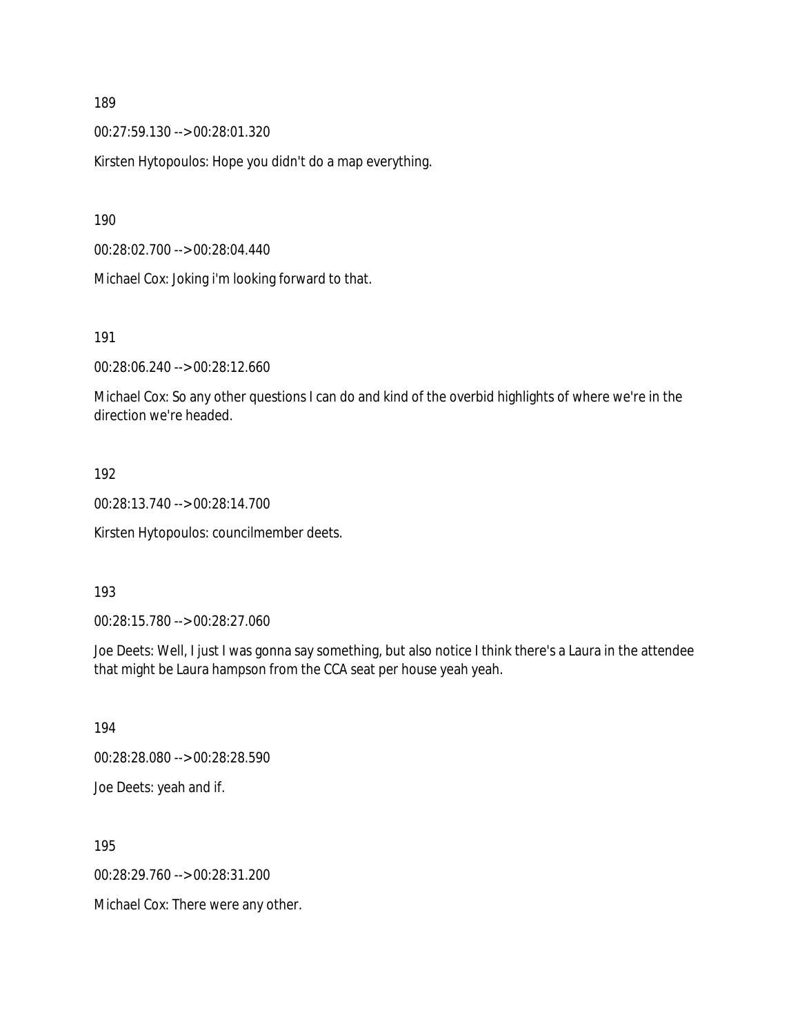00:27:59.130 --> 00:28:01.320

Kirsten Hytopoulos: Hope you didn't do a map everything.

190

00:28:02.700 --> 00:28:04.440

Michael Cox: Joking i'm looking forward to that.

191

00:28:06.240 --> 00:28:12.660

Michael Cox: So any other questions I can do and kind of the overbid highlights of where we're in the direction we're headed.

### 192

00:28:13.740 --> 00:28:14.700

Kirsten Hytopoulos: councilmember deets.

#### 193

00:28:15.780 --> 00:28:27.060

Joe Deets: Well, I just I was gonna say something, but also notice I think there's a Laura in the attendee that might be Laura hampson from the CCA seat per house yeah yeah.

194 00:28:28.080 --> 00:28:28.590 Joe Deets: yeah and if.

195

00:28:29.760 --> 00:28:31.200

Michael Cox: There were any other.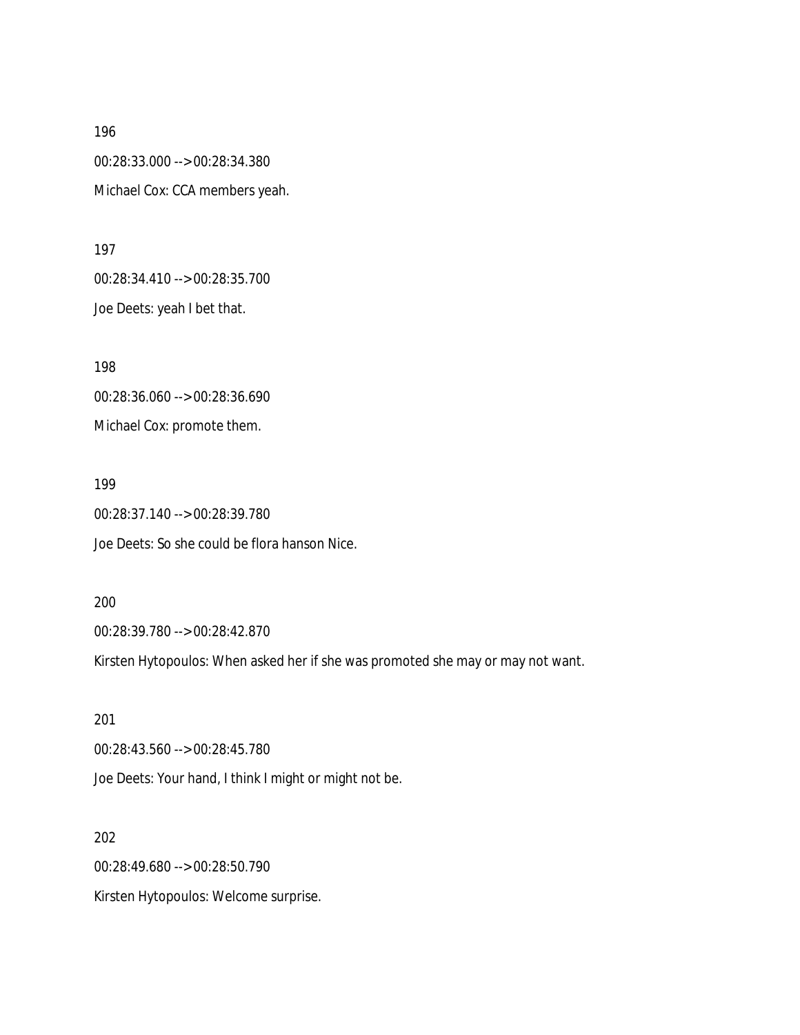196 00:28:33.000 --> 00:28:34.380 Michael Cox: CCA members yeah.

197 00:28:34.410 --> 00:28:35.700 Joe Deets: yeah I bet that.

198 00:28:36.060 --> 00:28:36.690 Michael Cox: promote them.

199

00:28:37.140 --> 00:28:39.780 Joe Deets: So she could be flora hanson Nice.

200

00:28:39.780 --> 00:28:42.870

Kirsten Hytopoulos: When asked her if she was promoted she may or may not want.

201 00:28:43.560 --> 00:28:45.780 Joe Deets: Your hand, I think I might or might not be.

202 00:28:49.680 --> 00:28:50.790 Kirsten Hytopoulos: Welcome surprise.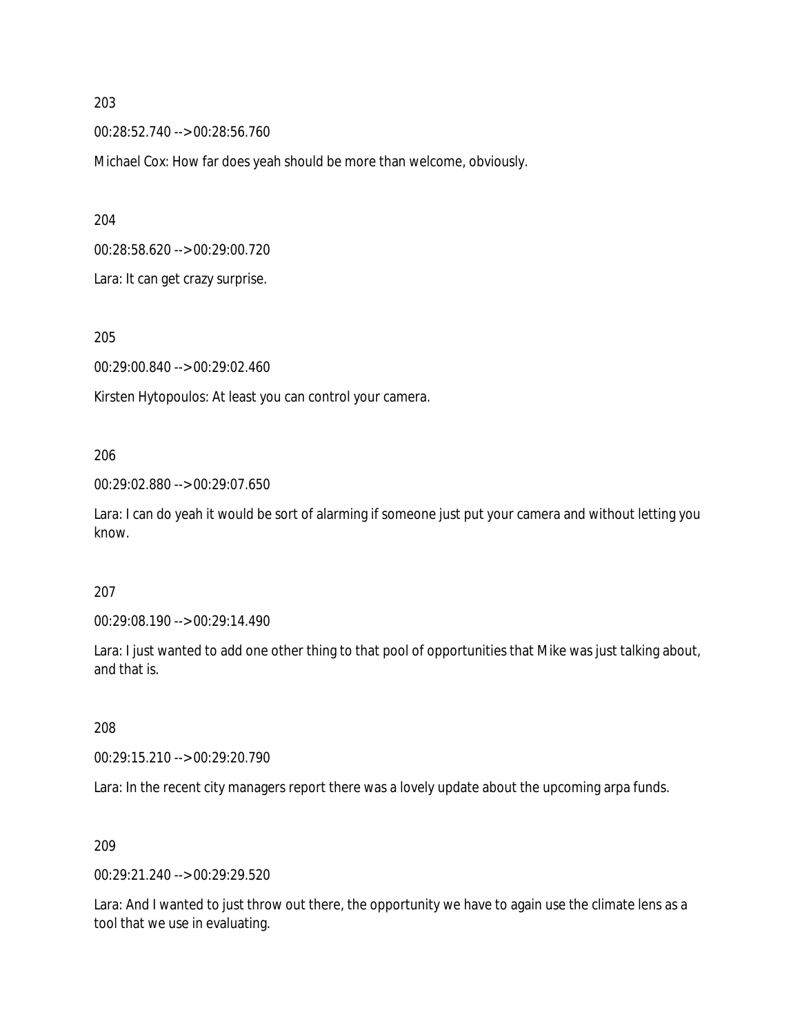00:28:52.740 --> 00:28:56.760

Michael Cox: How far does yeah should be more than welcome, obviously.

204

00:28:58.620 --> 00:29:00.720

Lara: It can get crazy surprise.

205

00:29:00.840 --> 00:29:02.460

Kirsten Hytopoulos: At least you can control your camera.

#### 206

00:29:02.880 --> 00:29:07.650

Lara: I can do yeah it would be sort of alarming if someone just put your camera and without letting you know.

#### 207

00:29:08.190 --> 00:29:14.490

Lara: I just wanted to add one other thing to that pool of opportunities that Mike was just talking about, and that is.

#### 208

00:29:15.210 --> 00:29:20.790

Lara: In the recent city managers report there was a lovely update about the upcoming arpa funds.

#### 209

00:29:21.240 --> 00:29:29.520

Lara: And I wanted to just throw out there, the opportunity we have to again use the climate lens as a tool that we use in evaluating.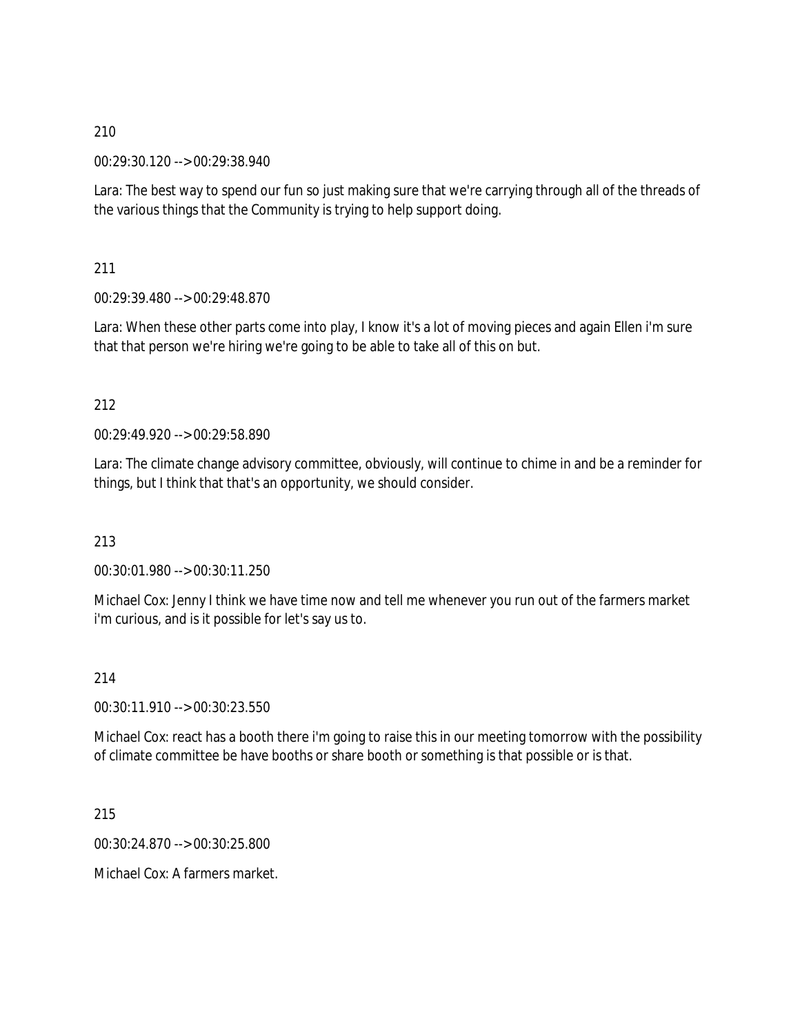00:29:30.120 --> 00:29:38.940

Lara: The best way to spend our fun so just making sure that we're carrying through all of the threads of the various things that the Community is trying to help support doing.

211

00:29:39.480 --> 00:29:48.870

Lara: When these other parts come into play, I know it's a lot of moving pieces and again Ellen i'm sure that that person we're hiring we're going to be able to take all of this on but.

### 212

00:29:49.920 --> 00:29:58.890

Lara: The climate change advisory committee, obviously, will continue to chime in and be a reminder for things, but I think that that's an opportunity, we should consider.

213

00:30:01.980 --> 00:30:11.250

Michael Cox: Jenny I think we have time now and tell me whenever you run out of the farmers market i'm curious, and is it possible for let's say us to.

214

00:30:11.910 --> 00:30:23.550

Michael Cox: react has a booth there i'm going to raise this in our meeting tomorrow with the possibility of climate committee be have booths or share booth or something is that possible or is that.

215

00:30:24.870 --> 00:30:25.800

Michael Cox: A farmers market.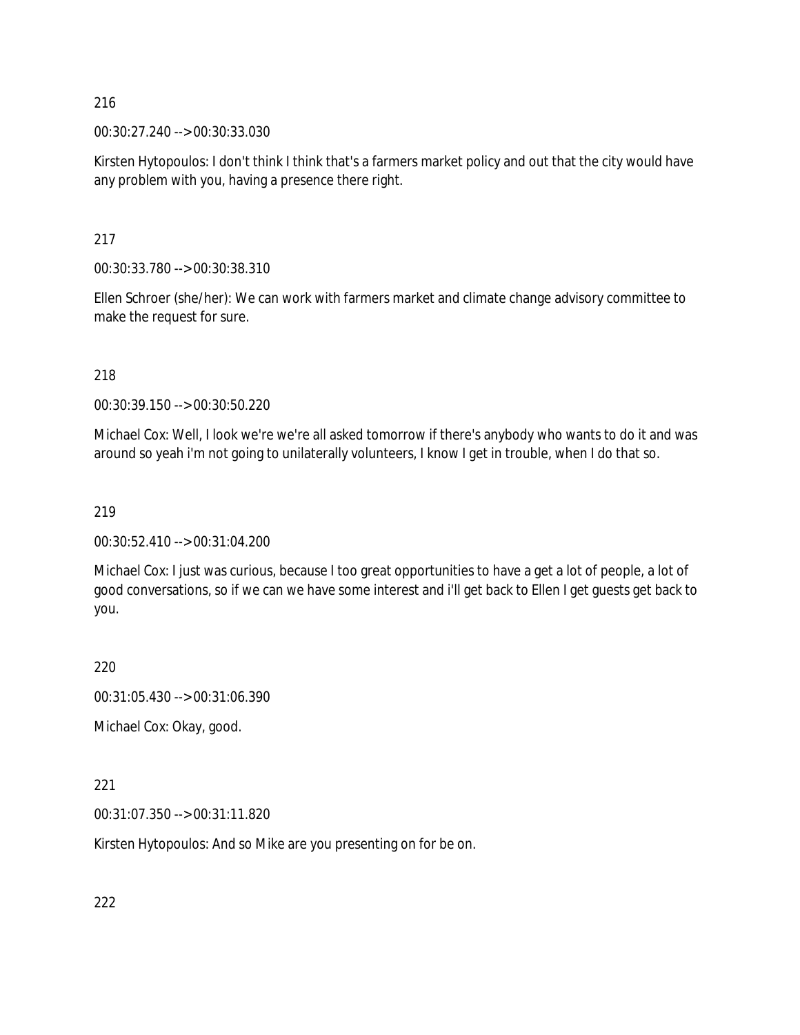00:30:27.240 --> 00:30:33.030

Kirsten Hytopoulos: I don't think I think that's a farmers market policy and out that the city would have any problem with you, having a presence there right.

217

00:30:33.780 --> 00:30:38.310

Ellen Schroer (she/her): We can work with farmers market and climate change advisory committee to make the request for sure.

218

00:30:39.150 --> 00:30:50.220

Michael Cox: Well, I look we're we're all asked tomorrow if there's anybody who wants to do it and was around so yeah i'm not going to unilaterally volunteers, I know I get in trouble, when I do that so.

#### 219

00:30:52.410 --> 00:31:04.200

Michael Cox: I just was curious, because I too great opportunities to have a get a lot of people, a lot of good conversations, so if we can we have some interest and i'll get back to Ellen I get guests get back to you.

220

00:31:05.430 --> 00:31:06.390

Michael Cox: Okay, good.

221

00:31:07.350 --> 00:31:11.820

Kirsten Hytopoulos: And so Mike are you presenting on for be on.

222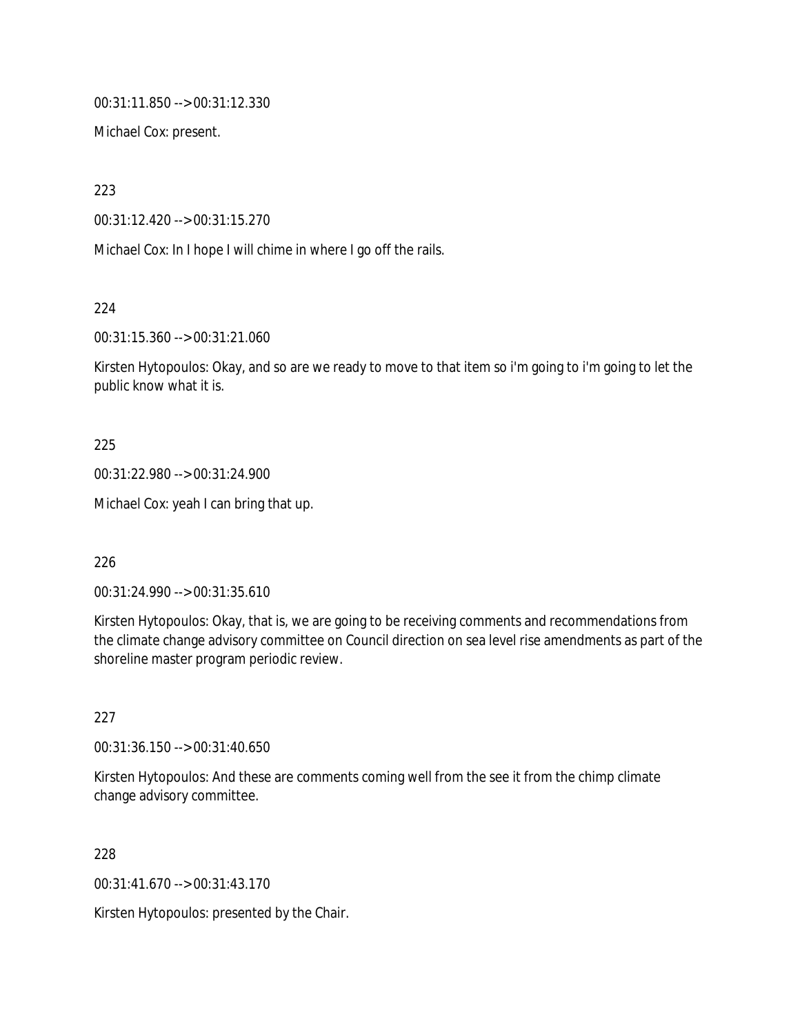00:31:11.850 --> 00:31:12.330

Michael Cox: present.

223

00:31:12.420 --> 00:31:15.270

Michael Cox: In I hope I will chime in where I go off the rails.

224

00:31:15.360 --> 00:31:21.060

Kirsten Hytopoulos: Okay, and so are we ready to move to that item so i'm going to i'm going to let the public know what it is.

## 225

00:31:22.980 --> 00:31:24.900

Michael Cox: yeah I can bring that up.

226

00:31:24.990 --> 00:31:35.610

Kirsten Hytopoulos: Okay, that is, we are going to be receiving comments and recommendations from the climate change advisory committee on Council direction on sea level rise amendments as part of the shoreline master program periodic review.

227

00:31:36.150 --> 00:31:40.650

Kirsten Hytopoulos: And these are comments coming well from the see it from the chimp climate change advisory committee.

228

00:31:41.670 --> 00:31:43.170

Kirsten Hytopoulos: presented by the Chair.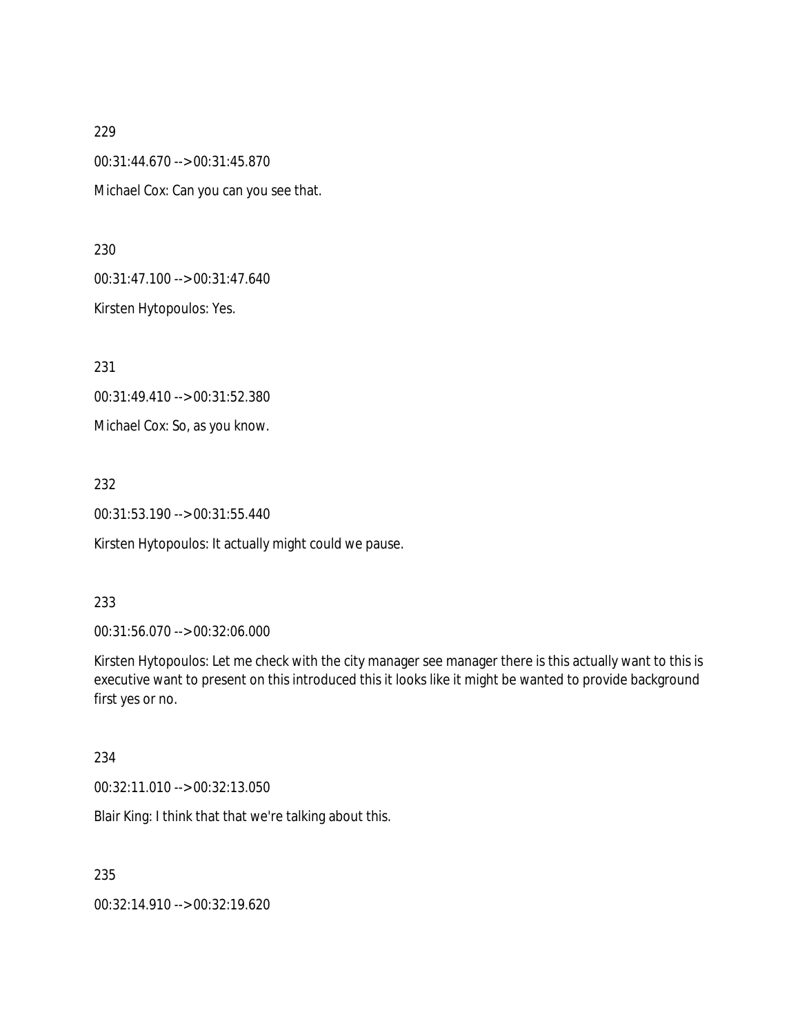00:31:44.670 --> 00:31:45.870 Michael Cox: Can you can you see that.

230

00:31:47.100 --> 00:31:47.640

Kirsten Hytopoulos: Yes.

231

00:31:49.410 --> 00:31:52.380 Michael Cox: So, as you know.

232

00:31:53.190 --> 00:31:55.440

Kirsten Hytopoulos: It actually might could we pause.

#### 233

00:31:56.070 --> 00:32:06.000

Kirsten Hytopoulos: Let me check with the city manager see manager there is this actually want to this is executive want to present on this introduced this it looks like it might be wanted to provide background first yes or no.

234

00:32:11.010 --> 00:32:13.050

Blair King: I think that that we're talking about this.

235

00:32:14.910 --> 00:32:19.620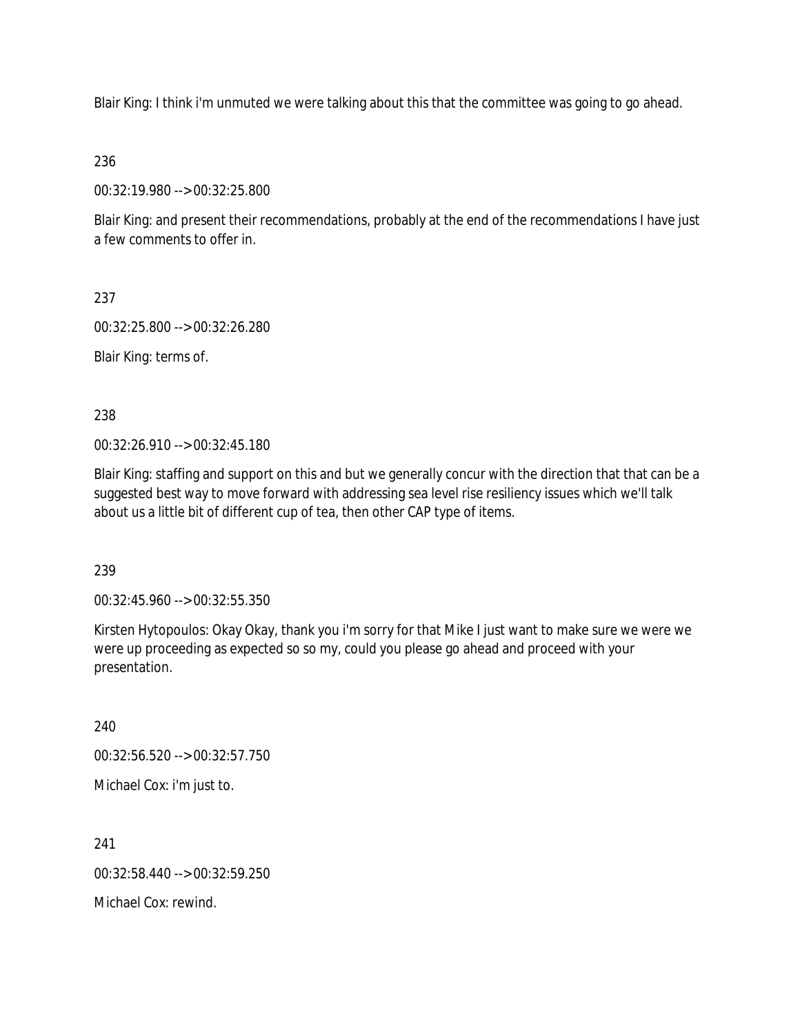Blair King: I think i'm unmuted we were talking about this that the committee was going to go ahead.

236

00:32:19.980 --> 00:32:25.800

Blair King: and present their recommendations, probably at the end of the recommendations I have just a few comments to offer in.

237

00:32:25.800 --> 00:32:26.280

Blair King: terms of.

238

00:32:26.910 --> 00:32:45.180

Blair King: staffing and support on this and but we generally concur with the direction that that can be a suggested best way to move forward with addressing sea level rise resiliency issues which we'll talk about us a little bit of different cup of tea, then other CAP type of items.

239

00:32:45.960 --> 00:32:55.350

Kirsten Hytopoulos: Okay Okay, thank you i'm sorry for that Mike I just want to make sure we were we were up proceeding as expected so so my, could you please go ahead and proceed with your presentation.

240 00:32:56.520 --> 00:32:57.750 Michael Cox: i'm just to.

241 00:32:58.440 --> 00:32:59.250 Michael Cox: rewind.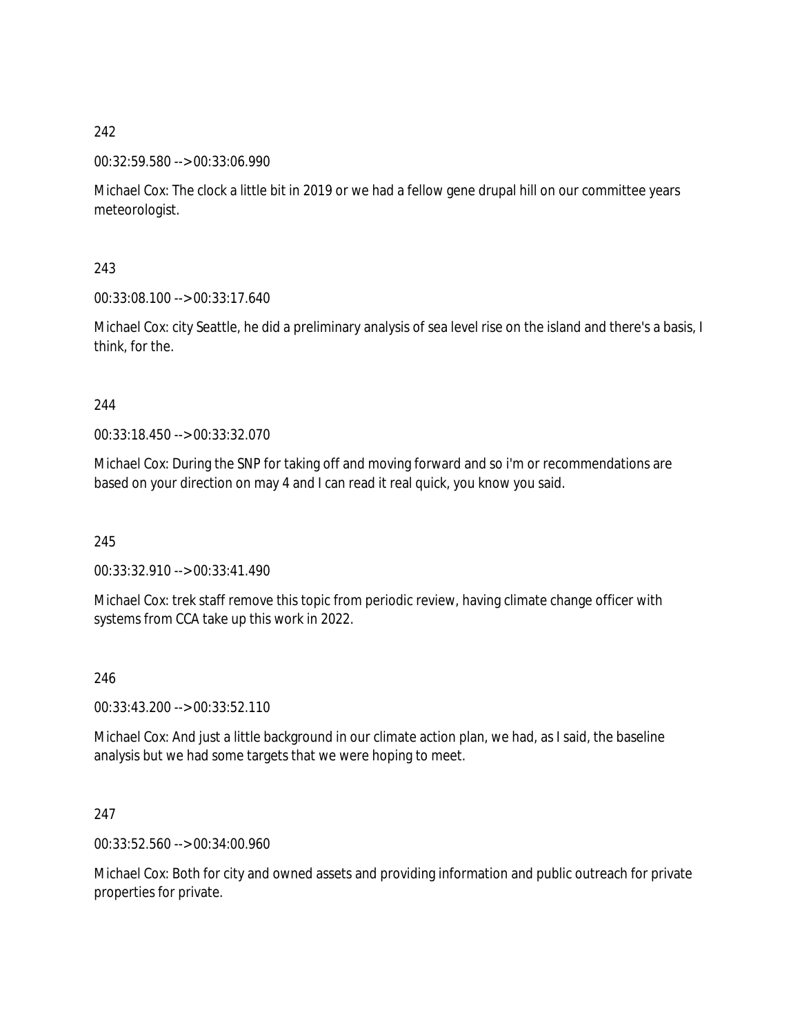## 00:32:59.580 --> 00:33:06.990

Michael Cox: The clock a little bit in 2019 or we had a fellow gene drupal hill on our committee years meteorologist.

243

00:33:08.100 --> 00:33:17.640

Michael Cox: city Seattle, he did a preliminary analysis of sea level rise on the island and there's a basis, I think, for the.

## 244

00:33:18.450 --> 00:33:32.070

Michael Cox: During the SNP for taking off and moving forward and so i'm or recommendations are based on your direction on may 4 and I can read it real quick, you know you said.

245

00:33:32.910 --> 00:33:41.490

Michael Cox: trek staff remove this topic from periodic review, having climate change officer with systems from CCA take up this work in 2022.

#### 246

00:33:43.200 --> 00:33:52.110

Michael Cox: And just a little background in our climate action plan, we had, as I said, the baseline analysis but we had some targets that we were hoping to meet.

## 247

00:33:52.560 --> 00:34:00.960

Michael Cox: Both for city and owned assets and providing information and public outreach for private properties for private.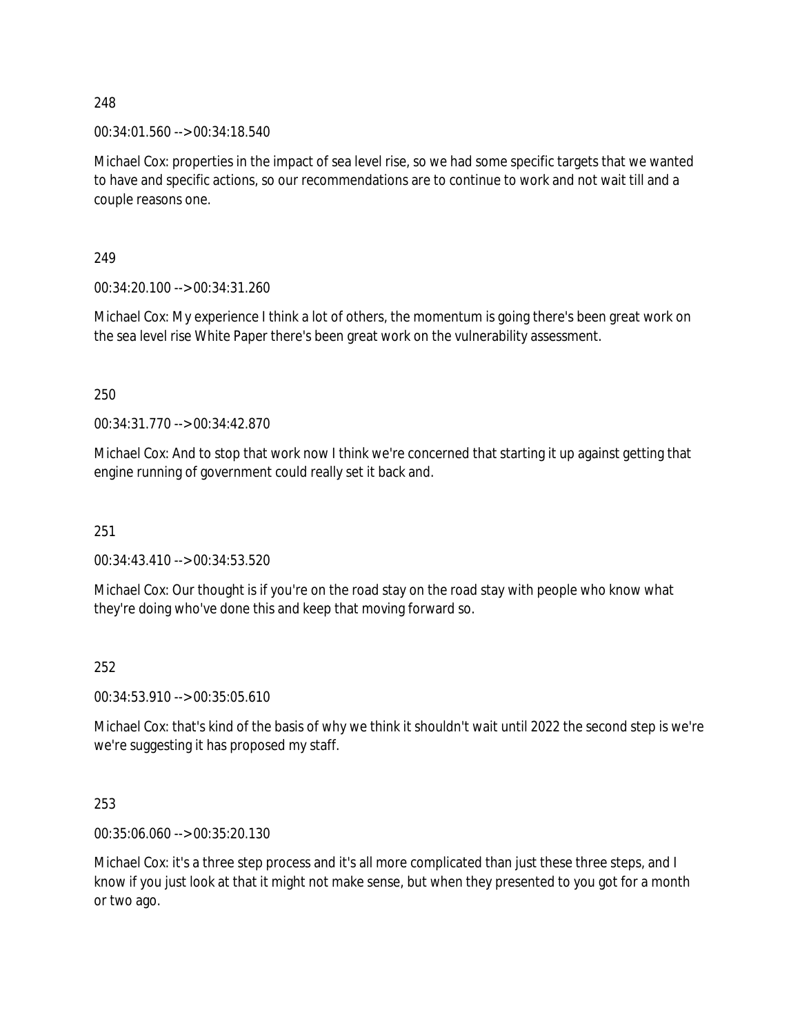00:34:01.560 --> 00:34:18.540

Michael Cox: properties in the impact of sea level rise, so we had some specific targets that we wanted to have and specific actions, so our recommendations are to continue to work and not wait till and a couple reasons one.

249

00:34:20.100 --> 00:34:31.260

Michael Cox: My experience I think a lot of others, the momentum is going there's been great work on the sea level rise White Paper there's been great work on the vulnerability assessment.

250

00:34:31.770 --> 00:34:42.870

Michael Cox: And to stop that work now I think we're concerned that starting it up against getting that engine running of government could really set it back and.

251

00:34:43.410 --> 00:34:53.520

Michael Cox: Our thought is if you're on the road stay on the road stay with people who know what they're doing who've done this and keep that moving forward so.

252

00:34:53.910 --> 00:35:05.610

Michael Cox: that's kind of the basis of why we think it shouldn't wait until 2022 the second step is we're we're suggesting it has proposed my staff.

253

00:35:06.060 --> 00:35:20.130

Michael Cox: it's a three step process and it's all more complicated than just these three steps, and I know if you just look at that it might not make sense, but when they presented to you got for a month or two ago.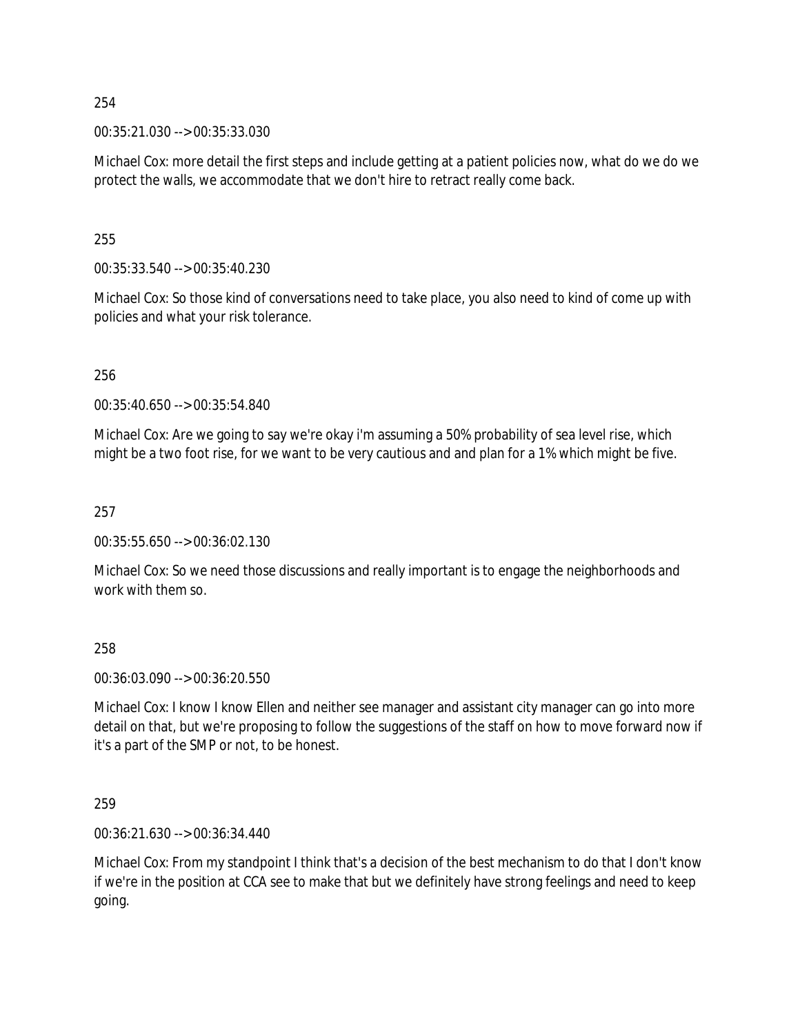00:35:21.030 --> 00:35:33.030

Michael Cox: more detail the first steps and include getting at a patient policies now, what do we do we protect the walls, we accommodate that we don't hire to retract really come back.

255

00:35:33.540 --> 00:35:40.230

Michael Cox: So those kind of conversations need to take place, you also need to kind of come up with policies and what your risk tolerance.

256

00:35:40.650 --> 00:35:54.840

Michael Cox: Are we going to say we're okay i'm assuming a 50% probability of sea level rise, which might be a two foot rise, for we want to be very cautious and and plan for a 1% which might be five.

257

00:35:55.650 --> 00:36:02.130

Michael Cox: So we need those discussions and really important is to engage the neighborhoods and work with them so.

258

00:36:03.090 --> 00:36:20.550

Michael Cox: I know I know Ellen and neither see manager and assistant city manager can go into more detail on that, but we're proposing to follow the suggestions of the staff on how to move forward now if it's a part of the SMP or not, to be honest.

259

00:36:21.630 --> 00:36:34.440

Michael Cox: From my standpoint I think that's a decision of the best mechanism to do that I don't know if we're in the position at CCA see to make that but we definitely have strong feelings and need to keep going.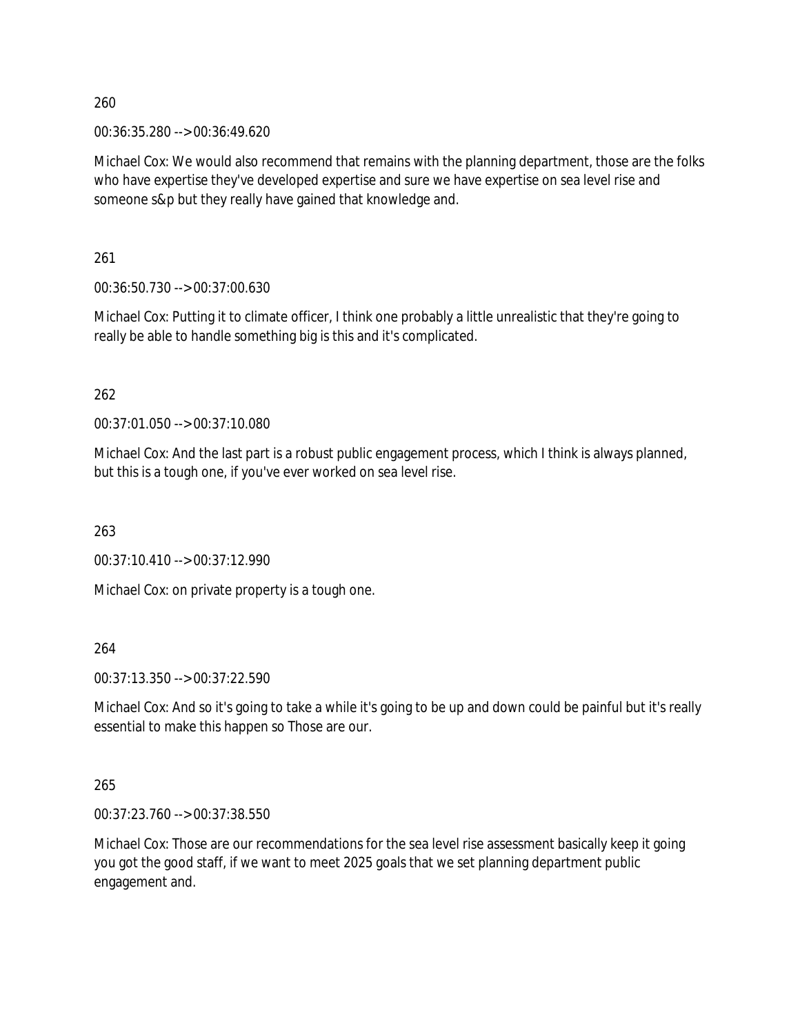00:36:35.280 --> 00:36:49.620

Michael Cox: We would also recommend that remains with the planning department, those are the folks who have expertise they've developed expertise and sure we have expertise on sea level rise and someone s&p but they really have gained that knowledge and.

261

00:36:50.730 --> 00:37:00.630

Michael Cox: Putting it to climate officer, I think one probably a little unrealistic that they're going to really be able to handle something big is this and it's complicated.

262

00:37:01.050 --> 00:37:10.080

Michael Cox: And the last part is a robust public engagement process, which I think is always planned, but this is a tough one, if you've ever worked on sea level rise.

263

00:37:10.410 --> 00:37:12.990

Michael Cox: on private property is a tough one.

264

00:37:13.350 --> 00:37:22.590

Michael Cox: And so it's going to take a while it's going to be up and down could be painful but it's really essential to make this happen so Those are our.

265

00:37:23.760 --> 00:37:38.550

Michael Cox: Those are our recommendations for the sea level rise assessment basically keep it going you got the good staff, if we want to meet 2025 goals that we set planning department public engagement and.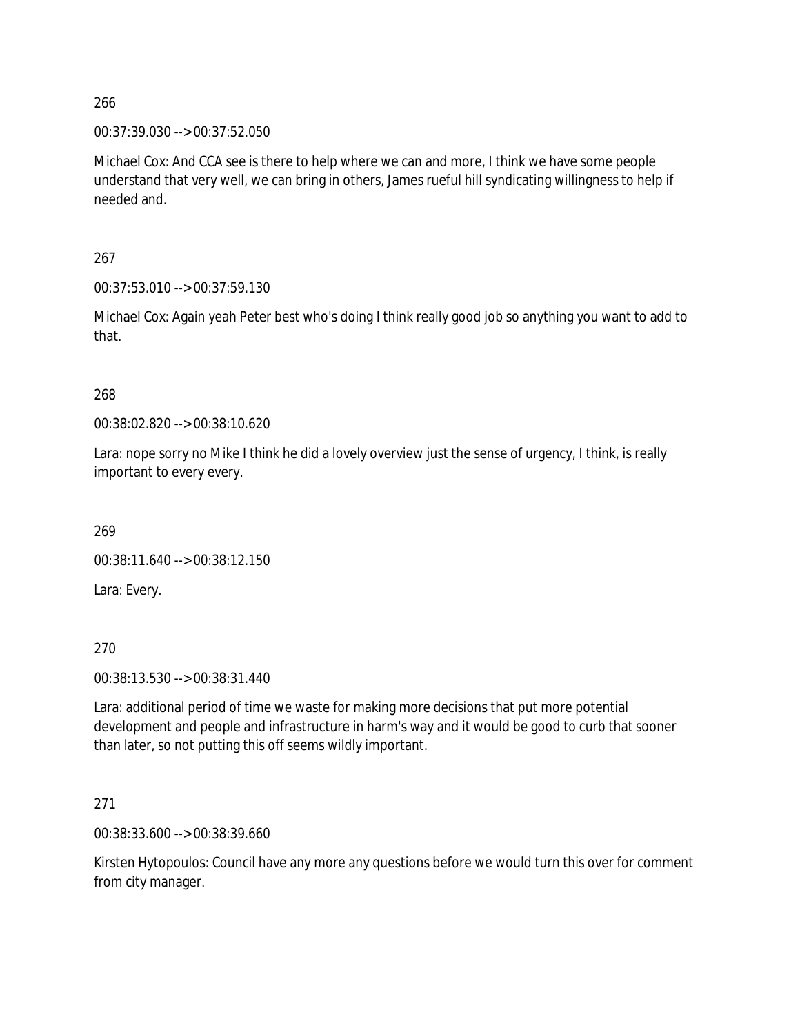00:37:39.030 --> 00:37:52.050

Michael Cox: And CCA see is there to help where we can and more, I think we have some people understand that very well, we can bring in others, James rueful hill syndicating willingness to help if needed and.

267

00:37:53.010 --> 00:37:59.130

Michael Cox: Again yeah Peter best who's doing I think really good job so anything you want to add to that.

#### 268

00:38:02.820 --> 00:38:10.620

Lara: nope sorry no Mike I think he did a lovely overview just the sense of urgency, I think, is really important to every every.

269

00:38:11.640 --> 00:38:12.150

Lara: Every.

270

00:38:13.530 --> 00:38:31.440

Lara: additional period of time we waste for making more decisions that put more potential development and people and infrastructure in harm's way and it would be good to curb that sooner than later, so not putting this off seems wildly important.

#### 271

00:38:33.600 --> 00:38:39.660

Kirsten Hytopoulos: Council have any more any questions before we would turn this over for comment from city manager.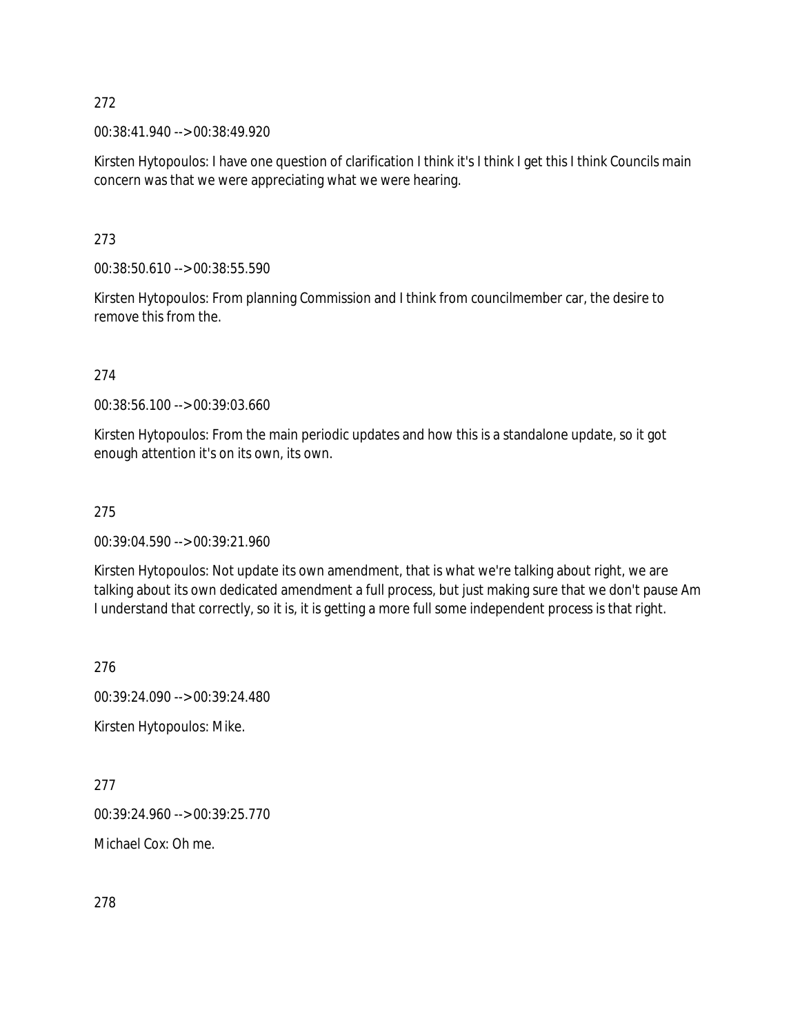00:38:41.940 --> 00:38:49.920

Kirsten Hytopoulos: I have one question of clarification I think it's I think I get this I think Councils main concern was that we were appreciating what we were hearing.

273

00:38:50.610 --> 00:38:55.590

Kirsten Hytopoulos: From planning Commission and I think from councilmember car, the desire to remove this from the.

274

00:38:56.100 --> 00:39:03.660

Kirsten Hytopoulos: From the main periodic updates and how this is a standalone update, so it got enough attention it's on its own, its own.

#### 275

00:39:04.590 --> 00:39:21.960

Kirsten Hytopoulos: Not update its own amendment, that is what we're talking about right, we are talking about its own dedicated amendment a full process, but just making sure that we don't pause Am I understand that correctly, so it is, it is getting a more full some independent process is that right.

276

00:39:24.090 --> 00:39:24.480

Kirsten Hytopoulos: Mike.

277

00:39:24.960 --> 00:39:25.770

Michael Cox: Oh me.

278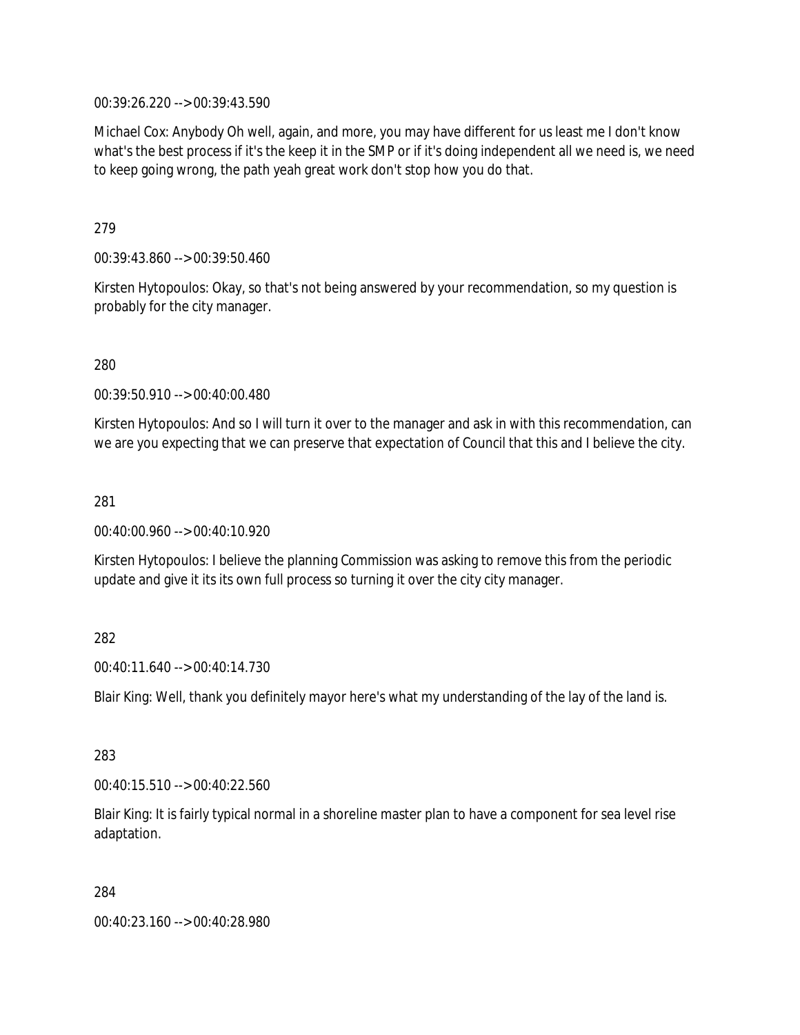00:39:26.220 --> 00:39:43.590

Michael Cox: Anybody Oh well, again, and more, you may have different for us least me I don't know what's the best process if it's the keep it in the SMP or if it's doing independent all we need is, we need to keep going wrong, the path yeah great work don't stop how you do that.

279

00:39:43.860 --> 00:39:50.460

Kirsten Hytopoulos: Okay, so that's not being answered by your recommendation, so my question is probably for the city manager.

280

00:39:50.910 --> 00:40:00.480

Kirsten Hytopoulos: And so I will turn it over to the manager and ask in with this recommendation, can we are you expecting that we can preserve that expectation of Council that this and I believe the city.

281

00:40:00.960 --> 00:40:10.920

Kirsten Hytopoulos: I believe the planning Commission was asking to remove this from the periodic update and give it its its own full process so turning it over the city city manager.

282

00:40:11.640 --> 00:40:14.730

Blair King: Well, thank you definitely mayor here's what my understanding of the lay of the land is.

283

00:40:15.510 --> 00:40:22.560

Blair King: It is fairly typical normal in a shoreline master plan to have a component for sea level rise adaptation.

284

00:40:23.160 --> 00:40:28.980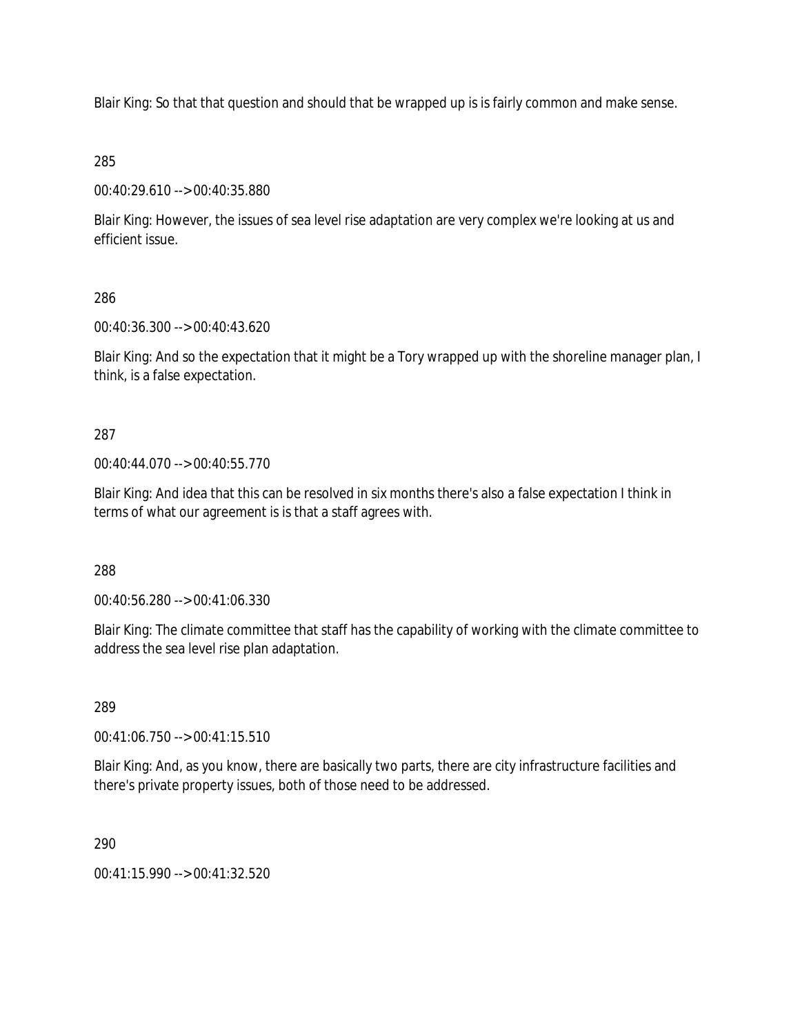Blair King: So that that question and should that be wrapped up is is fairly common and make sense.

## 285

00:40:29.610 --> 00:40:35.880

Blair King: However, the issues of sea level rise adaptation are very complex we're looking at us and efficient issue.

## 286

00:40:36.300 --> 00:40:43.620

Blair King: And so the expectation that it might be a Tory wrapped up with the shoreline manager plan, I think, is a false expectation.

## 287

00:40:44.070 --> 00:40:55.770

Blair King: And idea that this can be resolved in six months there's also a false expectation I think in terms of what our agreement is is that a staff agrees with.

#### 288

00:40:56.280 --> 00:41:06.330

Blair King: The climate committee that staff has the capability of working with the climate committee to address the sea level rise plan adaptation.

#### 289

00:41:06.750 --> 00:41:15.510

Blair King: And, as you know, there are basically two parts, there are city infrastructure facilities and there's private property issues, both of those need to be addressed.

#### 290

00:41:15.990 --> 00:41:32.520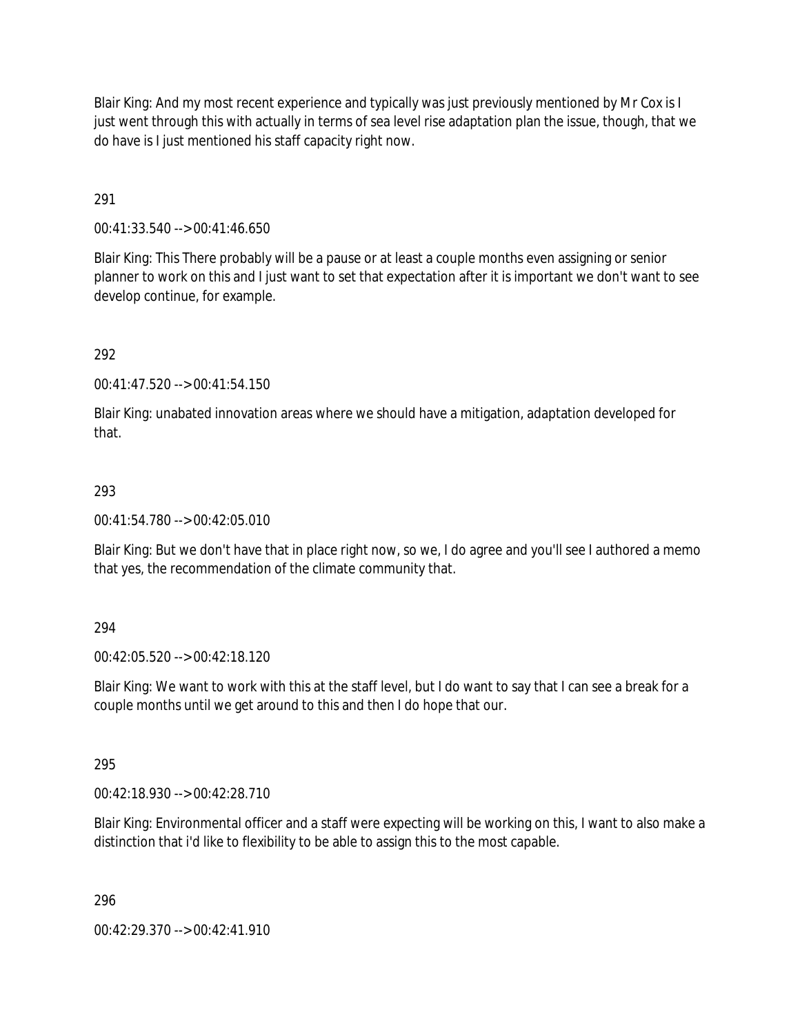Blair King: And my most recent experience and typically was just previously mentioned by Mr Cox is I just went through this with actually in terms of sea level rise adaptation plan the issue, though, that we do have is I just mentioned his staff capacity right now.

291

00:41:33.540 --> 00:41:46.650

Blair King: This There probably will be a pause or at least a couple months even assigning or senior planner to work on this and I just want to set that expectation after it is important we don't want to see develop continue, for example.

292

00:41:47.520 --> 00:41:54.150

Blair King: unabated innovation areas where we should have a mitigation, adaptation developed for that.

#### 293

00:41:54.780 --> 00:42:05.010

Blair King: But we don't have that in place right now, so we, I do agree and you'll see I authored a memo that yes, the recommendation of the climate community that.

#### 294

00:42:05.520 --> 00:42:18.120

Blair King: We want to work with this at the staff level, but I do want to say that I can see a break for a couple months until we get around to this and then I do hope that our.

#### 295

00:42:18.930 --> 00:42:28.710

Blair King: Environmental officer and a staff were expecting will be working on this, I want to also make a distinction that i'd like to flexibility to be able to assign this to the most capable.

296

00:42:29.370 --> 00:42:41.910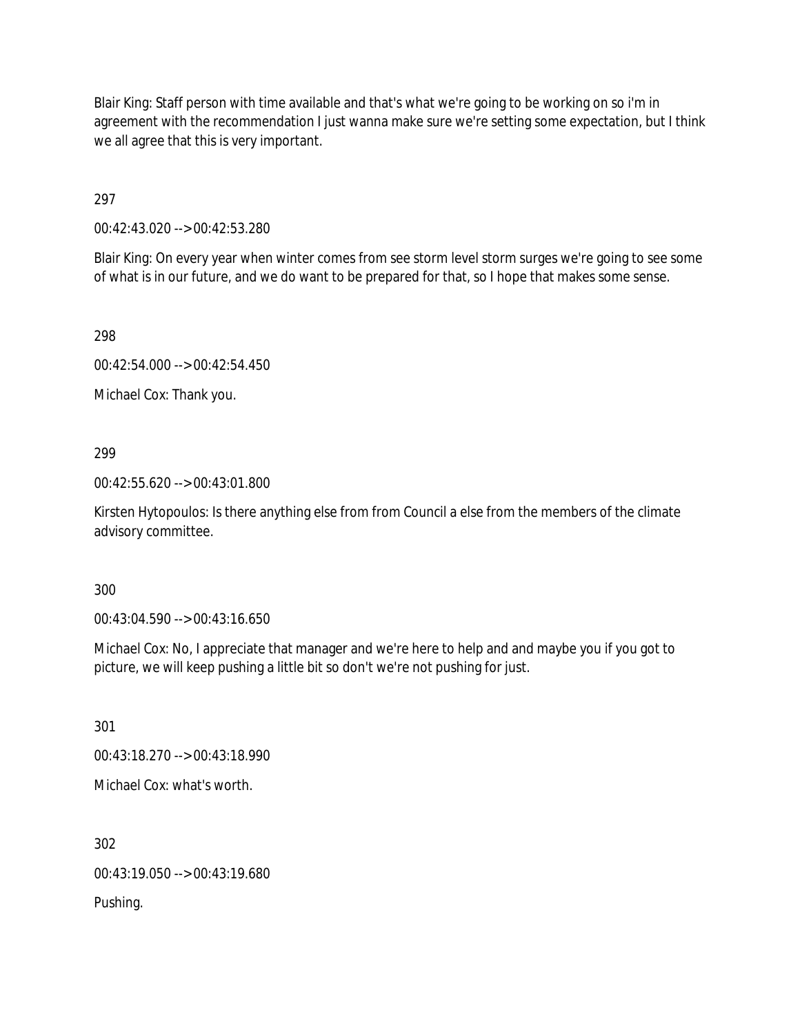Blair King: Staff person with time available and that's what we're going to be working on so i'm in agreement with the recommendation I just wanna make sure we're setting some expectation, but I think we all agree that this is very important.

297

00:42:43.020 --> 00:42:53.280

Blair King: On every year when winter comes from see storm level storm surges we're going to see some of what is in our future, and we do want to be prepared for that, so I hope that makes some sense.

298

00:42:54.000 --> 00:42:54.450

Michael Cox: Thank you.

299

00:42:55.620 --> 00:43:01.800

Kirsten Hytopoulos: Is there anything else from from Council a else from the members of the climate advisory committee.

300

00:43:04.590 --> 00:43:16.650

Michael Cox: No, I appreciate that manager and we're here to help and and maybe you if you got to picture, we will keep pushing a little bit so don't we're not pushing for just.

301

00:43:18.270 --> 00:43:18.990

Michael Cox: what's worth.

302

00:43:19.050 --> 00:43:19.680

Pushing.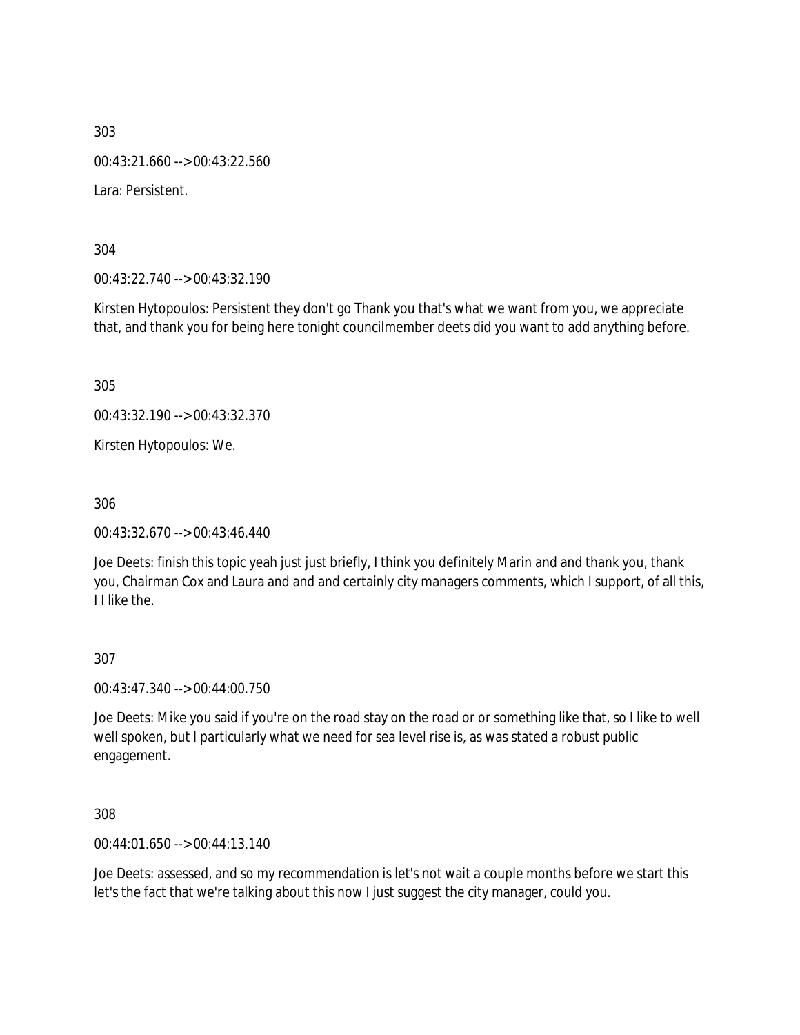00:43:21.660 --> 00:43:22.560

Lara: Persistent.

304

00:43:22.740 --> 00:43:32.190

Kirsten Hytopoulos: Persistent they don't go Thank you that's what we want from you, we appreciate that, and thank you for being here tonight councilmember deets did you want to add anything before.

305

00:43:32.190 --> 00:43:32.370

Kirsten Hytopoulos: We.

306

00:43:32.670 --> 00:43:46.440

Joe Deets: finish this topic yeah just just briefly, I think you definitely Marin and and thank you, thank you, Chairman Cox and Laura and and and certainly city managers comments, which I support, of all this, I I like the.

#### 307

00:43:47.340 --> 00:44:00.750

Joe Deets: Mike you said if you're on the road stay on the road or or something like that, so I like to well well spoken, but I particularly what we need for sea level rise is, as was stated a robust public engagement.

308

00:44:01.650 --> 00:44:13.140

Joe Deets: assessed, and so my recommendation is let's not wait a couple months before we start this let's the fact that we're talking about this now I just suggest the city manager, could you.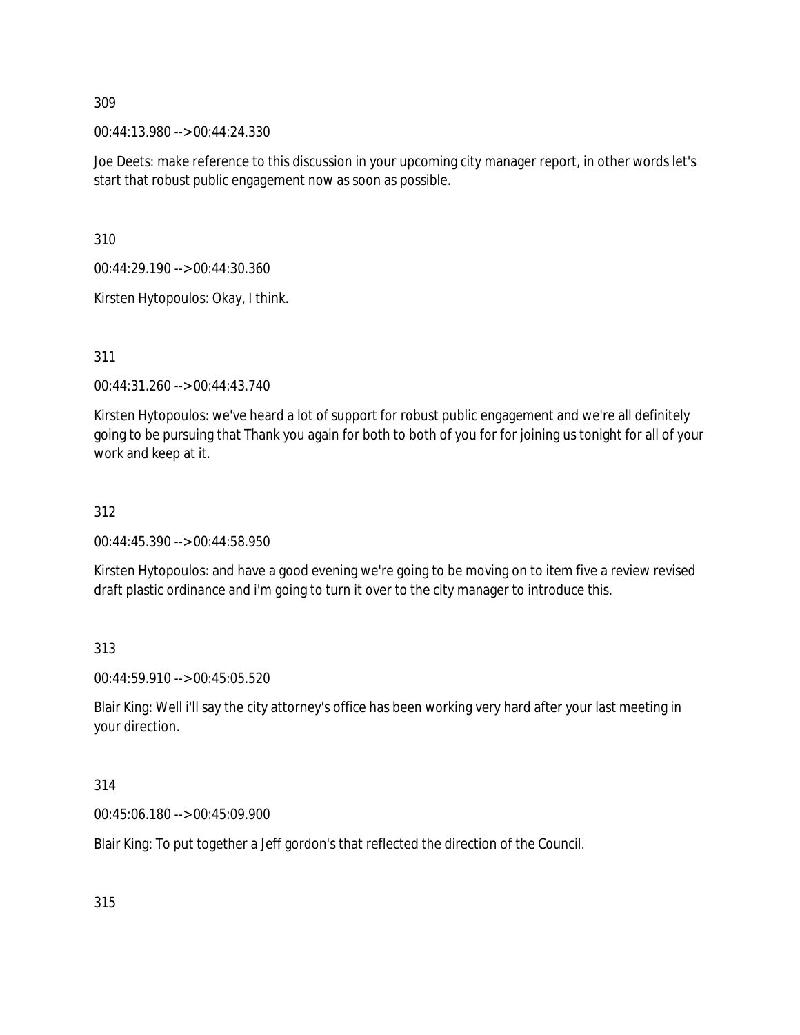00:44:13.980 --> 00:44:24.330

Joe Deets: make reference to this discussion in your upcoming city manager report, in other words let's start that robust public engagement now as soon as possible.

310

00:44:29.190 --> 00:44:30.360

Kirsten Hytopoulos: Okay, I think.

311

00:44:31.260 --> 00:44:43.740

Kirsten Hytopoulos: we've heard a lot of support for robust public engagement and we're all definitely going to be pursuing that Thank you again for both to both of you for for joining us tonight for all of your work and keep at it.

#### 312

00:44:45.390 --> 00:44:58.950

Kirsten Hytopoulos: and have a good evening we're going to be moving on to item five a review revised draft plastic ordinance and i'm going to turn it over to the city manager to introduce this.

313

00:44:59.910 --> 00:45:05.520

Blair King: Well i'll say the city attorney's office has been working very hard after your last meeting in your direction.

314

00:45:06.180 --> 00:45:09.900

Blair King: To put together a Jeff gordon's that reflected the direction of the Council.

315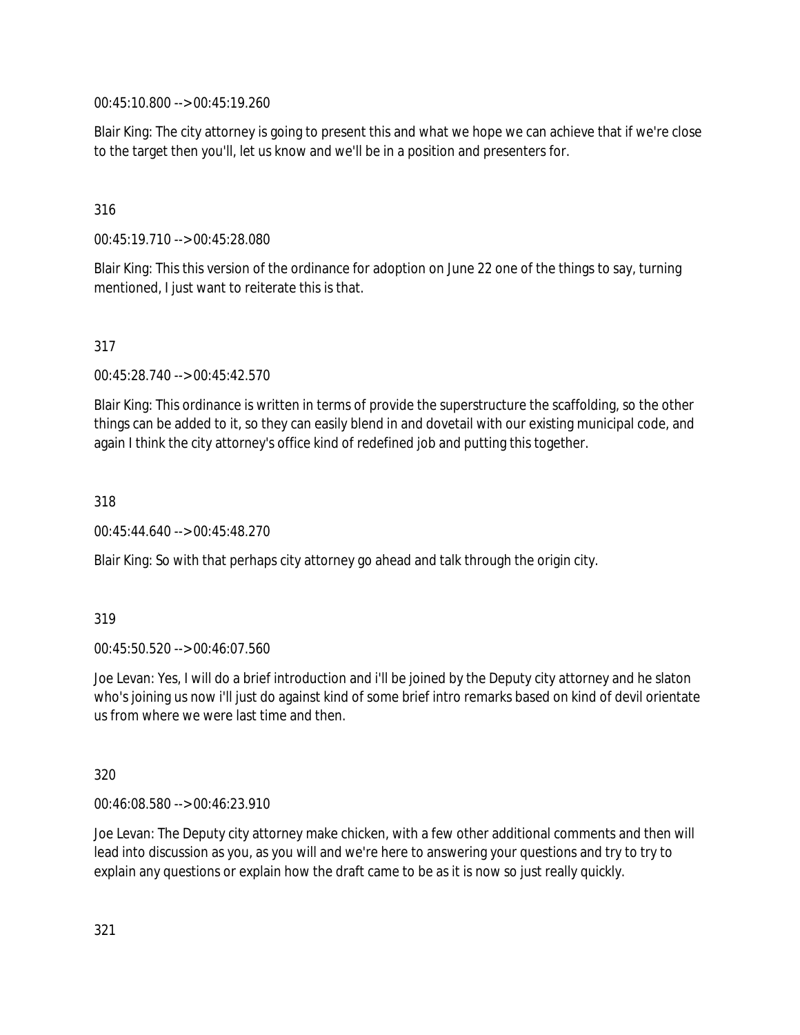00:45:10.800 --> 00:45:19.260

Blair King: The city attorney is going to present this and what we hope we can achieve that if we're close to the target then you'll, let us know and we'll be in a position and presenters for.

## 316

00:45:19.710 --> 00:45:28.080

Blair King: This this version of the ordinance for adoption on June 22 one of the things to say, turning mentioned, I just want to reiterate this is that.

#### 317

00:45:28.740 --> 00:45:42.570

Blair King: This ordinance is written in terms of provide the superstructure the scaffolding, so the other things can be added to it, so they can easily blend in and dovetail with our existing municipal code, and again I think the city attorney's office kind of redefined job and putting this together.

318

00:45:44.640 --> 00:45:48.270

Blair King: So with that perhaps city attorney go ahead and talk through the origin city.

#### 319

00:45:50.520 --> 00:46:07.560

Joe Levan: Yes, I will do a brief introduction and i'll be joined by the Deputy city attorney and he slaton who's joining us now i'll just do against kind of some brief intro remarks based on kind of devil orientate us from where we were last time and then.

#### 320

00:46:08.580 --> 00:46:23.910

Joe Levan: The Deputy city attorney make chicken, with a few other additional comments and then will lead into discussion as you, as you will and we're here to answering your questions and try to try to explain any questions or explain how the draft came to be as it is now so just really quickly.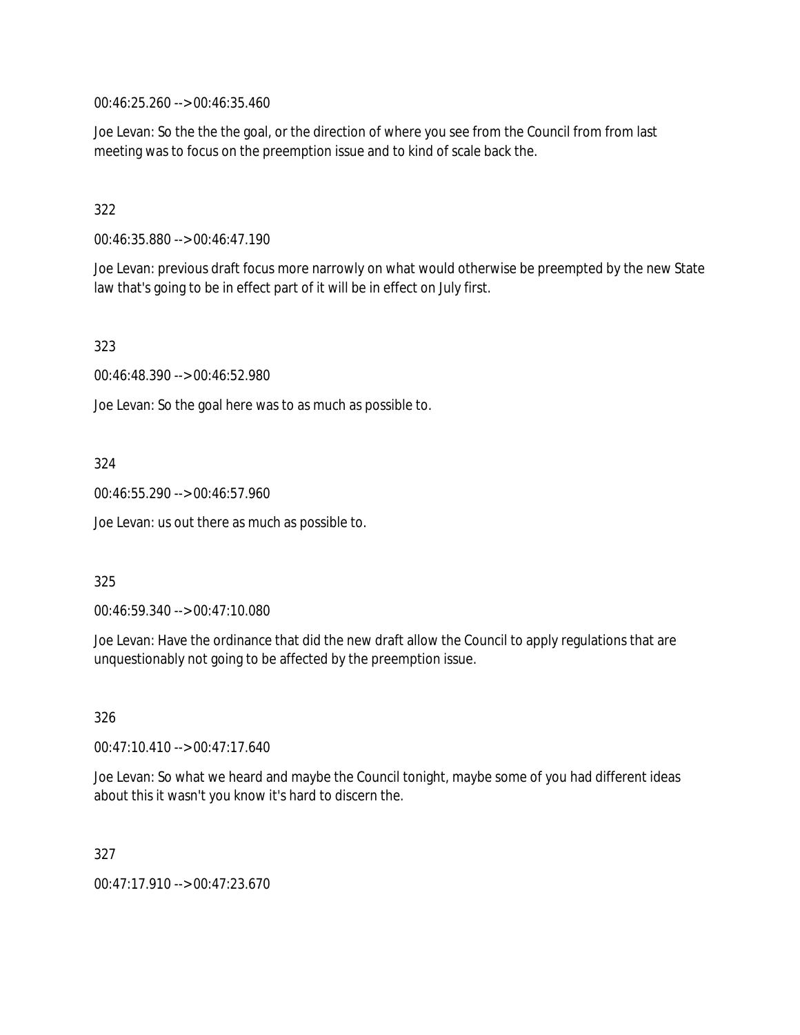00:46:25.260 --> 00:46:35.460

Joe Levan: So the the the goal, or the direction of where you see from the Council from from last meeting was to focus on the preemption issue and to kind of scale back the.

## 322

00:46:35.880 --> 00:46:47.190

Joe Levan: previous draft focus more narrowly on what would otherwise be preempted by the new State law that's going to be in effect part of it will be in effect on July first.

323

00:46:48.390 --> 00:46:52.980

Joe Levan: So the goal here was to as much as possible to.

## 324

00:46:55.290 --> 00:46:57.960

Joe Levan: us out there as much as possible to.

#### 325

00:46:59.340 --> 00:47:10.080

Joe Levan: Have the ordinance that did the new draft allow the Council to apply regulations that are unquestionably not going to be affected by the preemption issue.

326

00:47:10.410 --> 00:47:17.640

Joe Levan: So what we heard and maybe the Council tonight, maybe some of you had different ideas about this it wasn't you know it's hard to discern the.

#### 327

00:47:17.910 --> 00:47:23.670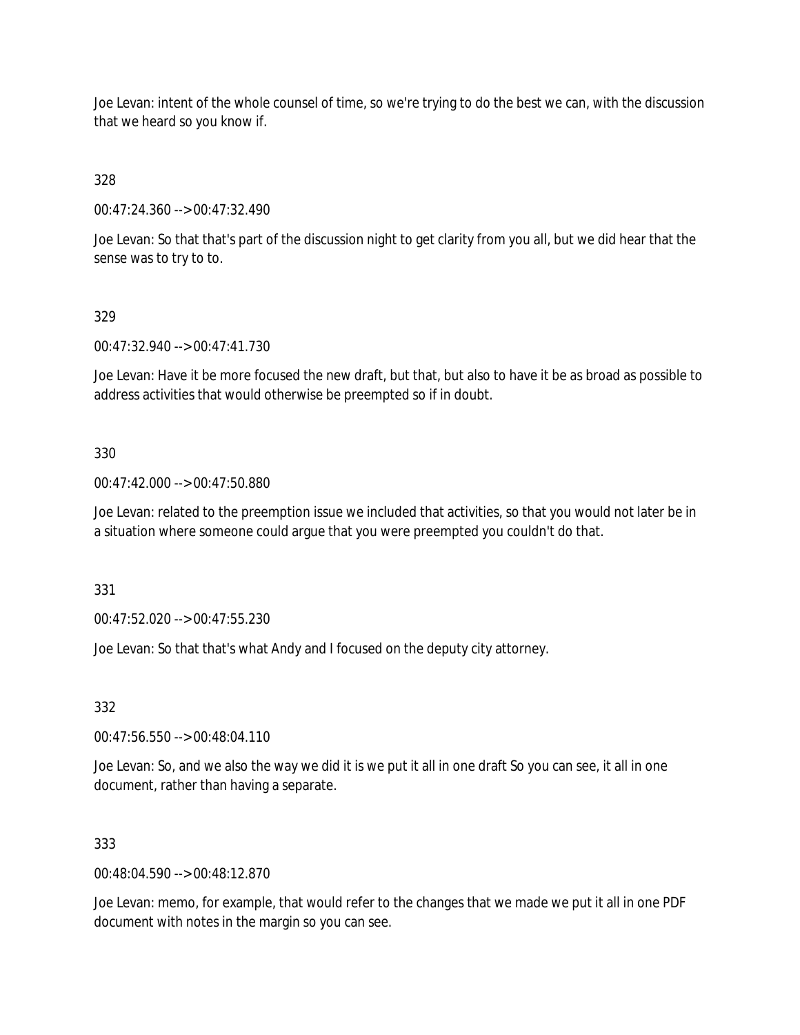Joe Levan: intent of the whole counsel of time, so we're trying to do the best we can, with the discussion that we heard so you know if.

328

00:47:24.360 --> 00:47:32.490

Joe Levan: So that that's part of the discussion night to get clarity from you all, but we did hear that the sense was to try to to.

## 329

00:47:32.940 --> 00:47:41.730

Joe Levan: Have it be more focused the new draft, but that, but also to have it be as broad as possible to address activities that would otherwise be preempted so if in doubt.

#### 330

00:47:42.000 --> 00:47:50.880

Joe Levan: related to the preemption issue we included that activities, so that you would not later be in a situation where someone could argue that you were preempted you couldn't do that.

331

00:47:52.020 --> 00:47:55.230

Joe Levan: So that that's what Andy and I focused on the deputy city attorney.

332

00:47:56.550 --> 00:48:04.110

Joe Levan: So, and we also the way we did it is we put it all in one draft So you can see, it all in one document, rather than having a separate.

#### 333

00:48:04.590 --> 00:48:12.870

Joe Levan: memo, for example, that would refer to the changes that we made we put it all in one PDF document with notes in the margin so you can see.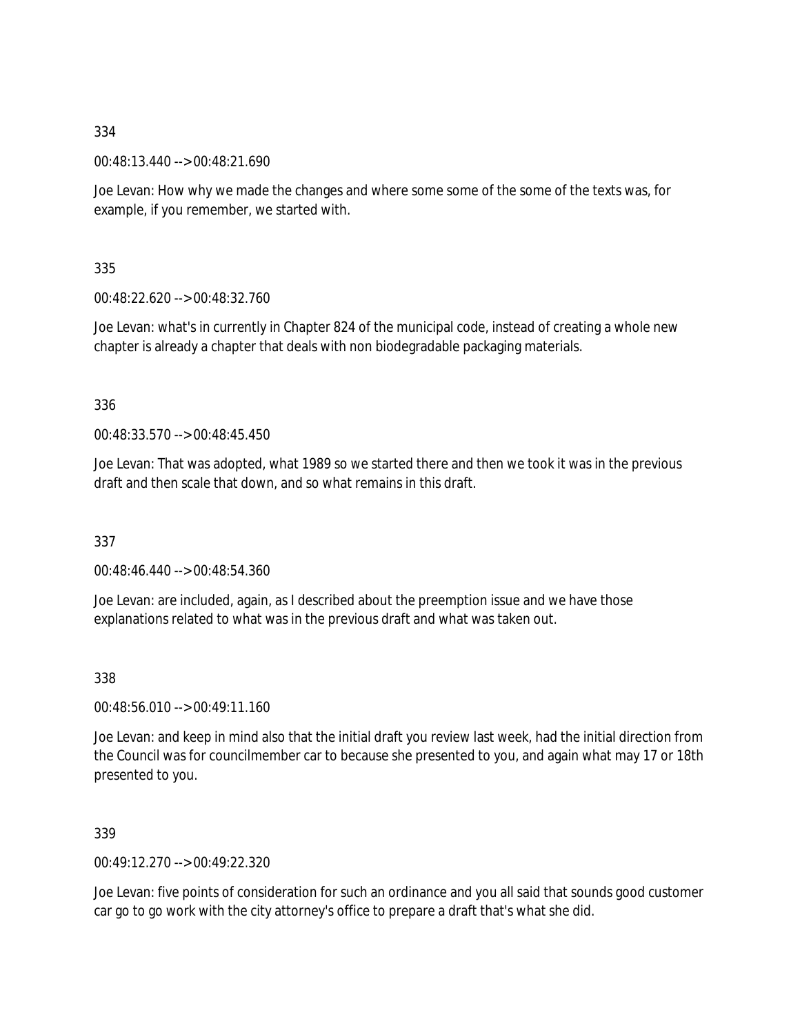00:48:13.440 --> 00:48:21.690

Joe Levan: How why we made the changes and where some some of the some of the texts was, for example, if you remember, we started with.

335

00:48:22.620 --> 00:48:32.760

Joe Levan: what's in currently in Chapter 824 of the municipal code, instead of creating a whole new chapter is already a chapter that deals with non biodegradable packaging materials.

336

00:48:33.570 --> 00:48:45.450

Joe Levan: That was adopted, what 1989 so we started there and then we took it was in the previous draft and then scale that down, and so what remains in this draft.

337

00:48:46.440 --> 00:48:54.360

Joe Levan: are included, again, as I described about the preemption issue and we have those explanations related to what was in the previous draft and what was taken out.

338

00:48:56.010 --> 00:49:11.160

Joe Levan: and keep in mind also that the initial draft you review last week, had the initial direction from the Council was for councilmember car to because she presented to you, and again what may 17 or 18th presented to you.

339

00:49:12.270 --> 00:49:22.320

Joe Levan: five points of consideration for such an ordinance and you all said that sounds good customer car go to go work with the city attorney's office to prepare a draft that's what she did.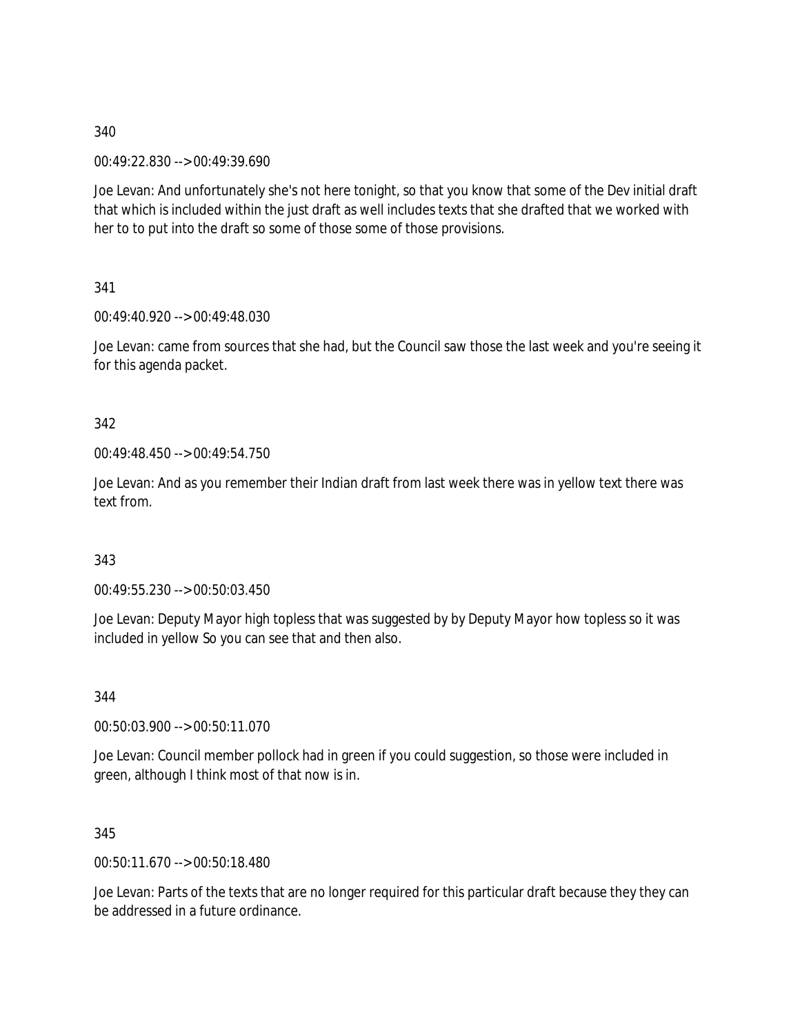00:49:22.830 --> 00:49:39.690

Joe Levan: And unfortunately she's not here tonight, so that you know that some of the Dev initial draft that which is included within the just draft as well includes texts that she drafted that we worked with her to to put into the draft so some of those some of those provisions.

341

00:49:40.920 --> 00:49:48.030

Joe Levan: came from sources that she had, but the Council saw those the last week and you're seeing it for this agenda packet.

342

00:49:48.450 --> 00:49:54.750

Joe Levan: And as you remember their Indian draft from last week there was in yellow text there was text from.

343

00:49:55.230 --> 00:50:03.450

Joe Levan: Deputy Mayor high topless that was suggested by by Deputy Mayor how topless so it was included in yellow So you can see that and then also.

344

00:50:03.900 --> 00:50:11.070

Joe Levan: Council member pollock had in green if you could suggestion, so those were included in green, although I think most of that now is in.

345

00:50:11.670 --> 00:50:18.480

Joe Levan: Parts of the texts that are no longer required for this particular draft because they they can be addressed in a future ordinance.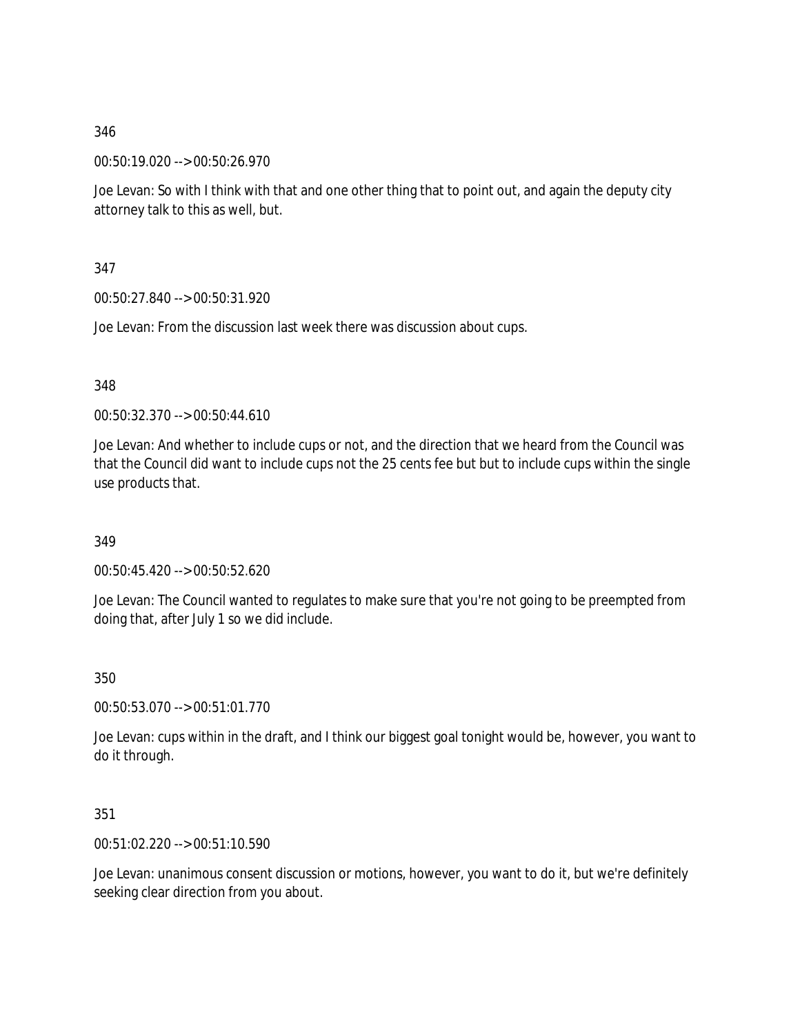00:50:19.020 --> 00:50:26.970

Joe Levan: So with I think with that and one other thing that to point out, and again the deputy city attorney talk to this as well, but.

347

00:50:27.840 --> 00:50:31.920

Joe Levan: From the discussion last week there was discussion about cups.

348

00:50:32.370 --> 00:50:44.610

Joe Levan: And whether to include cups or not, and the direction that we heard from the Council was that the Council did want to include cups not the 25 cents fee but but to include cups within the single use products that.

349

00:50:45.420 --> 00:50:52.620

Joe Levan: The Council wanted to regulates to make sure that you're not going to be preempted from doing that, after July 1 so we did include.

350

00:50:53.070 --> 00:51:01.770

Joe Levan: cups within in the draft, and I think our biggest goal tonight would be, however, you want to do it through.

351

00:51:02.220 --> 00:51:10.590

Joe Levan: unanimous consent discussion or motions, however, you want to do it, but we're definitely seeking clear direction from you about.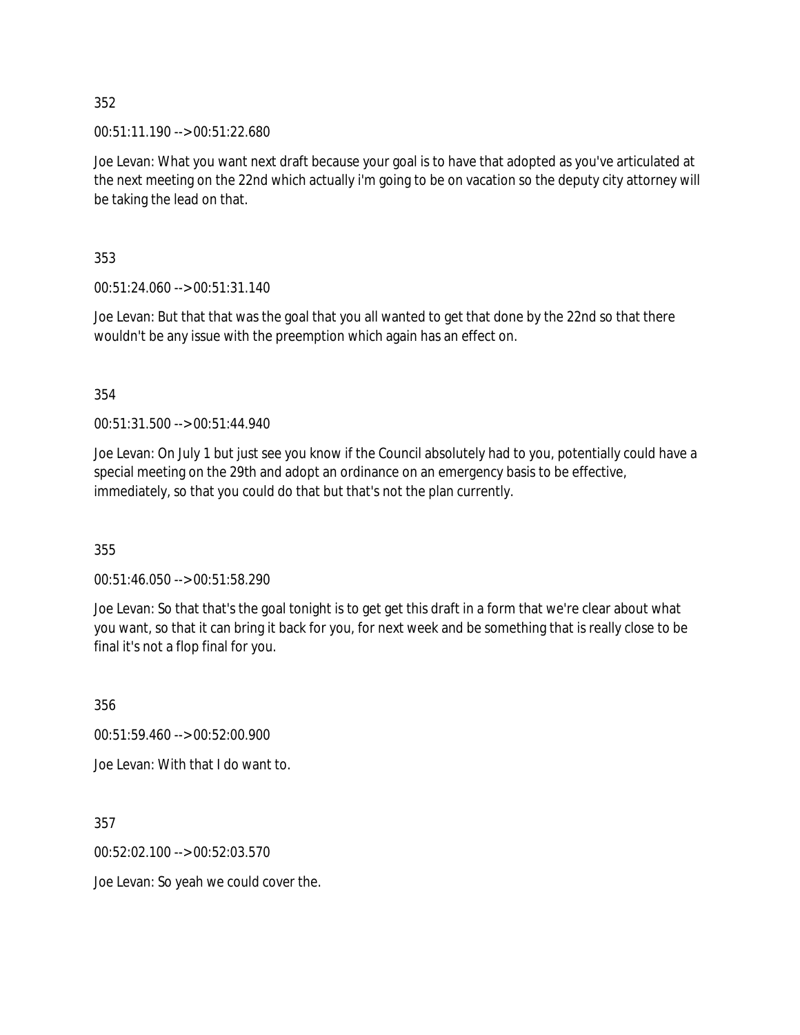00:51:11.190 --> 00:51:22.680

Joe Levan: What you want next draft because your goal is to have that adopted as you've articulated at the next meeting on the 22nd which actually i'm going to be on vacation so the deputy city attorney will be taking the lead on that.

353

00:51:24.060 --> 00:51:31.140

Joe Levan: But that that was the goal that you all wanted to get that done by the 22nd so that there wouldn't be any issue with the preemption which again has an effect on.

354

00:51:31.500 --> 00:51:44.940

Joe Levan: On July 1 but just see you know if the Council absolutely had to you, potentially could have a special meeting on the 29th and adopt an ordinance on an emergency basis to be effective, immediately, so that you could do that but that's not the plan currently.

355

00:51:46.050 --> 00:51:58.290

Joe Levan: So that that's the goal tonight is to get get this draft in a form that we're clear about what you want, so that it can bring it back for you, for next week and be something that is really close to be final it's not a flop final for you.

356

00:51:59.460 --> 00:52:00.900

Joe Levan: With that I do want to.

357

00:52:02.100 --> 00:52:03.570

Joe Levan: So yeah we could cover the.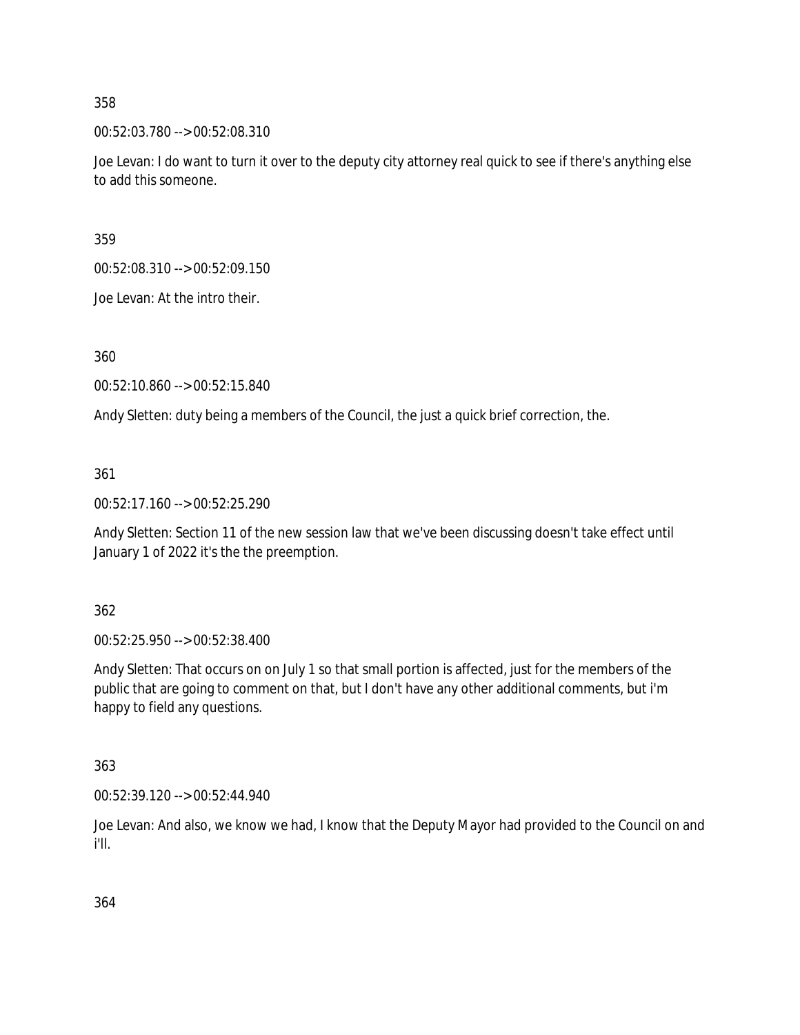00:52:03.780 --> 00:52:08.310

Joe Levan: I do want to turn it over to the deputy city attorney real quick to see if there's anything else to add this someone.

359

00:52:08.310 --> 00:52:09.150

Joe Levan: At the intro their.

360

00:52:10.860 --> 00:52:15.840

Andy Sletten: duty being a members of the Council, the just a quick brief correction, the.

361

00:52:17.160 --> 00:52:25.290

Andy Sletten: Section 11 of the new session law that we've been discussing doesn't take effect until January 1 of 2022 it's the the preemption.

362

00:52:25.950 --> 00:52:38.400

Andy Sletten: That occurs on on July 1 so that small portion is affected, just for the members of the public that are going to comment on that, but I don't have any other additional comments, but i'm happy to field any questions.

363

00:52:39.120 --> 00:52:44.940

Joe Levan: And also, we know we had, I know that the Deputy Mayor had provided to the Council on and i'll.

364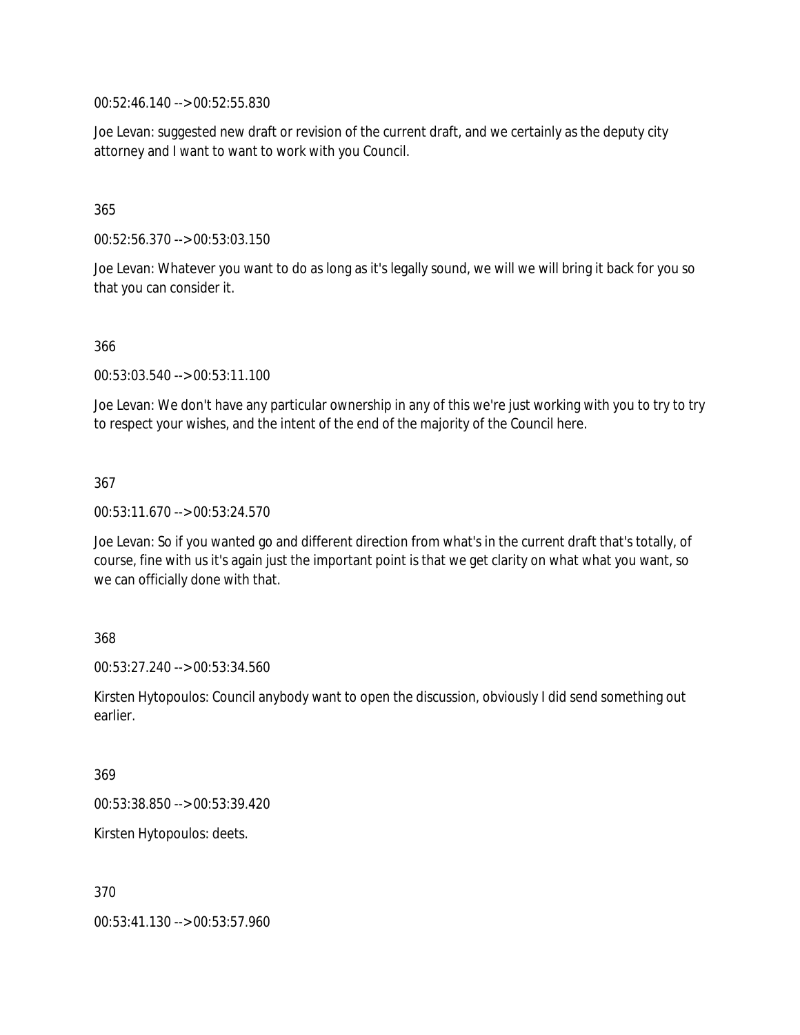00:52:46.140 --> 00:52:55.830

Joe Levan: suggested new draft or revision of the current draft, and we certainly as the deputy city attorney and I want to want to work with you Council.

### 365

00:52:56.370 --> 00:53:03.150

Joe Levan: Whatever you want to do as long as it's legally sound, we will we will bring it back for you so that you can consider it.

#### 366

00:53:03.540 --> 00:53:11.100

Joe Levan: We don't have any particular ownership in any of this we're just working with you to try to try to respect your wishes, and the intent of the end of the majority of the Council here.

#### 367

00:53:11.670 --> 00:53:24.570

Joe Levan: So if you wanted go and different direction from what's in the current draft that's totally, of course, fine with us it's again just the important point is that we get clarity on what what you want, so we can officially done with that.

#### 368

00:53:27.240 --> 00:53:34.560

Kirsten Hytopoulos: Council anybody want to open the discussion, obviously I did send something out earlier.

#### 369

00:53:38.850 --> 00:53:39.420

Kirsten Hytopoulos: deets.

#### 370

00:53:41.130 --> 00:53:57.960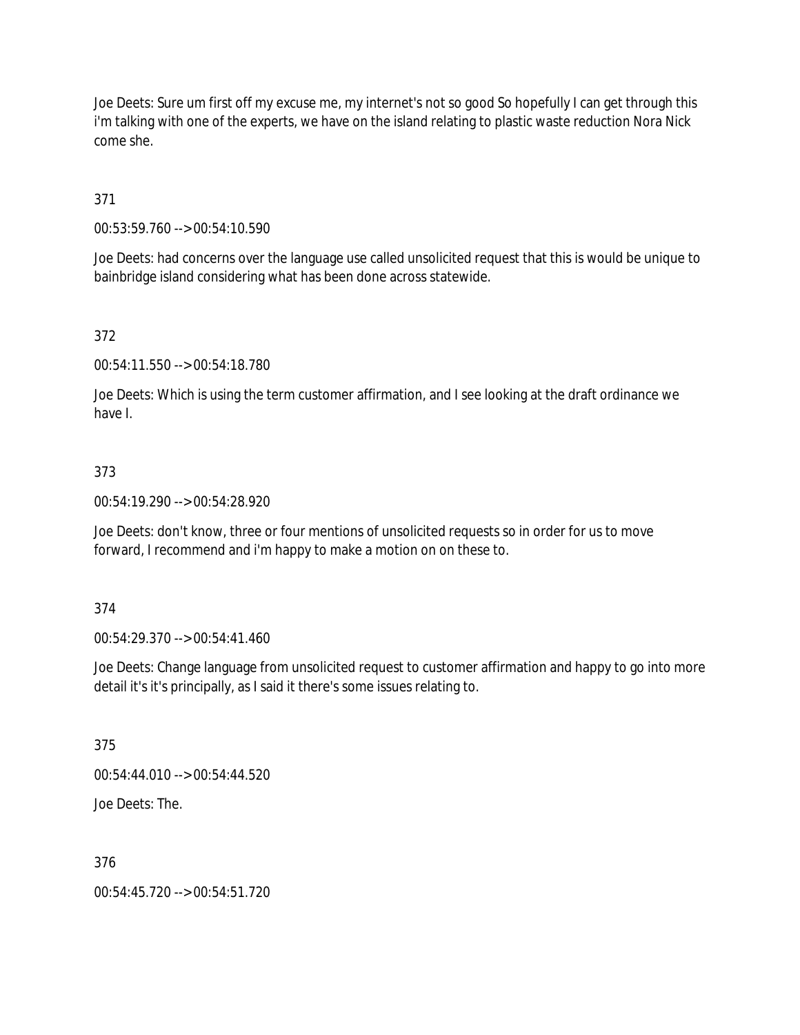Joe Deets: Sure um first off my excuse me, my internet's not so good So hopefully I can get through this i'm talking with one of the experts, we have on the island relating to plastic waste reduction Nora Nick come she.

371

00:53:59.760 --> 00:54:10.590

Joe Deets: had concerns over the language use called unsolicited request that this is would be unique to bainbridge island considering what has been done across statewide.

372

00:54:11.550 --> 00:54:18.780

Joe Deets: Which is using the term customer affirmation, and I see looking at the draft ordinance we have I.

#### 373

00:54:19.290 --> 00:54:28.920

Joe Deets: don't know, three or four mentions of unsolicited requests so in order for us to move forward, I recommend and i'm happy to make a motion on on these to.

374

00:54:29.370 --> 00:54:41.460

Joe Deets: Change language from unsolicited request to customer affirmation and happy to go into more detail it's it's principally, as I said it there's some issues relating to.

375

00:54:44.010 --> 00:54:44.520

Joe Deets: The.

376

00:54:45.720 --> 00:54:51.720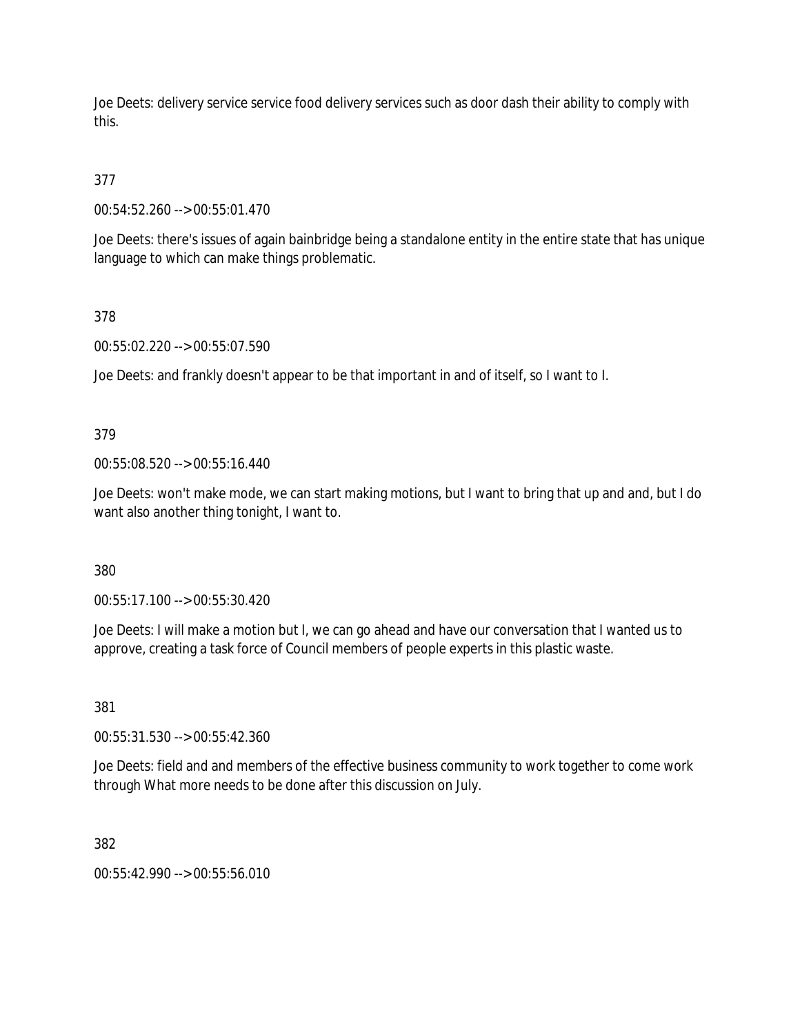Joe Deets: delivery service service food delivery services such as door dash their ability to comply with this.

# 377

00:54:52.260 --> 00:55:01.470

Joe Deets: there's issues of again bainbridge being a standalone entity in the entire state that has unique language to which can make things problematic.

## 378

00:55:02.220 --> 00:55:07.590

Joe Deets: and frankly doesn't appear to be that important in and of itself, so I want to I.

## 379

00:55:08.520 --> 00:55:16.440

Joe Deets: won't make mode, we can start making motions, but I want to bring that up and and, but I do want also another thing tonight, I want to.

#### 380

00:55:17.100 --> 00:55:30.420

Joe Deets: I will make a motion but I, we can go ahead and have our conversation that I wanted us to approve, creating a task force of Council members of people experts in this plastic waste.

## 381

00:55:31.530 --> 00:55:42.360

Joe Deets: field and and members of the effective business community to work together to come work through What more needs to be done after this discussion on July.

#### 382

00:55:42.990 --> 00:55:56.010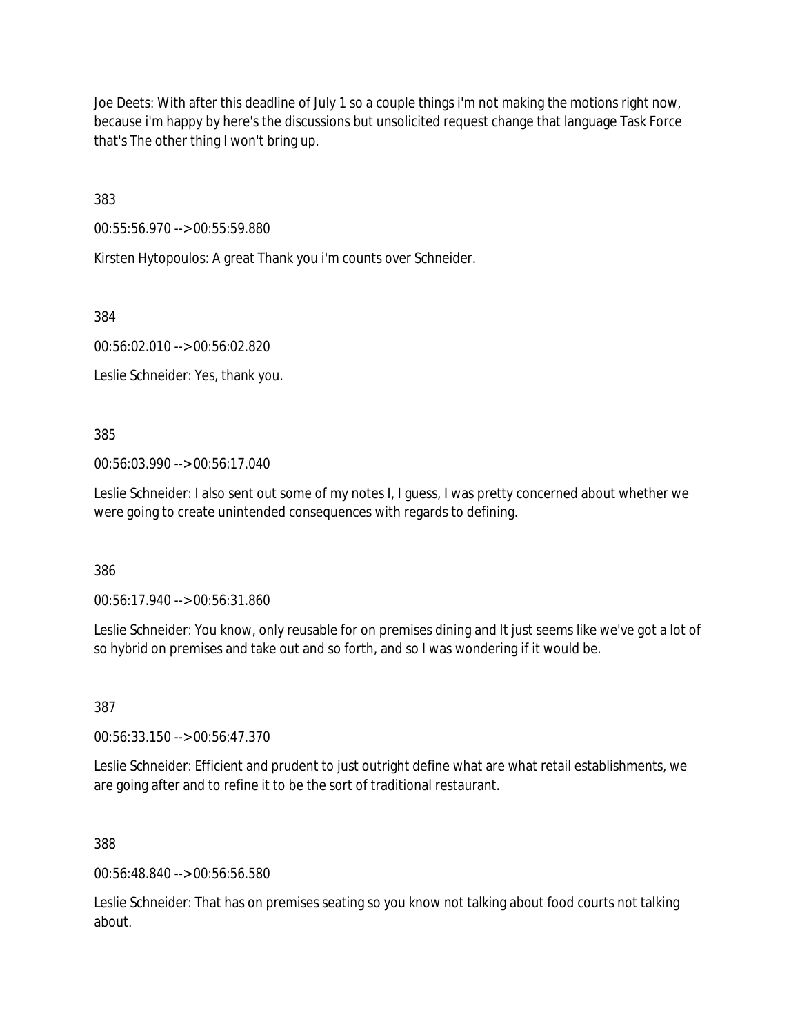Joe Deets: With after this deadline of July 1 so a couple things i'm not making the motions right now, because i'm happy by here's the discussions but unsolicited request change that language Task Force that's The other thing I won't bring up.

383

00:55:56.970 --> 00:55:59.880

Kirsten Hytopoulos: A great Thank you i'm counts over Schneider.

384

00:56:02.010 --> 00:56:02.820

Leslie Schneider: Yes, thank you.

385

00:56:03.990 --> 00:56:17.040

Leslie Schneider: I also sent out some of my notes I, I guess, I was pretty concerned about whether we were going to create unintended consequences with regards to defining.

386

00:56:17.940 --> 00:56:31.860

Leslie Schneider: You know, only reusable for on premises dining and It just seems like we've got a lot of so hybrid on premises and take out and so forth, and so I was wondering if it would be.

387

00:56:33.150 --> 00:56:47.370

Leslie Schneider: Efficient and prudent to just outright define what are what retail establishments, we are going after and to refine it to be the sort of traditional restaurant.

388

00:56:48.840 --> 00:56:56.580

Leslie Schneider: That has on premises seating so you know not talking about food courts not talking about.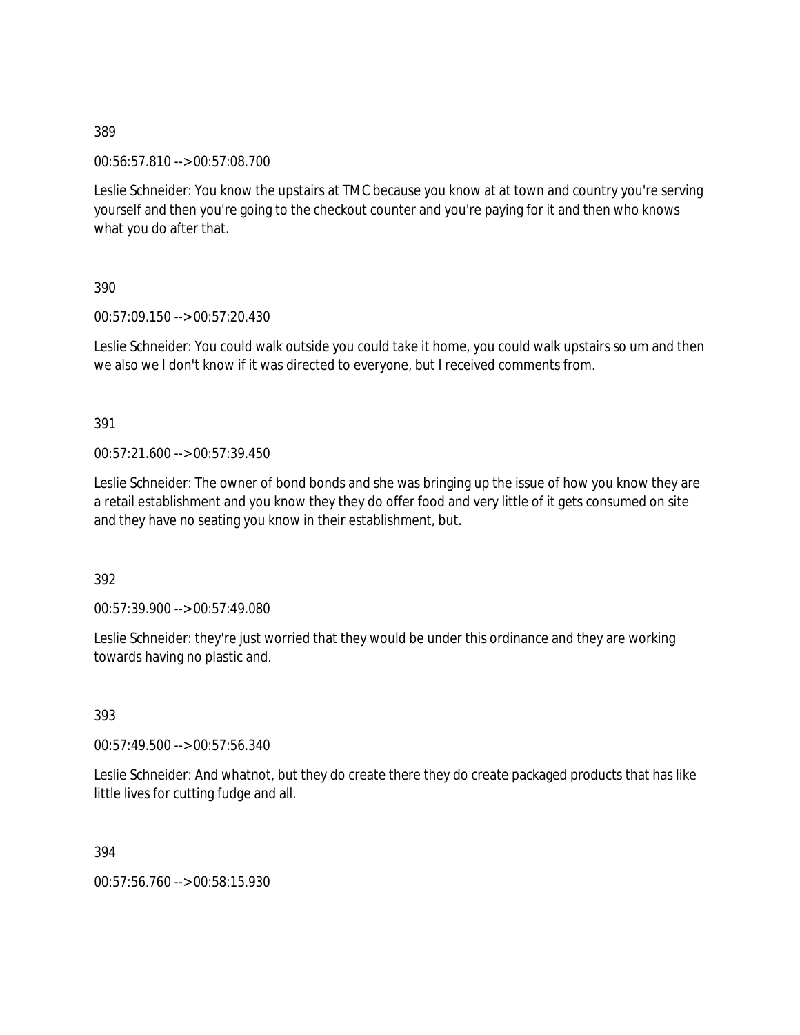00:56:57.810 --> 00:57:08.700

Leslie Schneider: You know the upstairs at TMC because you know at at town and country you're serving yourself and then you're going to the checkout counter and you're paying for it and then who knows what you do after that.

390

00:57:09.150 --> 00:57:20.430

Leslie Schneider: You could walk outside you could take it home, you could walk upstairs so um and then we also we I don't know if it was directed to everyone, but I received comments from.

391

00:57:21.600 --> 00:57:39.450

Leslie Schneider: The owner of bond bonds and she was bringing up the issue of how you know they are a retail establishment and you know they they do offer food and very little of it gets consumed on site and they have no seating you know in their establishment, but.

392

00:57:39.900 --> 00:57:49.080

Leslie Schneider: they're just worried that they would be under this ordinance and they are working towards having no plastic and.

393

00:57:49.500 --> 00:57:56.340

Leslie Schneider: And whatnot, but they do create there they do create packaged products that has like little lives for cutting fudge and all.

394

00:57:56.760 --> 00:58:15.930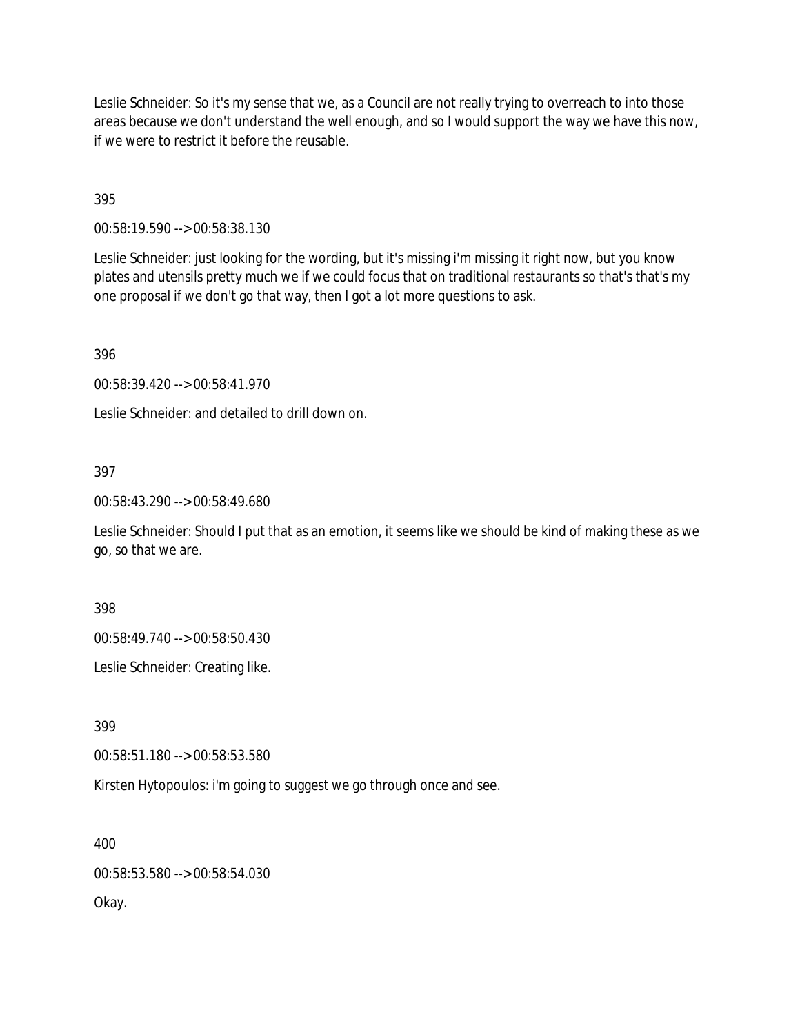Leslie Schneider: So it's my sense that we, as a Council are not really trying to overreach to into those areas because we don't understand the well enough, and so I would support the way we have this now, if we were to restrict it before the reusable.

395

00:58:19.590 --> 00:58:38.130

Leslie Schneider: just looking for the wording, but it's missing i'm missing it right now, but you know plates and utensils pretty much we if we could focus that on traditional restaurants so that's that's my one proposal if we don't go that way, then I got a lot more questions to ask.

396

00:58:39.420 --> 00:58:41.970

Leslie Schneider: and detailed to drill down on.

#### 397

00:58:43.290 --> 00:58:49.680

Leslie Schneider: Should I put that as an emotion, it seems like we should be kind of making these as we go, so that we are.

398

00:58:49.740 --> 00:58:50.430

Leslie Schneider: Creating like.

399

00:58:51.180 --> 00:58:53.580

Kirsten Hytopoulos: i'm going to suggest we go through once and see.

400

00:58:53.580 --> 00:58:54.030

Okay.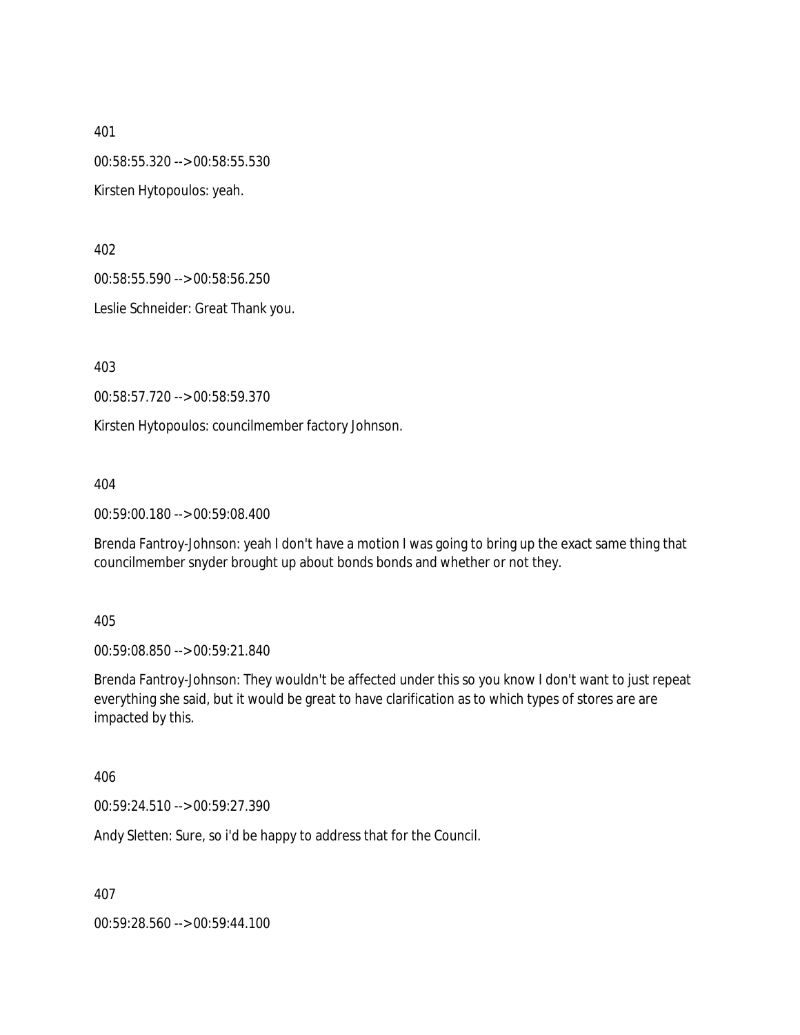401 00:58:55.320 --> 00:58:55.530 Kirsten Hytopoulos: yeah.

402

00:58:55.590 --> 00:58:56.250

Leslie Schneider: Great Thank you.

403

00:58:57.720 --> 00:58:59.370

Kirsten Hytopoulos: councilmember factory Johnson.

404

00:59:00.180 --> 00:59:08.400

Brenda Fantroy-Johnson: yeah I don't have a motion I was going to bring up the exact same thing that councilmember snyder brought up about bonds bonds and whether or not they.

405

00:59:08.850 --> 00:59:21.840

Brenda Fantroy-Johnson: They wouldn't be affected under this so you know I don't want to just repeat everything she said, but it would be great to have clarification as to which types of stores are are impacted by this.

406

00:59:24.510 --> 00:59:27.390

Andy Sletten: Sure, so i'd be happy to address that for the Council.

407

00:59:28.560 --> 00:59:44.100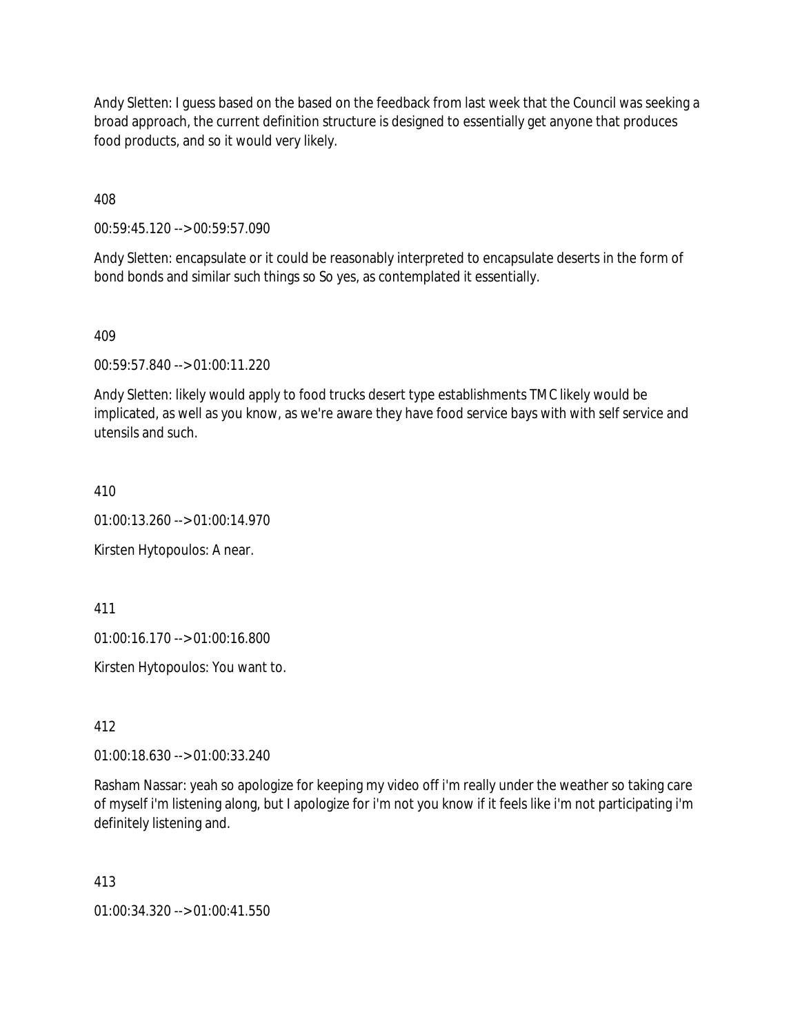Andy Sletten: I guess based on the based on the feedback from last week that the Council was seeking a broad approach, the current definition structure is designed to essentially get anyone that produces food products, and so it would very likely.

408

00:59:45.120 --> 00:59:57.090

Andy Sletten: encapsulate or it could be reasonably interpreted to encapsulate deserts in the form of bond bonds and similar such things so So yes, as contemplated it essentially.

409

00:59:57.840 --> 01:00:11.220

Andy Sletten: likely would apply to food trucks desert type establishments TMC likely would be implicated, as well as you know, as we're aware they have food service bays with with self service and utensils and such.

410

01:00:13.260 --> 01:00:14.970

Kirsten Hytopoulos: A near.

411

01:00:16.170 --> 01:00:16.800

Kirsten Hytopoulos: You want to.

412

01:00:18.630 --> 01:00:33.240

Rasham Nassar: yeah so apologize for keeping my video off i'm really under the weather so taking care of myself i'm listening along, but I apologize for i'm not you know if it feels like i'm not participating i'm definitely listening and.

413

01:00:34.320 --> 01:00:41.550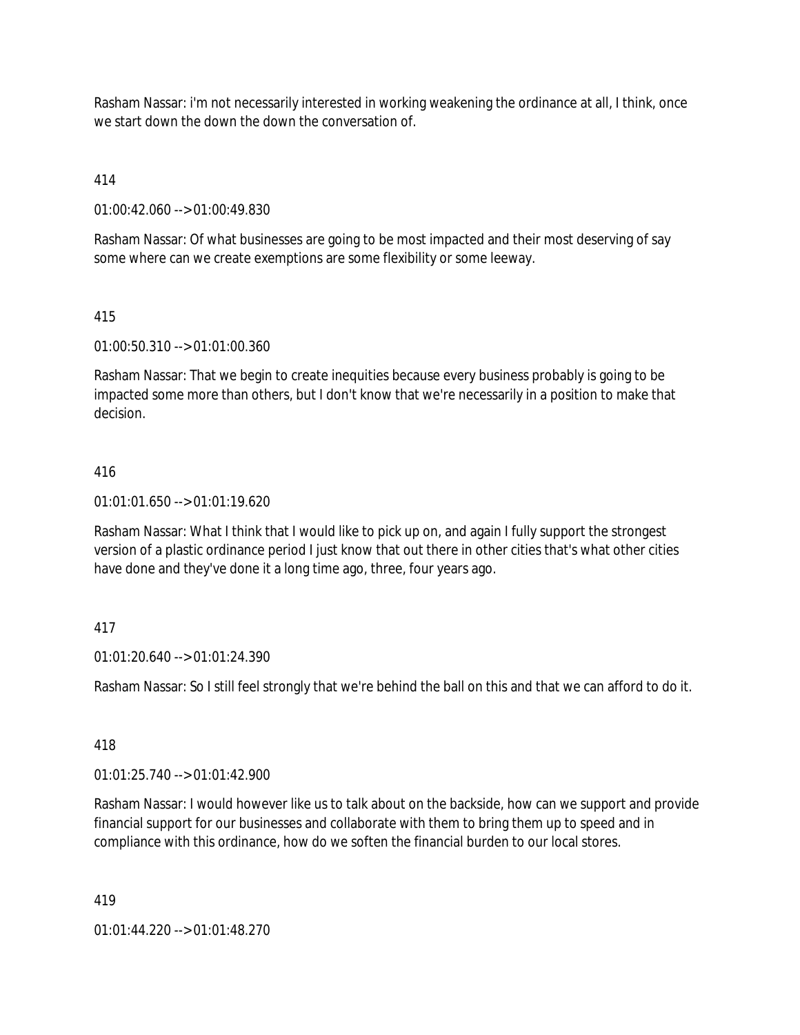Rasham Nassar: i'm not necessarily interested in working weakening the ordinance at all, I think, once we start down the down the down the conversation of.

414

01:00:42.060 --> 01:00:49.830

Rasham Nassar: Of what businesses are going to be most impacted and their most deserving of say some where can we create exemptions are some flexibility or some leeway.

## 415

01:00:50.310 --> 01:01:00.360

Rasham Nassar: That we begin to create inequities because every business probably is going to be impacted some more than others, but I don't know that we're necessarily in a position to make that decision.

## 416

 $01:01:01.650 \rightarrow 01:01:19.620$ 

Rasham Nassar: What I think that I would like to pick up on, and again I fully support the strongest version of a plastic ordinance period I just know that out there in other cities that's what other cities have done and they've done it a long time ago, three, four years ago.

## 417

01:01:20.640 --> 01:01:24.390

Rasham Nassar: So I still feel strongly that we're behind the ball on this and that we can afford to do it.

#### 418

01:01:25.740 --> 01:01:42.900

Rasham Nassar: I would however like us to talk about on the backside, how can we support and provide financial support for our businesses and collaborate with them to bring them up to speed and in compliance with this ordinance, how do we soften the financial burden to our local stores.

419

01:01:44.220 --> 01:01:48.270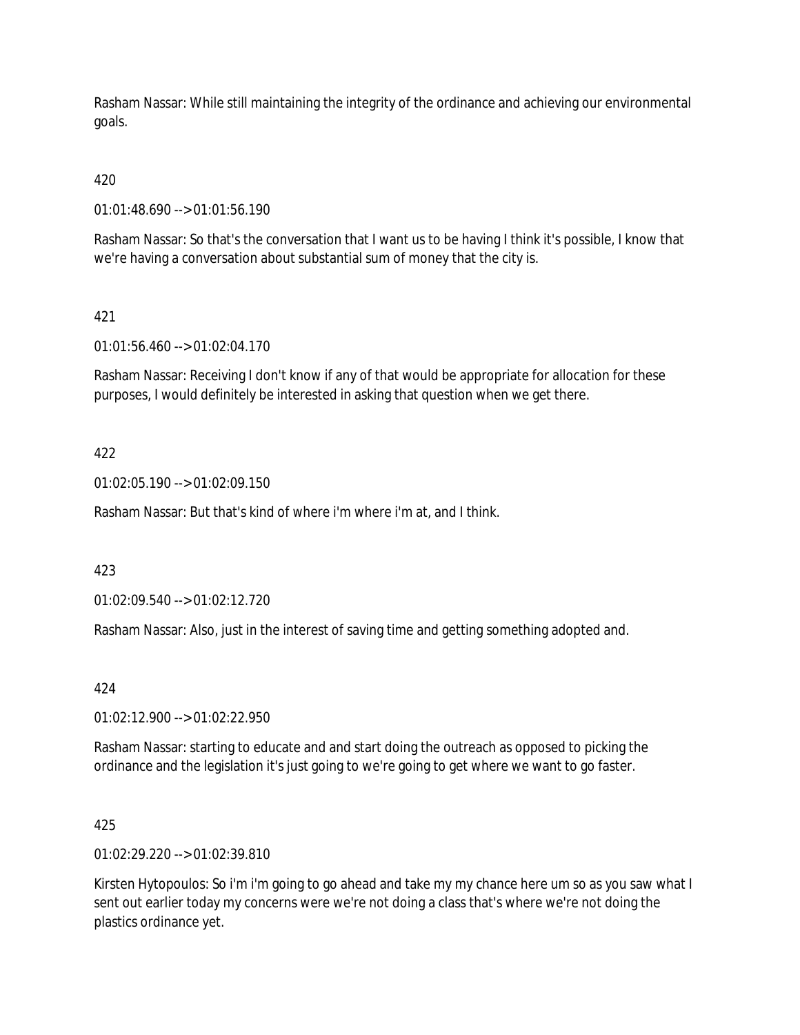Rasham Nassar: While still maintaining the integrity of the ordinance and achieving our environmental goals.

# 420

01:01:48.690 --> 01:01:56.190

Rasham Nassar: So that's the conversation that I want us to be having I think it's possible, I know that we're having a conversation about substantial sum of money that the city is.

## 421

01:01:56.460 --> 01:02:04.170

Rasham Nassar: Receiving I don't know if any of that would be appropriate for allocation for these purposes, I would definitely be interested in asking that question when we get there.

## 422

01:02:05.190 --> 01:02:09.150

Rasham Nassar: But that's kind of where i'm where i'm at, and I think.

#### 423

01:02:09.540 --> 01:02:12.720

Rasham Nassar: Also, just in the interest of saving time and getting something adopted and.

#### 424

01:02:12.900 --> 01:02:22.950

Rasham Nassar: starting to educate and and start doing the outreach as opposed to picking the ordinance and the legislation it's just going to we're going to get where we want to go faster.

#### 425

01:02:29.220 --> 01:02:39.810

Kirsten Hytopoulos: So i'm i'm going to go ahead and take my my chance here um so as you saw what I sent out earlier today my concerns were we're not doing a class that's where we're not doing the plastics ordinance yet.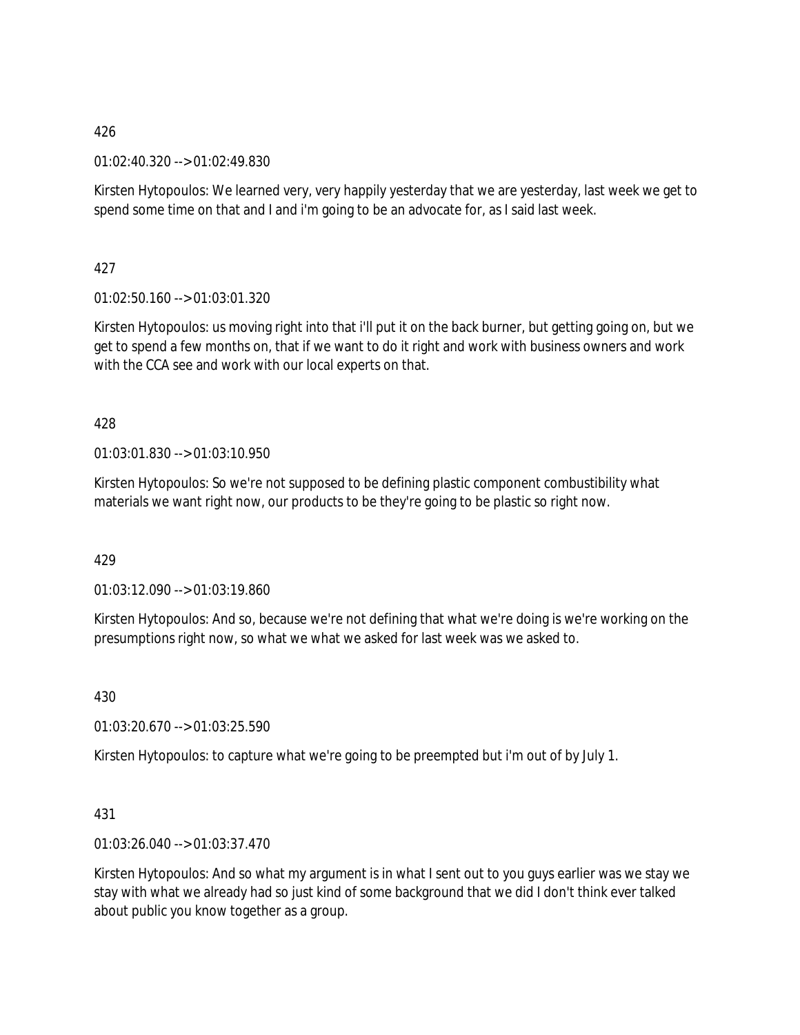01:02:40.320 --> 01:02:49.830

Kirsten Hytopoulos: We learned very, very happily yesterday that we are yesterday, last week we get to spend some time on that and I and i'm going to be an advocate for, as I said last week.

427

01:02:50.160 --> 01:03:01.320

Kirsten Hytopoulos: us moving right into that i'll put it on the back burner, but getting going on, but we get to spend a few months on, that if we want to do it right and work with business owners and work with the CCA see and work with our local experts on that.

428

01:03:01.830 --> 01:03:10.950

Kirsten Hytopoulos: So we're not supposed to be defining plastic component combustibility what materials we want right now, our products to be they're going to be plastic so right now.

429

01:03:12.090 --> 01:03:19.860

Kirsten Hytopoulos: And so, because we're not defining that what we're doing is we're working on the presumptions right now, so what we what we asked for last week was we asked to.

430

01:03:20.670 --> 01:03:25.590

Kirsten Hytopoulos: to capture what we're going to be preempted but i'm out of by July 1.

431

01:03:26.040 --> 01:03:37.470

Kirsten Hytopoulos: And so what my argument is in what I sent out to you guys earlier was we stay we stay with what we already had so just kind of some background that we did I don't think ever talked about public you know together as a group.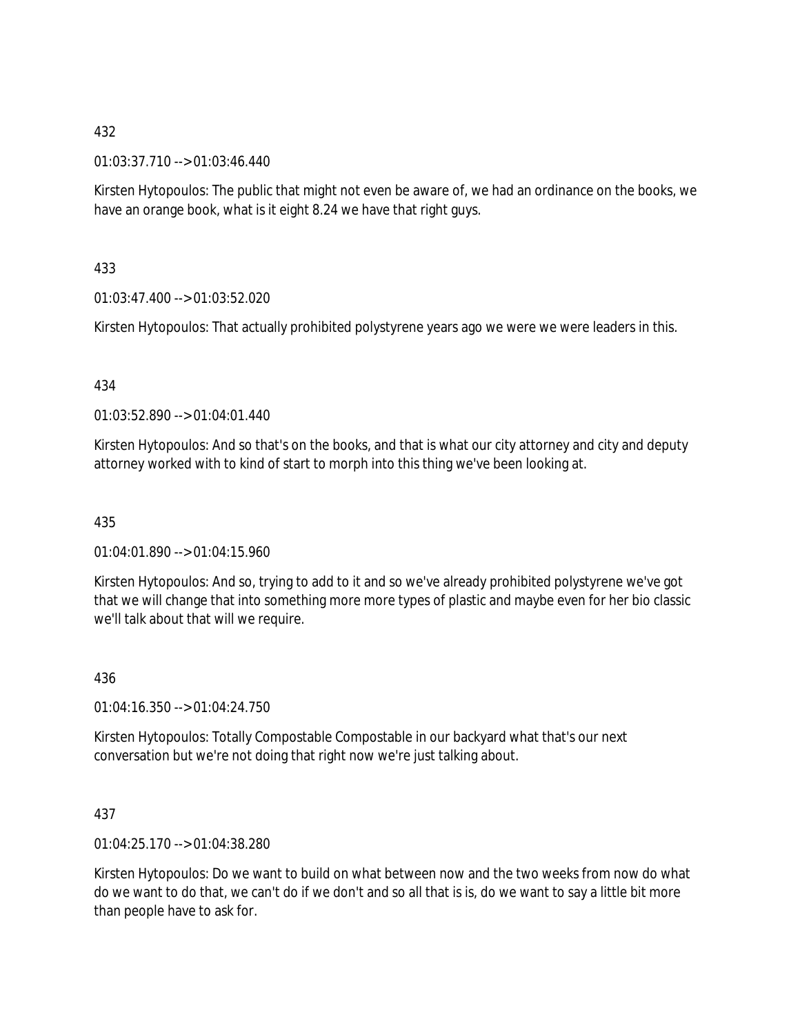01:03:37.710 --> 01:03:46.440

Kirsten Hytopoulos: The public that might not even be aware of, we had an ordinance on the books, we have an orange book, what is it eight 8.24 we have that right guys.

433

01:03:47.400 --> 01:03:52.020

Kirsten Hytopoulos: That actually prohibited polystyrene years ago we were we were leaders in this.

## 434

01:03:52.890 --> 01:04:01.440

Kirsten Hytopoulos: And so that's on the books, and that is what our city attorney and city and deputy attorney worked with to kind of start to morph into this thing we've been looking at.

## 435

01:04:01.890 --> 01:04:15.960

Kirsten Hytopoulos: And so, trying to add to it and so we've already prohibited polystyrene we've got that we will change that into something more more types of plastic and maybe even for her bio classic we'll talk about that will we require.

#### 436

01:04:16.350 --> 01:04:24.750

Kirsten Hytopoulos: Totally Compostable Compostable in our backyard what that's our next conversation but we're not doing that right now we're just talking about.

## 437

01:04:25.170 --> 01:04:38.280

Kirsten Hytopoulos: Do we want to build on what between now and the two weeks from now do what do we want to do that, we can't do if we don't and so all that is is, do we want to say a little bit more than people have to ask for.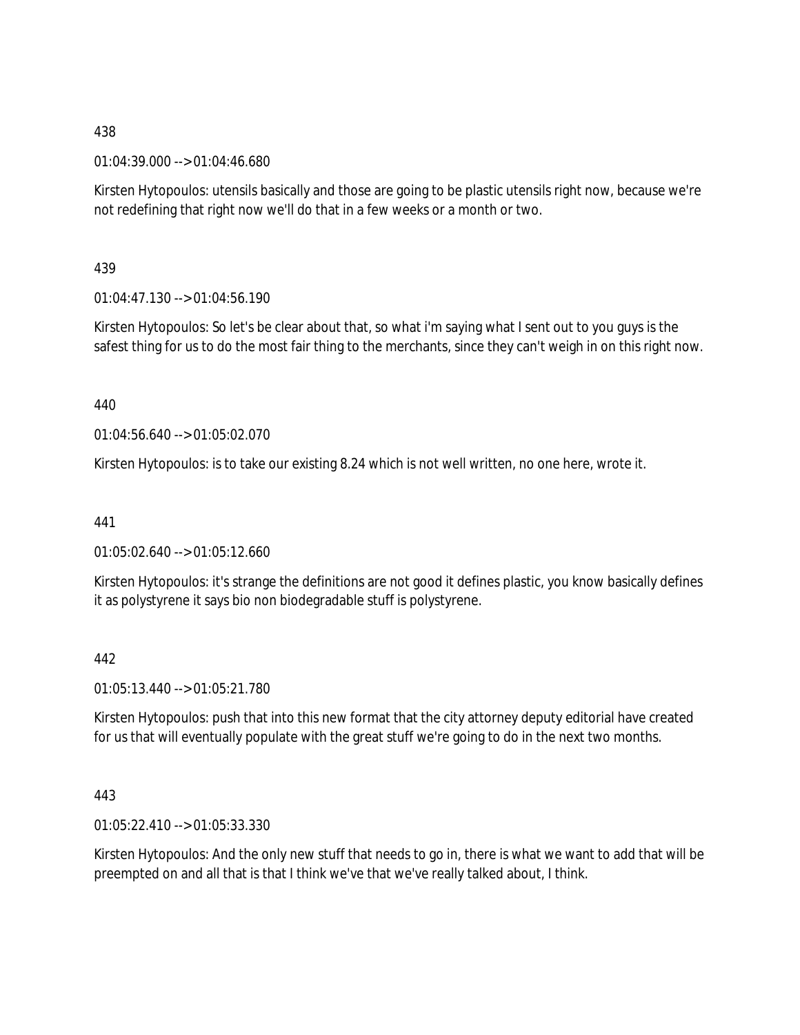01:04:39.000 --> 01:04:46.680

Kirsten Hytopoulos: utensils basically and those are going to be plastic utensils right now, because we're not redefining that right now we'll do that in a few weeks or a month or two.

## 439

01:04:47.130 --> 01:04:56.190

Kirsten Hytopoulos: So let's be clear about that, so what i'm saying what I sent out to you guys is the safest thing for us to do the most fair thing to the merchants, since they can't weigh in on this right now.

## 440

01:04:56.640 --> 01:05:02.070

Kirsten Hytopoulos: is to take our existing 8.24 which is not well written, no one here, wrote it.

441

01:05:02.640 --> 01:05:12.660

Kirsten Hytopoulos: it's strange the definitions are not good it defines plastic, you know basically defines it as polystyrene it says bio non biodegradable stuff is polystyrene.

#### 442

01:05:13.440 --> 01:05:21.780

Kirsten Hytopoulos: push that into this new format that the city attorney deputy editorial have created for us that will eventually populate with the great stuff we're going to do in the next two months.

#### 443

01:05:22.410 --> 01:05:33.330

Kirsten Hytopoulos: And the only new stuff that needs to go in, there is what we want to add that will be preempted on and all that is that I think we've that we've really talked about, I think.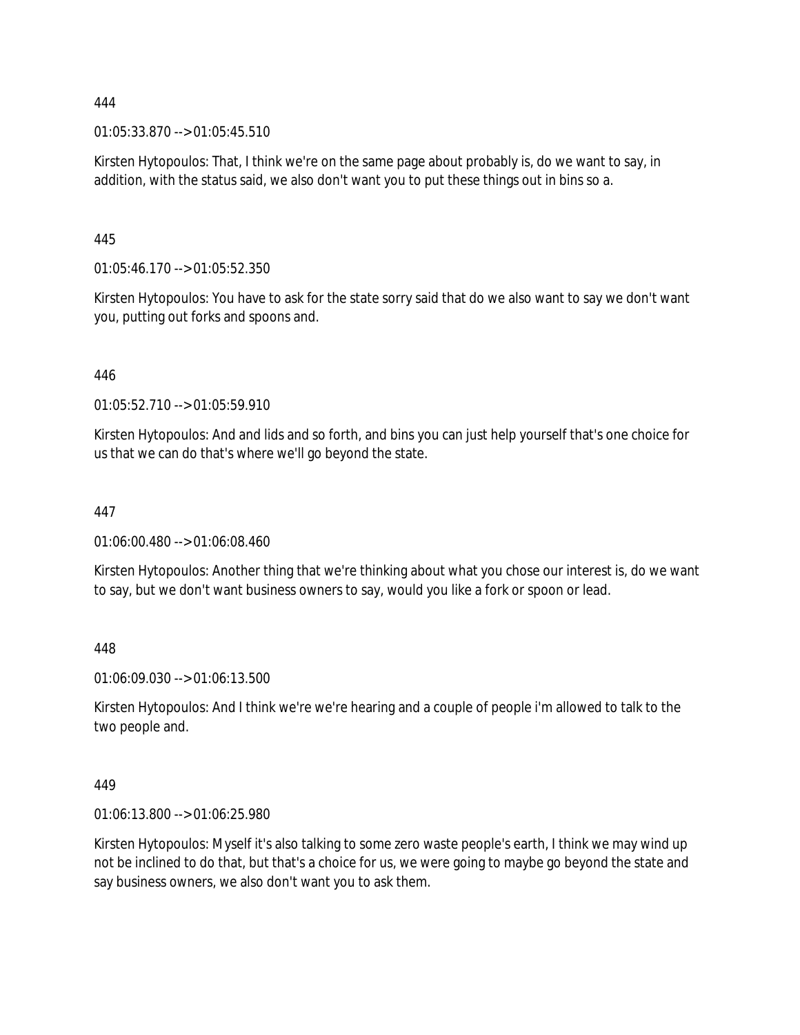01:05:33.870 --> 01:05:45.510

Kirsten Hytopoulos: That, I think we're on the same page about probably is, do we want to say, in addition, with the status said, we also don't want you to put these things out in bins so a.

445

01:05:46.170 --> 01:05:52.350

Kirsten Hytopoulos: You have to ask for the state sorry said that do we also want to say we don't want you, putting out forks and spoons and.

446

01:05:52.710 --> 01:05:59.910

Kirsten Hytopoulos: And and lids and so forth, and bins you can just help yourself that's one choice for us that we can do that's where we'll go beyond the state.

### 447

01:06:00.480 --> 01:06:08.460

Kirsten Hytopoulos: Another thing that we're thinking about what you chose our interest is, do we want to say, but we don't want business owners to say, would you like a fork or spoon or lead.

448

01:06:09.030 --> 01:06:13.500

Kirsten Hytopoulos: And I think we're we're hearing and a couple of people i'm allowed to talk to the two people and.

449

01:06:13.800 --> 01:06:25.980

Kirsten Hytopoulos: Myself it's also talking to some zero waste people's earth, I think we may wind up not be inclined to do that, but that's a choice for us, we were going to maybe go beyond the state and say business owners, we also don't want you to ask them.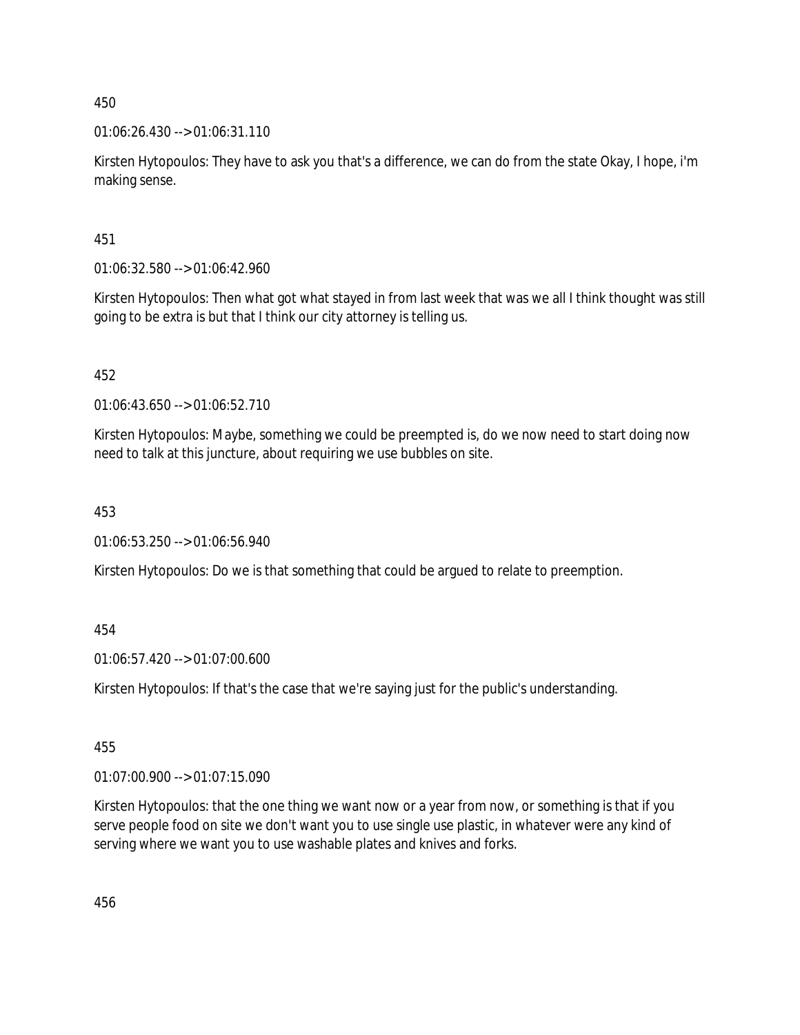01:06:26.430 --> 01:06:31.110

Kirsten Hytopoulos: They have to ask you that's a difference, we can do from the state Okay, I hope, i'm making sense.

451

01:06:32.580 --> 01:06:42.960

Kirsten Hytopoulos: Then what got what stayed in from last week that was we all I think thought was still going to be extra is but that I think our city attorney is telling us.

452

01:06:43.650 --> 01:06:52.710

Kirsten Hytopoulos: Maybe, something we could be preempted is, do we now need to start doing now need to talk at this juncture, about requiring we use bubbles on site.

453

01:06:53.250 --> 01:06:56.940

Kirsten Hytopoulos: Do we is that something that could be argued to relate to preemption.

454

01:06:57.420 --> 01:07:00.600

Kirsten Hytopoulos: If that's the case that we're saying just for the public's understanding.

455

01:07:00.900 --> 01:07:15.090

Kirsten Hytopoulos: that the one thing we want now or a year from now, or something is that if you serve people food on site we don't want you to use single use plastic, in whatever were any kind of serving where we want you to use washable plates and knives and forks.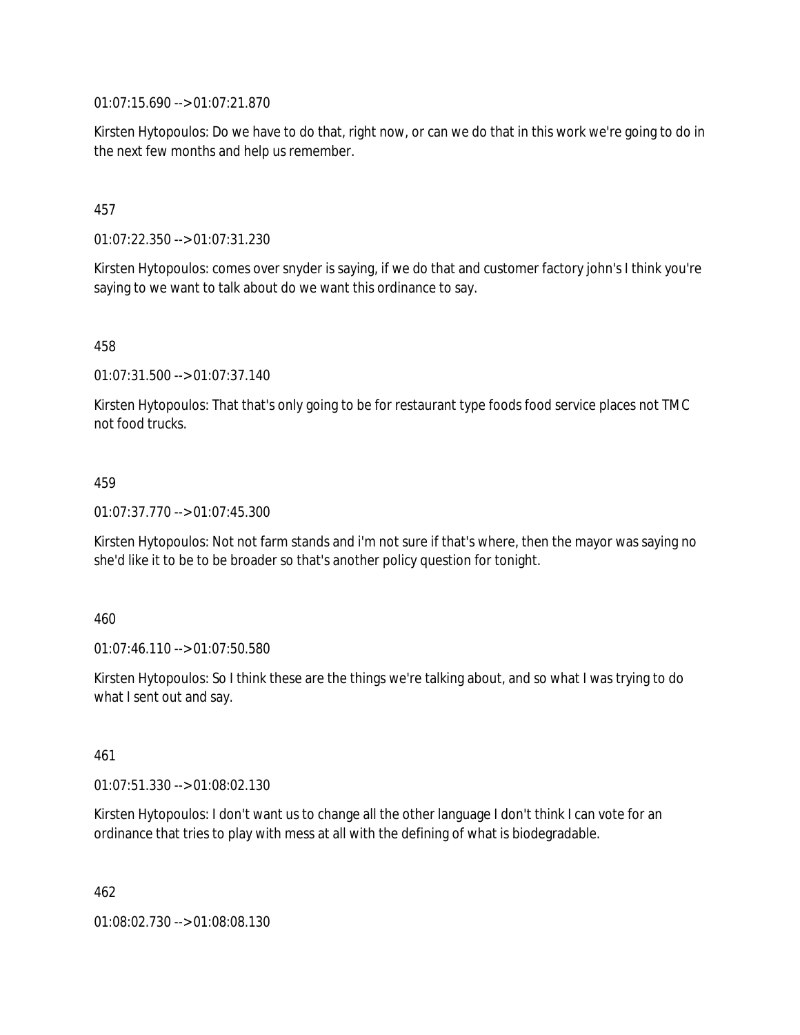01:07:15.690 --> 01:07:21.870

Kirsten Hytopoulos: Do we have to do that, right now, or can we do that in this work we're going to do in the next few months and help us remember.

### 457

01:07:22.350 --> 01:07:31.230

Kirsten Hytopoulos: comes over snyder is saying, if we do that and customer factory john's I think you're saying to we want to talk about do we want this ordinance to say.

### 458

01:07:31.500 --> 01:07:37.140

Kirsten Hytopoulos: That that's only going to be for restaurant type foods food service places not TMC not food trucks.

#### 459

01:07:37.770 --> 01:07:45.300

Kirsten Hytopoulos: Not not farm stands and i'm not sure if that's where, then the mayor was saying no she'd like it to be to be broader so that's another policy question for tonight.

#### 460

01:07:46.110 --> 01:07:50.580

Kirsten Hytopoulos: So I think these are the things we're talking about, and so what I was trying to do what I sent out and say.

#### 461

01:07:51.330 --> 01:08:02.130

Kirsten Hytopoulos: I don't want us to change all the other language I don't think I can vote for an ordinance that tries to play with mess at all with the defining of what is biodegradable.

462

01:08:02.730 --> 01:08:08.130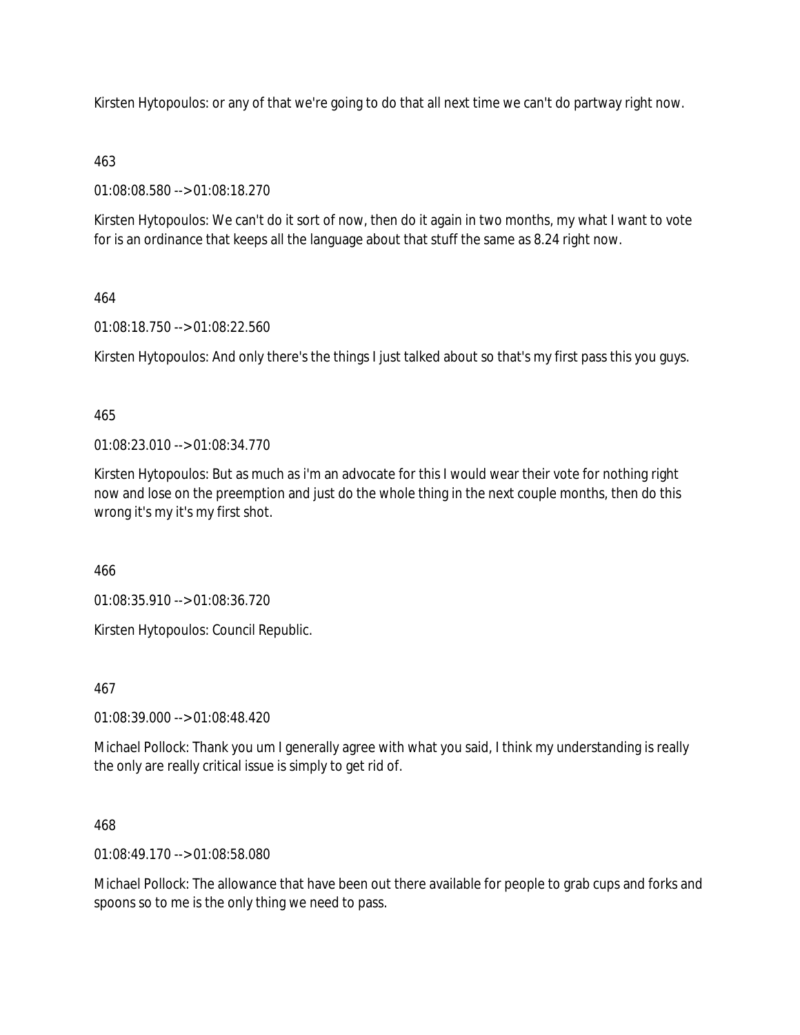Kirsten Hytopoulos: or any of that we're going to do that all next time we can't do partway right now.

### 463

01:08:08.580 --> 01:08:18.270

Kirsten Hytopoulos: We can't do it sort of now, then do it again in two months, my what I want to vote for is an ordinance that keeps all the language about that stuff the same as 8.24 right now.

### 464

01:08:18.750 --> 01:08:22.560

Kirsten Hytopoulos: And only there's the things I just talked about so that's my first pass this you guys.

### 465

01:08:23.010 --> 01:08:34.770

Kirsten Hytopoulos: But as much as i'm an advocate for this I would wear their vote for nothing right now and lose on the preemption and just do the whole thing in the next couple months, then do this wrong it's my it's my first shot.

466

01:08:35.910 --> 01:08:36.720

Kirsten Hytopoulos: Council Republic.

# 467

01:08:39.000 --> 01:08:48.420

Michael Pollock: Thank you um I generally agree with what you said, I think my understanding is really the only are really critical issue is simply to get rid of.

### 468

01:08:49.170 --> 01:08:58.080

Michael Pollock: The allowance that have been out there available for people to grab cups and forks and spoons so to me is the only thing we need to pass.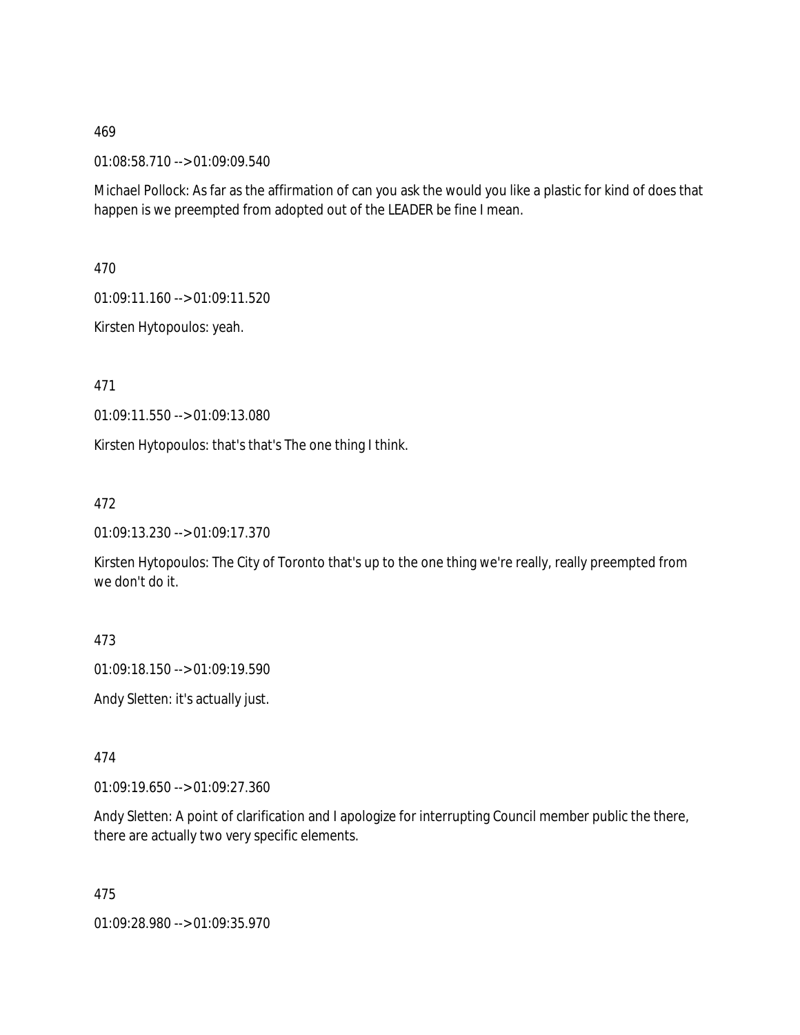01:08:58.710 --> 01:09:09.540

Michael Pollock: As far as the affirmation of can you ask the would you like a plastic for kind of does that happen is we preempted from adopted out of the LEADER be fine I mean.

470

01:09:11.160 --> 01:09:11.520

Kirsten Hytopoulos: yeah.

471

01:09:11.550 --> 01:09:13.080

Kirsten Hytopoulos: that's that's The one thing I think.

472

01:09:13.230 --> 01:09:17.370

Kirsten Hytopoulos: The City of Toronto that's up to the one thing we're really, really preempted from we don't do it.

473

01:09:18.150 --> 01:09:19.590

Andy Sletten: it's actually just.

474

01:09:19.650 --> 01:09:27.360

Andy Sletten: A point of clarification and I apologize for interrupting Council member public the there, there are actually two very specific elements.

475

01:09:28.980 --> 01:09:35.970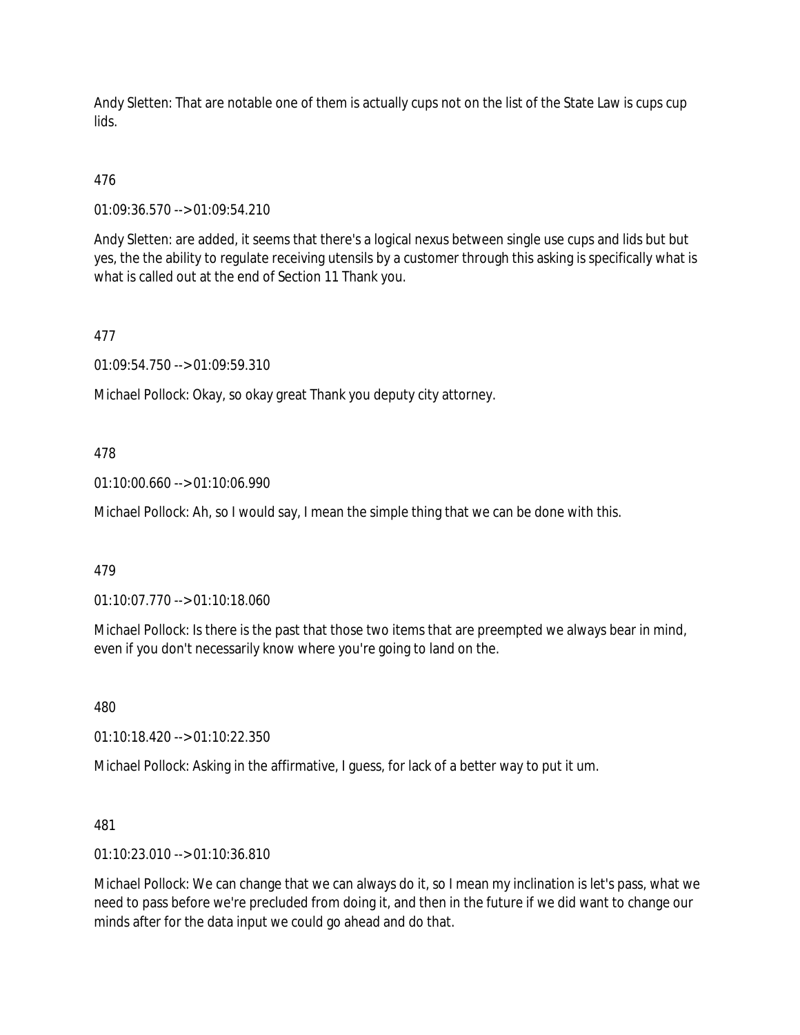Andy Sletten: That are notable one of them is actually cups not on the list of the State Law is cups cup lids.

# 476

01:09:36.570 --> 01:09:54.210

Andy Sletten: are added, it seems that there's a logical nexus between single use cups and lids but but yes, the the ability to regulate receiving utensils by a customer through this asking is specifically what is what is called out at the end of Section 11 Thank you.

# 477

01:09:54.750 --> 01:09:59.310

Michael Pollock: Okay, so okay great Thank you deputy city attorney.

### 478

01:10:00.660 --> 01:10:06.990

Michael Pollock: Ah, so I would say, I mean the simple thing that we can be done with this.

### 479

01:10:07.770 --> 01:10:18.060

Michael Pollock: Is there is the past that those two items that are preempted we always bear in mind, even if you don't necessarily know where you're going to land on the.

480

01:10:18.420 --> 01:10:22.350

Michael Pollock: Asking in the affirmative, I guess, for lack of a better way to put it um.

### 481

01:10:23.010 --> 01:10:36.810

Michael Pollock: We can change that we can always do it, so I mean my inclination is let's pass, what we need to pass before we're precluded from doing it, and then in the future if we did want to change our minds after for the data input we could go ahead and do that.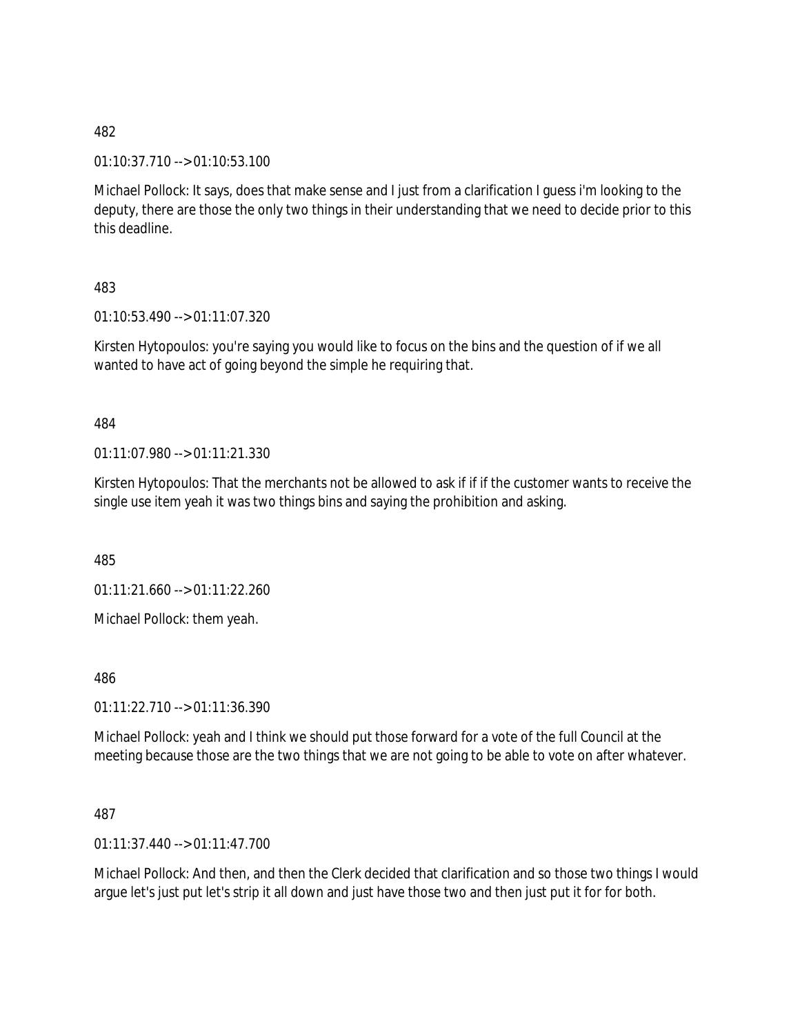01:10:37.710 --> 01:10:53.100

Michael Pollock: It says, does that make sense and I just from a clarification I guess i'm looking to the deputy, there are those the only two things in their understanding that we need to decide prior to this this deadline.

483

01:10:53.490 --> 01:11:07.320

Kirsten Hytopoulos: you're saying you would like to focus on the bins and the question of if we all wanted to have act of going beyond the simple he requiring that.

484

01:11:07.980 --> 01:11:21.330

Kirsten Hytopoulos: That the merchants not be allowed to ask if if if the customer wants to receive the single use item yeah it was two things bins and saying the prohibition and asking.

485

01:11:21.660 --> 01:11:22.260

Michael Pollock: them yeah.

486

01:11:22.710 --> 01:11:36.390

Michael Pollock: yeah and I think we should put those forward for a vote of the full Council at the meeting because those are the two things that we are not going to be able to vote on after whatever.

### 487

 $01:11:37.440 \rightarrow 01:11:47.700$ 

Michael Pollock: And then, and then the Clerk decided that clarification and so those two things I would argue let's just put let's strip it all down and just have those two and then just put it for for both.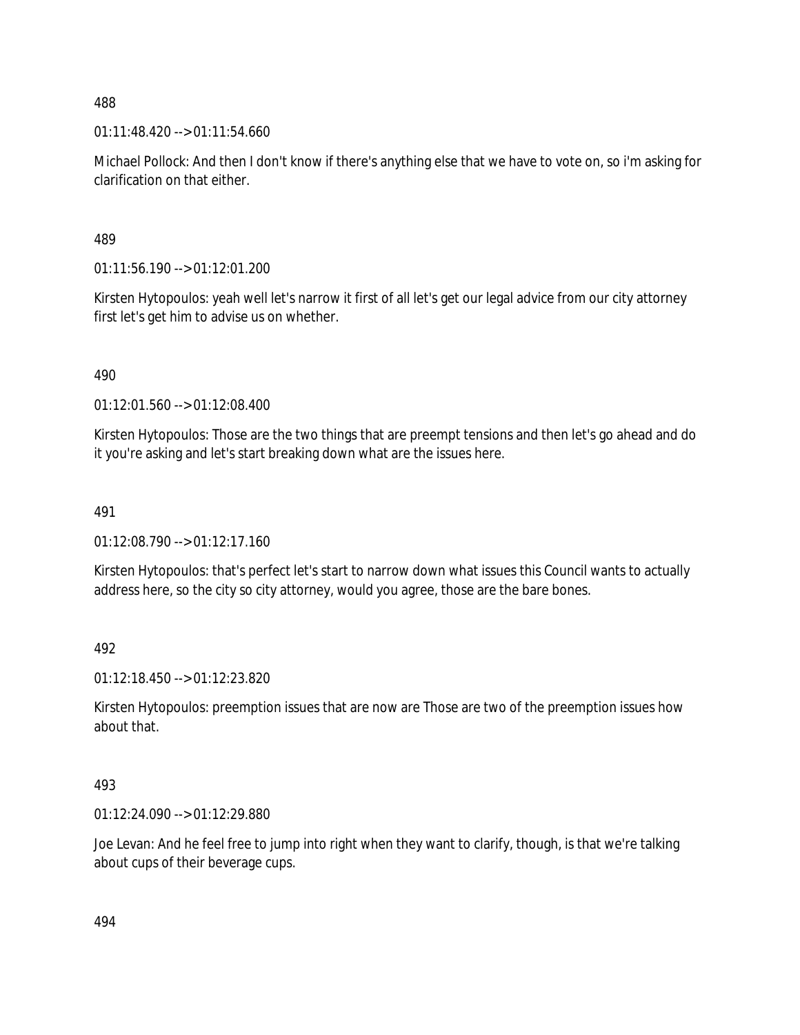01:11:48.420 --> 01:11:54.660

Michael Pollock: And then I don't know if there's anything else that we have to vote on, so i'm asking for clarification on that either.

489

01:11:56.190 --> 01:12:01.200

Kirsten Hytopoulos: yeah well let's narrow it first of all let's get our legal advice from our city attorney first let's get him to advise us on whether.

490

01:12:01.560 --> 01:12:08.400

Kirsten Hytopoulos: Those are the two things that are preempt tensions and then let's go ahead and do it you're asking and let's start breaking down what are the issues here.

491

 $01:12:08.790 \rightarrow 01:12:17.160$ 

Kirsten Hytopoulos: that's perfect let's start to narrow down what issues this Council wants to actually address here, so the city so city attorney, would you agree, those are the bare bones.

492

01:12:18.450 --> 01:12:23.820

Kirsten Hytopoulos: preemption issues that are now are Those are two of the preemption issues how about that.

493

01:12:24.090 --> 01:12:29.880

Joe Levan: And he feel free to jump into right when they want to clarify, though, is that we're talking about cups of their beverage cups.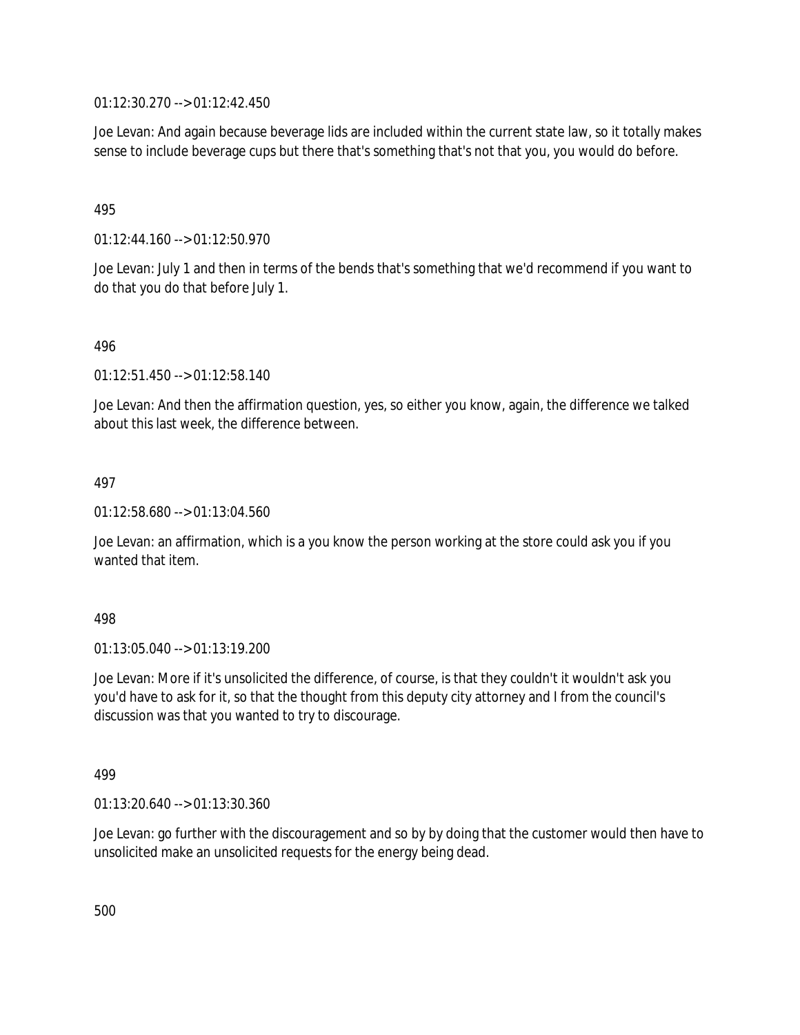01:12:30.270 --> 01:12:42.450

Joe Levan: And again because beverage lids are included within the current state law, so it totally makes sense to include beverage cups but there that's something that's not that you, you would do before.

### 495

01:12:44.160 --> 01:12:50.970

Joe Levan: July 1 and then in terms of the bends that's something that we'd recommend if you want to do that you do that before July 1.

### 496

01:12:51.450 --> 01:12:58.140

Joe Levan: And then the affirmation question, yes, so either you know, again, the difference we talked about this last week, the difference between.

### 497

01:12:58.680 --> 01:13:04.560

Joe Levan: an affirmation, which is a you know the person working at the store could ask you if you wanted that item.

#### 498

01:13:05.040 --> 01:13:19.200

Joe Levan: More if it's unsolicited the difference, of course, is that they couldn't it wouldn't ask you you'd have to ask for it, so that the thought from this deputy city attorney and I from the council's discussion was that you wanted to try to discourage.

### 499

01:13:20.640 --> 01:13:30.360

Joe Levan: go further with the discouragement and so by by doing that the customer would then have to unsolicited make an unsolicited requests for the energy being dead.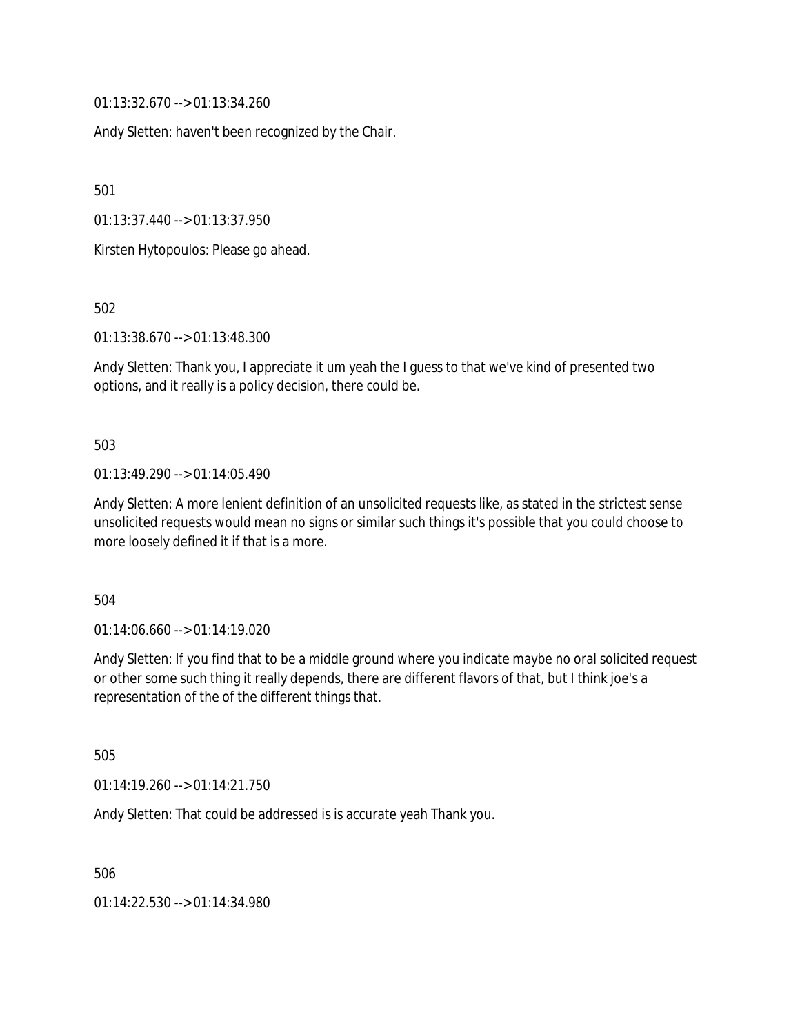01:13:32.670 --> 01:13:34.260

Andy Sletten: haven't been recognized by the Chair.

501

01:13:37.440 --> 01:13:37.950

Kirsten Hytopoulos: Please go ahead.

502

01:13:38.670 --> 01:13:48.300

Andy Sletten: Thank you, I appreciate it um yeah the I guess to that we've kind of presented two options, and it really is a policy decision, there could be.

#### 503

01:13:49.290 --> 01:14:05.490

Andy Sletten: A more lenient definition of an unsolicited requests like, as stated in the strictest sense unsolicited requests would mean no signs or similar such things it's possible that you could choose to more loosely defined it if that is a more.

504

01:14:06.660 --> 01:14:19.020

Andy Sletten: If you find that to be a middle ground where you indicate maybe no oral solicited request or other some such thing it really depends, there are different flavors of that, but I think joe's a representation of the of the different things that.

505

01:14:19.260 --> 01:14:21.750

Andy Sletten: That could be addressed is is accurate yeah Thank you.

506

01:14:22.530 --> 01:14:34.980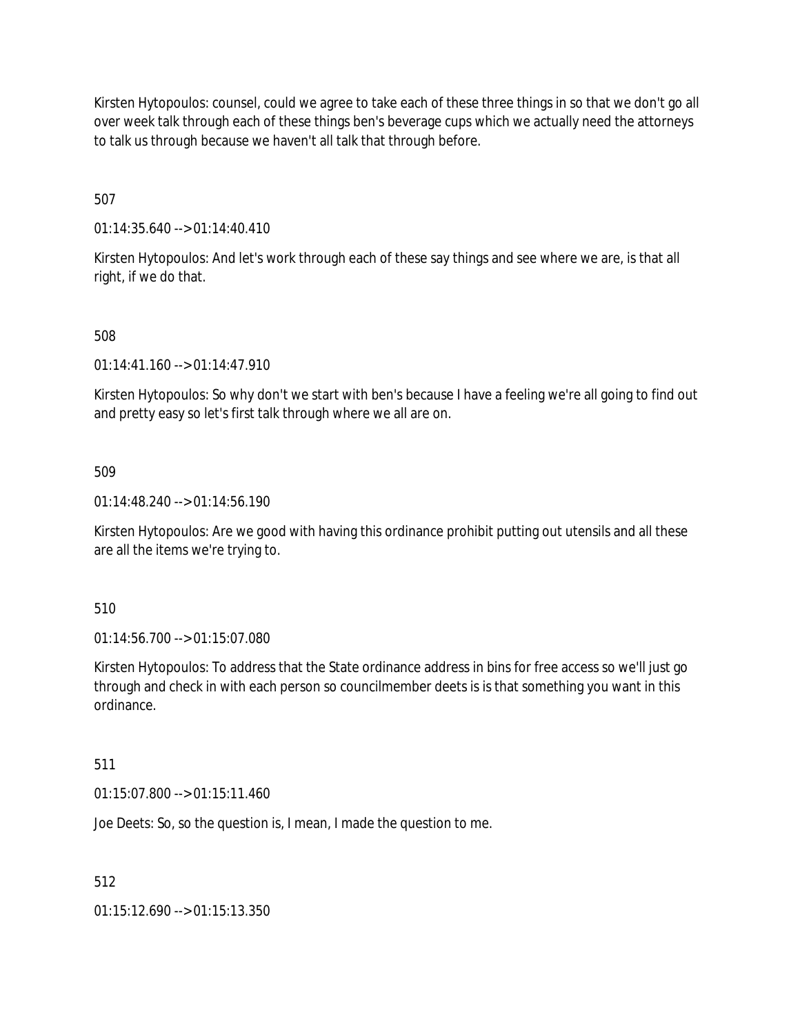Kirsten Hytopoulos: counsel, could we agree to take each of these three things in so that we don't go all over week talk through each of these things ben's beverage cups which we actually need the attorneys to talk us through because we haven't all talk that through before.

507

01:14:35.640 --> 01:14:40.410

Kirsten Hytopoulos: And let's work through each of these say things and see where we are, is that all right, if we do that.

508

01:14:41.160 --> 01:14:47.910

Kirsten Hytopoulos: So why don't we start with ben's because I have a feeling we're all going to find out and pretty easy so let's first talk through where we all are on.

509

01:14:48.240 --> 01:14:56.190

Kirsten Hytopoulos: Are we good with having this ordinance prohibit putting out utensils and all these are all the items we're trying to.

510

01:14:56.700 --> 01:15:07.080

Kirsten Hytopoulos: To address that the State ordinance address in bins for free access so we'll just go through and check in with each person so councilmember deets is is that something you want in this ordinance.

511

 $01:15:07.800 \rightarrow 01:15:11.460$ 

Joe Deets: So, so the question is, I mean, I made the question to me.

512

01:15:12.690 --> 01:15:13.350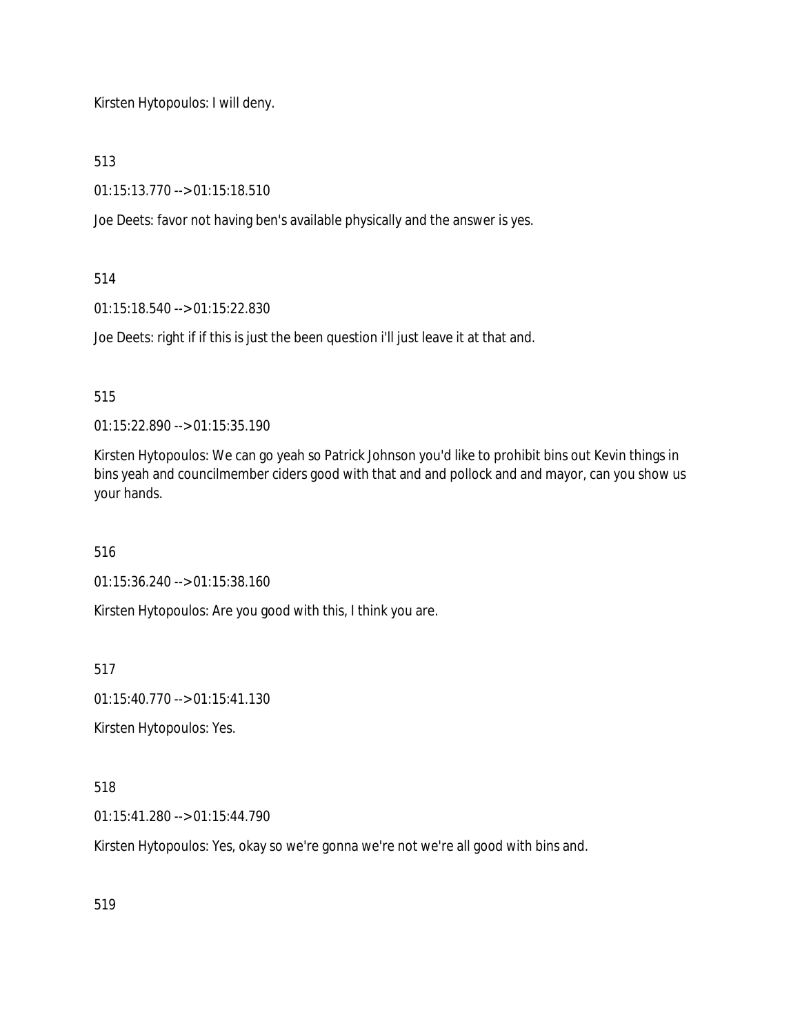Kirsten Hytopoulos: I will deny.

513

01:15:13.770 --> 01:15:18.510

Joe Deets: favor not having ben's available physically and the answer is yes.

514

01:15:18.540 --> 01:15:22.830

Joe Deets: right if if this is just the been question i'll just leave it at that and.

515

01:15:22.890 --> 01:15:35.190

Kirsten Hytopoulos: We can go yeah so Patrick Johnson you'd like to prohibit bins out Kevin things in bins yeah and councilmember ciders good with that and and pollock and and mayor, can you show us your hands.

516

01:15:36.240 --> 01:15:38.160

Kirsten Hytopoulos: Are you good with this, I think you are.

517

01:15:40.770 --> 01:15:41.130

Kirsten Hytopoulos: Yes.

518

01:15:41.280 --> 01:15:44.790

Kirsten Hytopoulos: Yes, okay so we're gonna we're not we're all good with bins and.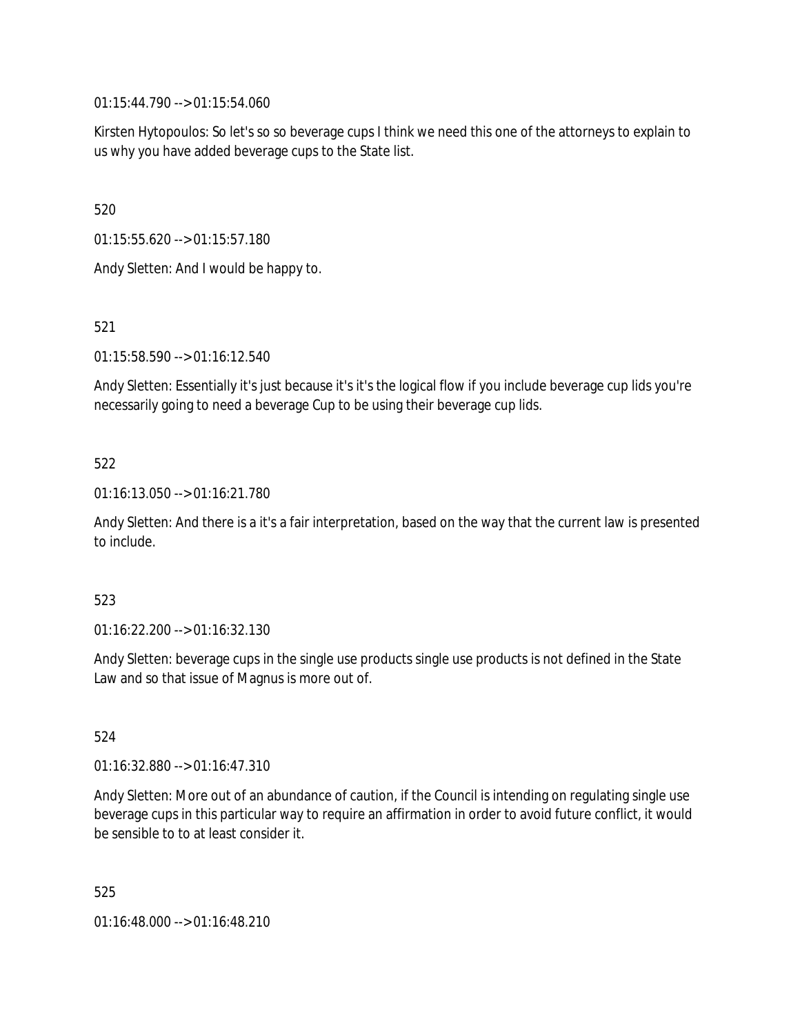01:15:44.790 --> 01:15:54.060

Kirsten Hytopoulos: So let's so so beverage cups I think we need this one of the attorneys to explain to us why you have added beverage cups to the State list.

520

01:15:55.620 --> 01:15:57.180

Andy Sletten: And I would be happy to.

521

01:15:58.590 --> 01:16:12.540

Andy Sletten: Essentially it's just because it's it's the logical flow if you include beverage cup lids you're necessarily going to need a beverage Cup to be using their beverage cup lids.

### 522

01:16:13.050 --> 01:16:21.780

Andy Sletten: And there is a it's a fair interpretation, based on the way that the current law is presented to include.

### 523

01:16:22.200 --> 01:16:32.130

Andy Sletten: beverage cups in the single use products single use products is not defined in the State Law and so that issue of Magnus is more out of.

524

01:16:32.880 --> 01:16:47.310

Andy Sletten: More out of an abundance of caution, if the Council is intending on regulating single use beverage cups in this particular way to require an affirmation in order to avoid future conflict, it would be sensible to to at least consider it.

525

01:16:48.000 --> 01:16:48.210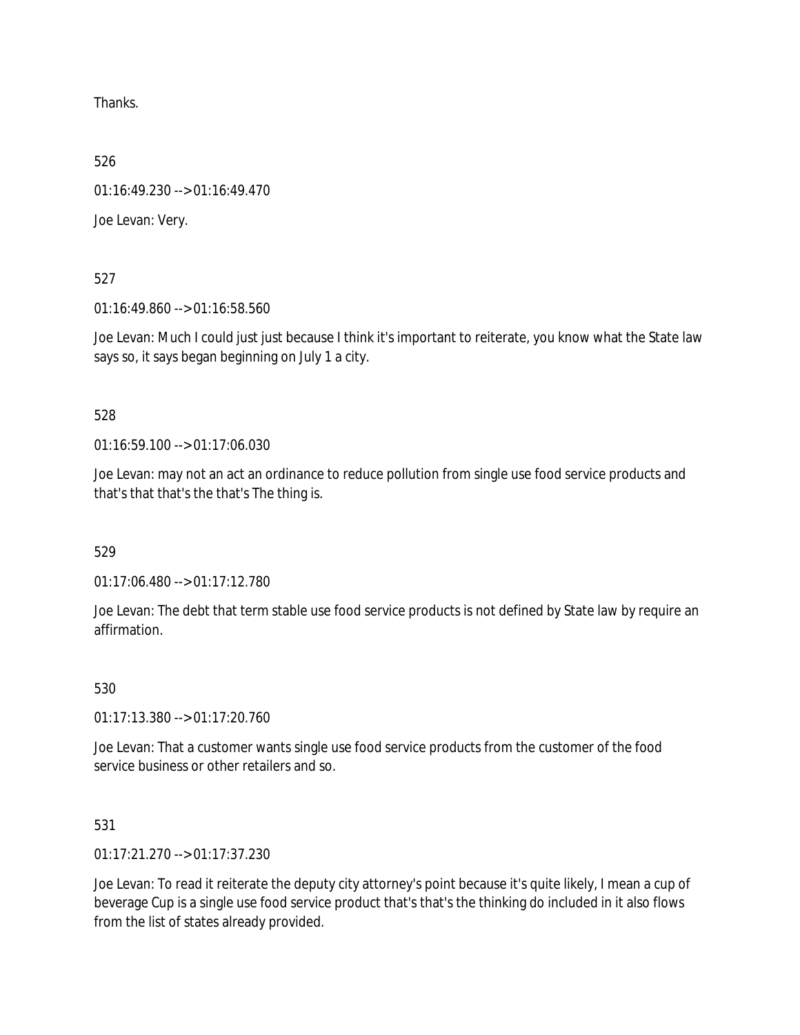Thanks.

526

01:16:49.230 --> 01:16:49.470

Joe Levan: Very.

527

01:16:49.860 --> 01:16:58.560

Joe Levan: Much I could just just because I think it's important to reiterate, you know what the State law says so, it says began beginning on July 1 a city.

528

01:16:59.100 --> 01:17:06.030

Joe Levan: may not an act an ordinance to reduce pollution from single use food service products and that's that that's the that's The thing is.

529

01:17:06.480 --> 01:17:12.780

Joe Levan: The debt that term stable use food service products is not defined by State law by require an affirmation.

530

01:17:13.380 --> 01:17:20.760

Joe Levan: That a customer wants single use food service products from the customer of the food service business or other retailers and so.

531

01:17:21.270 --> 01:17:37.230

Joe Levan: To read it reiterate the deputy city attorney's point because it's quite likely, I mean a cup of beverage Cup is a single use food service product that's that's the thinking do included in it also flows from the list of states already provided.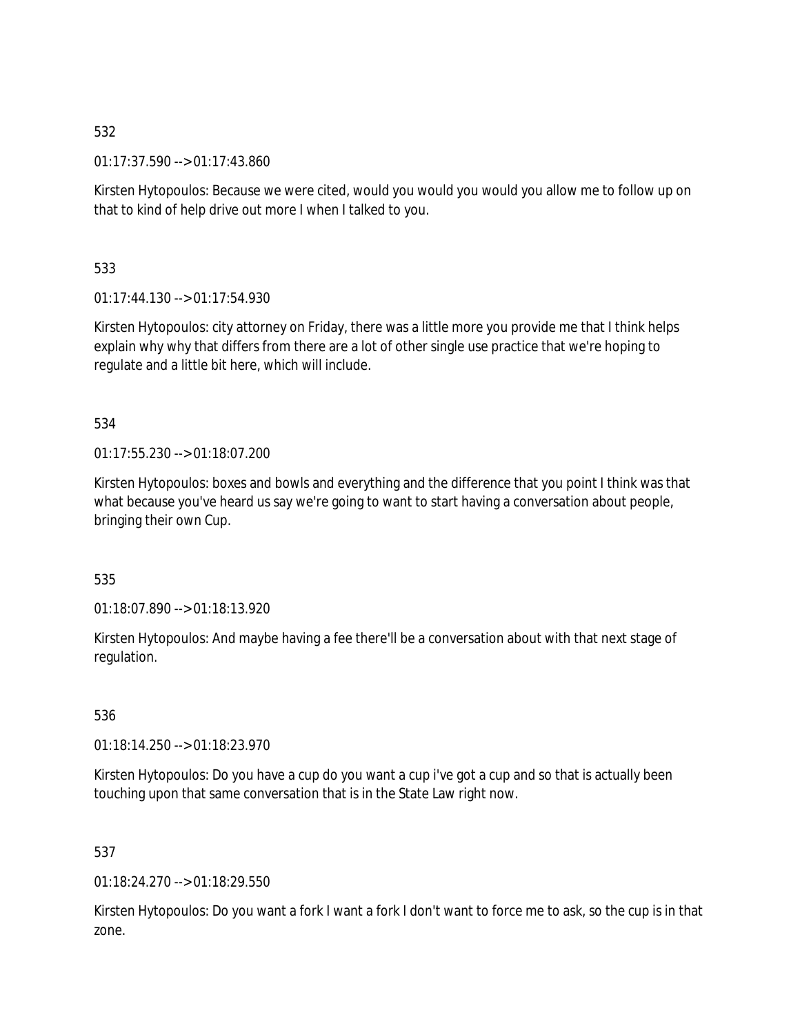01:17:37.590 --> 01:17:43.860

Kirsten Hytopoulos: Because we were cited, would you would you would you allow me to follow up on that to kind of help drive out more I when I talked to you.

533

01:17:44.130 --> 01:17:54.930

Kirsten Hytopoulos: city attorney on Friday, there was a little more you provide me that I think helps explain why why that differs from there are a lot of other single use practice that we're hoping to regulate and a little bit here, which will include.

534

01:17:55.230 --> 01:18:07.200

Kirsten Hytopoulos: boxes and bowls and everything and the difference that you point I think was that what because you've heard us say we're going to want to start having a conversation about people, bringing their own Cup.

535

01:18:07.890 --> 01:18:13.920

Kirsten Hytopoulos: And maybe having a fee there'll be a conversation about with that next stage of regulation.

536

01:18:14.250 --> 01:18:23.970

Kirsten Hytopoulos: Do you have a cup do you want a cup i've got a cup and so that is actually been touching upon that same conversation that is in the State Law right now.

537

01:18:24.270 --> 01:18:29.550

Kirsten Hytopoulos: Do you want a fork I want a fork I don't want to force me to ask, so the cup is in that zone.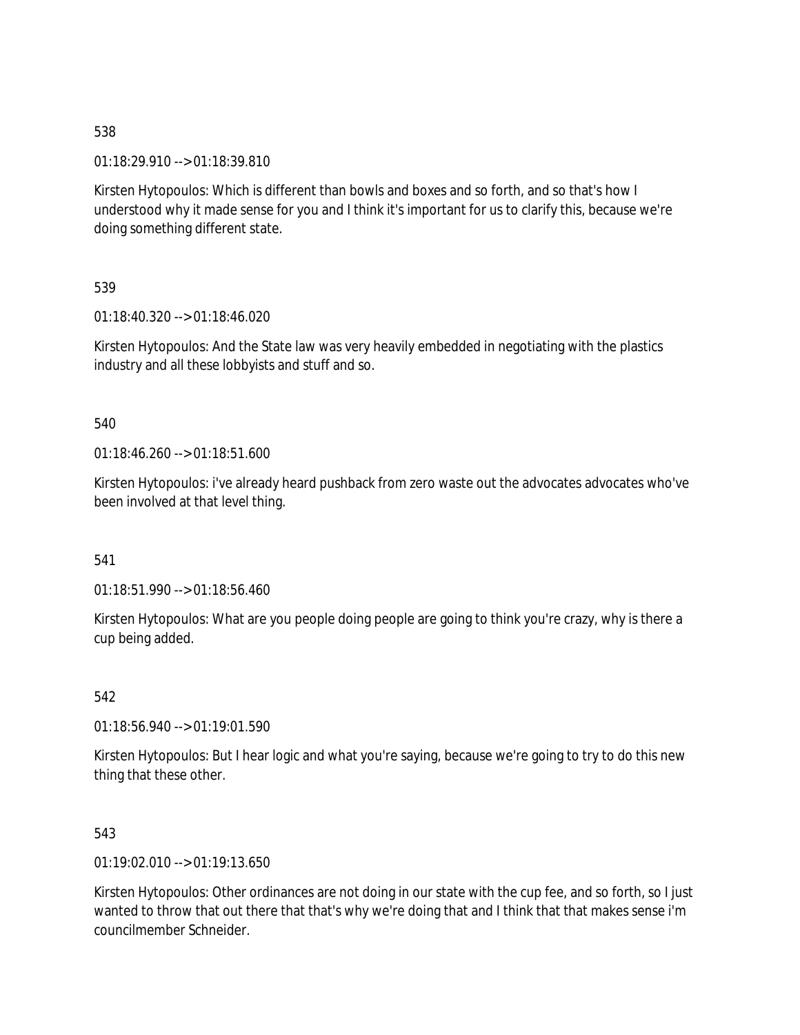01:18:29.910 --> 01:18:39.810

Kirsten Hytopoulos: Which is different than bowls and boxes and so forth, and so that's how I understood why it made sense for you and I think it's important for us to clarify this, because we're doing something different state.

539

01:18:40.320 --> 01:18:46.020

Kirsten Hytopoulos: And the State law was very heavily embedded in negotiating with the plastics industry and all these lobbyists and stuff and so.

540

01:18:46.260 --> 01:18:51.600

Kirsten Hytopoulos: i've already heard pushback from zero waste out the advocates advocates who've been involved at that level thing.

541

01:18:51.990 --> 01:18:56.460

Kirsten Hytopoulos: What are you people doing people are going to think you're crazy, why is there a cup being added.

542

01:18:56.940 --> 01:19:01.590

Kirsten Hytopoulos: But I hear logic and what you're saying, because we're going to try to do this new thing that these other.

543

01:19:02.010 --> 01:19:13.650

Kirsten Hytopoulos: Other ordinances are not doing in our state with the cup fee, and so forth, so I just wanted to throw that out there that that's why we're doing that and I think that that makes sense i'm councilmember Schneider.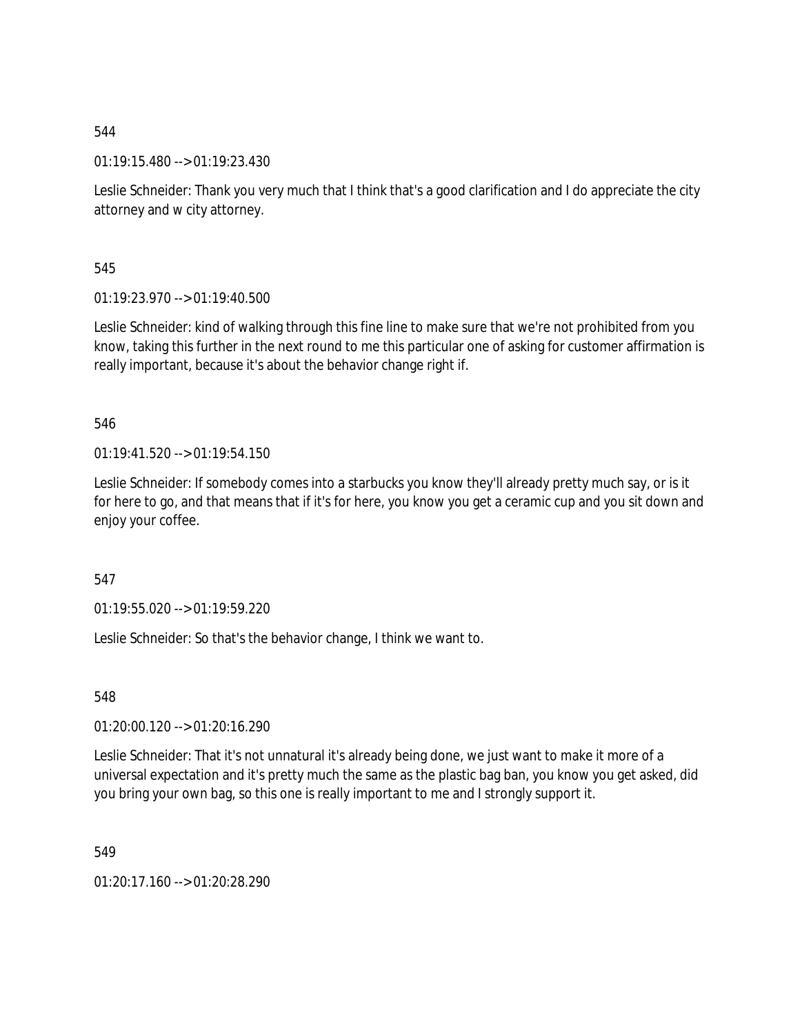01:19:15.480 --> 01:19:23.430

Leslie Schneider: Thank you very much that I think that's a good clarification and I do appreciate the city attorney and w city attorney.

545

01:19:23.970 --> 01:19:40.500

Leslie Schneider: kind of walking through this fine line to make sure that we're not prohibited from you know, taking this further in the next round to me this particular one of asking for customer affirmation is really important, because it's about the behavior change right if.

546

01:19:41.520 --> 01:19:54.150

Leslie Schneider: If somebody comes into a starbucks you know they'll already pretty much say, or is it for here to go, and that means that if it's for here, you know you get a ceramic cup and you sit down and enjoy your coffee.

547

01:19:55.020 --> 01:19:59.220

Leslie Schneider: So that's the behavior change, I think we want to.

548

01:20:00.120 --> 01:20:16.290

Leslie Schneider: That it's not unnatural it's already being done, we just want to make it more of a universal expectation and it's pretty much the same as the plastic bag ban, you know you get asked, did you bring your own bag, so this one is really important to me and I strongly support it.

549

01:20:17.160 --> 01:20:28.290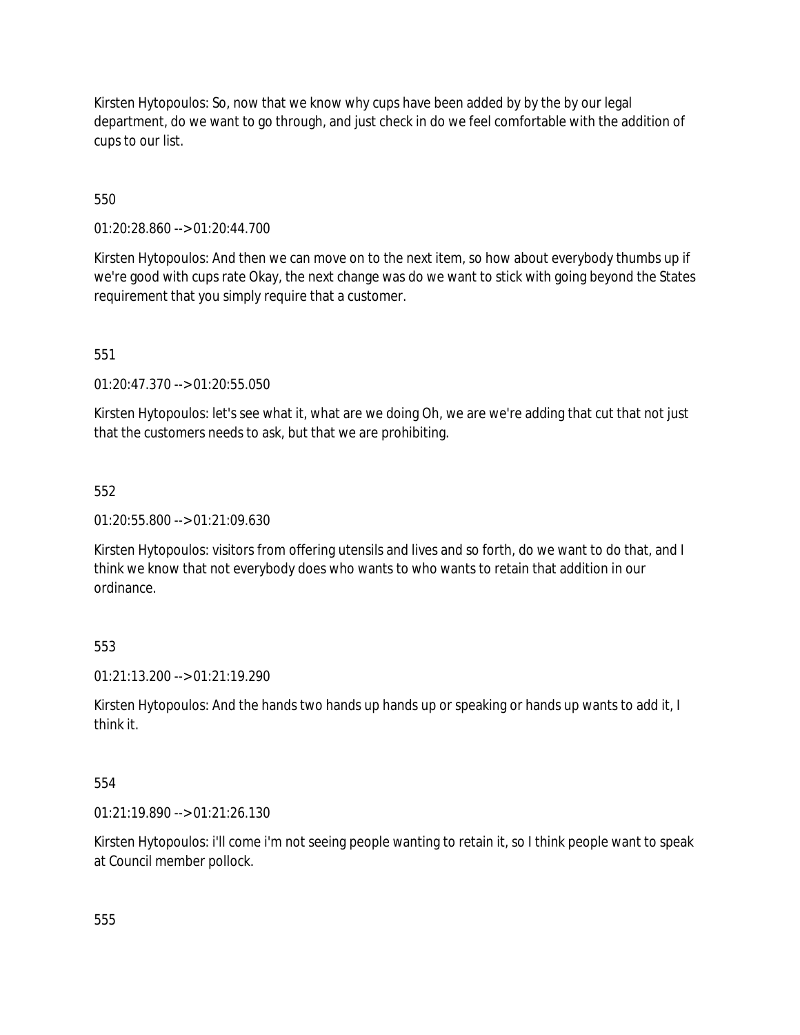Kirsten Hytopoulos: So, now that we know why cups have been added by by the by our legal department, do we want to go through, and just check in do we feel comfortable with the addition of cups to our list.

550

01:20:28.860 --> 01:20:44.700

Kirsten Hytopoulos: And then we can move on to the next item, so how about everybody thumbs up if we're good with cups rate Okay, the next change was do we want to stick with going beyond the States requirement that you simply require that a customer.

551

01:20:47.370 --> 01:20:55.050

Kirsten Hytopoulos: let's see what it, what are we doing Oh, we are we're adding that cut that not just that the customers needs to ask, but that we are prohibiting.

552

01:20:55.800 --> 01:21:09.630

Kirsten Hytopoulos: visitors from offering utensils and lives and so forth, do we want to do that, and I think we know that not everybody does who wants to who wants to retain that addition in our ordinance.

553

01:21:13.200 --> 01:21:19.290

Kirsten Hytopoulos: And the hands two hands up hands up or speaking or hands up wants to add it, I think it.

554

01:21:19.890 --> 01:21:26.130

Kirsten Hytopoulos: i'll come i'm not seeing people wanting to retain it, so I think people want to speak at Council member pollock.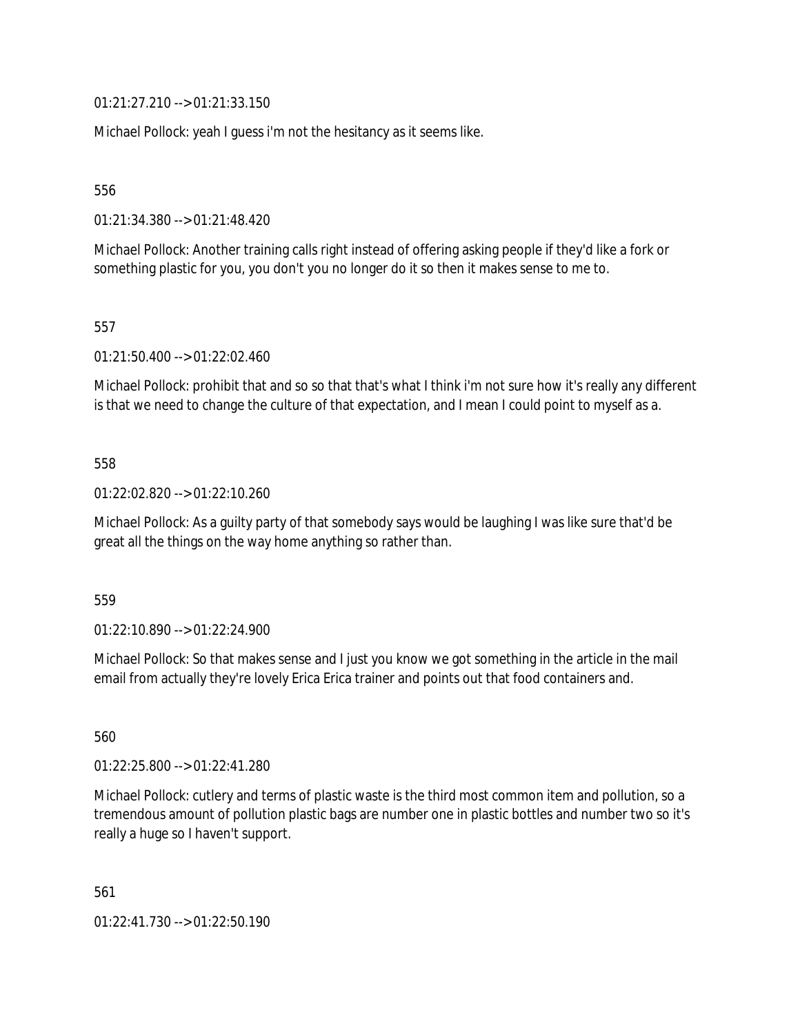01:21:27.210 --> 01:21:33.150

Michael Pollock: yeah I guess i'm not the hesitancy as it seems like.

556

01:21:34.380 --> 01:21:48.420

Michael Pollock: Another training calls right instead of offering asking people if they'd like a fork or something plastic for you, you don't you no longer do it so then it makes sense to me to.

557

01:21:50.400 --> 01:22:02.460

Michael Pollock: prohibit that and so so that that's what I think i'm not sure how it's really any different is that we need to change the culture of that expectation, and I mean I could point to myself as a.

#### 558

01:22:02.820 --> 01:22:10.260

Michael Pollock: As a guilty party of that somebody says would be laughing I was like sure that'd be great all the things on the way home anything so rather than.

559

01:22:10.890 --> 01:22:24.900

Michael Pollock: So that makes sense and I just you know we got something in the article in the mail email from actually they're lovely Erica Erica trainer and points out that food containers and.

560

01:22:25.800 --> 01:22:41.280

Michael Pollock: cutlery and terms of plastic waste is the third most common item and pollution, so a tremendous amount of pollution plastic bags are number one in plastic bottles and number two so it's really a huge so I haven't support.

561

01:22:41.730 --> 01:22:50.190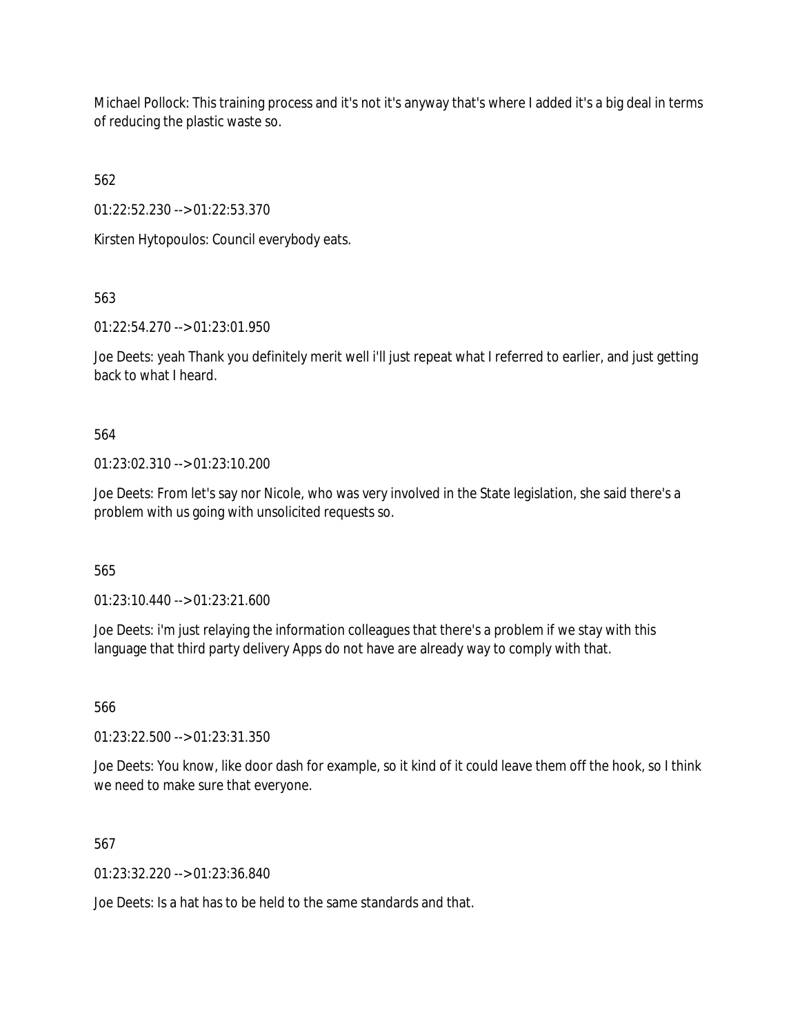Michael Pollock: This training process and it's not it's anyway that's where I added it's a big deal in terms of reducing the plastic waste so.

562

01:22:52.230 --> 01:22:53.370

Kirsten Hytopoulos: Council everybody eats.

563

01:22:54.270 --> 01:23:01.950

Joe Deets: yeah Thank you definitely merit well i'll just repeat what I referred to earlier, and just getting back to what I heard.

564

01:23:02.310 --> 01:23:10.200

Joe Deets: From let's say nor Nicole, who was very involved in the State legislation, she said there's a problem with us going with unsolicited requests so.

565

01:23:10.440 --> 01:23:21.600

Joe Deets: i'm just relaying the information colleagues that there's a problem if we stay with this language that third party delivery Apps do not have are already way to comply with that.

566

01:23:22.500 --> 01:23:31.350

Joe Deets: You know, like door dash for example, so it kind of it could leave them off the hook, so I think we need to make sure that everyone.

567

01:23:32.220 --> 01:23:36.840

Joe Deets: Is a hat has to be held to the same standards and that.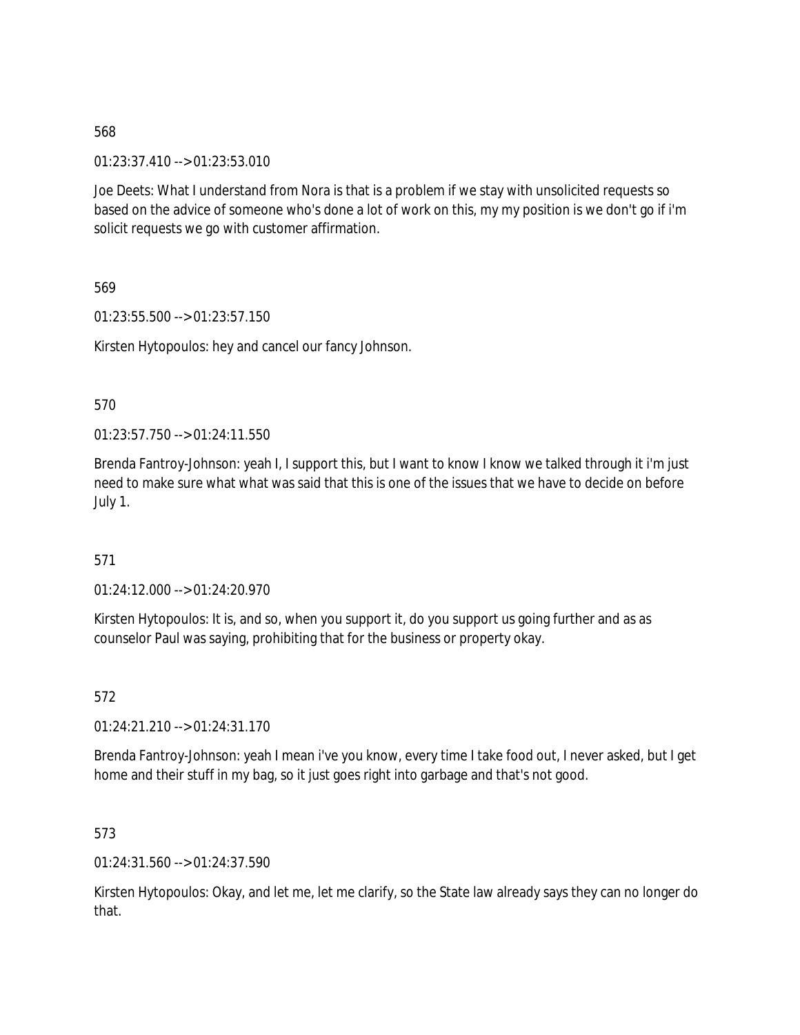01:23:37.410 --> 01:23:53.010

Joe Deets: What I understand from Nora is that is a problem if we stay with unsolicited requests so based on the advice of someone who's done a lot of work on this, my my position is we don't go if i'm solicit requests we go with customer affirmation.

569

01:23:55.500 --> 01:23:57.150

Kirsten Hytopoulos: hey and cancel our fancy Johnson.

570

01:23:57.750 --> 01:24:11.550

Brenda Fantroy-Johnson: yeah I, I support this, but I want to know I know we talked through it i'm just need to make sure what what was said that this is one of the issues that we have to decide on before July 1.

571

01:24:12.000 --> 01:24:20.970

Kirsten Hytopoulos: It is, and so, when you support it, do you support us going further and as as counselor Paul was saying, prohibiting that for the business or property okay.

572

01:24:21.210 --> 01:24:31.170

Brenda Fantroy-Johnson: yeah I mean i've you know, every time I take food out, I never asked, but I get home and their stuff in my bag, so it just goes right into garbage and that's not good.

573

01:24:31.560 --> 01:24:37.590

Kirsten Hytopoulos: Okay, and let me, let me clarify, so the State law already says they can no longer do that.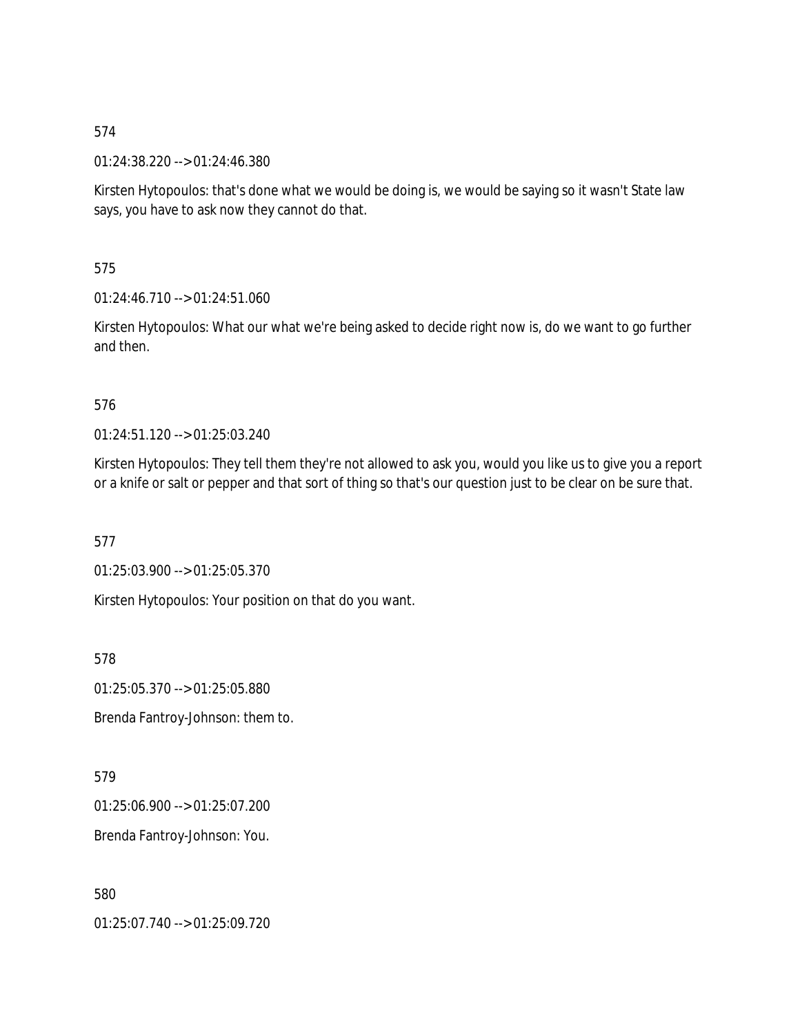01:24:38.220 --> 01:24:46.380

Kirsten Hytopoulos: that's done what we would be doing is, we would be saying so it wasn't State law says, you have to ask now they cannot do that.

575

01:24:46.710 --> 01:24:51.060

Kirsten Hytopoulos: What our what we're being asked to decide right now is, do we want to go further and then.

### 576

01:24:51.120 --> 01:25:03.240

Kirsten Hytopoulos: They tell them they're not allowed to ask you, would you like us to give you a report or a knife or salt or pepper and that sort of thing so that's our question just to be clear on be sure that.

577

01:25:03.900 --> 01:25:05.370

Kirsten Hytopoulos: Your position on that do you want.

578

01:25:05.370 --> 01:25:05.880

Brenda Fantroy-Johnson: them to.

579

01:25:06.900 --> 01:25:07.200

Brenda Fantroy-Johnson: You.

580

01:25:07.740 --> 01:25:09.720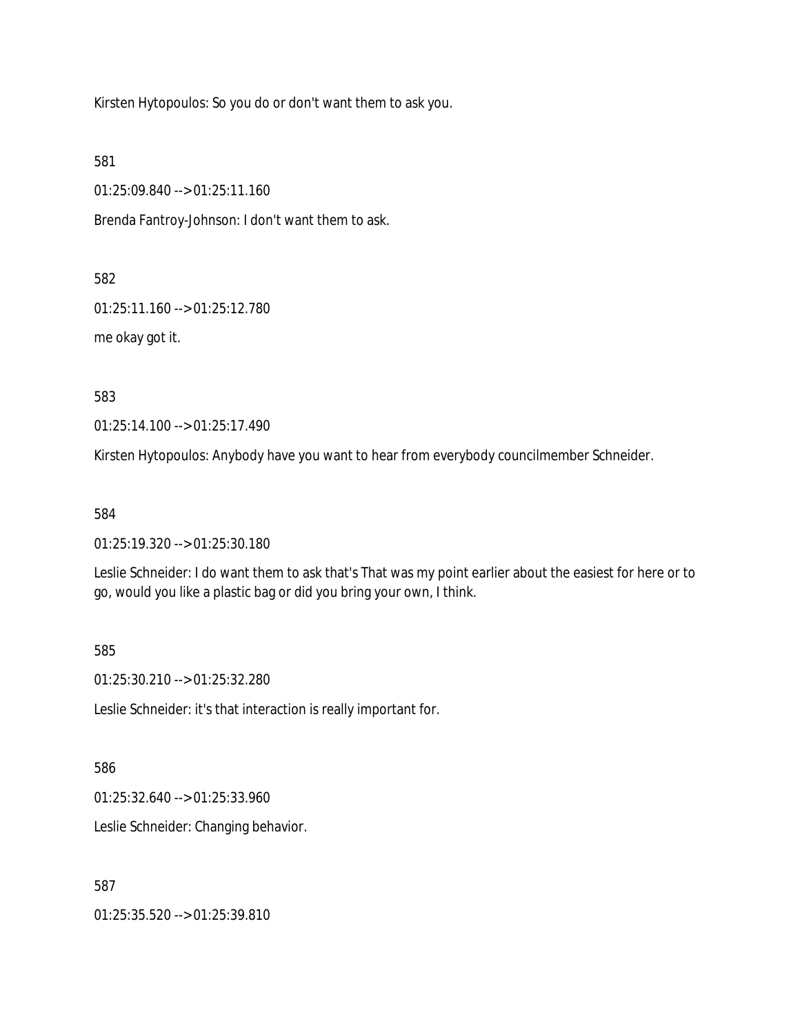Kirsten Hytopoulos: So you do or don't want them to ask you.

581

01:25:09.840 --> 01:25:11.160

Brenda Fantroy-Johnson: I don't want them to ask.

582

01:25:11.160 --> 01:25:12.780

me okay got it.

583

01:25:14.100 --> 01:25:17.490

Kirsten Hytopoulos: Anybody have you want to hear from everybody councilmember Schneider.

584

01:25:19.320 --> 01:25:30.180

Leslie Schneider: I do want them to ask that's That was my point earlier about the easiest for here or to go, would you like a plastic bag or did you bring your own, I think.

585

01:25:30.210 --> 01:25:32.280

Leslie Schneider: it's that interaction is really important for.

586

01:25:32.640 --> 01:25:33.960

Leslie Schneider: Changing behavior.

587

01:25:35.520 --> 01:25:39.810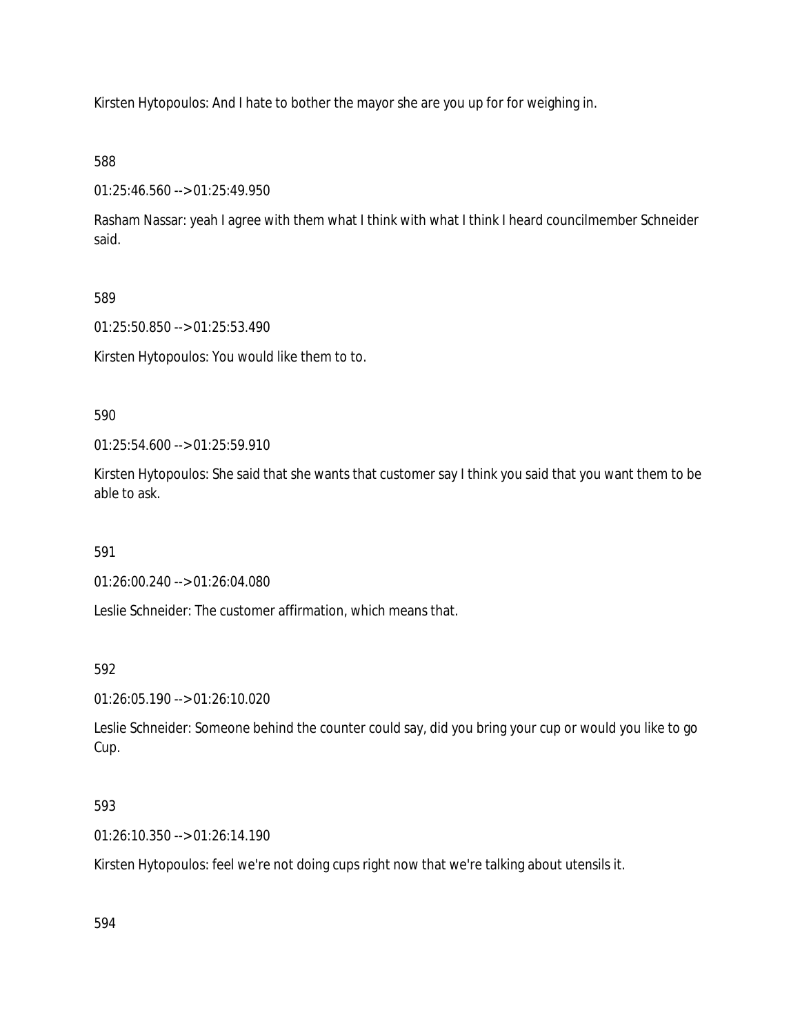Kirsten Hytopoulos: And I hate to bother the mayor she are you up for for weighing in.

# 588

01:25:46.560 --> 01:25:49.950

Rasham Nassar: yeah I agree with them what I think with what I think I heard councilmember Schneider said.

# 589

01:25:50.850 --> 01:25:53.490

Kirsten Hytopoulos: You would like them to to.

# 590

01:25:54.600 --> 01:25:59.910

Kirsten Hytopoulos: She said that she wants that customer say I think you said that you want them to be able to ask.

# 591

01:26:00.240 --> 01:26:04.080

Leslie Schneider: The customer affirmation, which means that.

# 592

01:26:05.190 --> 01:26:10.020

Leslie Schneider: Someone behind the counter could say, did you bring your cup or would you like to go Cup.

# 593

01:26:10.350 --> 01:26:14.190

Kirsten Hytopoulos: feel we're not doing cups right now that we're talking about utensils it.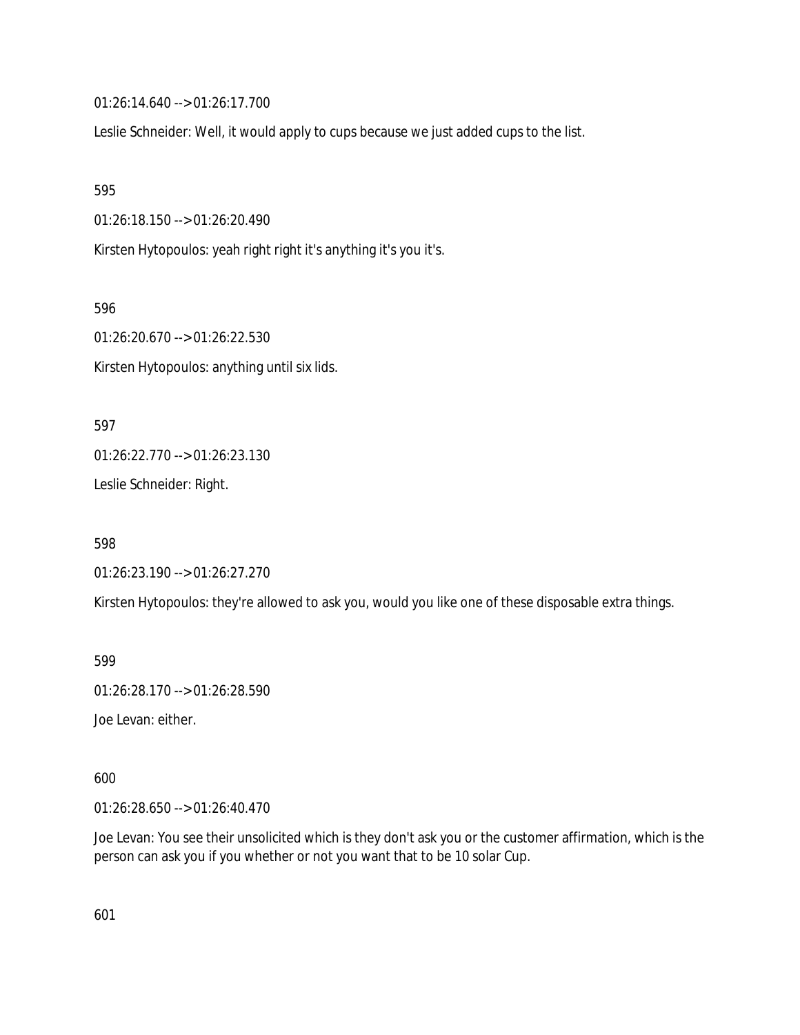01:26:14.640 --> 01:26:17.700

Leslie Schneider: Well, it would apply to cups because we just added cups to the list.

595

01:26:18.150 --> 01:26:20.490

Kirsten Hytopoulos: yeah right right it's anything it's you it's.

596

01:26:20.670 --> 01:26:22.530 Kirsten Hytopoulos: anything until six lids.

597 01:26:22.770 --> 01:26:23.130 Leslie Schneider: Right.

598

01:26:23.190 --> 01:26:27.270

Kirsten Hytopoulos: they're allowed to ask you, would you like one of these disposable extra things.

599

01:26:28.170 --> 01:26:28.590

Joe Levan: either.

600

01:26:28.650 --> 01:26:40.470

Joe Levan: You see their unsolicited which is they don't ask you or the customer affirmation, which is the person can ask you if you whether or not you want that to be 10 solar Cup.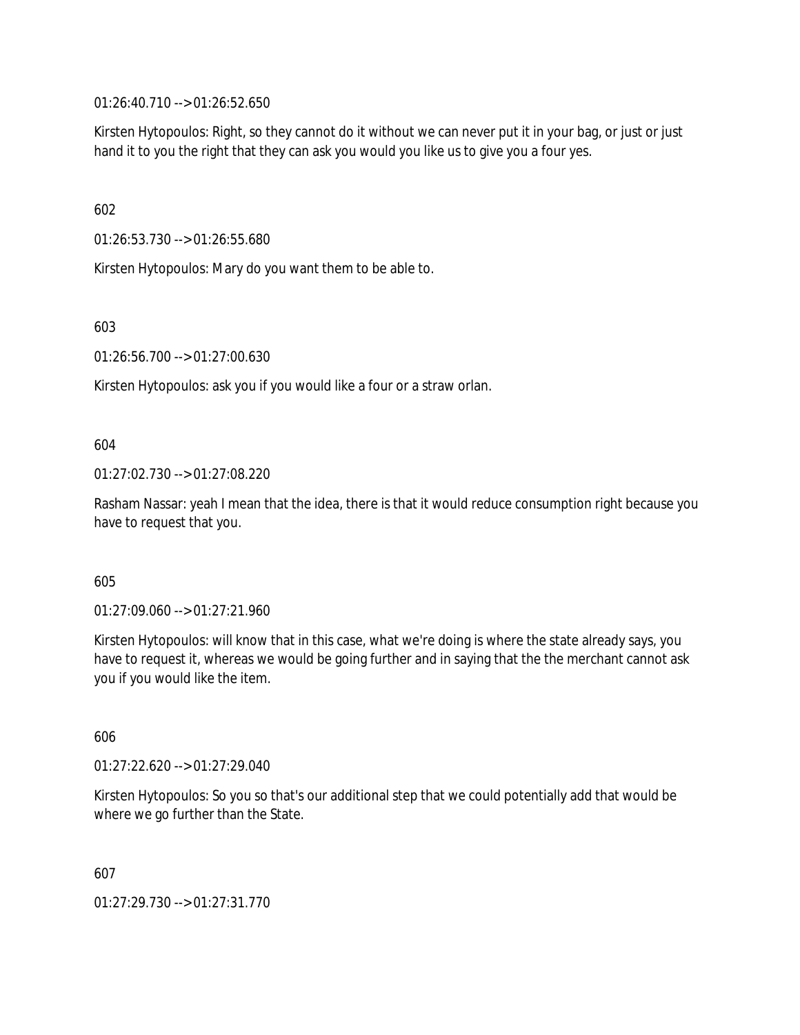01:26:40.710 --> 01:26:52.650

Kirsten Hytopoulos: Right, so they cannot do it without we can never put it in your bag, or just or just hand it to you the right that they can ask you would you like us to give you a four yes.

602

01:26:53.730 --> 01:26:55.680

Kirsten Hytopoulos: Mary do you want them to be able to.

603

01:26:56.700 --> 01:27:00.630

Kirsten Hytopoulos: ask you if you would like a four or a straw orlan.

604

01:27:02.730 --> 01:27:08.220

Rasham Nassar: yeah I mean that the idea, there is that it would reduce consumption right because you have to request that you.

605

01:27:09.060 --> 01:27:21.960

Kirsten Hytopoulos: will know that in this case, what we're doing is where the state already says, you have to request it, whereas we would be going further and in saying that the the merchant cannot ask you if you would like the item.

606

01:27:22.620 --> 01:27:29.040

Kirsten Hytopoulos: So you so that's our additional step that we could potentially add that would be where we go further than the State.

607

01:27:29.730 --> 01:27:31.770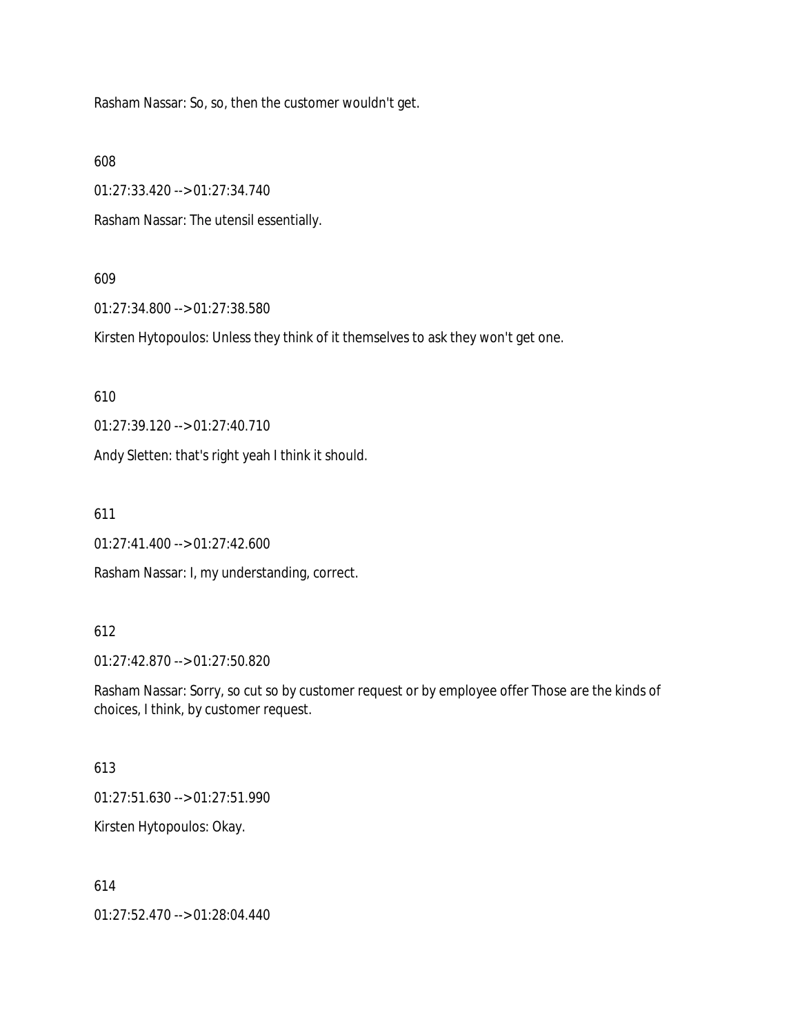Rasham Nassar: So, so, then the customer wouldn't get.

608

01:27:33.420 --> 01:27:34.740

Rasham Nassar: The utensil essentially.

#### 609

01:27:34.800 --> 01:27:38.580

Kirsten Hytopoulos: Unless they think of it themselves to ask they won't get one.

610

01:27:39.120 --> 01:27:40.710

Andy Sletten: that's right yeah I think it should.

611

01:27:41.400 --> 01:27:42.600

Rasham Nassar: I, my understanding, correct.

### 612

01:27:42.870 --> 01:27:50.820

Rasham Nassar: Sorry, so cut so by customer request or by employee offer Those are the kinds of choices, I think, by customer request.

#### 613

01:27:51.630 --> 01:27:51.990

Kirsten Hytopoulos: Okay.

#### 614

01:27:52.470 --> 01:28:04.440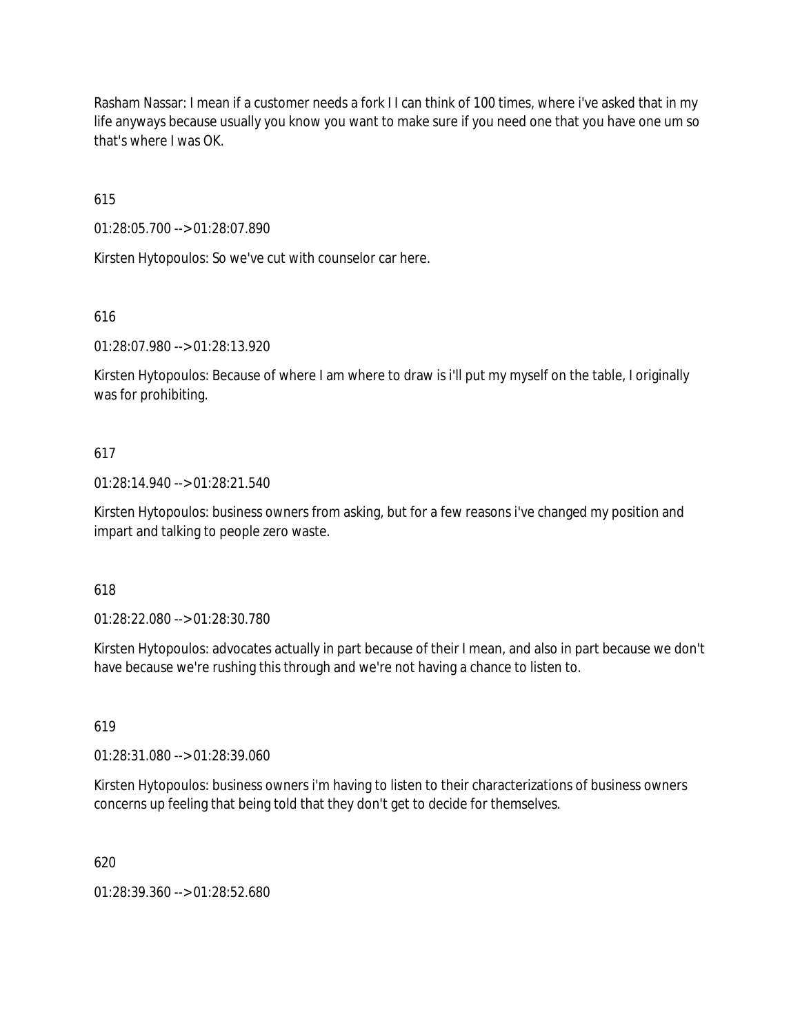Rasham Nassar: I mean if a customer needs a fork I I can think of 100 times, where i've asked that in my life anyways because usually you know you want to make sure if you need one that you have one um so that's where I was OK.

615

01:28:05.700 --> 01:28:07.890

Kirsten Hytopoulos: So we've cut with counselor car here.

616

01:28:07.980 --> 01:28:13.920

Kirsten Hytopoulos: Because of where I am where to draw is i'll put my myself on the table, I originally was for prohibiting.

### 617

01:28:14.940 --> 01:28:21.540

Kirsten Hytopoulos: business owners from asking, but for a few reasons i've changed my position and impart and talking to people zero waste.

### 618

01:28:22.080 --> 01:28:30.780

Kirsten Hytopoulos: advocates actually in part because of their I mean, and also in part because we don't have because we're rushing this through and we're not having a chance to listen to.

619

01:28:31.080 --> 01:28:39.060

Kirsten Hytopoulos: business owners i'm having to listen to their characterizations of business owners concerns up feeling that being told that they don't get to decide for themselves.

620

01:28:39.360 --> 01:28:52.680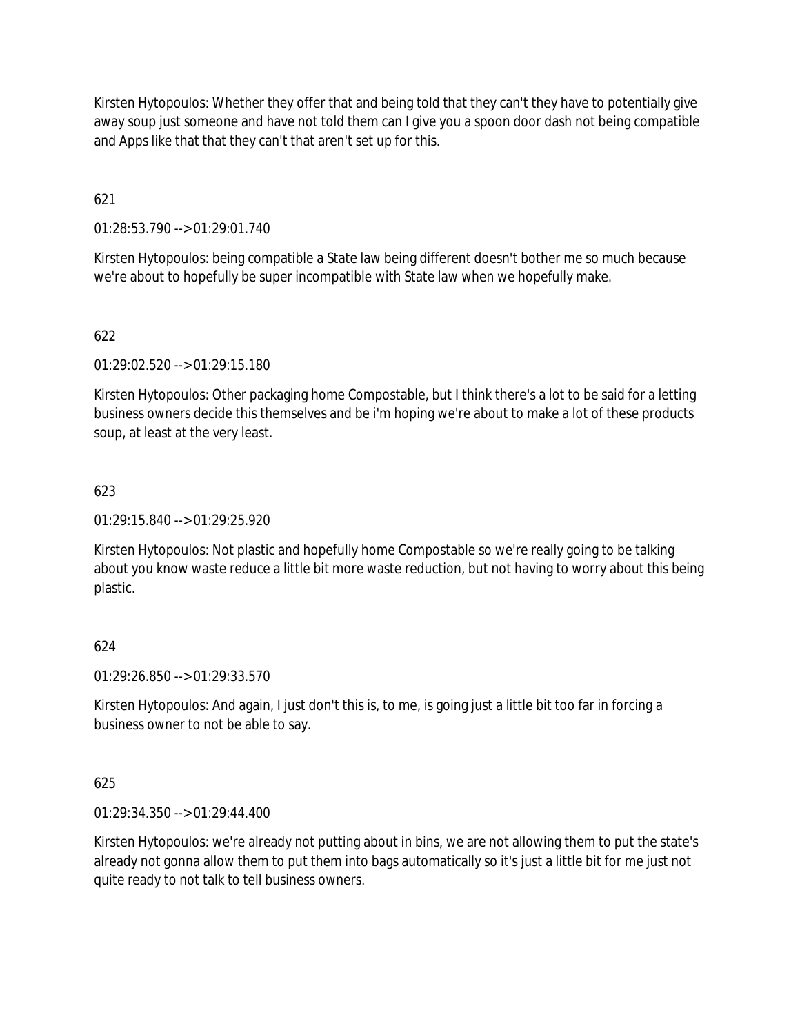Kirsten Hytopoulos: Whether they offer that and being told that they can't they have to potentially give away soup just someone and have not told them can I give you a spoon door dash not being compatible and Apps like that that they can't that aren't set up for this.

621

01:28:53.790 --> 01:29:01.740

Kirsten Hytopoulos: being compatible a State law being different doesn't bother me so much because we're about to hopefully be super incompatible with State law when we hopefully make.

# 622

01:29:02.520 --> 01:29:15.180

Kirsten Hytopoulos: Other packaging home Compostable, but I think there's a lot to be said for a letting business owners decide this themselves and be i'm hoping we're about to make a lot of these products soup, at least at the very least.

# 623

01:29:15.840 --> 01:29:25.920

Kirsten Hytopoulos: Not plastic and hopefully home Compostable so we're really going to be talking about you know waste reduce a little bit more waste reduction, but not having to worry about this being plastic.

# 624

01:29:26.850 --> 01:29:33.570

Kirsten Hytopoulos: And again, I just don't this is, to me, is going just a little bit too far in forcing a business owner to not be able to say.

### 625

01:29:34.350 --> 01:29:44.400

Kirsten Hytopoulos: we're already not putting about in bins, we are not allowing them to put the state's already not gonna allow them to put them into bags automatically so it's just a little bit for me just not quite ready to not talk to tell business owners.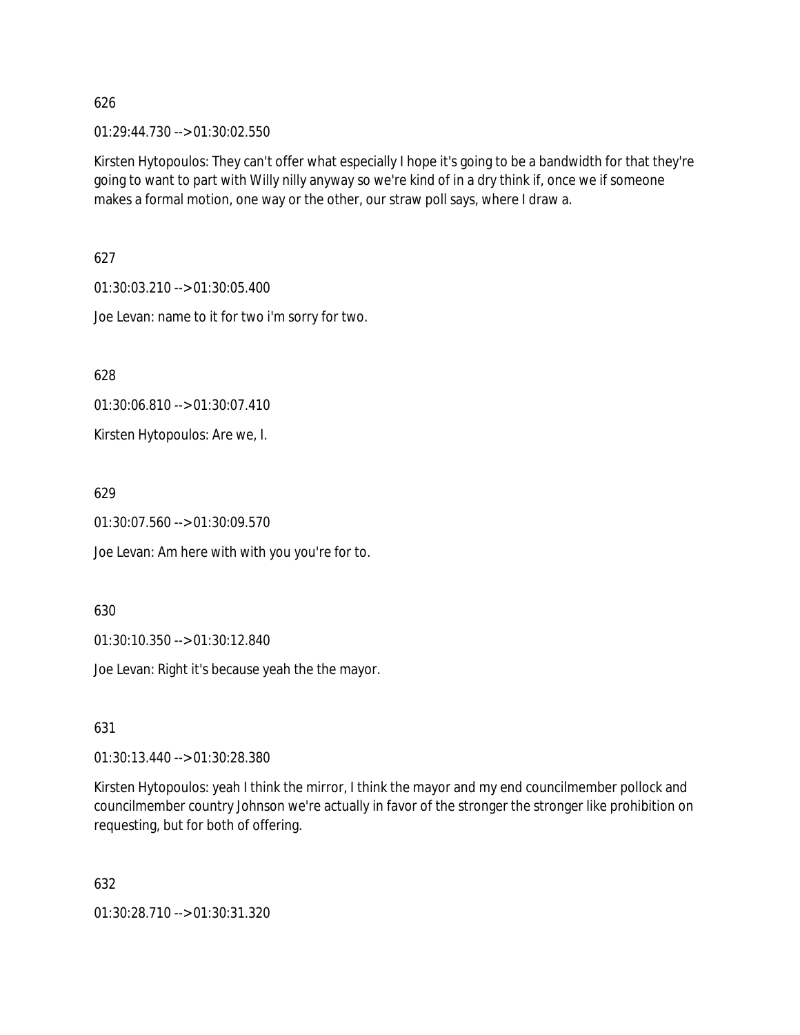01:29:44.730 --> 01:30:02.550

Kirsten Hytopoulos: They can't offer what especially I hope it's going to be a bandwidth for that they're going to want to part with Willy nilly anyway so we're kind of in a dry think if, once we if someone makes a formal motion, one way or the other, our straw poll says, where I draw a.

627

01:30:03.210 --> 01:30:05.400

Joe Levan: name to it for two i'm sorry for two.

628

01:30:06.810 --> 01:30:07.410

Kirsten Hytopoulos: Are we, I.

629

01:30:07.560 --> 01:30:09.570

Joe Levan: Am here with with you you're for to.

630

01:30:10.350 --> 01:30:12.840

Joe Levan: Right it's because yeah the the mayor.

631

01:30:13.440 --> 01:30:28.380

Kirsten Hytopoulos: yeah I think the mirror, I think the mayor and my end councilmember pollock and councilmember country Johnson we're actually in favor of the stronger the stronger like prohibition on requesting, but for both of offering.

632

01:30:28.710 --> 01:30:31.320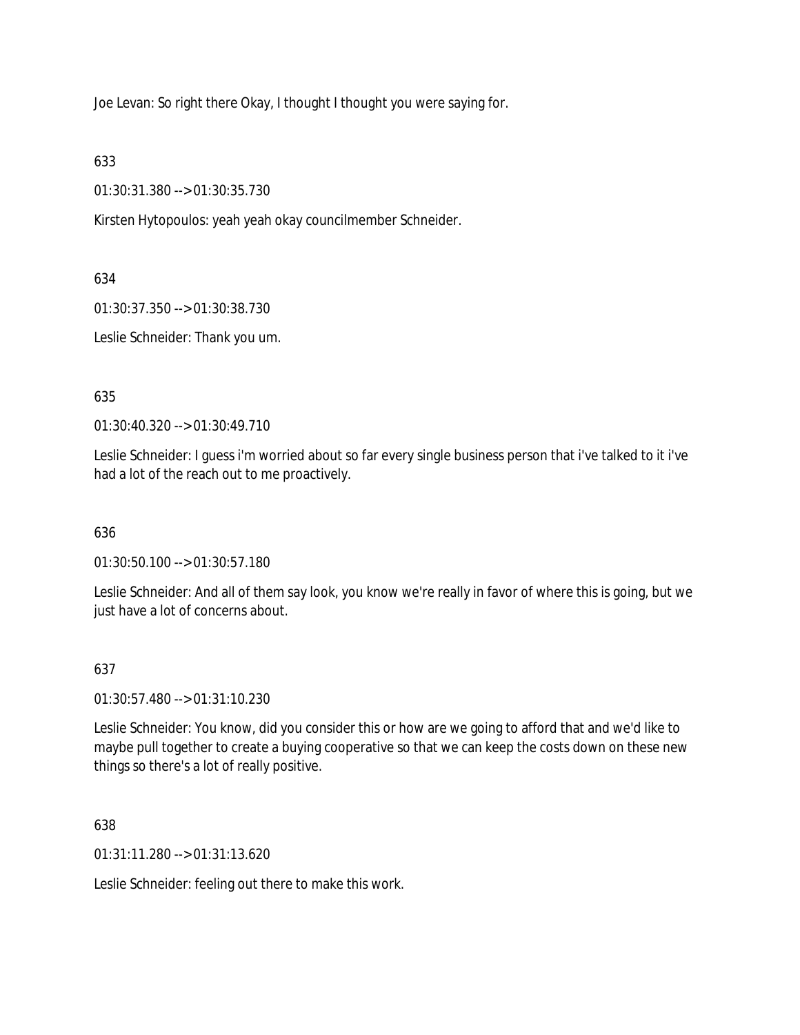Joe Levan: So right there Okay, I thought I thought you were saying for.

633

01:30:31.380 --> 01:30:35.730

Kirsten Hytopoulos: yeah yeah okay councilmember Schneider.

634

01:30:37.350 --> 01:30:38.730

Leslie Schneider: Thank you um.

635

01:30:40.320 --> 01:30:49.710

Leslie Schneider: I guess i'm worried about so far every single business person that i've talked to it i've had a lot of the reach out to me proactively.

636

01:30:50.100 --> 01:30:57.180

Leslie Schneider: And all of them say look, you know we're really in favor of where this is going, but we just have a lot of concerns about.

# 637

01:30:57.480 --> 01:31:10.230

Leslie Schneider: You know, did you consider this or how are we going to afford that and we'd like to maybe pull together to create a buying cooperative so that we can keep the costs down on these new things so there's a lot of really positive.

638

01:31:11.280 --> 01:31:13.620

Leslie Schneider: feeling out there to make this work.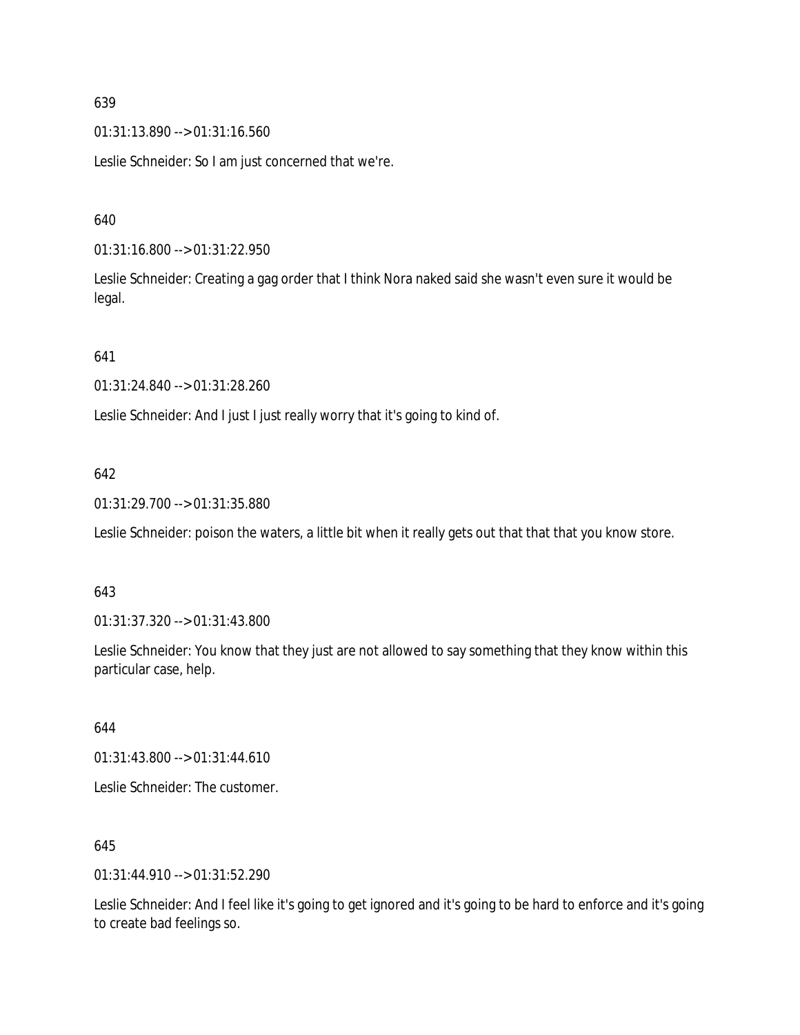01:31:13.890 --> 01:31:16.560

Leslie Schneider: So I am just concerned that we're.

### 640

01:31:16.800 --> 01:31:22.950

Leslie Schneider: Creating a gag order that I think Nora naked said she wasn't even sure it would be legal.

### 641

01:31:24.840 --> 01:31:28.260

Leslie Schneider: And I just I just really worry that it's going to kind of.

# 642

01:31:29.700 --> 01:31:35.880

Leslie Schneider: poison the waters, a little bit when it really gets out that that that you know store.

### 643

01:31:37.320 --> 01:31:43.800

Leslie Schneider: You know that they just are not allowed to say something that they know within this particular case, help.

### 644

01:31:43.800 --> 01:31:44.610

Leslie Schneider: The customer.

### 645

01:31:44.910 --> 01:31:52.290

Leslie Schneider: And I feel like it's going to get ignored and it's going to be hard to enforce and it's going to create bad feelings so.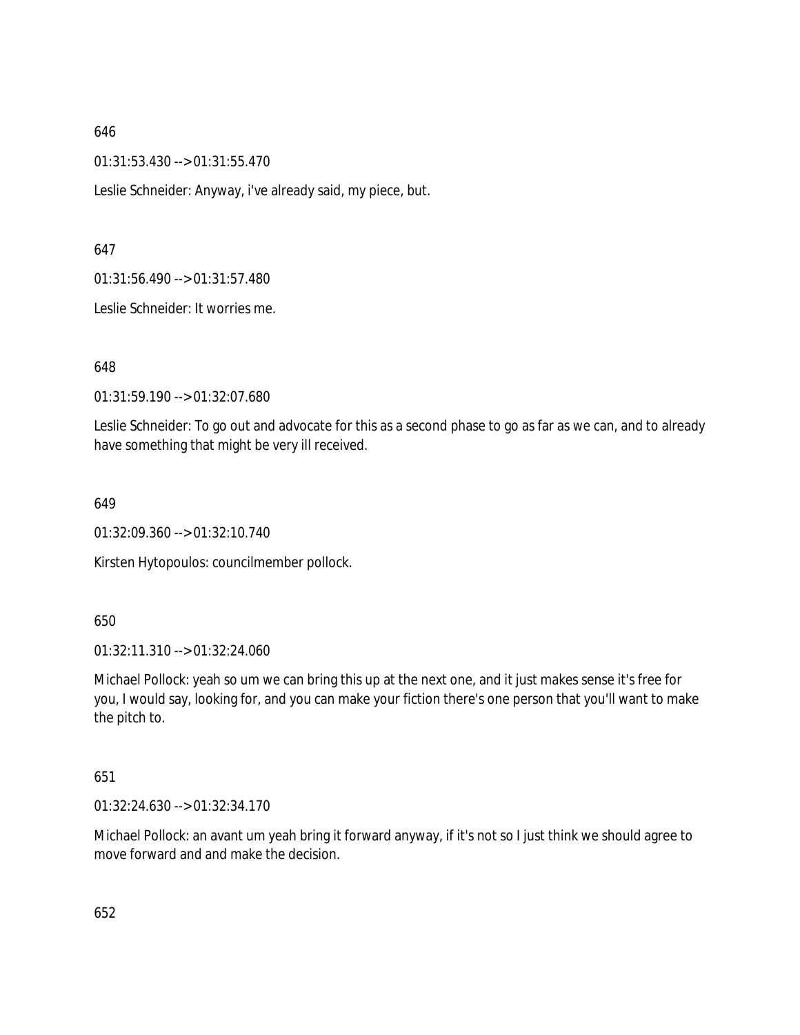01:31:53.430 --> 01:31:55.470

Leslie Schneider: Anyway, i've already said, my piece, but.

#### 647

01:31:56.490 --> 01:31:57.480

Leslie Schneider: It worries me.

#### 648

01:31:59.190 --> 01:32:07.680

Leslie Schneider: To go out and advocate for this as a second phase to go as far as we can, and to already have something that might be very ill received.

#### 649

01:32:09.360 --> 01:32:10.740

Kirsten Hytopoulos: councilmember pollock.

### 650

01:32:11.310 --> 01:32:24.060

Michael Pollock: yeah so um we can bring this up at the next one, and it just makes sense it's free for you, I would say, looking for, and you can make your fiction there's one person that you'll want to make the pitch to.

### 651

01:32:24.630 --> 01:32:34.170

Michael Pollock: an avant um yeah bring it forward anyway, if it's not so I just think we should agree to move forward and and make the decision.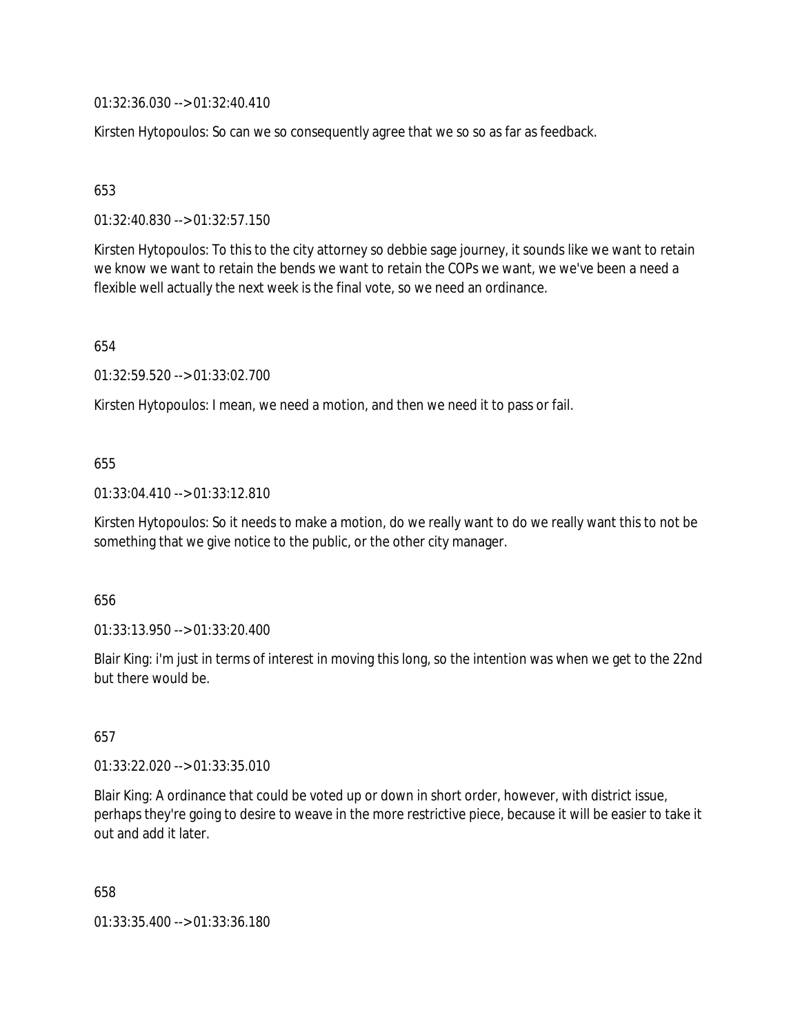01:32:36.030 --> 01:32:40.410

Kirsten Hytopoulos: So can we so consequently agree that we so so as far as feedback.

### 653

01:32:40.830 --> 01:32:57.150

Kirsten Hytopoulos: To this to the city attorney so debbie sage journey, it sounds like we want to retain we know we want to retain the bends we want to retain the COPs we want, we we've been a need a flexible well actually the next week is the final vote, so we need an ordinance.

654

01:32:59.520 --> 01:33:02.700

Kirsten Hytopoulos: I mean, we need a motion, and then we need it to pass or fail.

### 655

01:33:04.410 --> 01:33:12.810

Kirsten Hytopoulos: So it needs to make a motion, do we really want to do we really want this to not be something that we give notice to the public, or the other city manager.

### 656

01:33:13.950 --> 01:33:20.400

Blair King: i'm just in terms of interest in moving this long, so the intention was when we get to the 22nd but there would be.

# 657

01:33:22.020 --> 01:33:35.010

Blair King: A ordinance that could be voted up or down in short order, however, with district issue, perhaps they're going to desire to weave in the more restrictive piece, because it will be easier to take it out and add it later.

658

01:33:35.400 --> 01:33:36.180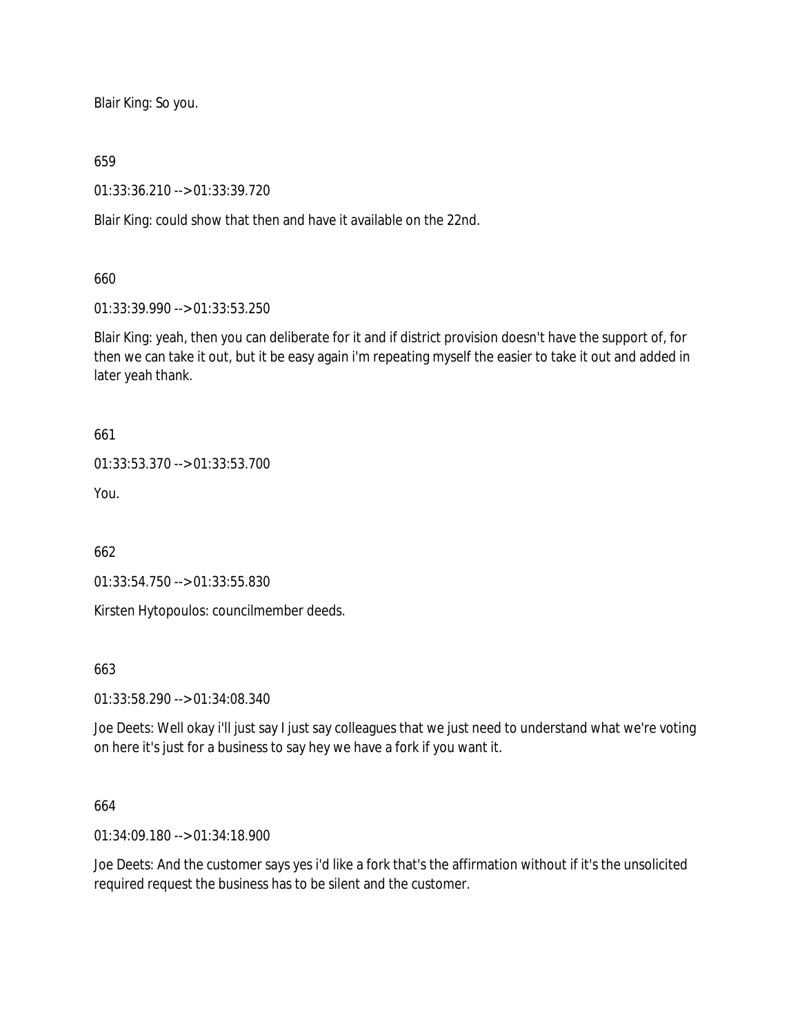Blair King: So you.

#### 659

01:33:36.210 --> 01:33:39.720

Blair King: could show that then and have it available on the 22nd.

#### 660

01:33:39.990 --> 01:33:53.250

Blair King: yeah, then you can deliberate for it and if district provision doesn't have the support of, for then we can take it out, but it be easy again i'm repeating myself the easier to take it out and added in later yeah thank.

661

01:33:53.370 --> 01:33:53.700

You.

662

01:33:54.750 --> 01:33:55.830

Kirsten Hytopoulos: councilmember deeds.

663

01:33:58.290 --> 01:34:08.340

Joe Deets: Well okay i'll just say I just say colleagues that we just need to understand what we're voting on here it's just for a business to say hey we have a fork if you want it.

### 664

01:34:09.180 --> 01:34:18.900

Joe Deets: And the customer says yes i'd like a fork that's the affirmation without if it's the unsolicited required request the business has to be silent and the customer.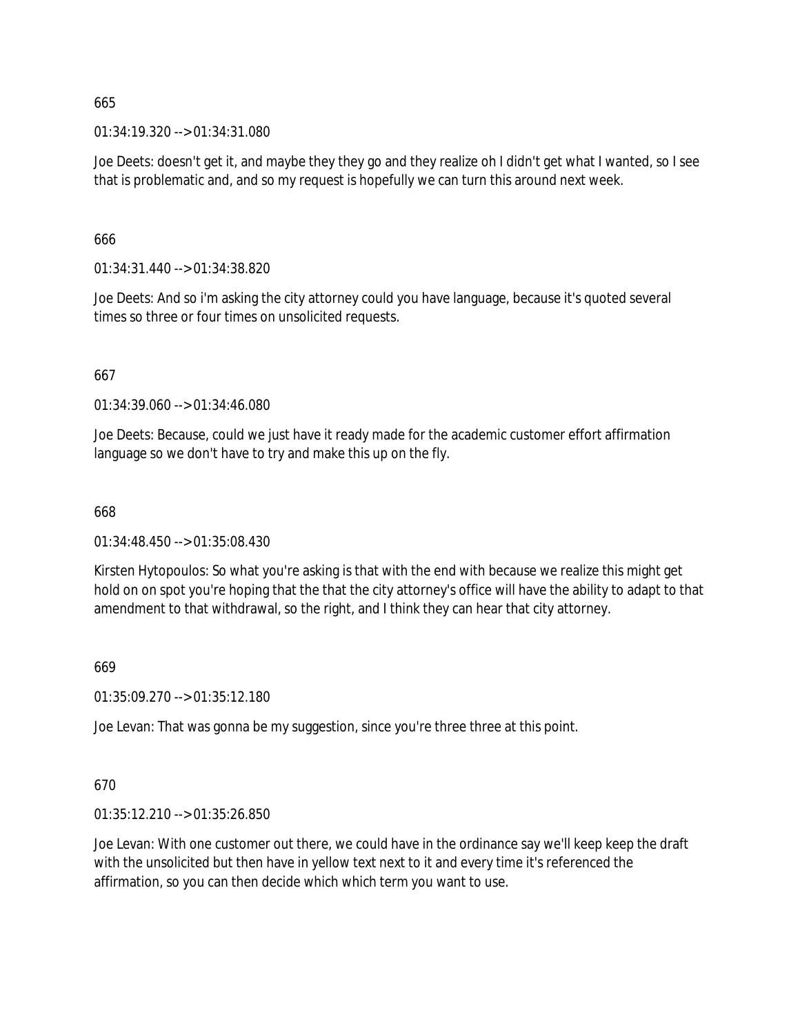01:34:19.320 --> 01:34:31.080

Joe Deets: doesn't get it, and maybe they they go and they realize oh I didn't get what I wanted, so I see that is problematic and, and so my request is hopefully we can turn this around next week.

666

01:34:31.440 --> 01:34:38.820

Joe Deets: And so i'm asking the city attorney could you have language, because it's quoted several times so three or four times on unsolicited requests.

667

01:34:39.060 --> 01:34:46.080

Joe Deets: Because, could we just have it ready made for the academic customer effort affirmation language so we don't have to try and make this up on the fly.

668

01:34:48.450 --> 01:35:08.430

Kirsten Hytopoulos: So what you're asking is that with the end with because we realize this might get hold on on spot you're hoping that the that the city attorney's office will have the ability to adapt to that amendment to that withdrawal, so the right, and I think they can hear that city attorney.

669

01:35:09.270 --> 01:35:12.180

Joe Levan: That was gonna be my suggestion, since you're three three at this point.

670

01:35:12.210 --> 01:35:26.850

Joe Levan: With one customer out there, we could have in the ordinance say we'll keep keep the draft with the unsolicited but then have in yellow text next to it and every time it's referenced the affirmation, so you can then decide which which term you want to use.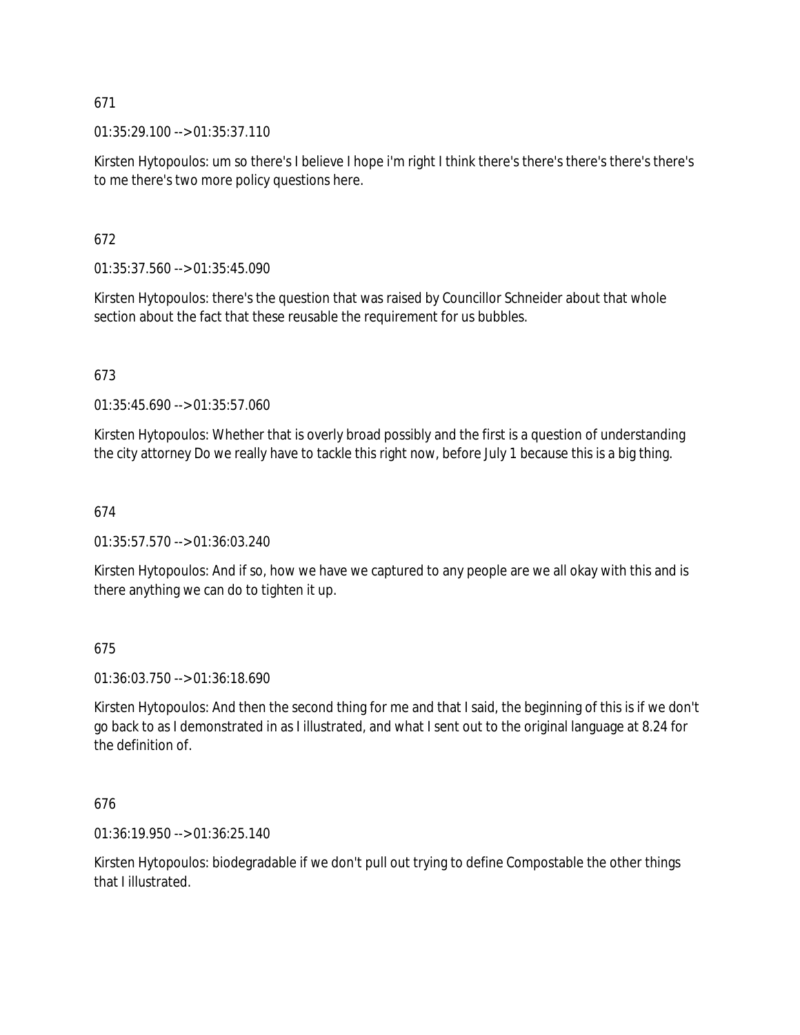01:35:29.100 --> 01:35:37.110

Kirsten Hytopoulos: um so there's I believe I hope i'm right I think there's there's there's there's there's to me there's two more policy questions here.

# 672

01:35:37.560 --> 01:35:45.090

Kirsten Hytopoulos: there's the question that was raised by Councillor Schneider about that whole section about the fact that these reusable the requirement for us bubbles.

# 673

01:35:45.690 --> 01:35:57.060

Kirsten Hytopoulos: Whether that is overly broad possibly and the first is a question of understanding the city attorney Do we really have to tackle this right now, before July 1 because this is a big thing.

# 674

01:35:57.570 --> 01:36:03.240

Kirsten Hytopoulos: And if so, how we have we captured to any people are we all okay with this and is there anything we can do to tighten it up.

# 675

01:36:03.750 --> 01:36:18.690

Kirsten Hytopoulos: And then the second thing for me and that I said, the beginning of this is if we don't go back to as I demonstrated in as I illustrated, and what I sent out to the original language at 8.24 for the definition of.

# 676

01:36:19.950 --> 01:36:25.140

Kirsten Hytopoulos: biodegradable if we don't pull out trying to define Compostable the other things that I illustrated.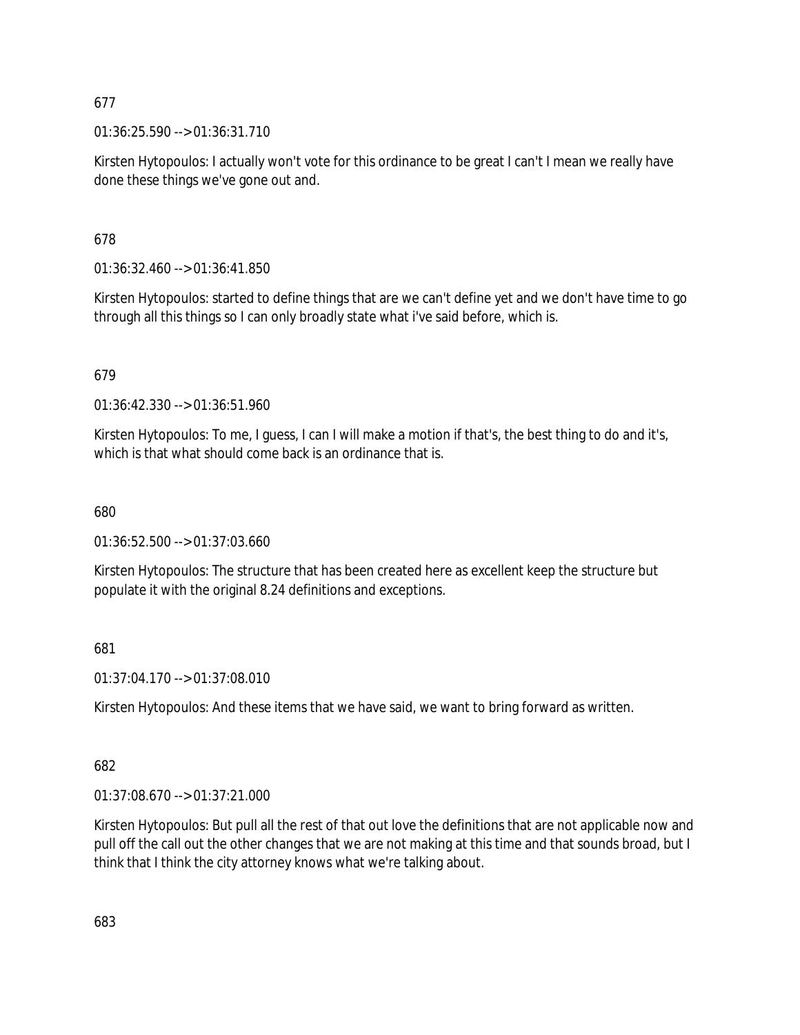01:36:25.590 --> 01:36:31.710

Kirsten Hytopoulos: I actually won't vote for this ordinance to be great I can't I mean we really have done these things we've gone out and.

678

01:36:32.460 --> 01:36:41.850

Kirsten Hytopoulos: started to define things that are we can't define yet and we don't have time to go through all this things so I can only broadly state what i've said before, which is.

# 679

01:36:42.330 --> 01:36:51.960

Kirsten Hytopoulos: To me, I guess, I can I will make a motion if that's, the best thing to do and it's, which is that what should come back is an ordinance that is.

## 680

01:36:52.500 --> 01:37:03.660

Kirsten Hytopoulos: The structure that has been created here as excellent keep the structure but populate it with the original 8.24 definitions and exceptions.

681

01:37:04.170 --> 01:37:08.010

Kirsten Hytopoulos: And these items that we have said, we want to bring forward as written.

## 682

01:37:08.670 --> 01:37:21.000

Kirsten Hytopoulos: But pull all the rest of that out love the definitions that are not applicable now and pull off the call out the other changes that we are not making at this time and that sounds broad, but I think that I think the city attorney knows what we're talking about.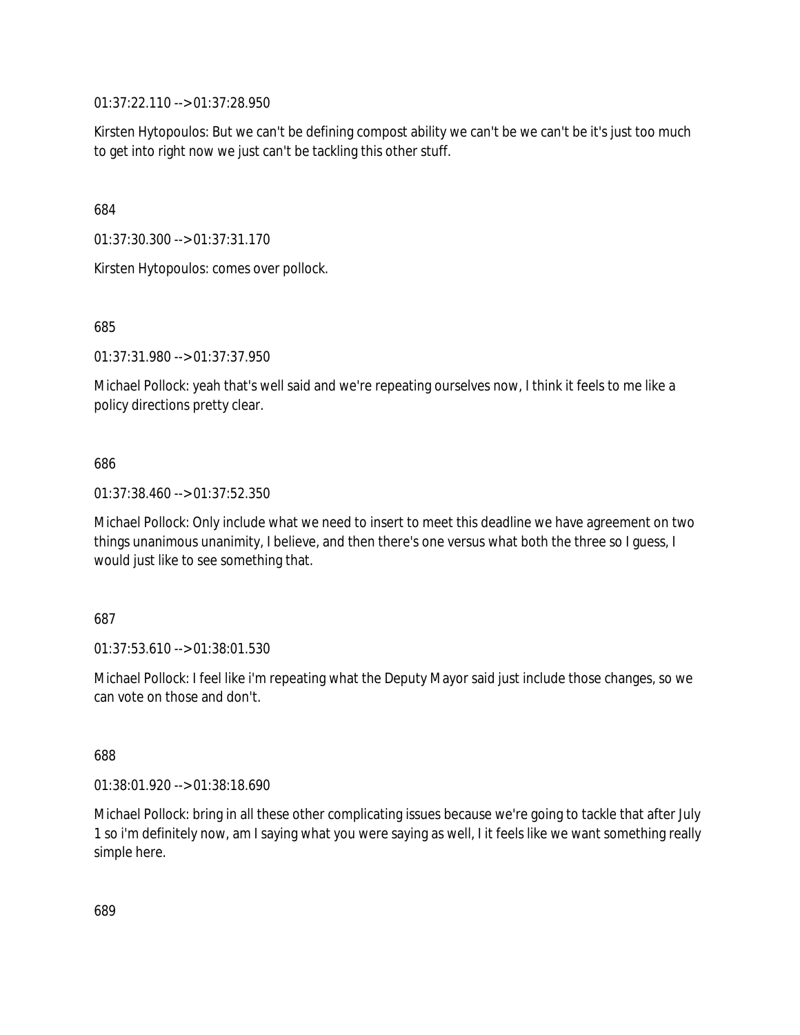01:37:22.110 --> 01:37:28.950

Kirsten Hytopoulos: But we can't be defining compost ability we can't be we can't be it's just too much to get into right now we just can't be tackling this other stuff.

684

01:37:30.300 --> 01:37:31.170

Kirsten Hytopoulos: comes over pollock.

685

01:37:31.980 --> 01:37:37.950

Michael Pollock: yeah that's well said and we're repeating ourselves now, I think it feels to me like a policy directions pretty clear.

686

01:37:38.460 --> 01:37:52.350

Michael Pollock: Only include what we need to insert to meet this deadline we have agreement on two things unanimous unanimity, I believe, and then there's one versus what both the three so I guess, I would just like to see something that.

687

01:37:53.610 --> 01:38:01.530

Michael Pollock: I feel like i'm repeating what the Deputy Mayor said just include those changes, so we can vote on those and don't.

688

01:38:01.920 --> 01:38:18.690

Michael Pollock: bring in all these other complicating issues because we're going to tackle that after July 1 so i'm definitely now, am I saying what you were saying as well, I it feels like we want something really simple here.

689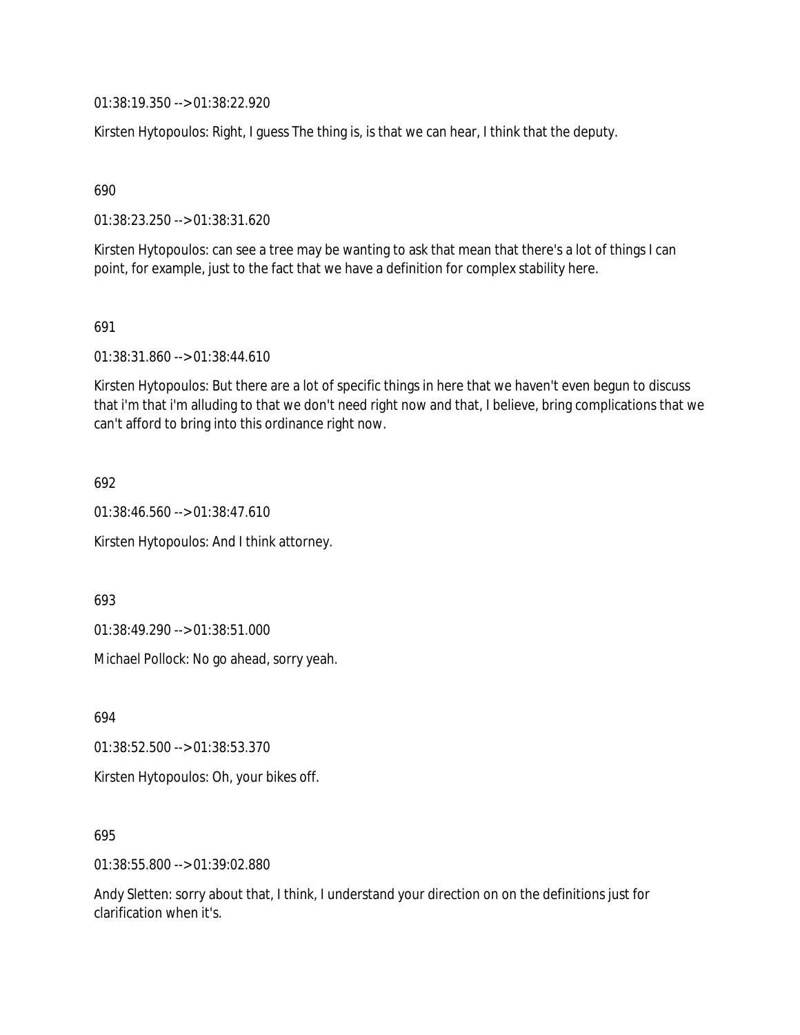01:38:19.350 --> 01:38:22.920

Kirsten Hytopoulos: Right, I guess The thing is, is that we can hear, I think that the deputy.

690

01:38:23.250 --> 01:38:31.620

Kirsten Hytopoulos: can see a tree may be wanting to ask that mean that there's a lot of things I can point, for example, just to the fact that we have a definition for complex stability here.

691

01:38:31.860 --> 01:38:44.610

Kirsten Hytopoulos: But there are a lot of specific things in here that we haven't even begun to discuss that i'm that i'm alluding to that we don't need right now and that, I believe, bring complications that we can't afford to bring into this ordinance right now.

692

01:38:46.560 --> 01:38:47.610

Kirsten Hytopoulos: And I think attorney.

693

01:38:49.290 --> 01:38:51.000

Michael Pollock: No go ahead, sorry yeah.

694

01:38:52.500 --> 01:38:53.370

Kirsten Hytopoulos: Oh, your bikes off.

695

01:38:55.800 --> 01:39:02.880

Andy Sletten: sorry about that, I think, I understand your direction on on the definitions just for clarification when it's.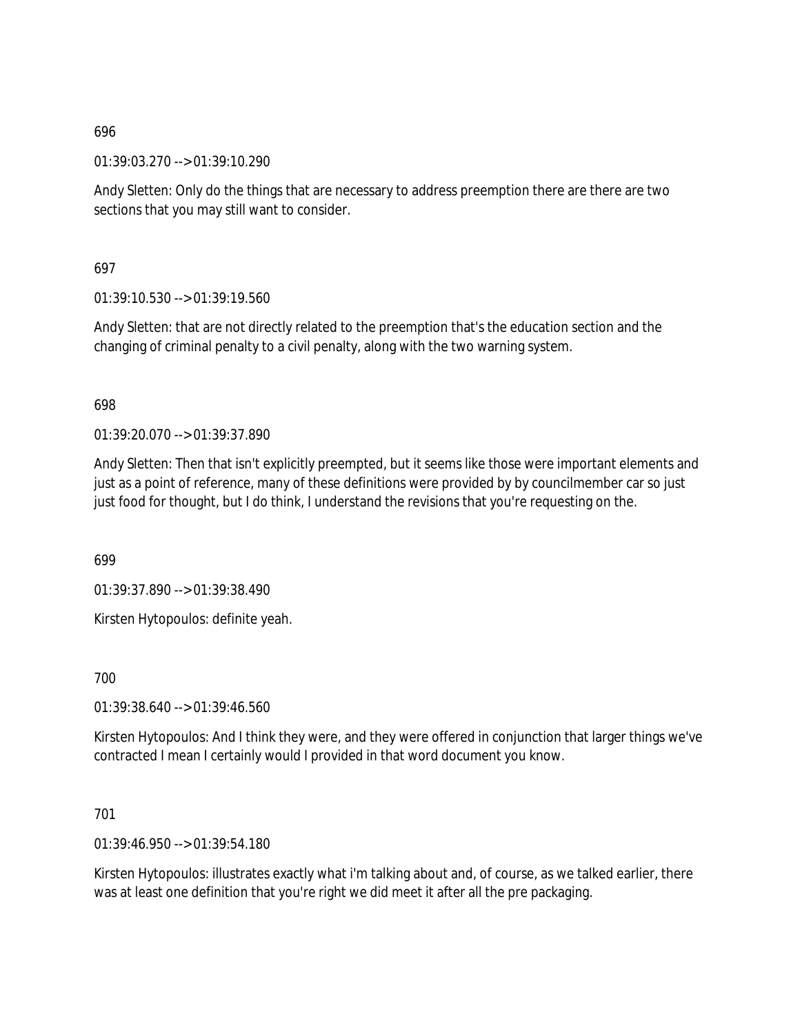01:39:03.270 --> 01:39:10.290

Andy Sletten: Only do the things that are necessary to address preemption there are there are two sections that you may still want to consider.

697

01:39:10.530 --> 01:39:19.560

Andy Sletten: that are not directly related to the preemption that's the education section and the changing of criminal penalty to a civil penalty, along with the two warning system.

698

01:39:20.070 --> 01:39:37.890

Andy Sletten: Then that isn't explicitly preempted, but it seems like those were important elements and just as a point of reference, many of these definitions were provided by by councilmember car so just just food for thought, but I do think, I understand the revisions that you're requesting on the.

699

01:39:37.890 --> 01:39:38.490

Kirsten Hytopoulos: definite yeah.

700

01:39:38.640 --> 01:39:46.560

Kirsten Hytopoulos: And I think they were, and they were offered in conjunction that larger things we've contracted I mean I certainly would I provided in that word document you know.

701

01:39:46.950 --> 01:39:54.180

Kirsten Hytopoulos: illustrates exactly what i'm talking about and, of course, as we talked earlier, there was at least one definition that you're right we did meet it after all the pre packaging.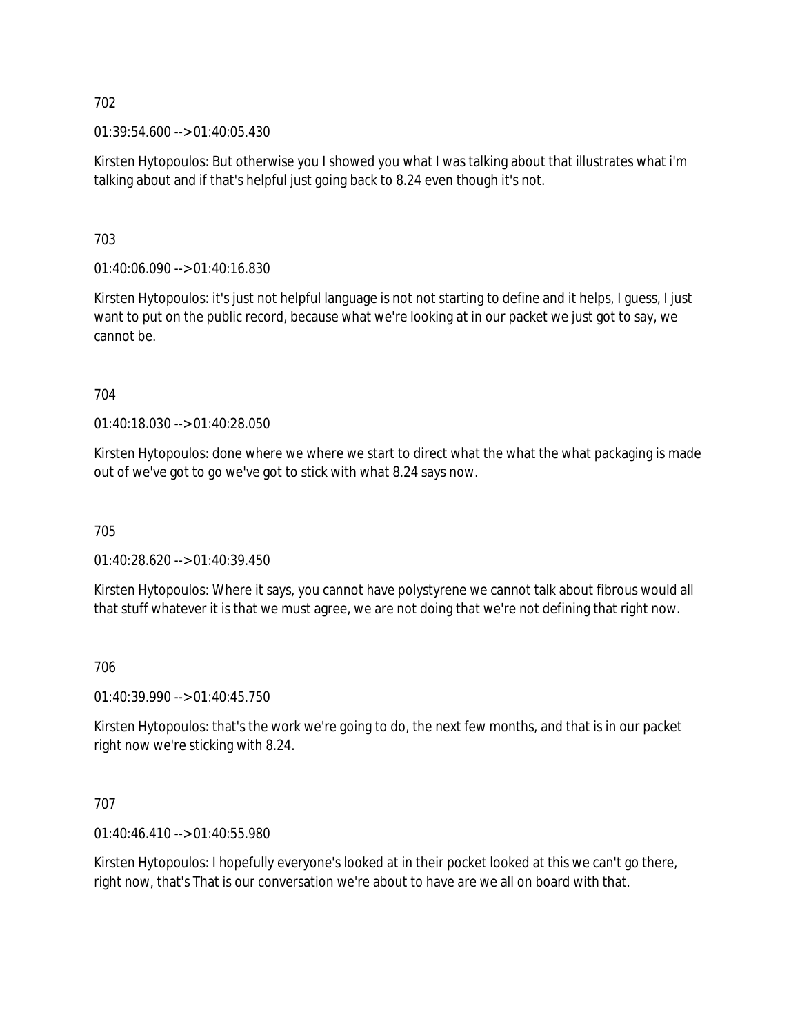01:39:54.600 --> 01:40:05.430

Kirsten Hytopoulos: But otherwise you I showed you what I was talking about that illustrates what i'm talking about and if that's helpful just going back to 8.24 even though it's not.

703

01:40:06.090 --> 01:40:16.830

Kirsten Hytopoulos: it's just not helpful language is not not starting to define and it helps, I guess, I just want to put on the public record, because what we're looking at in our packet we just got to say, we cannot be.

704

01:40:18.030 --> 01:40:28.050

Kirsten Hytopoulos: done where we where we start to direct what the what the what packaging is made out of we've got to go we've got to stick with what 8.24 says now.

705

01:40:28.620 --> 01:40:39.450

Kirsten Hytopoulos: Where it says, you cannot have polystyrene we cannot talk about fibrous would all that stuff whatever it is that we must agree, we are not doing that we're not defining that right now.

706

01:40:39.990 --> 01:40:45.750

Kirsten Hytopoulos: that's the work we're going to do, the next few months, and that is in our packet right now we're sticking with 8.24.

707

01:40:46.410 --> 01:40:55.980

Kirsten Hytopoulos: I hopefully everyone's looked at in their pocket looked at this we can't go there, right now, that's That is our conversation we're about to have are we all on board with that.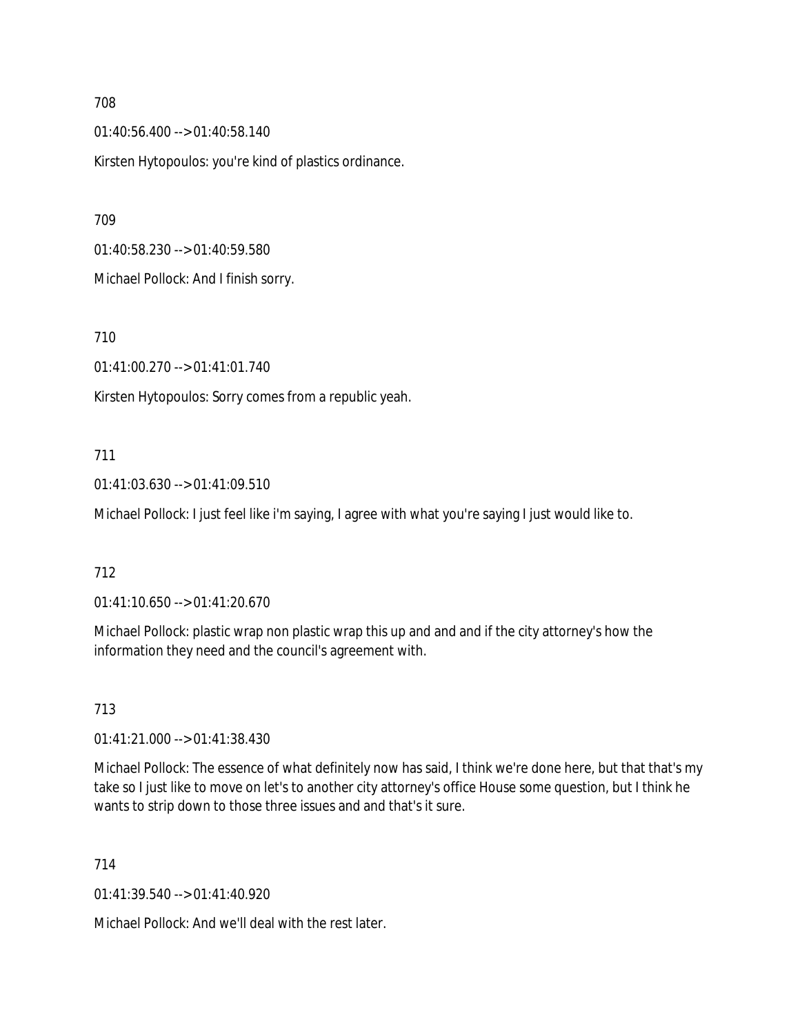01:40:56.400 --> 01:40:58.140

Kirsten Hytopoulos: you're kind of plastics ordinance.

709

01:40:58.230 --> 01:40:59.580

Michael Pollock: And I finish sorry.

710

01:41:00.270 --> 01:41:01.740

Kirsten Hytopoulos: Sorry comes from a republic yeah.

### 711

01:41:03.630 --> 01:41:09.510

Michael Pollock: I just feel like i'm saying, I agree with what you're saying I just would like to.

## 712

01:41:10.650 --> 01:41:20.670

Michael Pollock: plastic wrap non plastic wrap this up and and and if the city attorney's how the information they need and the council's agreement with.

### 713

01:41:21.000 --> 01:41:38.430

Michael Pollock: The essence of what definitely now has said, I think we're done here, but that that's my take so I just like to move on let's to another city attorney's office House some question, but I think he wants to strip down to those three issues and and that's it sure.

714

01:41:39.540 --> 01:41:40.920

Michael Pollock: And we'll deal with the rest later.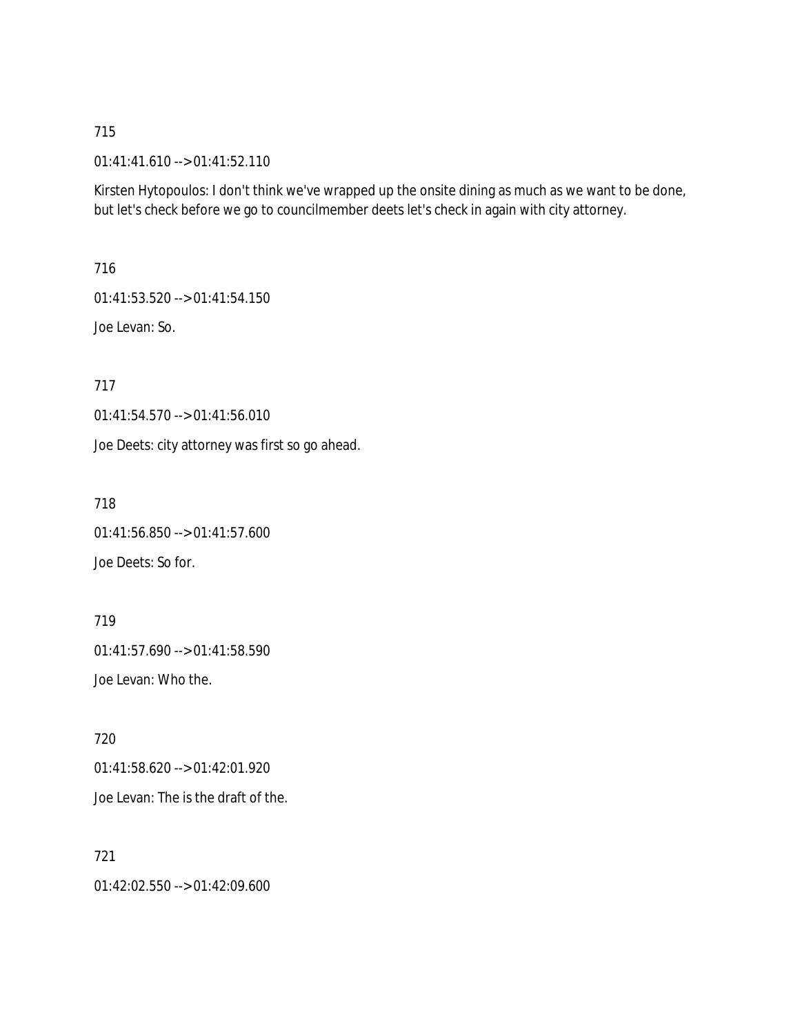### 01:41:41.610 --> 01:41:52.110

Kirsten Hytopoulos: I don't think we've wrapped up the onsite dining as much as we want to be done, but let's check before we go to councilmember deets let's check in again with city attorney.

716

01:41:53.520 --> 01:41:54.150

Joe Levan: So.

717

01:41:54.570 --> 01:41:56.010

Joe Deets: city attorney was first so go ahead.

718

01:41:56.850 --> 01:41:57.600 Joe Deets: So for.

719 01:41:57.690 --> 01:41:58.590 Joe Levan: Who the.

720 01:41:58.620 --> 01:42:01.920 Joe Levan: The is the draft of the.

721 01:42:02.550 --> 01:42:09.600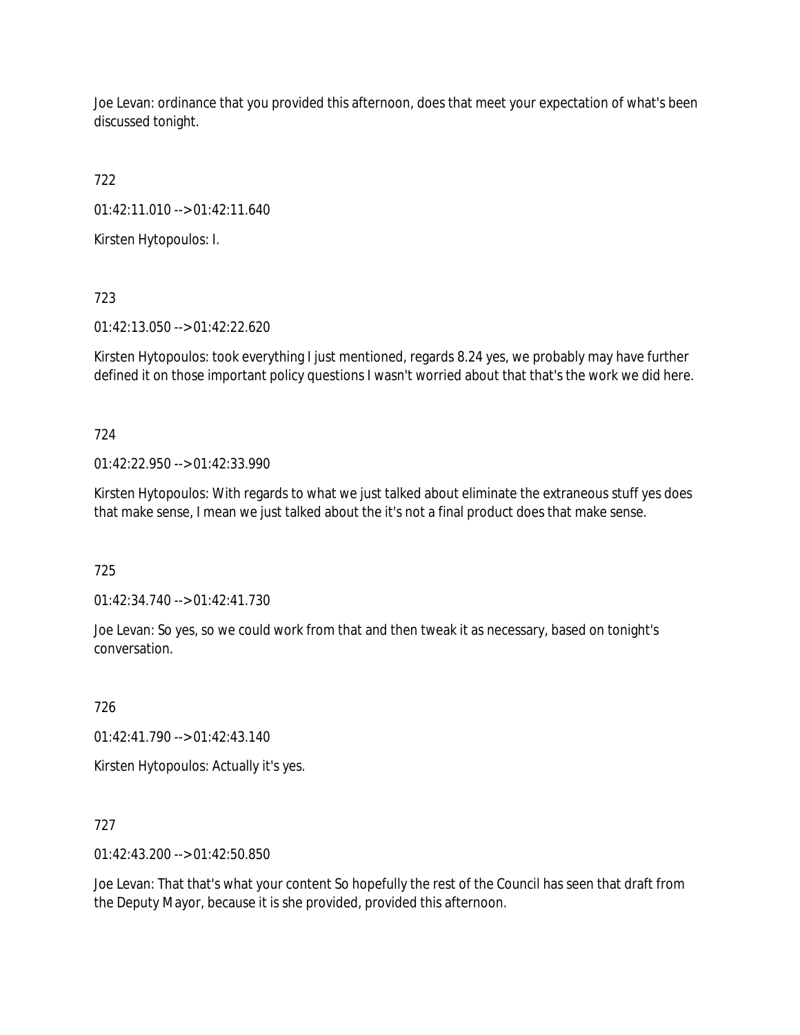Joe Levan: ordinance that you provided this afternoon, does that meet your expectation of what's been discussed tonight.

722

01:42:11.010 --> 01:42:11.640

Kirsten Hytopoulos: I.

723

01:42:13.050 --> 01:42:22.620

Kirsten Hytopoulos: took everything I just mentioned, regards 8.24 yes, we probably may have further defined it on those important policy questions I wasn't worried about that that's the work we did here.

724

01:42:22.950 --> 01:42:33.990

Kirsten Hytopoulos: With regards to what we just talked about eliminate the extraneous stuff yes does that make sense, I mean we just talked about the it's not a final product does that make sense.

725

01:42:34.740 --> 01:42:41.730

Joe Levan: So yes, so we could work from that and then tweak it as necessary, based on tonight's conversation.

726

01:42:41.790 --> 01:42:43.140

Kirsten Hytopoulos: Actually it's yes.

727

01:42:43.200 --> 01:42:50.850

Joe Levan: That that's what your content So hopefully the rest of the Council has seen that draft from the Deputy Mayor, because it is she provided, provided this afternoon.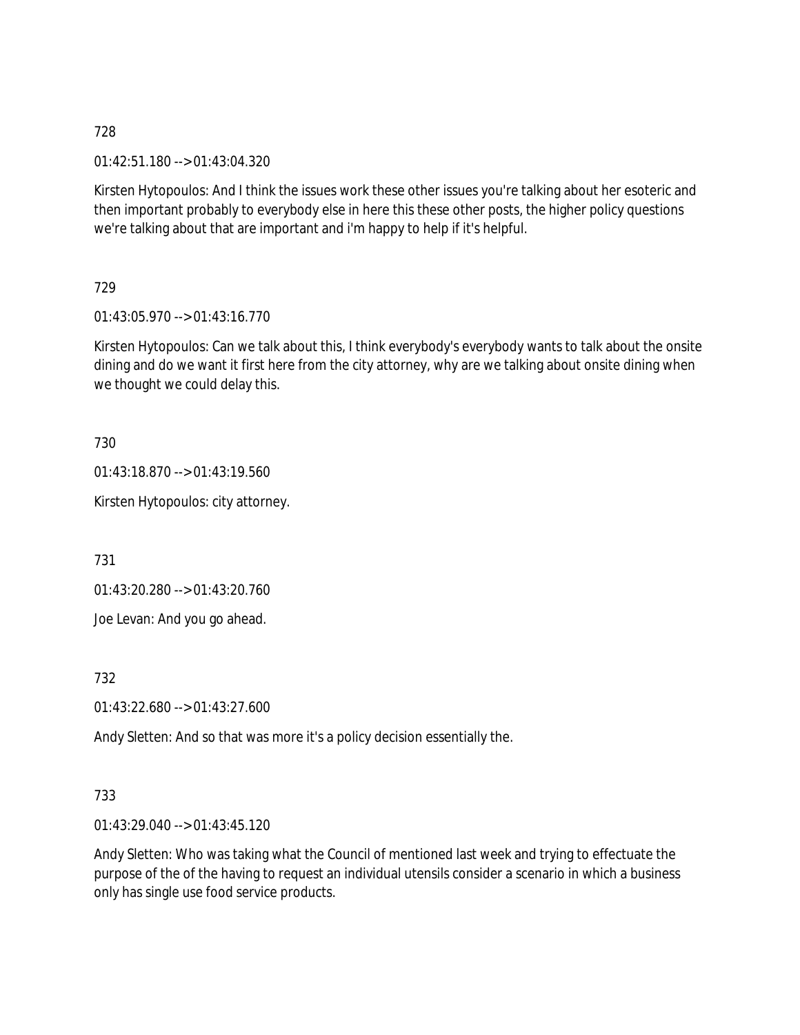01:42:51.180 --> 01:43:04.320

Kirsten Hytopoulos: And I think the issues work these other issues you're talking about her esoteric and then important probably to everybody else in here this these other posts, the higher policy questions we're talking about that are important and i'm happy to help if it's helpful.

729

01:43:05.970 --> 01:43:16.770

Kirsten Hytopoulos: Can we talk about this, I think everybody's everybody wants to talk about the onsite dining and do we want it first here from the city attorney, why are we talking about onsite dining when we thought we could delay this.

730

01:43:18.870 --> 01:43:19.560

Kirsten Hytopoulos: city attorney.

731

01:43:20.280 --> 01:43:20.760

Joe Levan: And you go ahead.

732

01:43:22.680 --> 01:43:27.600

Andy Sletten: And so that was more it's a policy decision essentially the.

### 733

01:43:29.040 --> 01:43:45.120

Andy Sletten: Who was taking what the Council of mentioned last week and trying to effectuate the purpose of the of the having to request an individual utensils consider a scenario in which a business only has single use food service products.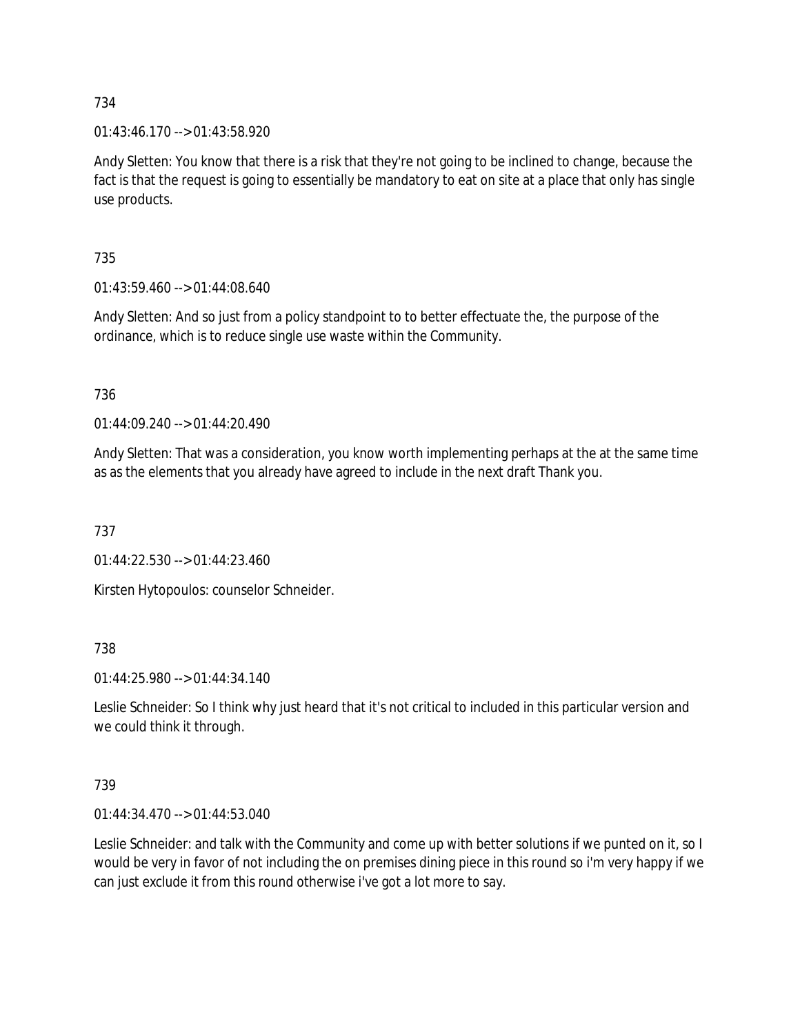01:43:46.170 --> 01:43:58.920

Andy Sletten: You know that there is a risk that they're not going to be inclined to change, because the fact is that the request is going to essentially be mandatory to eat on site at a place that only has single use products.

735

01:43:59.460 --> 01:44:08.640

Andy Sletten: And so just from a policy standpoint to to better effectuate the, the purpose of the ordinance, which is to reduce single use waste within the Community.

736

01:44:09.240 --> 01:44:20.490

Andy Sletten: That was a consideration, you know worth implementing perhaps at the at the same time as as the elements that you already have agreed to include in the next draft Thank you.

737

01:44:22.530 --> 01:44:23.460

Kirsten Hytopoulos: counselor Schneider.

738

01:44:25.980 --> 01:44:34.140

Leslie Schneider: So I think why just heard that it's not critical to included in this particular version and we could think it through.

739

01:44:34.470 --> 01:44:53.040

Leslie Schneider: and talk with the Community and come up with better solutions if we punted on it, so I would be very in favor of not including the on premises dining piece in this round so i'm very happy if we can just exclude it from this round otherwise i've got a lot more to say.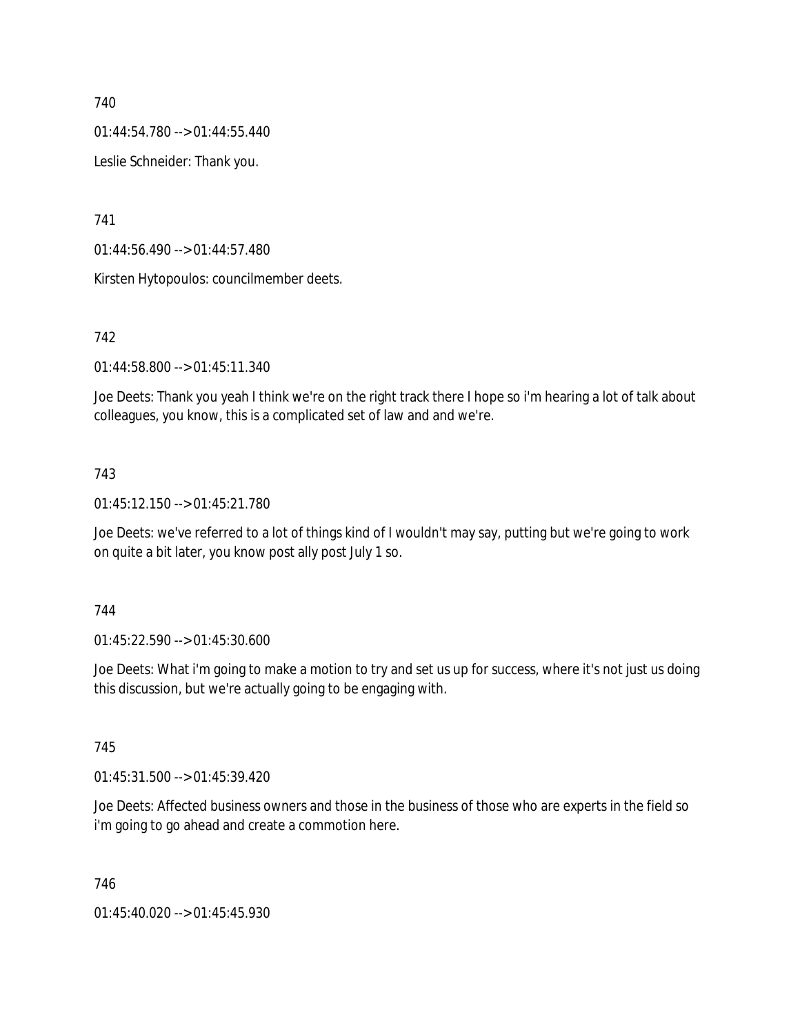01:44:54.780 --> 01:44:55.440

Leslie Schneider: Thank you.

741

01:44:56.490 --> 01:44:57.480

Kirsten Hytopoulos: councilmember deets.

### 742

01:44:58.800 --> 01:45:11.340

Joe Deets: Thank you yeah I think we're on the right track there I hope so i'm hearing a lot of talk about colleagues, you know, this is a complicated set of law and and we're.

### 743

01:45:12.150 --> 01:45:21.780

Joe Deets: we've referred to a lot of things kind of I wouldn't may say, putting but we're going to work on quite a bit later, you know post ally post July 1 so.

### 744

01:45:22.590 --> 01:45:30.600

Joe Deets: What i'm going to make a motion to try and set us up for success, where it's not just us doing this discussion, but we're actually going to be engaging with.

### 745

01:45:31.500 --> 01:45:39.420

Joe Deets: Affected business owners and those in the business of those who are experts in the field so i'm going to go ahead and create a commotion here.

746

01:45:40.020 --> 01:45:45.930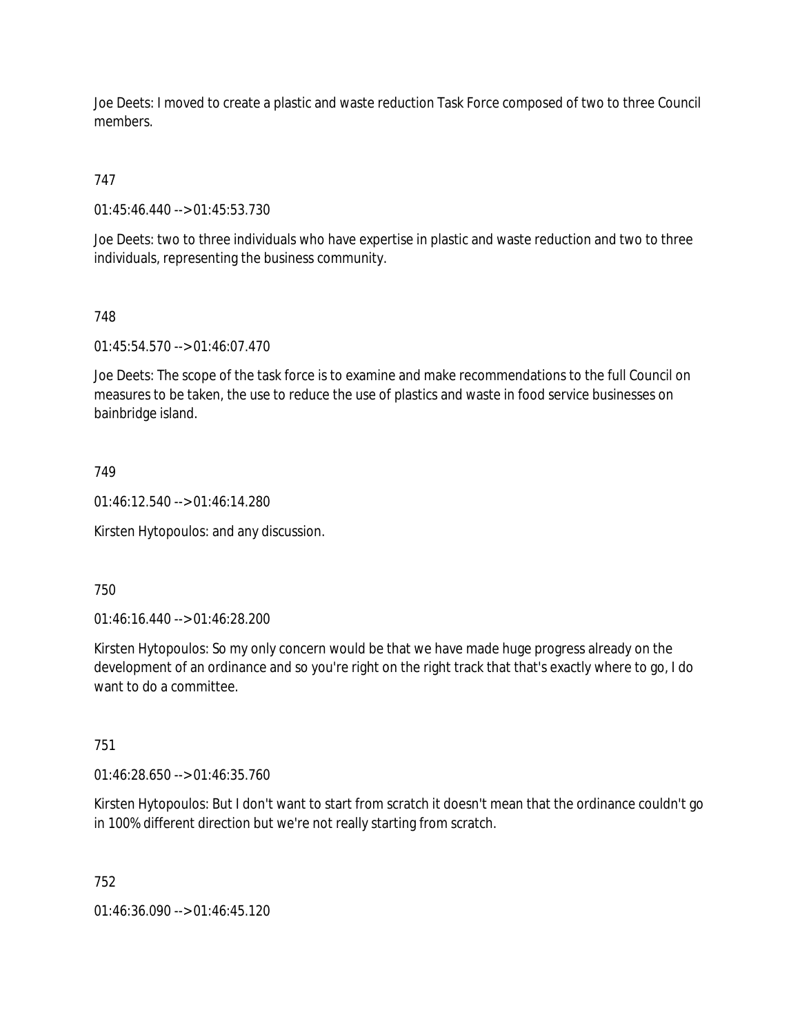Joe Deets: I moved to create a plastic and waste reduction Task Force composed of two to three Council members.

# 747

01:45:46.440 --> 01:45:53.730

Joe Deets: two to three individuals who have expertise in plastic and waste reduction and two to three individuals, representing the business community.

## 748

01:45:54.570 --> 01:46:07.470

Joe Deets: The scope of the task force is to examine and make recommendations to the full Council on measures to be taken, the use to reduce the use of plastics and waste in food service businesses on bainbridge island.

### 749

01:46:12.540 --> 01:46:14.280

Kirsten Hytopoulos: and any discussion.

### 750

01:46:16.440 --> 01:46:28.200

Kirsten Hytopoulos: So my only concern would be that we have made huge progress already on the development of an ordinance and so you're right on the right track that that's exactly where to go, I do want to do a committee.

### 751

01:46:28.650 --> 01:46:35.760

Kirsten Hytopoulos: But I don't want to start from scratch it doesn't mean that the ordinance couldn't go in 100% different direction but we're not really starting from scratch.

### 752

01:46:36.090 --> 01:46:45.120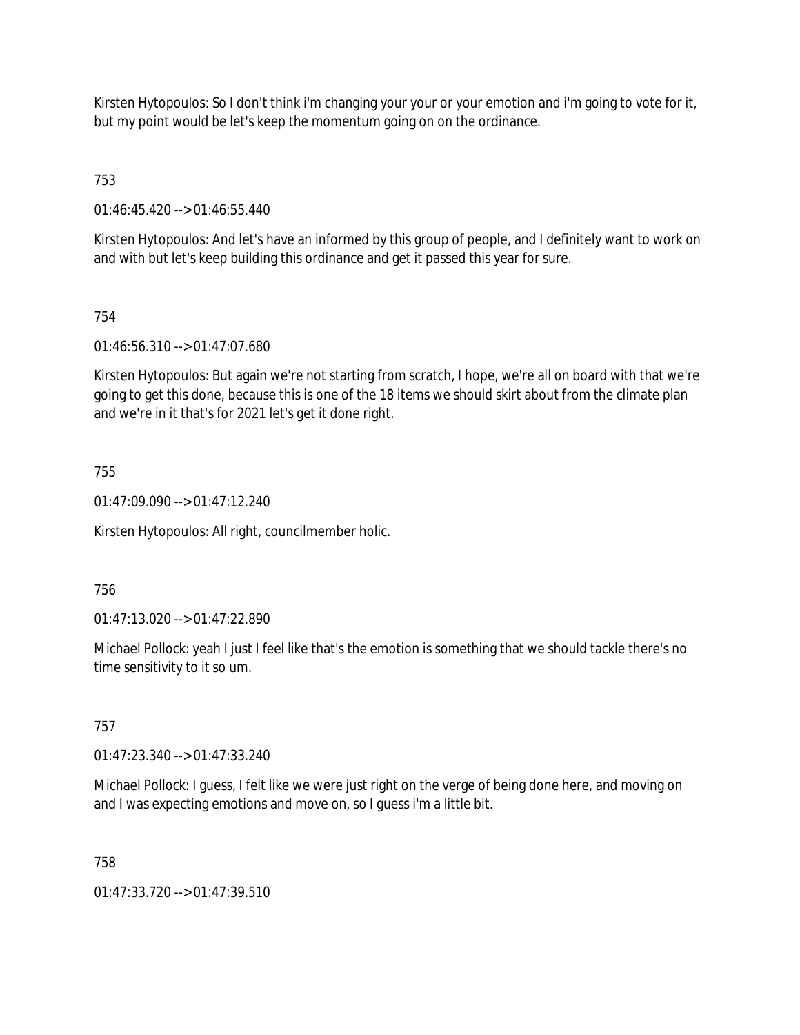Kirsten Hytopoulos: So I don't think i'm changing your your or your emotion and i'm going to vote for it, but my point would be let's keep the momentum going on on the ordinance.

753

01:46:45.420 --> 01:46:55.440

Kirsten Hytopoulos: And let's have an informed by this group of people, and I definitely want to work on and with but let's keep building this ordinance and get it passed this year for sure.

## 754

01:46:56.310 --> 01:47:07.680

Kirsten Hytopoulos: But again we're not starting from scratch, I hope, we're all on board with that we're going to get this done, because this is one of the 18 items we should skirt about from the climate plan and we're in it that's for 2021 let's get it done right.

### 755

01:47:09.090 --> 01:47:12.240

Kirsten Hytopoulos: All right, councilmember holic.

### 756

01:47:13.020 --> 01:47:22.890

Michael Pollock: yeah I just I feel like that's the emotion is something that we should tackle there's no time sensitivity to it so um.

### 757

01:47:23.340 --> 01:47:33.240

Michael Pollock: I guess, I felt like we were just right on the verge of being done here, and moving on and I was expecting emotions and move on, so I guess i'm a little bit.

### 758

01:47:33.720 --> 01:47:39.510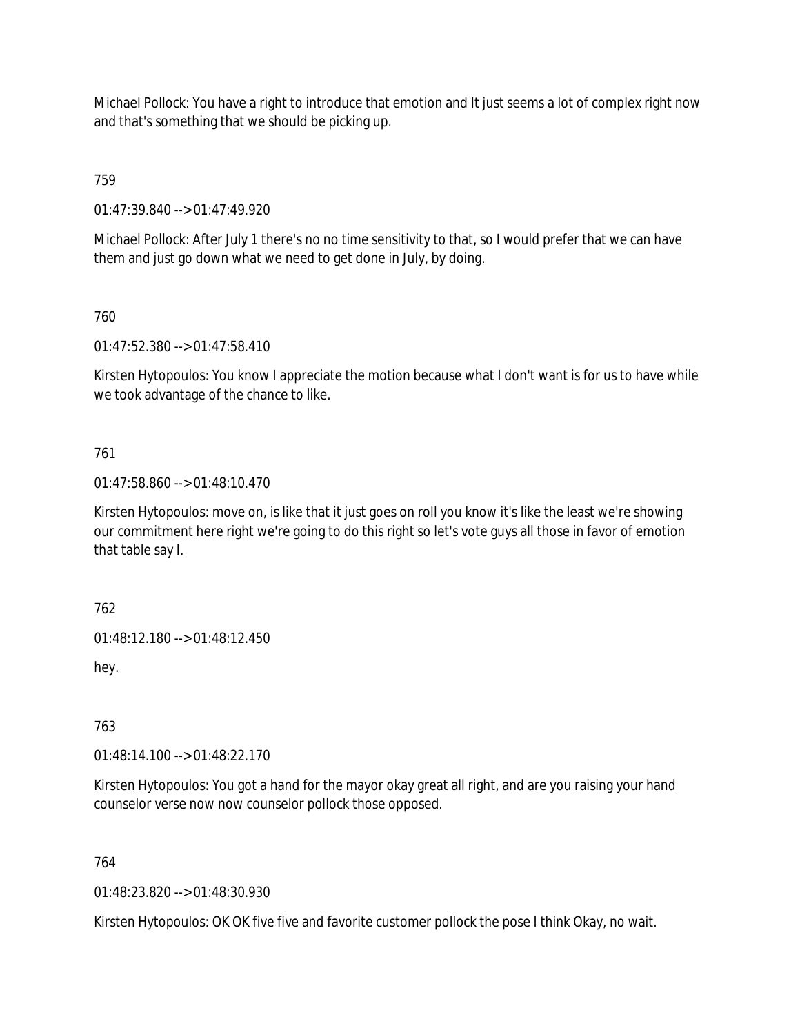Michael Pollock: You have a right to introduce that emotion and It just seems a lot of complex right now and that's something that we should be picking up.

759

01:47:39.840 --> 01:47:49.920

Michael Pollock: After July 1 there's no no time sensitivity to that, so I would prefer that we can have them and just go down what we need to get done in July, by doing.

760

01:47:52.380 --> 01:47:58.410

Kirsten Hytopoulos: You know I appreciate the motion because what I don't want is for us to have while we took advantage of the chance to like.

### 761

01:47:58.860 --> 01:48:10.470

Kirsten Hytopoulos: move on, is like that it just goes on roll you know it's like the least we're showing our commitment here right we're going to do this right so let's vote guys all those in favor of emotion that table say I.

762

01:48:12.180 --> 01:48:12.450

hey.

763

01:48:14.100 --> 01:48:22.170

Kirsten Hytopoulos: You got a hand for the mayor okay great all right, and are you raising your hand counselor verse now now counselor pollock those opposed.

764

01:48:23.820 --> 01:48:30.930

Kirsten Hytopoulos: OK OK five five and favorite customer pollock the pose I think Okay, no wait.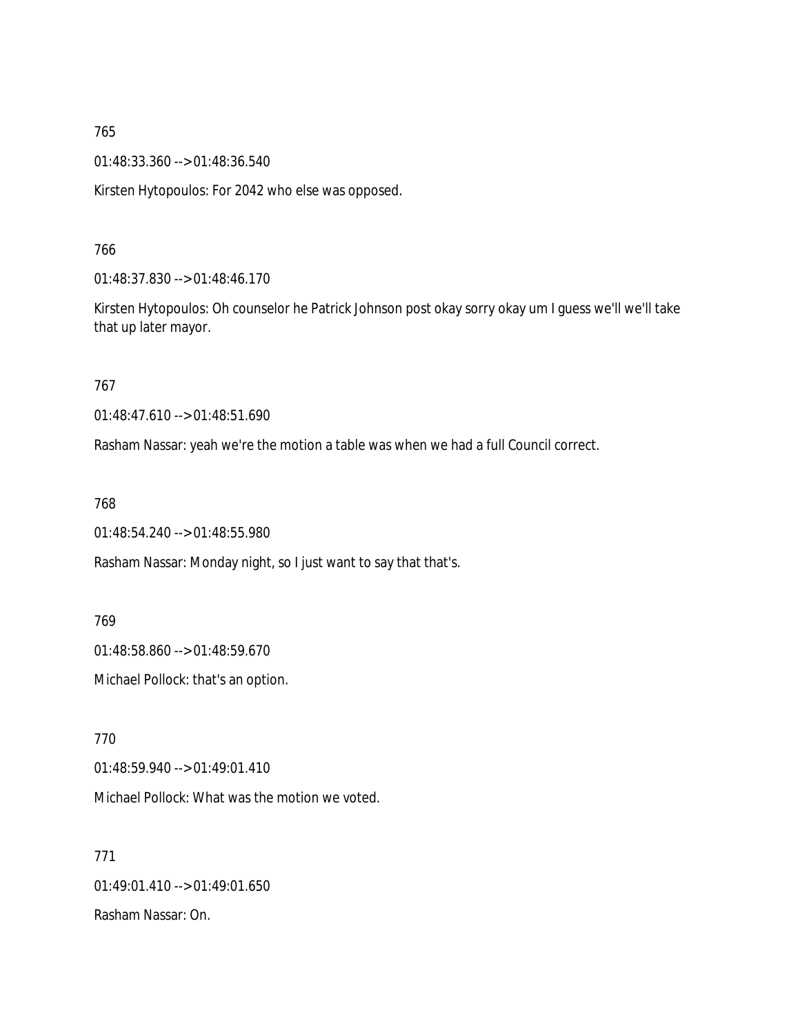01:48:33.360 --> 01:48:36.540

Kirsten Hytopoulos: For 2042 who else was opposed.

766

01:48:37.830 --> 01:48:46.170

Kirsten Hytopoulos: Oh counselor he Patrick Johnson post okay sorry okay um I guess we'll we'll take that up later mayor.

767

01:48:47.610 --> 01:48:51.690

Rasham Nassar: yeah we're the motion a table was when we had a full Council correct.

768

01:48:54.240 --> 01:48:55.980

Rasham Nassar: Monday night, so I just want to say that that's.

769

01:48:58.860 --> 01:48:59.670

Michael Pollock: that's an option.

770

01:48:59.940 --> 01:49:01.410

Michael Pollock: What was the motion we voted.

771 01:49:01.410 --> 01:49:01.650 Rasham Nassar: On.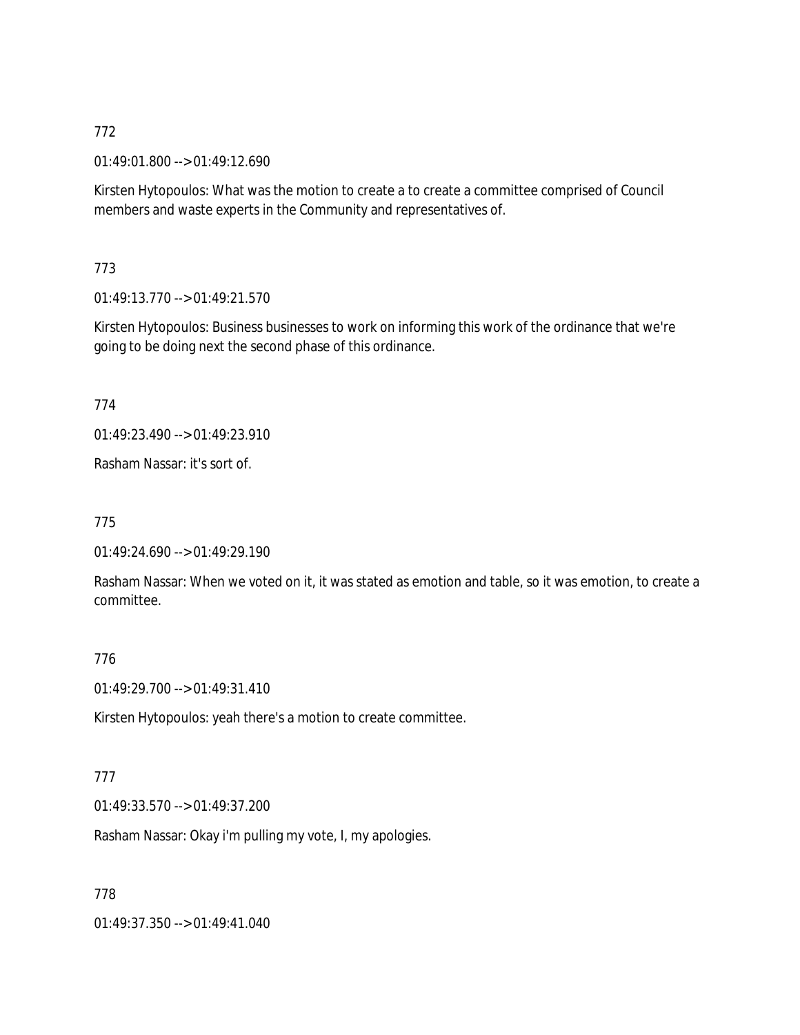01:49:01.800 --> 01:49:12.690

Kirsten Hytopoulos: What was the motion to create a to create a committee comprised of Council members and waste experts in the Community and representatives of.

773

01:49:13.770 --> 01:49:21.570

Kirsten Hytopoulos: Business businesses to work on informing this work of the ordinance that we're going to be doing next the second phase of this ordinance.

774

01:49:23.490 --> 01:49:23.910

Rasham Nassar: it's sort of.

775

01:49:24.690 --> 01:49:29.190

Rasham Nassar: When we voted on it, it was stated as emotion and table, so it was emotion, to create a committee.

#### 776

01:49:29.700 --> 01:49:31.410

Kirsten Hytopoulos: yeah there's a motion to create committee.

### 777

01:49:33.570 --> 01:49:37.200

Rasham Nassar: Okay i'm pulling my vote, I, my apologies.

778

01:49:37.350 --> 01:49:41.040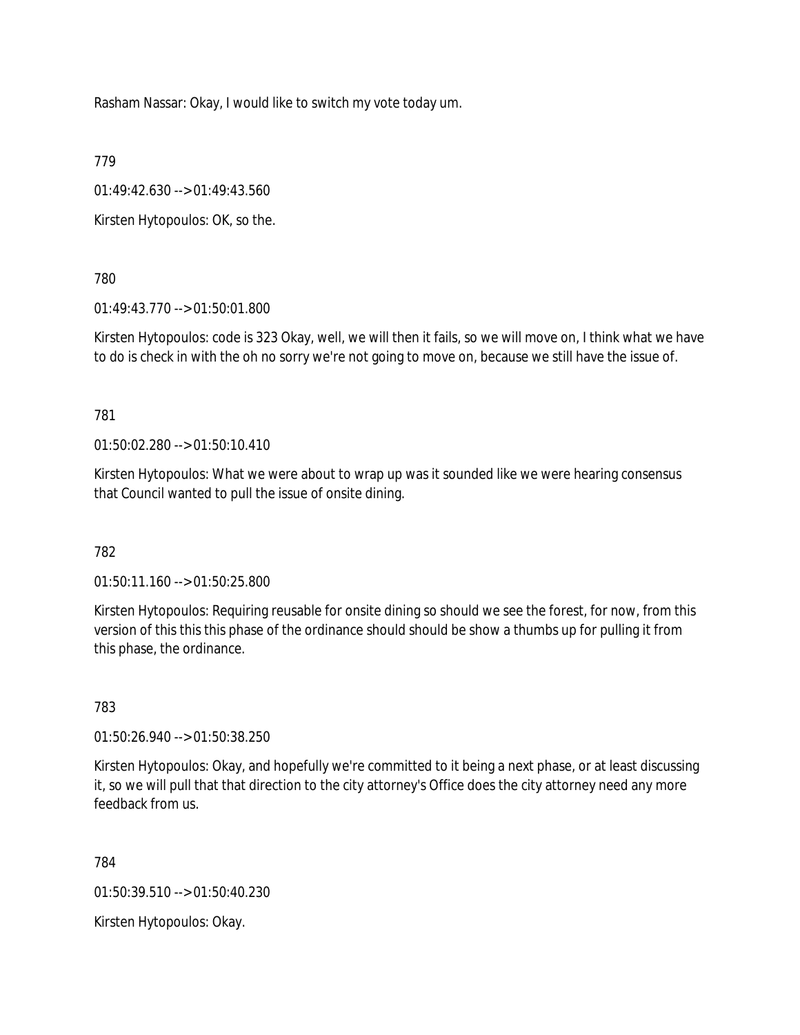Rasham Nassar: Okay, I would like to switch my vote today um.

779

01:49:42.630 --> 01:49:43.560

Kirsten Hytopoulos: OK, so the.

780

01:49:43.770 --> 01:50:01.800

Kirsten Hytopoulos: code is 323 Okay, well, we will then it fails, so we will move on, I think what we have to do is check in with the oh no sorry we're not going to move on, because we still have the issue of.

781

01:50:02.280 --> 01:50:10.410

Kirsten Hytopoulos: What we were about to wrap up was it sounded like we were hearing consensus that Council wanted to pull the issue of onsite dining.

### 782

01:50:11.160 --> 01:50:25.800

Kirsten Hytopoulos: Requiring reusable for onsite dining so should we see the forest, for now, from this version of this this this phase of the ordinance should should be show a thumbs up for pulling it from this phase, the ordinance.

783

01:50:26.940 --> 01:50:38.250

Kirsten Hytopoulos: Okay, and hopefully we're committed to it being a next phase, or at least discussing it, so we will pull that that direction to the city attorney's Office does the city attorney need any more feedback from us.

784

01:50:39.510 --> 01:50:40.230

Kirsten Hytopoulos: Okay.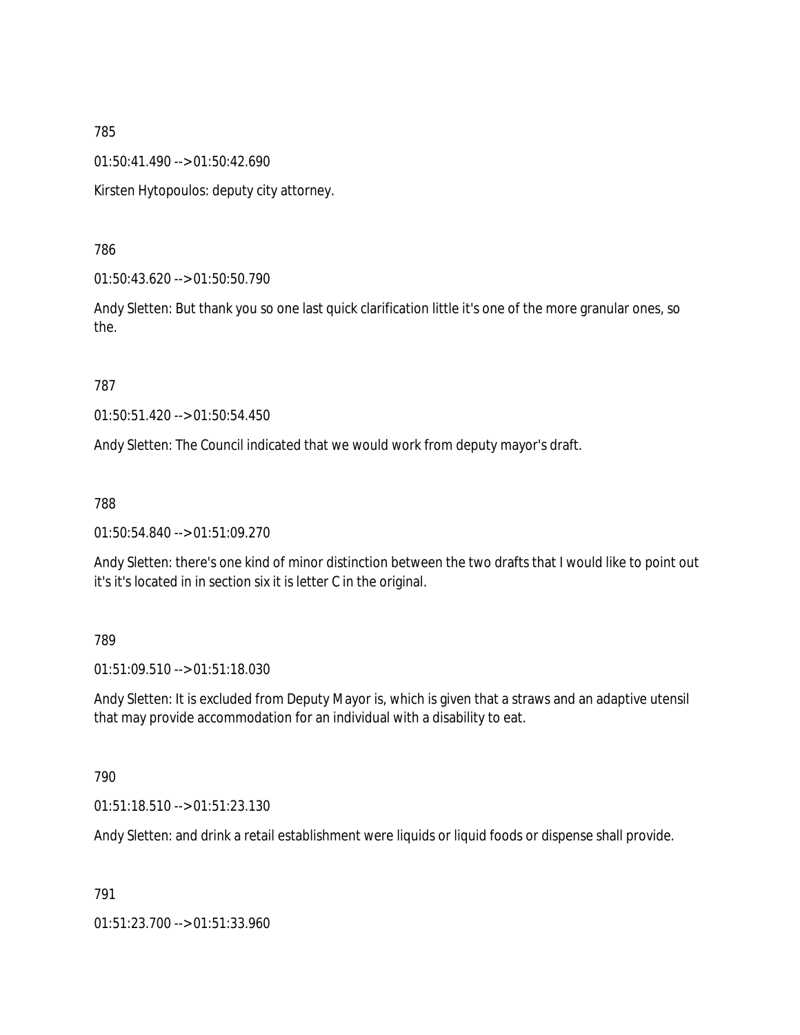01:50:41.490 --> 01:50:42.690

Kirsten Hytopoulos: deputy city attorney.

786

01:50:43.620 --> 01:50:50.790

Andy Sletten: But thank you so one last quick clarification little it's one of the more granular ones, so the.

787

01:50:51.420 --> 01:50:54.450

Andy Sletten: The Council indicated that we would work from deputy mayor's draft.

788

01:50:54.840 --> 01:51:09.270

Andy Sletten: there's one kind of minor distinction between the two drafts that I would like to point out it's it's located in in section six it is letter C in the original.

789

01:51:09.510 --> 01:51:18.030

Andy Sletten: It is excluded from Deputy Mayor is, which is given that a straws and an adaptive utensil that may provide accommodation for an individual with a disability to eat.

790

01:51:18.510 --> 01:51:23.130

Andy Sletten: and drink a retail establishment were liquids or liquid foods or dispense shall provide.

791

01:51:23.700 --> 01:51:33.960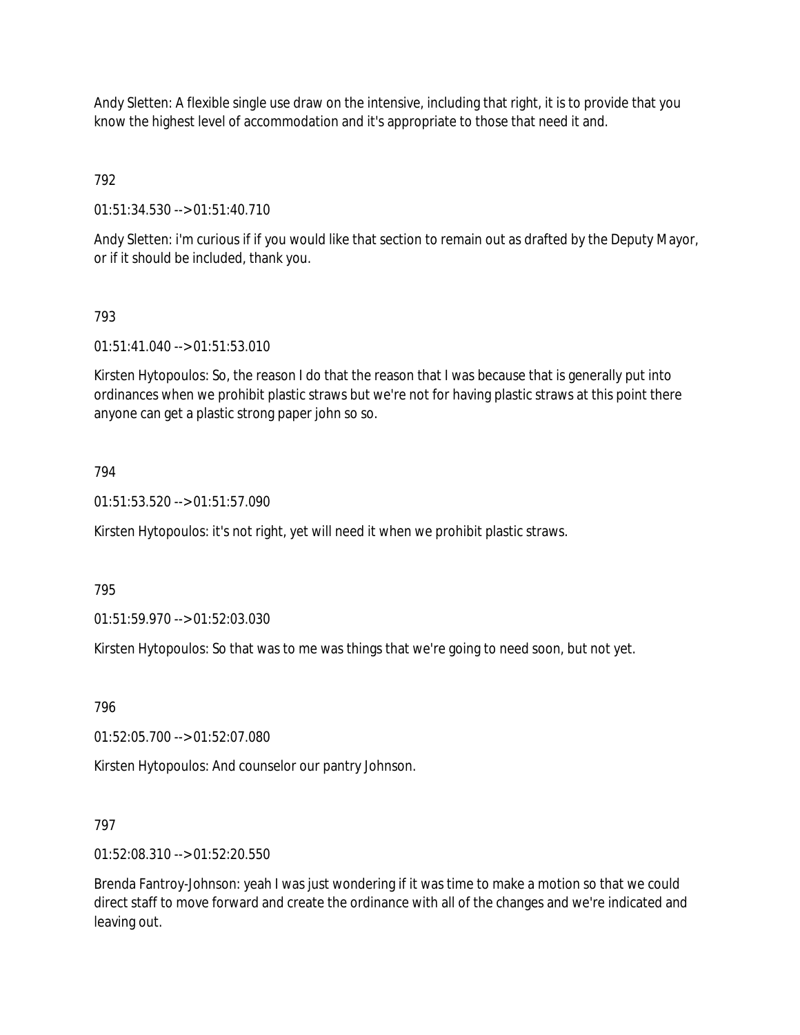Andy Sletten: A flexible single use draw on the intensive, including that right, it is to provide that you know the highest level of accommodation and it's appropriate to those that need it and.

792

01:51:34.530 --> 01:51:40.710

Andy Sletten: i'm curious if if you would like that section to remain out as drafted by the Deputy Mayor, or if it should be included, thank you.

### 793

01:51:41.040 --> 01:51:53.010

Kirsten Hytopoulos: So, the reason I do that the reason that I was because that is generally put into ordinances when we prohibit plastic straws but we're not for having plastic straws at this point there anyone can get a plastic strong paper john so so.

### 794

01:51:53.520 --> 01:51:57.090

Kirsten Hytopoulos: it's not right, yet will need it when we prohibit plastic straws.

795

01:51:59.970 --> 01:52:03.030

Kirsten Hytopoulos: So that was to me was things that we're going to need soon, but not yet.

796

01:52:05.700 --> 01:52:07.080

Kirsten Hytopoulos: And counselor our pantry Johnson.

### 797

01:52:08.310 --> 01:52:20.550

Brenda Fantroy-Johnson: yeah I was just wondering if it was time to make a motion so that we could direct staff to move forward and create the ordinance with all of the changes and we're indicated and leaving out.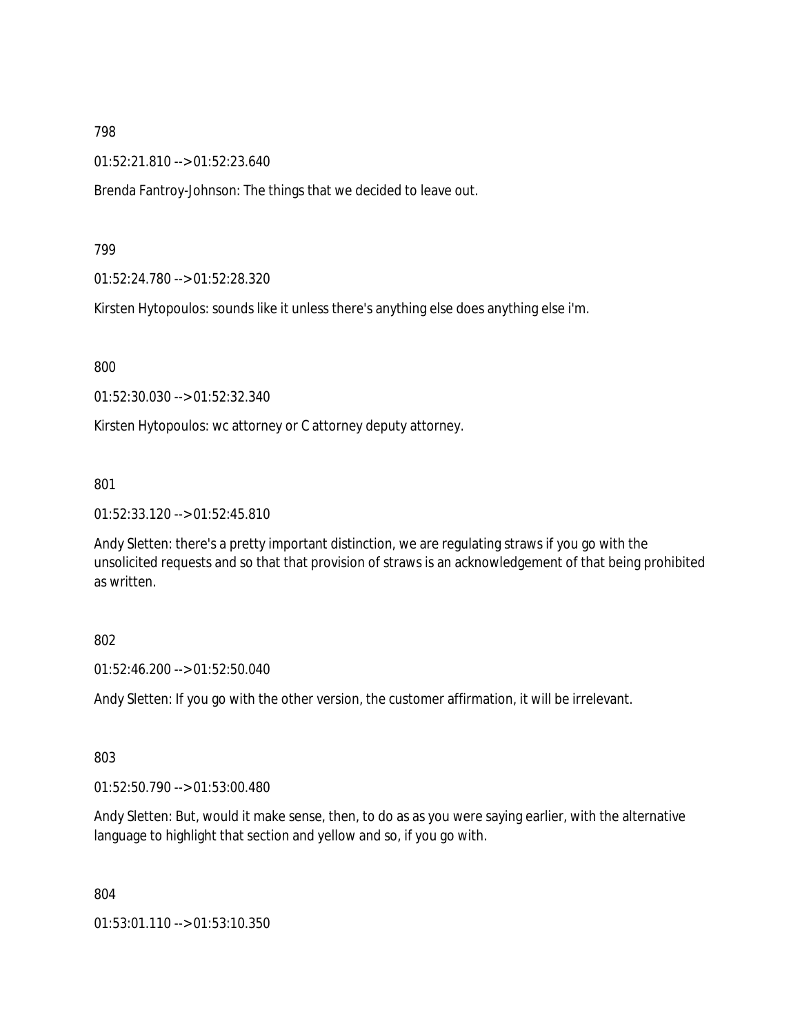01:52:21.810 --> 01:52:23.640

Brenda Fantroy-Johnson: The things that we decided to leave out.

799

01:52:24.780 --> 01:52:28.320

Kirsten Hytopoulos: sounds like it unless there's anything else does anything else i'm.

800

01:52:30.030 --> 01:52:32.340

Kirsten Hytopoulos: wc attorney or C attorney deputy attorney.

801

01:52:33.120 --> 01:52:45.810

Andy Sletten: there's a pretty important distinction, we are regulating straws if you go with the unsolicited requests and so that that provision of straws is an acknowledgement of that being prohibited as written.

### 802

01:52:46.200 --> 01:52:50.040

Andy Sletten: If you go with the other version, the customer affirmation, it will be irrelevant.

803

01:52:50.790 --> 01:53:00.480

Andy Sletten: But, would it make sense, then, to do as as you were saying earlier, with the alternative language to highlight that section and yellow and so, if you go with.

804

01:53:01.110 --> 01:53:10.350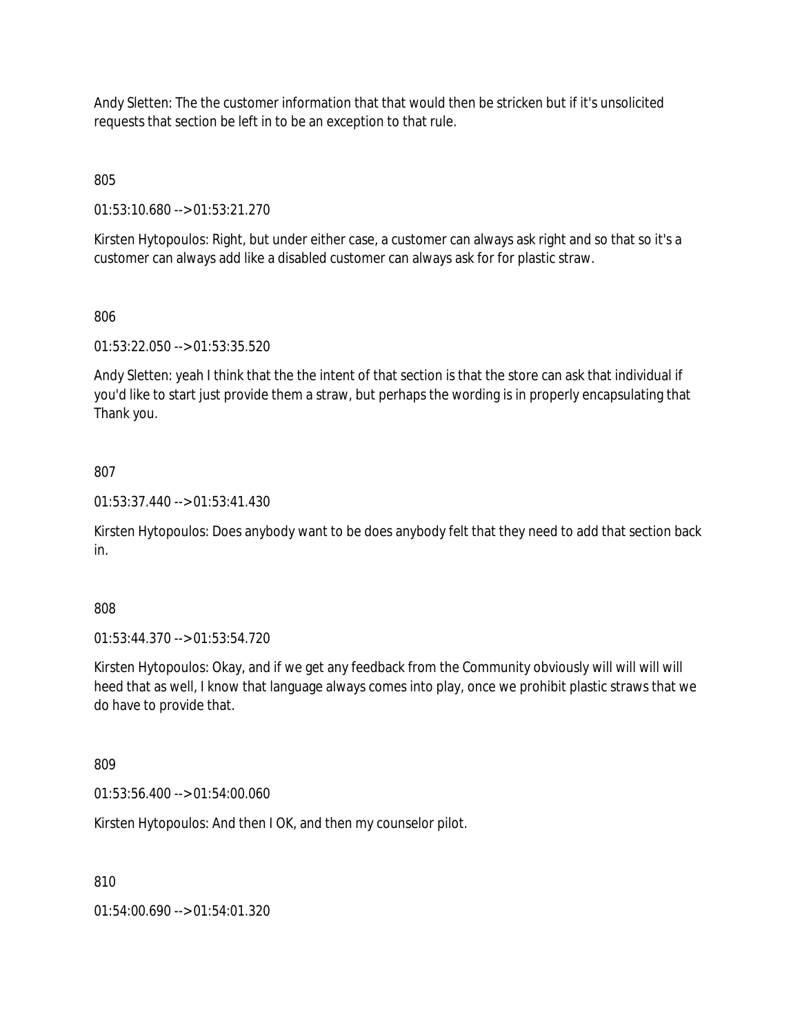Andy Sletten: The the customer information that that would then be stricken but if it's unsolicited requests that section be left in to be an exception to that rule.

805

01:53:10.680 --> 01:53:21.270

Kirsten Hytopoulos: Right, but under either case, a customer can always ask right and so that so it's a customer can always add like a disabled customer can always ask for for plastic straw.

806

01:53:22.050 --> 01:53:35.520

Andy Sletten: yeah I think that the the intent of that section is that the store can ask that individual if you'd like to start just provide them a straw, but perhaps the wording is in properly encapsulating that Thank you.

807

01:53:37.440 --> 01:53:41.430

Kirsten Hytopoulos: Does anybody want to be does anybody felt that they need to add that section back in.

808

01:53:44.370 --> 01:53:54.720

Kirsten Hytopoulos: Okay, and if we get any feedback from the Community obviously will will will will heed that as well, I know that language always comes into play, once we prohibit plastic straws that we do have to provide that.

809

01:53:56.400 --> 01:54:00.060

Kirsten Hytopoulos: And then I OK, and then my counselor pilot.

810

01:54:00.690 --> 01:54:01.320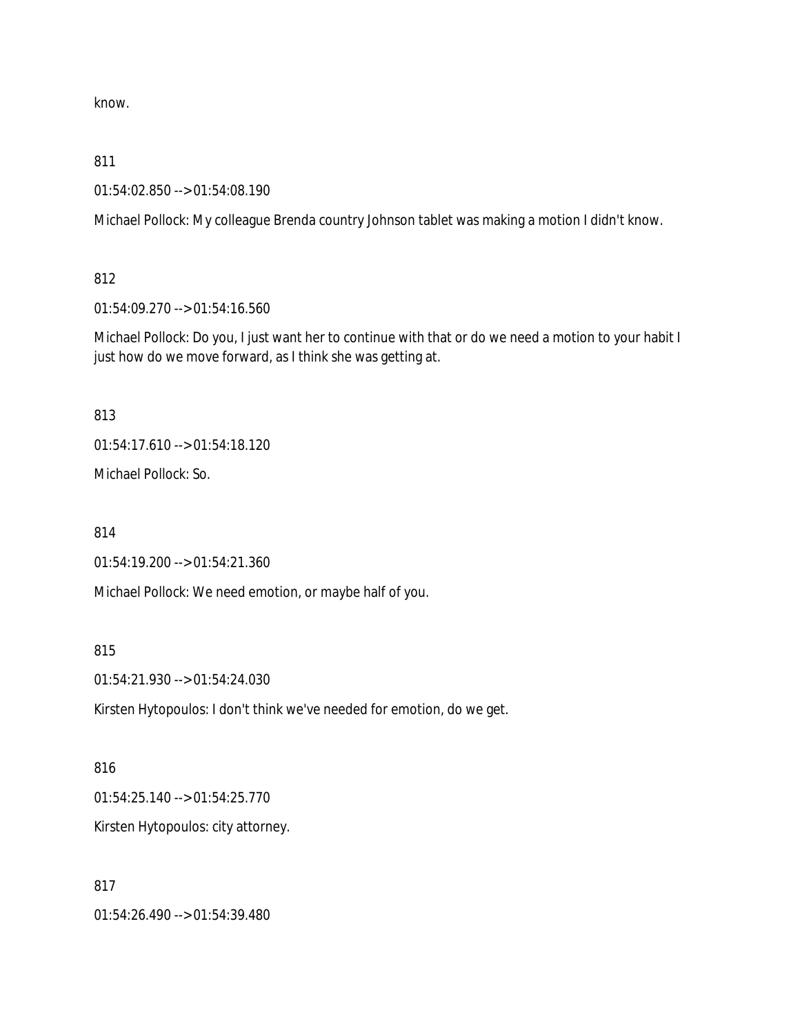know.

811

01:54:02.850 --> 01:54:08.190

Michael Pollock: My colleague Brenda country Johnson tablet was making a motion I didn't know.

812

01:54:09.270 --> 01:54:16.560

Michael Pollock: Do you, I just want her to continue with that or do we need a motion to your habit I just how do we move forward, as I think she was getting at.

813

01:54:17.610 --> 01:54:18.120

Michael Pollock: So.

814

01:54:19.200 --> 01:54:21.360

Michael Pollock: We need emotion, or maybe half of you.

815

01:54:21.930 --> 01:54:24.030

Kirsten Hytopoulos: I don't think we've needed for emotion, do we get.

816 01:54:25.140 --> 01:54:25.770 Kirsten Hytopoulos: city attorney.

817

01:54:26.490 --> 01:54:39.480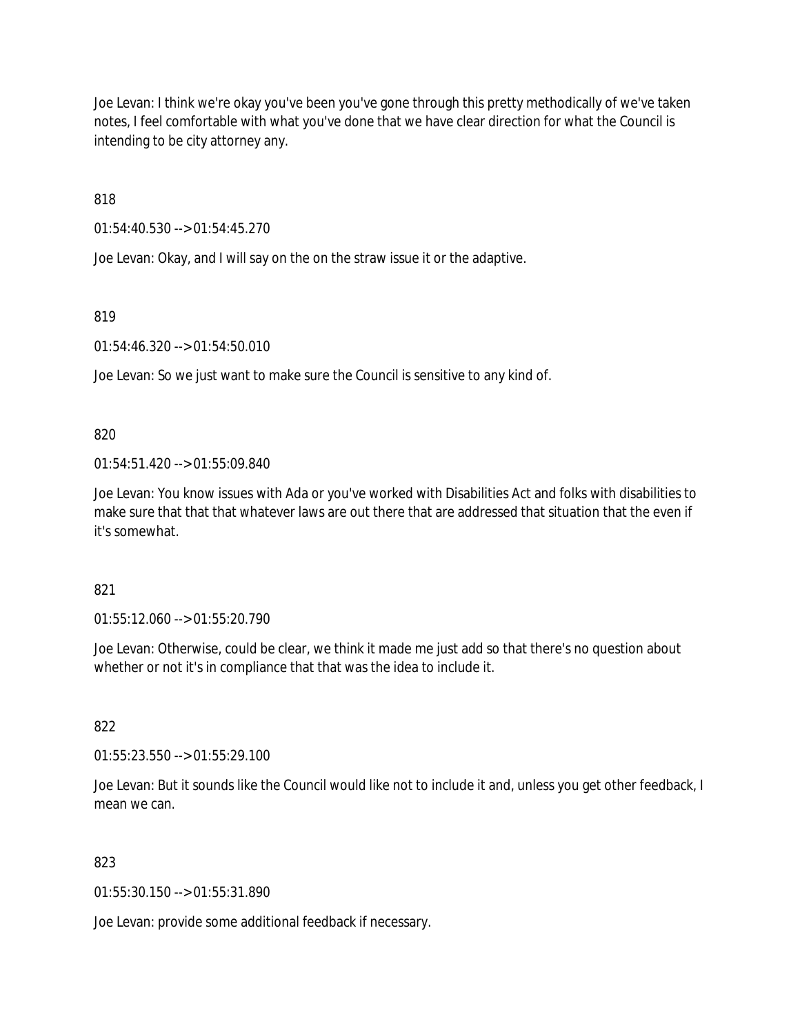Joe Levan: I think we're okay you've been you've gone through this pretty methodically of we've taken notes, I feel comfortable with what you've done that we have clear direction for what the Council is intending to be city attorney any.

818

01:54:40.530 --> 01:54:45.270

Joe Levan: Okay, and I will say on the on the straw issue it or the adaptive.

819

01:54:46.320 --> 01:54:50.010

Joe Levan: So we just want to make sure the Council is sensitive to any kind of.

820

01:54:51.420 --> 01:55:09.840

Joe Levan: You know issues with Ada or you've worked with Disabilities Act and folks with disabilities to make sure that that that whatever laws are out there that are addressed that situation that the even if it's somewhat.

821

01:55:12.060 --> 01:55:20.790

Joe Levan: Otherwise, could be clear, we think it made me just add so that there's no question about whether or not it's in compliance that that was the idea to include it.

822

01:55:23.550 --> 01:55:29.100

Joe Levan: But it sounds like the Council would like not to include it and, unless you get other feedback, I mean we can.

823

01:55:30.150 --> 01:55:31.890

Joe Levan: provide some additional feedback if necessary.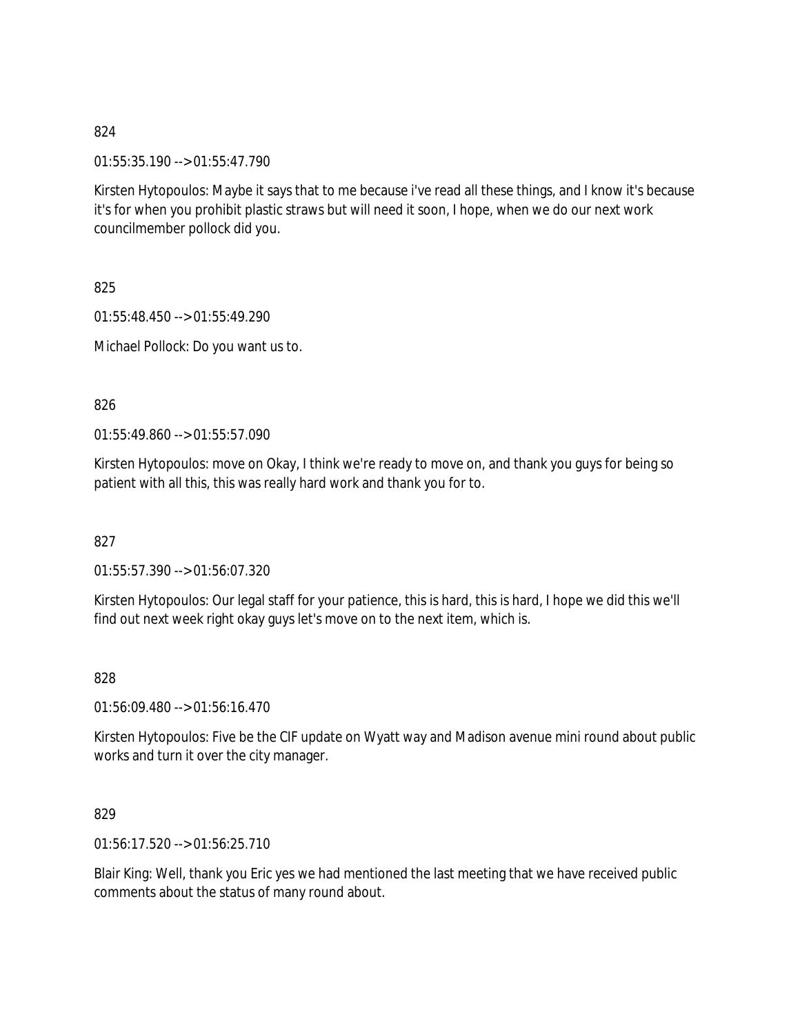01:55:35.190 --> 01:55:47.790

Kirsten Hytopoulos: Maybe it says that to me because i've read all these things, and I know it's because it's for when you prohibit plastic straws but will need it soon, I hope, when we do our next work councilmember pollock did you.

825

01:55:48.450 --> 01:55:49.290

Michael Pollock: Do you want us to.

826

 $01:55:49.860 \rightarrow 01:55:57.090$ 

Kirsten Hytopoulos: move on Okay, I think we're ready to move on, and thank you guys for being so patient with all this, this was really hard work and thank you for to.

827

01:55:57.390 --> 01:56:07.320

Kirsten Hytopoulos: Our legal staff for your patience, this is hard, this is hard, I hope we did this we'll find out next week right okay guys let's move on to the next item, which is.

828

01:56:09.480 --> 01:56:16.470

Kirsten Hytopoulos: Five be the CIF update on Wyatt way and Madison avenue mini round about public works and turn it over the city manager.

829

01:56:17.520 --> 01:56:25.710

Blair King: Well, thank you Eric yes we had mentioned the last meeting that we have received public comments about the status of many round about.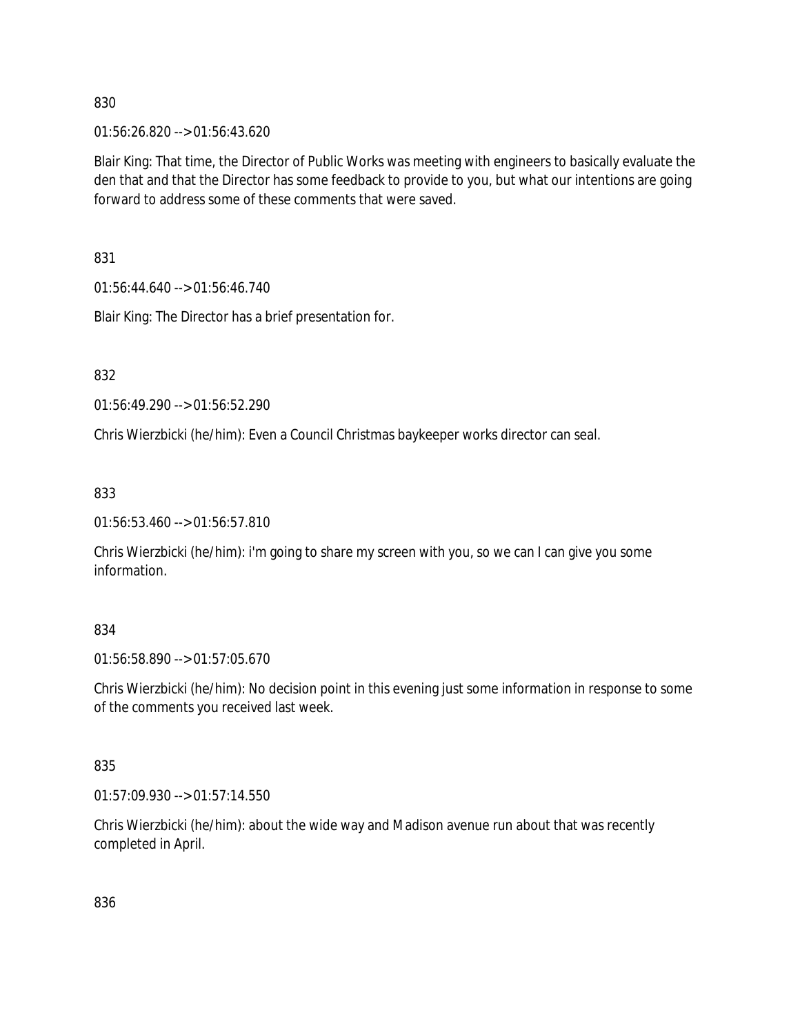01:56:26.820 --> 01:56:43.620

Blair King: That time, the Director of Public Works was meeting with engineers to basically evaluate the den that and that the Director has some feedback to provide to you, but what our intentions are going forward to address some of these comments that were saved.

831

01:56:44.640 --> 01:56:46.740

Blair King: The Director has a brief presentation for.

832

01:56:49.290 --> 01:56:52.290

Chris Wierzbicki (he/him): Even a Council Christmas baykeeper works director can seal.

833

01:56:53.460 --> 01:56:57.810

Chris Wierzbicki (he/him): i'm going to share my screen with you, so we can I can give you some information.

### 834

01:56:58.890 --> 01:57:05.670

Chris Wierzbicki (he/him): No decision point in this evening just some information in response to some of the comments you received last week.

### 835

01:57:09.930 --> 01:57:14.550

Chris Wierzbicki (he/him): about the wide way and Madison avenue run about that was recently completed in April.

836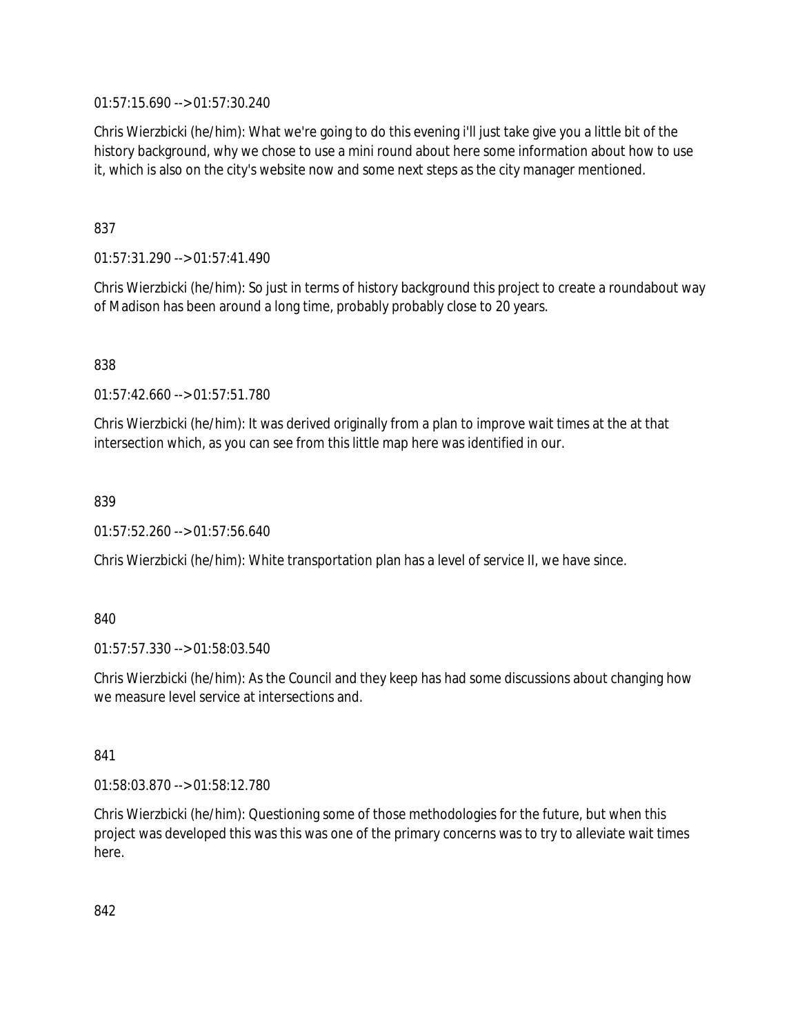01:57:15.690 --> 01:57:30.240

Chris Wierzbicki (he/him): What we're going to do this evening i'll just take give you a little bit of the history background, why we chose to use a mini round about here some information about how to use it, which is also on the city's website now and some next steps as the city manager mentioned.

### 837

01:57:31.290 --> 01:57:41.490

Chris Wierzbicki (he/him): So just in terms of history background this project to create a roundabout way of Madison has been around a long time, probably probably close to 20 years.

838

01:57:42.660 --> 01:57:51.780

Chris Wierzbicki (he/him): It was derived originally from a plan to improve wait times at the at that intersection which, as you can see from this little map here was identified in our.

### 839

01:57:52.260 --> 01:57:56.640

Chris Wierzbicki (he/him): White transportation plan has a level of service II, we have since.

### 840

01:57:57.330 --> 01:58:03.540

Chris Wierzbicki (he/him): As the Council and they keep has had some discussions about changing how we measure level service at intersections and.

#### 841

01:58:03.870 --> 01:58:12.780

Chris Wierzbicki (he/him): Questioning some of those methodologies for the future, but when this project was developed this was this was one of the primary concerns was to try to alleviate wait times here.

842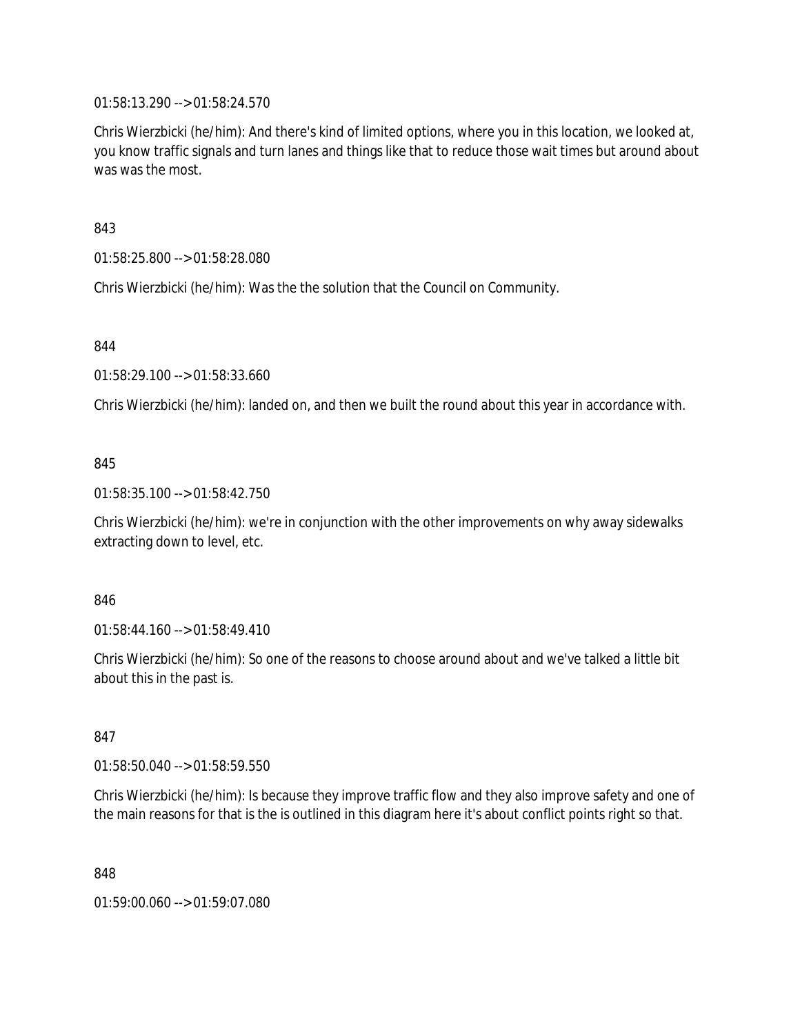01:58:13.290 --> 01:58:24.570

Chris Wierzbicki (he/him): And there's kind of limited options, where you in this location, we looked at, you know traffic signals and turn lanes and things like that to reduce those wait times but around about was was the most.

843

01:58:25.800 --> 01:58:28.080

Chris Wierzbicki (he/him): Was the the solution that the Council on Community.

844

01:58:29.100 --> 01:58:33.660

Chris Wierzbicki (he/him): landed on, and then we built the round about this year in accordance with.

### 845

01:58:35.100 --> 01:58:42.750

Chris Wierzbicki (he/him): we're in conjunction with the other improvements on why away sidewalks extracting down to level, etc.

### 846

01:58:44.160 --> 01:58:49.410

Chris Wierzbicki (he/him): So one of the reasons to choose around about and we've talked a little bit about this in the past is.

### 847

01:58:50.040 --> 01:58:59.550

Chris Wierzbicki (he/him): Is because they improve traffic flow and they also improve safety and one of the main reasons for that is the is outlined in this diagram here it's about conflict points right so that.

848

01:59:00.060 --> 01:59:07.080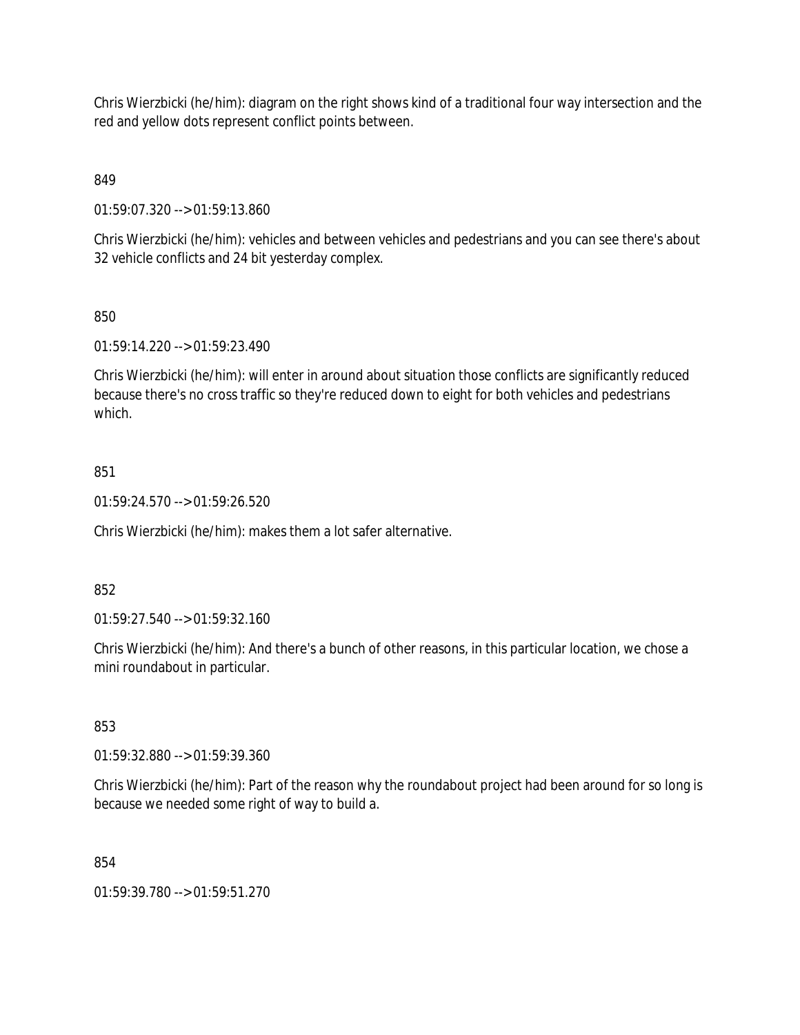Chris Wierzbicki (he/him): diagram on the right shows kind of a traditional four way intersection and the red and yellow dots represent conflict points between.

849

01:59:07.320 --> 01:59:13.860

Chris Wierzbicki (he/him): vehicles and between vehicles and pedestrians and you can see there's about 32 vehicle conflicts and 24 bit yesterday complex.

### 850

01:59:14.220 --> 01:59:23.490

Chris Wierzbicki (he/him): will enter in around about situation those conflicts are significantly reduced because there's no cross traffic so they're reduced down to eight for both vehicles and pedestrians which.

### 851

01:59:24.570 --> 01:59:26.520

Chris Wierzbicki (he/him): makes them a lot safer alternative.

### 852

01:59:27.540 --> 01:59:32.160

Chris Wierzbicki (he/him): And there's a bunch of other reasons, in this particular location, we chose a mini roundabout in particular.

### 853

01:59:32.880 --> 01:59:39.360

Chris Wierzbicki (he/him): Part of the reason why the roundabout project had been around for so long is because we needed some right of way to build a.

### 854

01:59:39.780 --> 01:59:51.270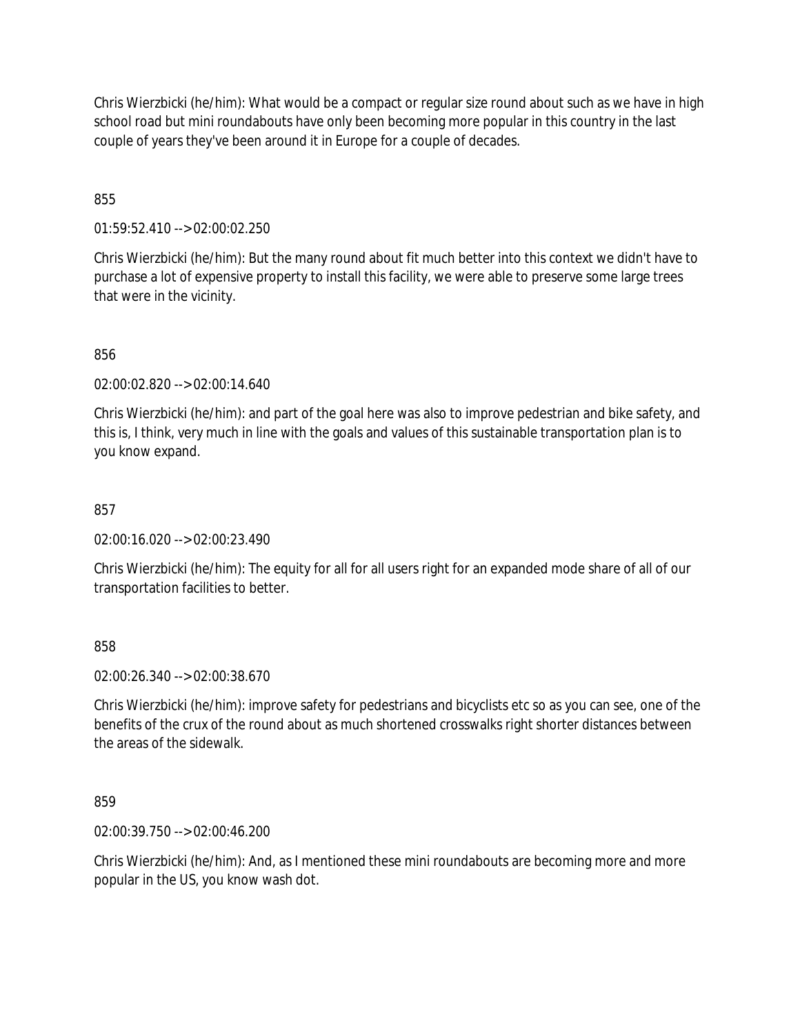Chris Wierzbicki (he/him): What would be a compact or regular size round about such as we have in high school road but mini roundabouts have only been becoming more popular in this country in the last couple of years they've been around it in Europe for a couple of decades.

855

01:59:52.410 --> 02:00:02.250

Chris Wierzbicki (he/him): But the many round about fit much better into this context we didn't have to purchase a lot of expensive property to install this facility, we were able to preserve some large trees that were in the vicinity.

856

02:00:02.820 --> 02:00:14.640

Chris Wierzbicki (he/him): and part of the goal here was also to improve pedestrian and bike safety, and this is, I think, very much in line with the goals and values of this sustainable transportation plan is to you know expand.

857

02:00:16.020 --> 02:00:23.490

Chris Wierzbicki (he/him): The equity for all for all users right for an expanded mode share of all of our transportation facilities to better.

858

02:00:26.340 --> 02:00:38.670

Chris Wierzbicki (he/him): improve safety for pedestrians and bicyclists etc so as you can see, one of the benefits of the crux of the round about as much shortened crosswalks right shorter distances between the areas of the sidewalk.

859

02:00:39.750 --> 02:00:46.200

Chris Wierzbicki (he/him): And, as I mentioned these mini roundabouts are becoming more and more popular in the US, you know wash dot.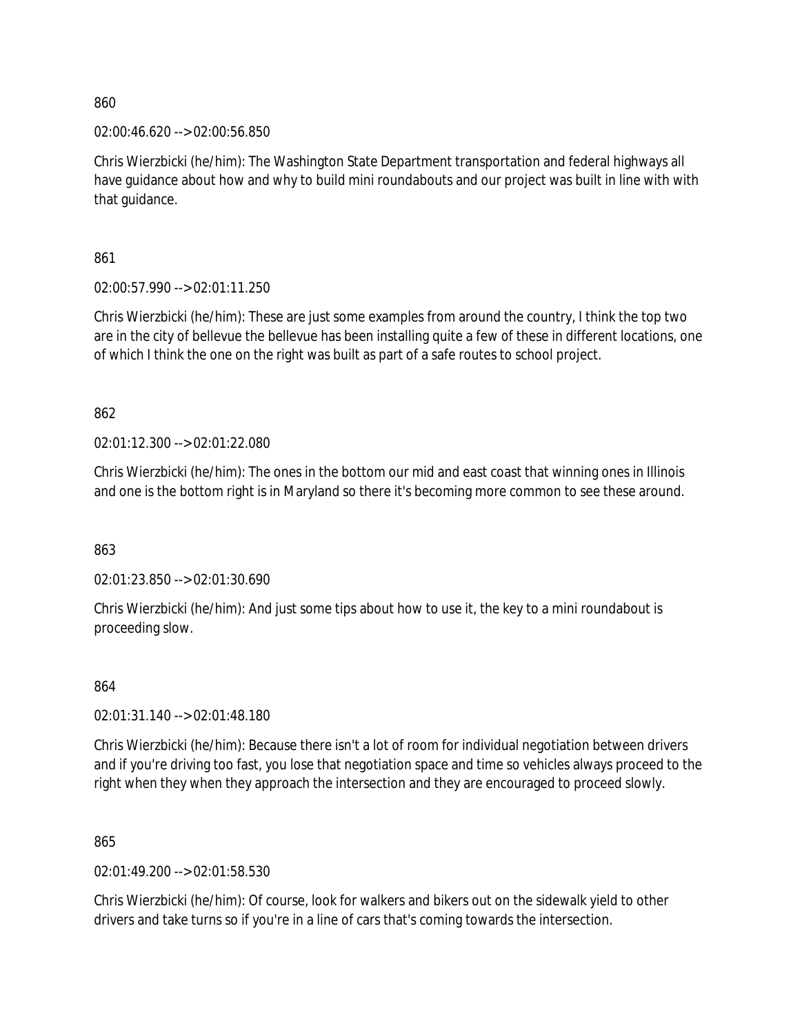02:00:46.620 --> 02:00:56.850

Chris Wierzbicki (he/him): The Washington State Department transportation and federal highways all have guidance about how and why to build mini roundabouts and our project was built in line with with that guidance.

861

02:00:57.990 --> 02:01:11.250

Chris Wierzbicki (he/him): These are just some examples from around the country, I think the top two are in the city of bellevue the bellevue has been installing quite a few of these in different locations, one of which I think the one on the right was built as part of a safe routes to school project.

862

02:01:12.300 --> 02:01:22.080

Chris Wierzbicki (he/him): The ones in the bottom our mid and east coast that winning ones in Illinois and one is the bottom right is in Maryland so there it's becoming more common to see these around.

863

02:01:23.850 --> 02:01:30.690

Chris Wierzbicki (he/him): And just some tips about how to use it, the key to a mini roundabout is proceeding slow.

### 864

02:01:31.140 --> 02:01:48.180

Chris Wierzbicki (he/him): Because there isn't a lot of room for individual negotiation between drivers and if you're driving too fast, you lose that negotiation space and time so vehicles always proceed to the right when they when they approach the intersection and they are encouraged to proceed slowly.

865

02:01:49.200 --> 02:01:58.530

Chris Wierzbicki (he/him): Of course, look for walkers and bikers out on the sidewalk yield to other drivers and take turns so if you're in a line of cars that's coming towards the intersection.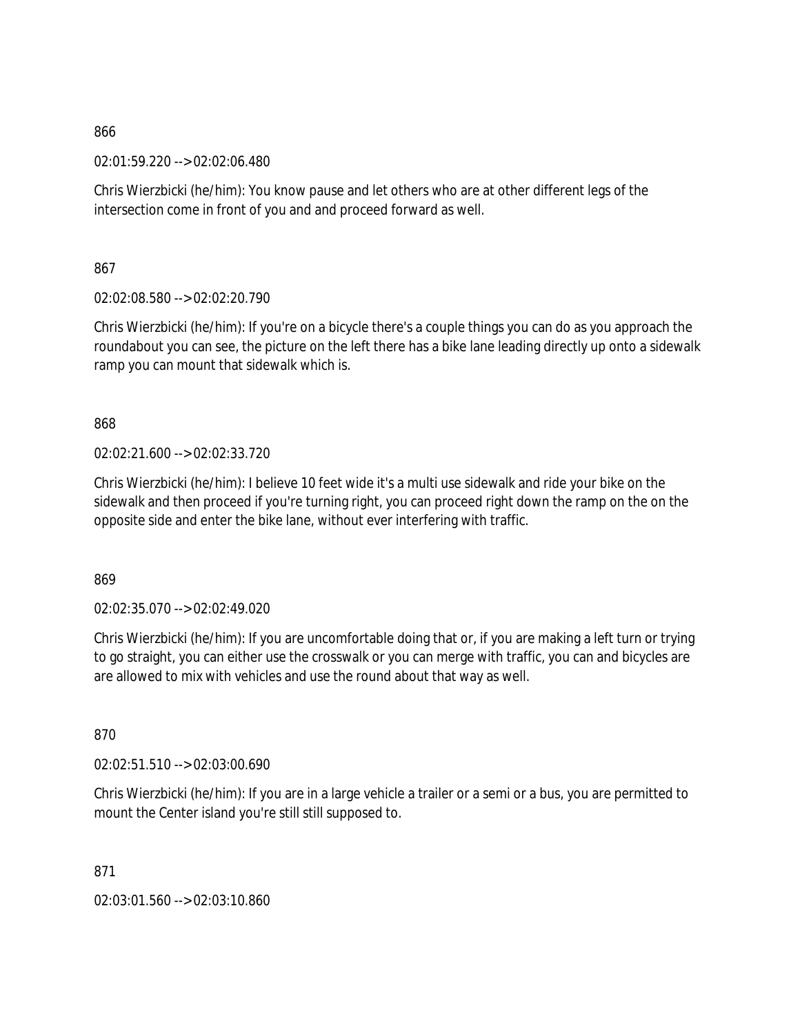02:01:59.220 --> 02:02:06.480

Chris Wierzbicki (he/him): You know pause and let others who are at other different legs of the intersection come in front of you and and proceed forward as well.

867

02:02:08.580 --> 02:02:20.790

Chris Wierzbicki (he/him): If you're on a bicycle there's a couple things you can do as you approach the roundabout you can see, the picture on the left there has a bike lane leading directly up onto a sidewalk ramp you can mount that sidewalk which is.

868

02:02:21.600 --> 02:02:33.720

Chris Wierzbicki (he/him): I believe 10 feet wide it's a multi use sidewalk and ride your bike on the sidewalk and then proceed if you're turning right, you can proceed right down the ramp on the on the opposite side and enter the bike lane, without ever interfering with traffic.

869

02:02:35.070 --> 02:02:49.020

Chris Wierzbicki (he/him): If you are uncomfortable doing that or, if you are making a left turn or trying to go straight, you can either use the crosswalk or you can merge with traffic, you can and bicycles are are allowed to mix with vehicles and use the round about that way as well.

870

02:02:51.510 --> 02:03:00.690

Chris Wierzbicki (he/him): If you are in a large vehicle a trailer or a semi or a bus, you are permitted to mount the Center island you're still still supposed to.

871

02:03:01.560 --> 02:03:10.860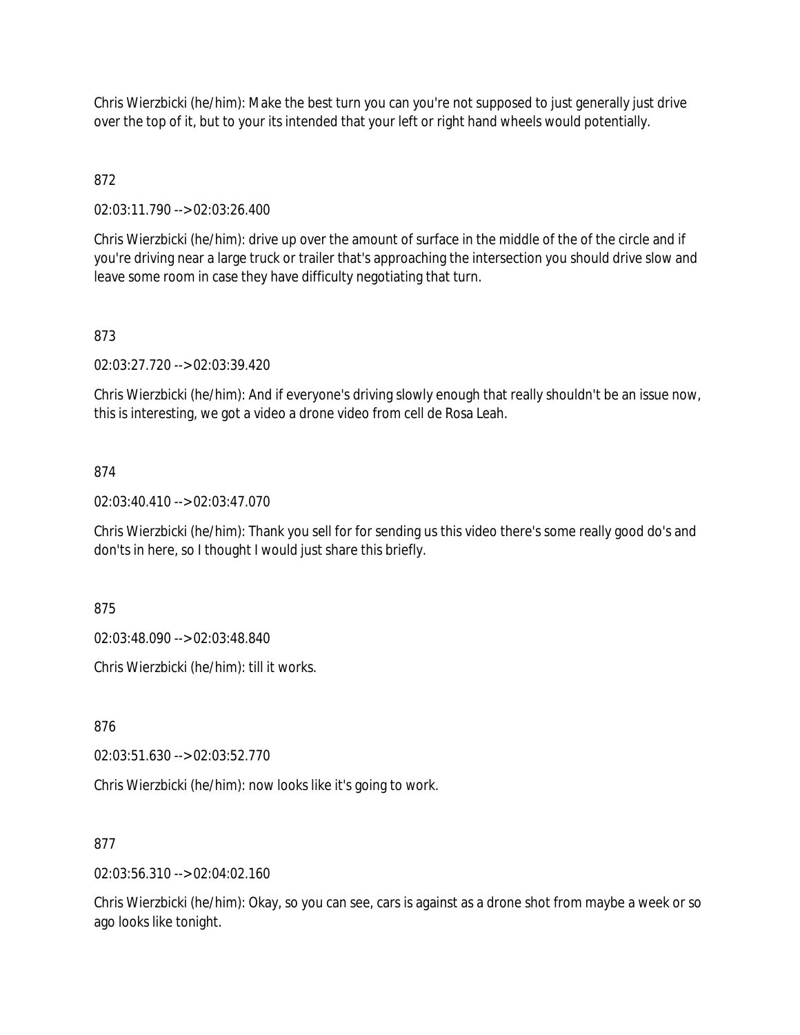Chris Wierzbicki (he/him): Make the best turn you can you're not supposed to just generally just drive over the top of it, but to your its intended that your left or right hand wheels would potentially.

## 872

02:03:11.790 --> 02:03:26.400

Chris Wierzbicki (he/him): drive up over the amount of surface in the middle of the of the circle and if you're driving near a large truck or trailer that's approaching the intersection you should drive slow and leave some room in case they have difficulty negotiating that turn.

## 873

02:03:27.720 --> 02:03:39.420

Chris Wierzbicki (he/him): And if everyone's driving slowly enough that really shouldn't be an issue now, this is interesting, we got a video a drone video from cell de Rosa Leah.

### 874

02:03:40.410 --> 02:03:47.070

Chris Wierzbicki (he/him): Thank you sell for for sending us this video there's some really good do's and don'ts in here, so I thought I would just share this briefly.

875

02:03:48.090 --> 02:03:48.840

Chris Wierzbicki (he/him): till it works.

876

02:03:51.630 --> 02:03:52.770

Chris Wierzbicki (he/him): now looks like it's going to work.

### 877

02:03:56.310 --> 02:04:02.160

Chris Wierzbicki (he/him): Okay, so you can see, cars is against as a drone shot from maybe a week or so ago looks like tonight.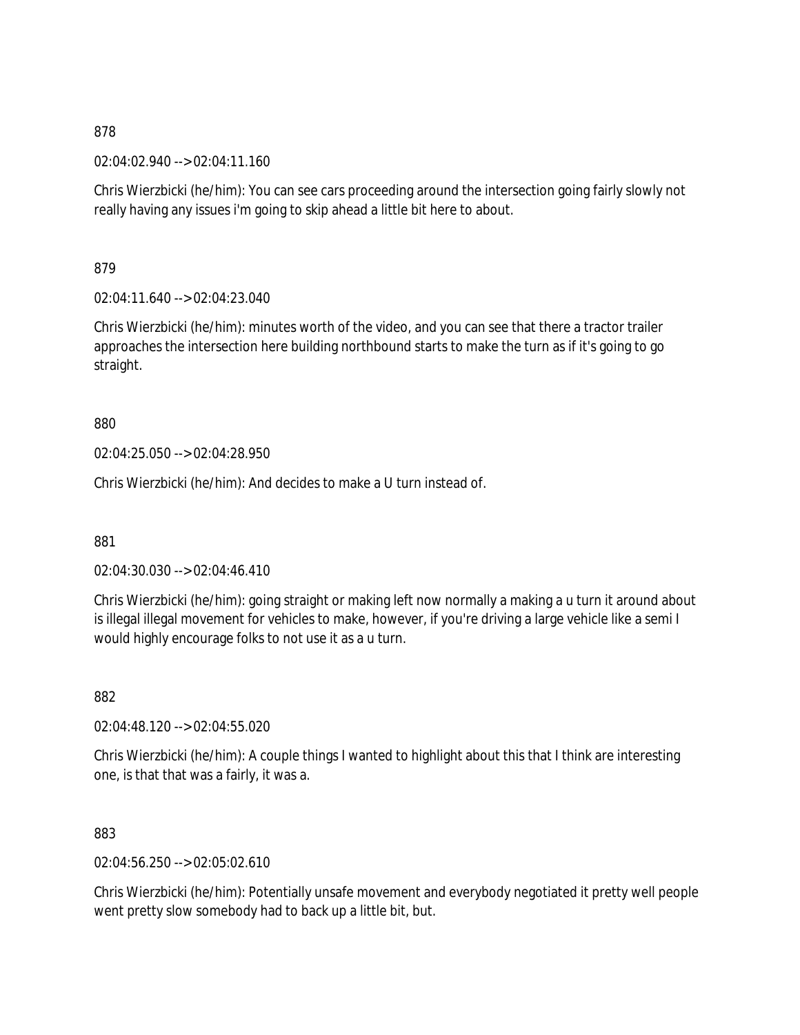02:04:02.940 --> 02:04:11.160

Chris Wierzbicki (he/him): You can see cars proceeding around the intersection going fairly slowly not really having any issues i'm going to skip ahead a little bit here to about.

879

02:04:11.640 --> 02:04:23.040

Chris Wierzbicki (he/him): minutes worth of the video, and you can see that there a tractor trailer approaches the intersection here building northbound starts to make the turn as if it's going to go straight.

880

02:04:25.050 --> 02:04:28.950

Chris Wierzbicki (he/him): And decides to make a U turn instead of.

881

02:04:30.030 --> 02:04:46.410

Chris Wierzbicki (he/him): going straight or making left now normally a making a u turn it around about is illegal illegal movement for vehicles to make, however, if you're driving a large vehicle like a semi I would highly encourage folks to not use it as a u turn.

882

02:04:48.120 --> 02:04:55.020

Chris Wierzbicki (he/him): A couple things I wanted to highlight about this that I think are interesting one, is that that was a fairly, it was a.

883

02:04:56.250 --> 02:05:02.610

Chris Wierzbicki (he/him): Potentially unsafe movement and everybody negotiated it pretty well people went pretty slow somebody had to back up a little bit, but.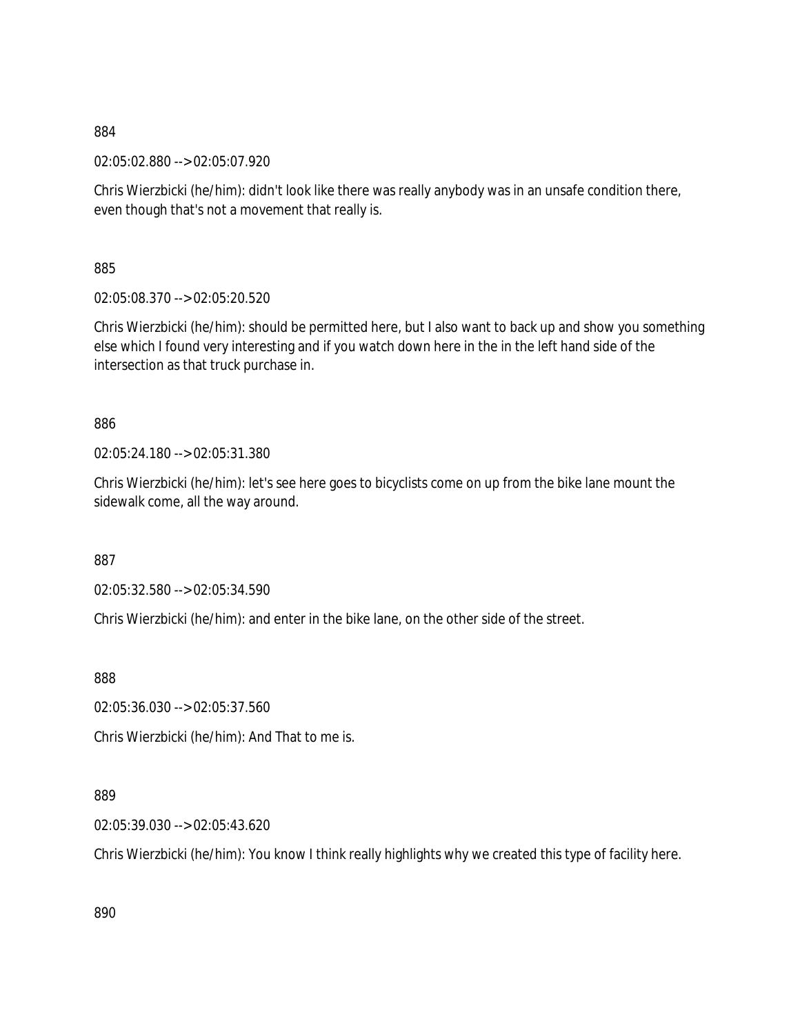02:05:02.880 --> 02:05:07.920

Chris Wierzbicki (he/him): didn't look like there was really anybody was in an unsafe condition there, even though that's not a movement that really is.

885

02:05:08.370 --> 02:05:20.520

Chris Wierzbicki (he/him): should be permitted here, but I also want to back up and show you something else which I found very interesting and if you watch down here in the in the left hand side of the intersection as that truck purchase in.

## 886

02:05:24.180 --> 02:05:31.380

Chris Wierzbicki (he/him): let's see here goes to bicyclists come on up from the bike lane mount the sidewalk come, all the way around.

887

02:05:32.580 --> 02:05:34.590

Chris Wierzbicki (he/him): and enter in the bike lane, on the other side of the street.

888

02:05:36.030 --> 02:05:37.560

Chris Wierzbicki (he/him): And That to me is.

## 889

02:05:39.030 --> 02:05:43.620

Chris Wierzbicki (he/him): You know I think really highlights why we created this type of facility here.

890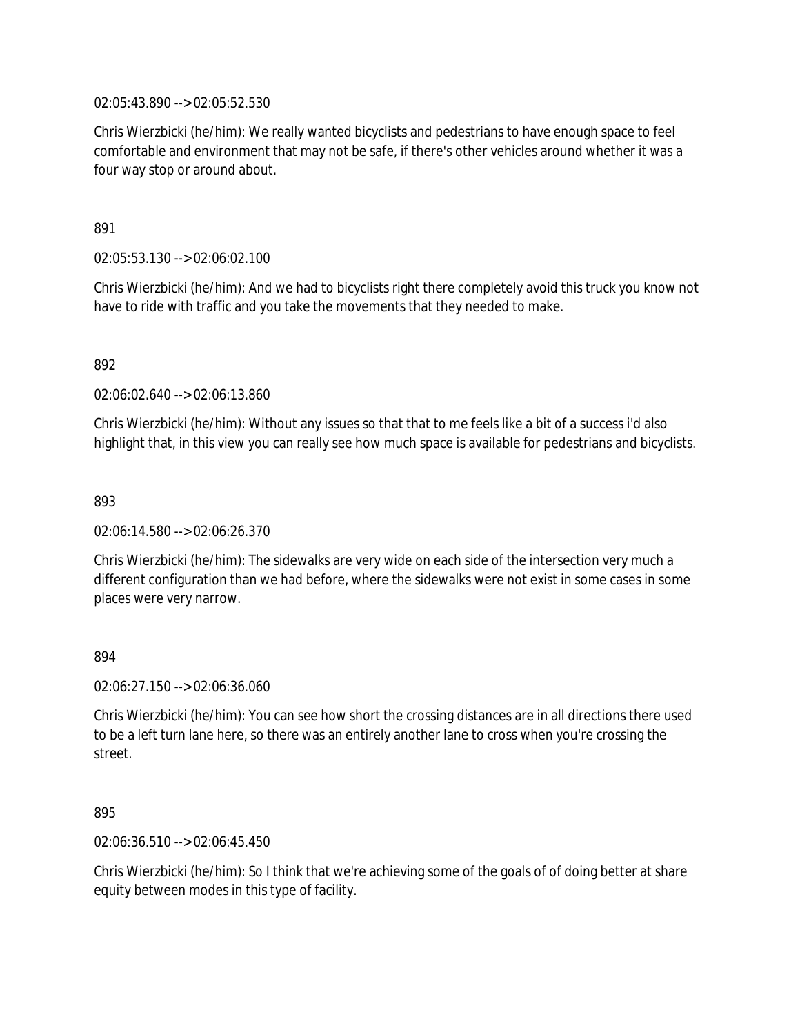02:05:43.890 --> 02:05:52.530

Chris Wierzbicki (he/him): We really wanted bicyclists and pedestrians to have enough space to feel comfortable and environment that may not be safe, if there's other vehicles around whether it was a four way stop or around about.

891

02:05:53.130 --> 02:06:02.100

Chris Wierzbicki (he/him): And we had to bicyclists right there completely avoid this truck you know not have to ride with traffic and you take the movements that they needed to make.

892

02:06:02.640 --> 02:06:13.860

Chris Wierzbicki (he/him): Without any issues so that that to me feels like a bit of a success i'd also highlight that, in this view you can really see how much space is available for pedestrians and bicyclists.

893

02:06:14.580 --> 02:06:26.370

Chris Wierzbicki (he/him): The sidewalks are very wide on each side of the intersection very much a different configuration than we had before, where the sidewalks were not exist in some cases in some places were very narrow.

894

02:06:27.150 --> 02:06:36.060

Chris Wierzbicki (he/him): You can see how short the crossing distances are in all directions there used to be a left turn lane here, so there was an entirely another lane to cross when you're crossing the street.

895

02:06:36.510 --> 02:06:45.450

Chris Wierzbicki (he/him): So I think that we're achieving some of the goals of of doing better at share equity between modes in this type of facility.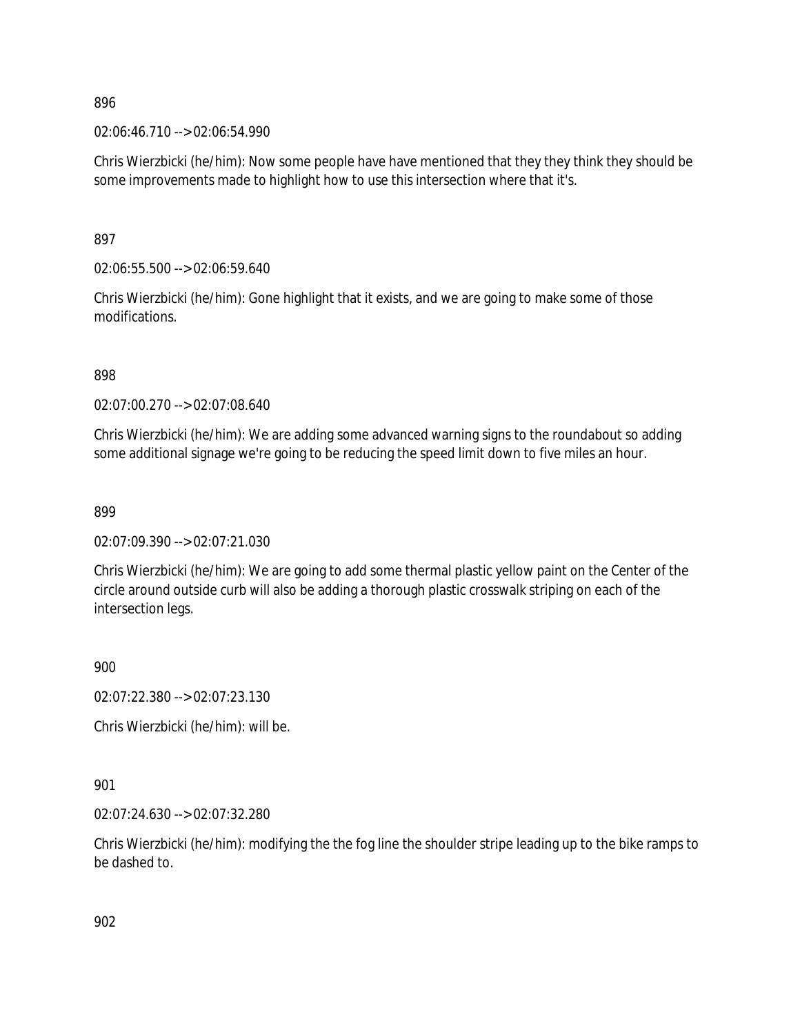02:06:46.710 --> 02:06:54.990

Chris Wierzbicki (he/him): Now some people have have mentioned that they they think they should be some improvements made to highlight how to use this intersection where that it's.

897

02:06:55.500 --> 02:06:59.640

Chris Wierzbicki (he/him): Gone highlight that it exists, and we are going to make some of those modifications.

898

02:07:00.270 --> 02:07:08.640

Chris Wierzbicki (he/him): We are adding some advanced warning signs to the roundabout so adding some additional signage we're going to be reducing the speed limit down to five miles an hour.

899

02:07:09.390 --> 02:07:21.030

Chris Wierzbicki (he/him): We are going to add some thermal plastic yellow paint on the Center of the circle around outside curb will also be adding a thorough plastic crosswalk striping on each of the intersection legs.

900

02:07:22.380 --> 02:07:23.130

Chris Wierzbicki (he/him): will be.

901

02:07:24.630 --> 02:07:32.280

Chris Wierzbicki (he/him): modifying the the fog line the shoulder stripe leading up to the bike ramps to be dashed to.

902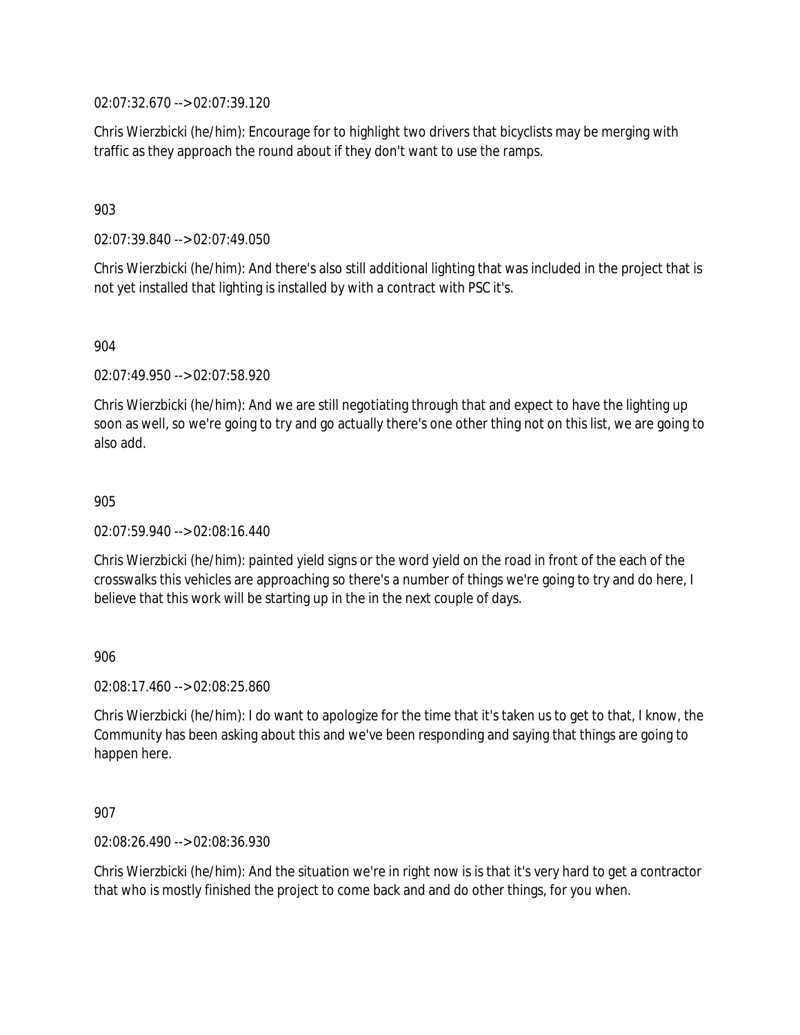02:07:32.670 --> 02:07:39.120

Chris Wierzbicki (he/him): Encourage for to highlight two drivers that bicyclists may be merging with traffic as they approach the round about if they don't want to use the ramps.

### 903

02:07:39.840 --> 02:07:49.050

Chris Wierzbicki (he/him): And there's also still additional lighting that was included in the project that is not yet installed that lighting is installed by with a contract with PSC it's.

### 904

02:07:49.950 --> 02:07:58.920

Chris Wierzbicki (he/him): And we are still negotiating through that and expect to have the lighting up soon as well, so we're going to try and go actually there's one other thing not on this list, we are going to also add.

#### 905

02:07:59.940 --> 02:08:16.440

Chris Wierzbicki (he/him): painted yield signs or the word yield on the road in front of the each of the crosswalks this vehicles are approaching so there's a number of things we're going to try and do here, I believe that this work will be starting up in the in the next couple of days.

### 906

02:08:17.460 --> 02:08:25.860

Chris Wierzbicki (he/him): I do want to apologize for the time that it's taken us to get to that, I know, the Community has been asking about this and we've been responding and saying that things are going to happen here.

### 907

02:08:26.490 --> 02:08:36.930

Chris Wierzbicki (he/him): And the situation we're in right now is is that it's very hard to get a contractor that who is mostly finished the project to come back and and do other things, for you when.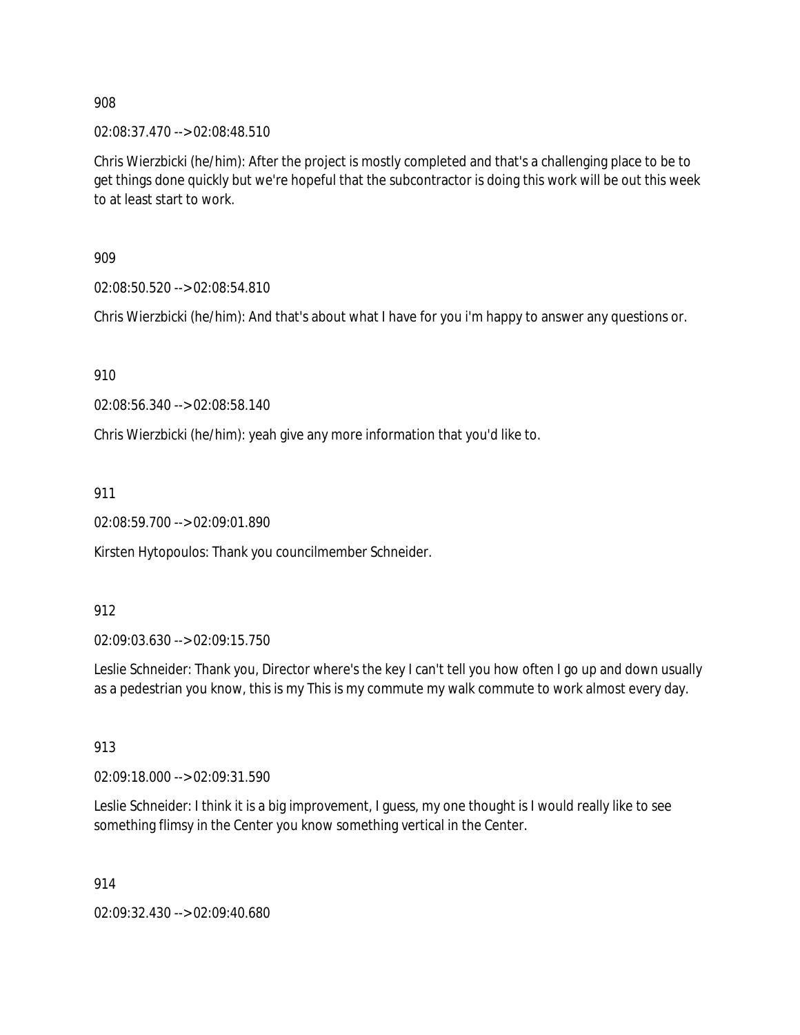02:08:37.470 --> 02:08:48.510

Chris Wierzbicki (he/him): After the project is mostly completed and that's a challenging place to be to get things done quickly but we're hopeful that the subcontractor is doing this work will be out this week to at least start to work.

909

02:08:50.520 --> 02:08:54.810

Chris Wierzbicki (he/him): And that's about what I have for you i'm happy to answer any questions or.

910

02:08:56.340 --> 02:08:58.140

Chris Wierzbicki (he/him): yeah give any more information that you'd like to.

911

02:08:59.700 --> 02:09:01.890

Kirsten Hytopoulos: Thank you councilmember Schneider.

912

02:09:03.630 --> 02:09:15.750

Leslie Schneider: Thank you, Director where's the key I can't tell you how often I go up and down usually as a pedestrian you know, this is my This is my commute my walk commute to work almost every day.

913

02:09:18.000 --> 02:09:31.590

Leslie Schneider: I think it is a big improvement, I guess, my one thought is I would really like to see something flimsy in the Center you know something vertical in the Center.

914

02:09:32.430 --> 02:09:40.680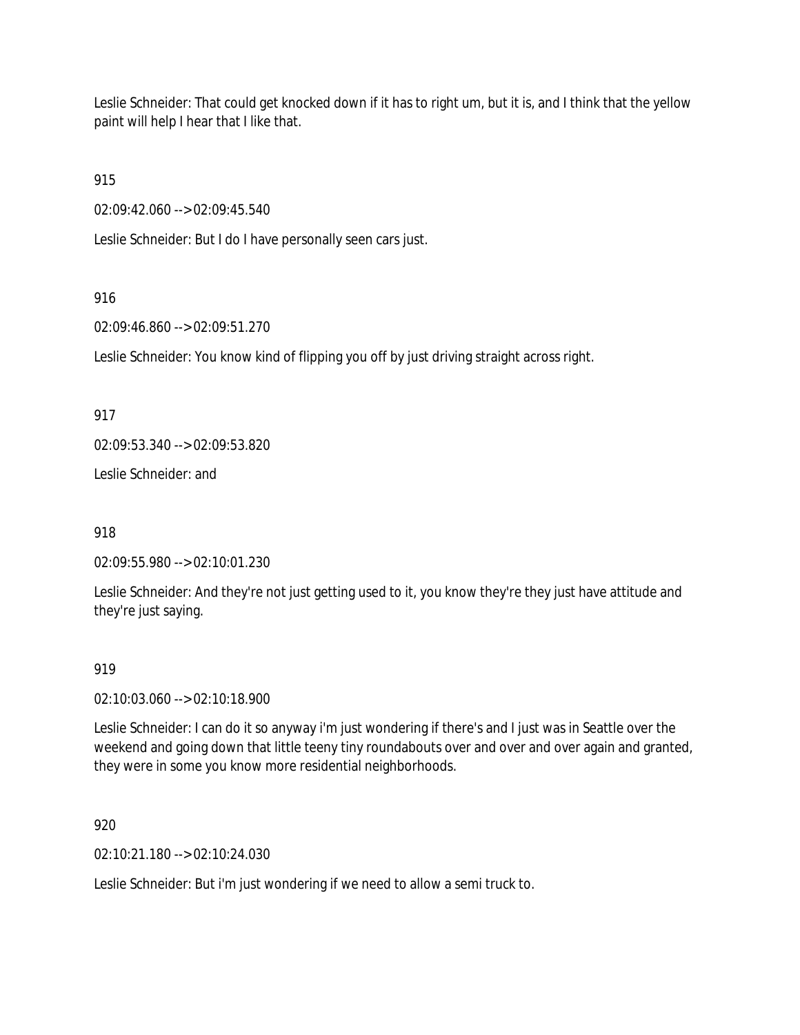Leslie Schneider: That could get knocked down if it has to right um, but it is, and I think that the yellow paint will help I hear that I like that.

915

02:09:42.060 --> 02:09:45.540

Leslie Schneider: But I do I have personally seen cars just.

# 916

02:09:46.860 --> 02:09:51.270

Leslie Schneider: You know kind of flipping you off by just driving straight across right.

917

02:09:53.340 --> 02:09:53.820

Leslie Schneider: and

918

02:09:55.980 --> 02:10:01.230

Leslie Schneider: And they're not just getting used to it, you know they're they just have attitude and they're just saying.

# 919

02:10:03.060 --> 02:10:18.900

Leslie Schneider: I can do it so anyway i'm just wondering if there's and I just was in Seattle over the weekend and going down that little teeny tiny roundabouts over and over and over again and granted, they were in some you know more residential neighborhoods.

920

02:10:21.180 --> 02:10:24.030

Leslie Schneider: But i'm just wondering if we need to allow a semi truck to.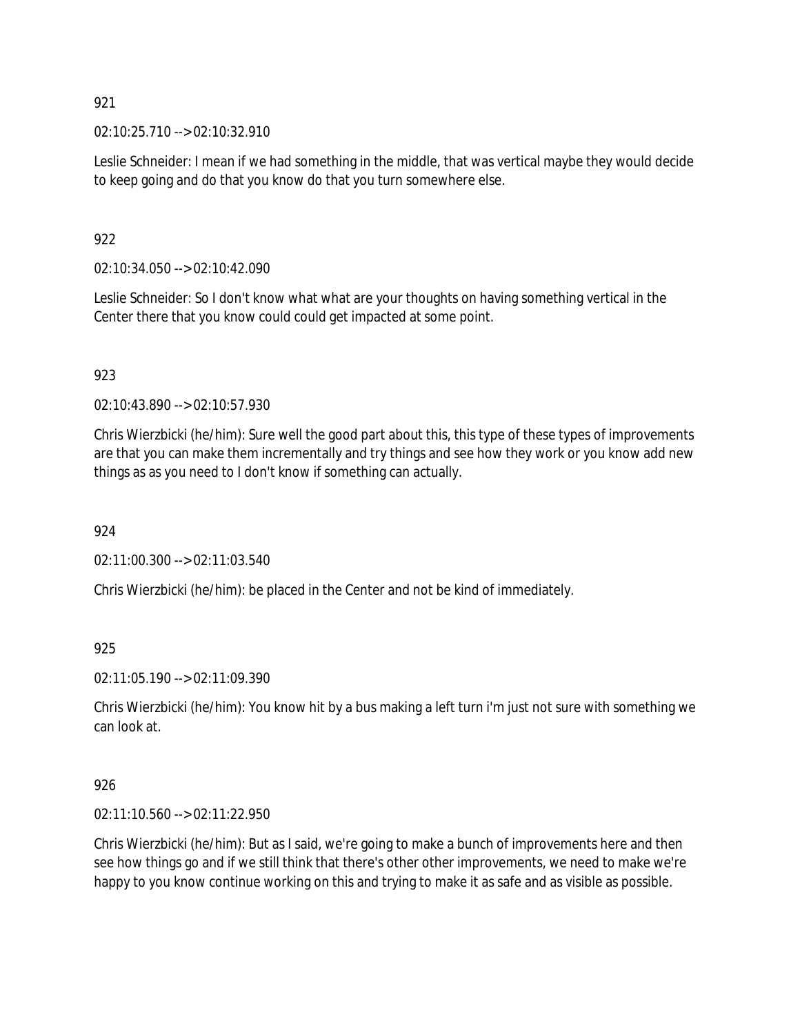02:10:25.710 --> 02:10:32.910

Leslie Schneider: I mean if we had something in the middle, that was vertical maybe they would decide to keep going and do that you know do that you turn somewhere else.

# 922

02:10:34.050 --> 02:10:42.090

Leslie Schneider: So I don't know what what are your thoughts on having something vertical in the Center there that you know could could get impacted at some point.

# 923

02:10:43.890 --> 02:10:57.930

Chris Wierzbicki (he/him): Sure well the good part about this, this type of these types of improvements are that you can make them incrementally and try things and see how they work or you know add new things as as you need to I don't know if something can actually.

# 924

02:11:00.300 --> 02:11:03.540

Chris Wierzbicki (he/him): be placed in the Center and not be kind of immediately.

925

02:11:05.190 --> 02:11:09.390

Chris Wierzbicki (he/him): You know hit by a bus making a left turn i'm just not sure with something we can look at.

# 926

02:11:10.560 --> 02:11:22.950

Chris Wierzbicki (he/him): But as I said, we're going to make a bunch of improvements here and then see how things go and if we still think that there's other other improvements, we need to make we're happy to you know continue working on this and trying to make it as safe and as visible as possible.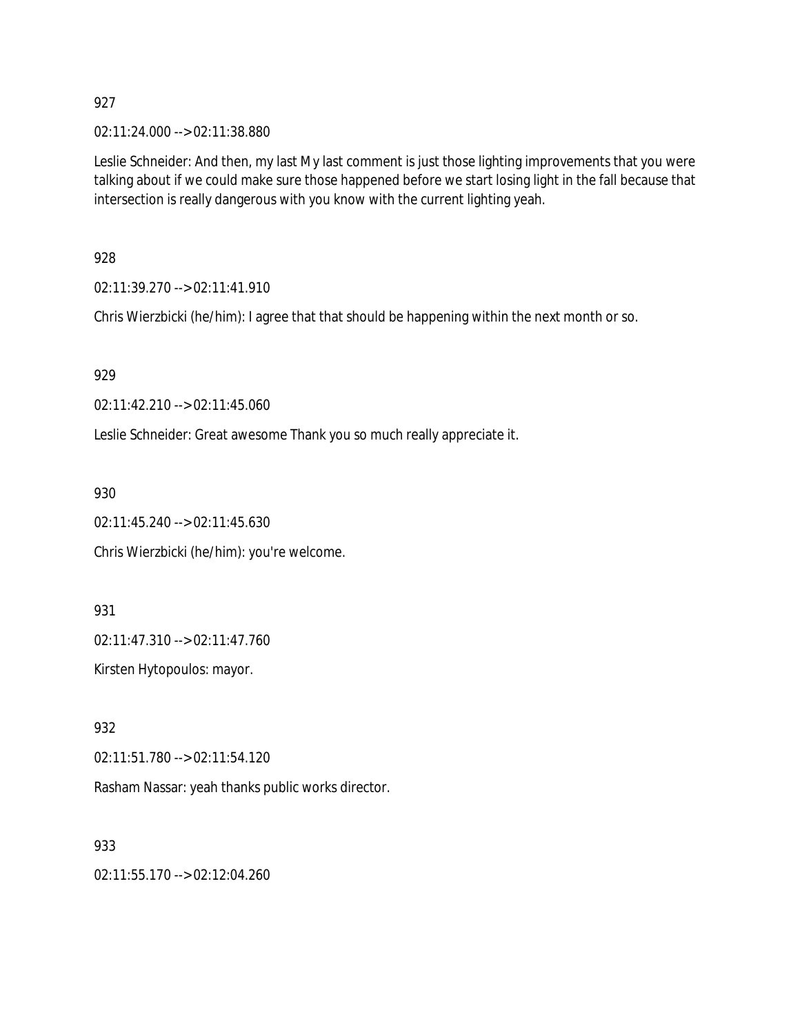02:11:24.000 --> 02:11:38.880

Leslie Schneider: And then, my last My last comment is just those lighting improvements that you were talking about if we could make sure those happened before we start losing light in the fall because that intersection is really dangerous with you know with the current lighting yeah.

928

02:11:39.270 --> 02:11:41.910

Chris Wierzbicki (he/him): I agree that that should be happening within the next month or so.

929

02:11:42.210 --> 02:11:45.060

Leslie Schneider: Great awesome Thank you so much really appreciate it.

930

02:11:45.240 --> 02:11:45.630

Chris Wierzbicki (he/him): you're welcome.

931

02:11:47.310 --> 02:11:47.760

Kirsten Hytopoulos: mayor.

932

02:11:51.780 --> 02:11:54.120

Rasham Nassar: yeah thanks public works director.

933

02:11:55.170 --> 02:12:04.260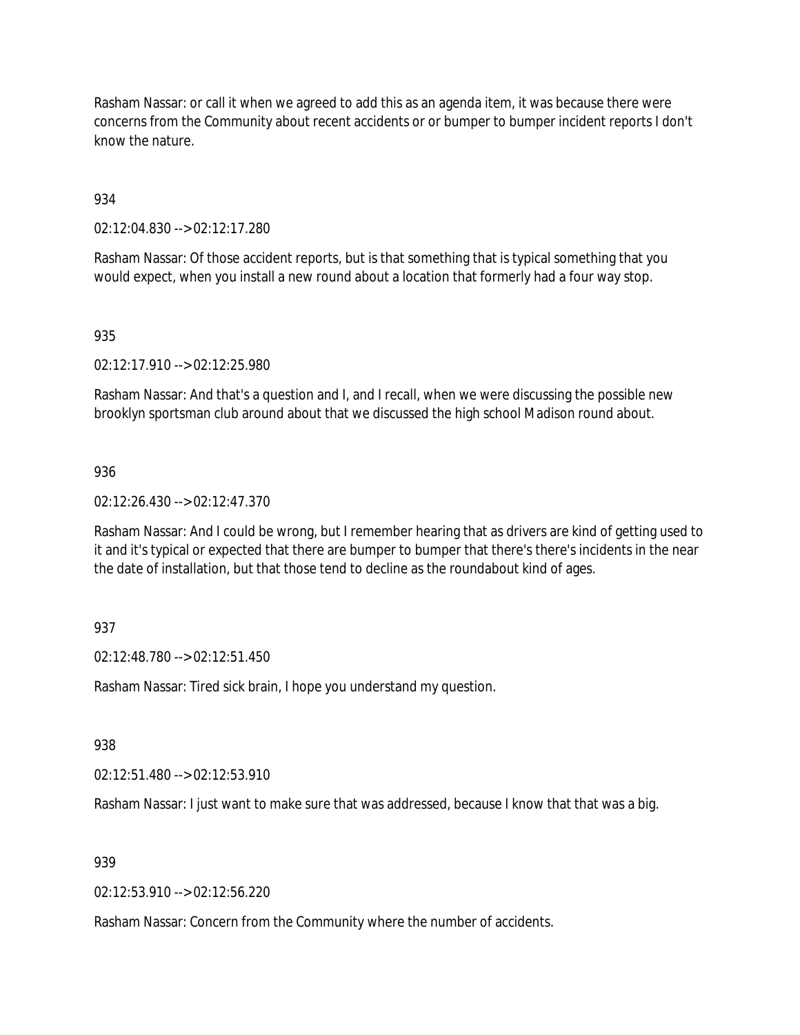Rasham Nassar: or call it when we agreed to add this as an agenda item, it was because there were concerns from the Community about recent accidents or or bumper to bumper incident reports I don't know the nature.

934

02:12:04.830 --> 02:12:17.280

Rasham Nassar: Of those accident reports, but is that something that is typical something that you would expect, when you install a new round about a location that formerly had a four way stop.

### 935

02:12:17.910 --> 02:12:25.980

Rasham Nassar: And that's a question and I, and I recall, when we were discussing the possible new brooklyn sportsman club around about that we discussed the high school Madison round about.

### 936

02:12:26.430 --> 02:12:47.370

Rasham Nassar: And I could be wrong, but I remember hearing that as drivers are kind of getting used to it and it's typical or expected that there are bumper to bumper that there's there's incidents in the near the date of installation, but that those tend to decline as the roundabout kind of ages.

### 937

02:12:48.780 --> 02:12:51.450

Rasham Nassar: Tired sick brain, I hope you understand my question.

938

02:12:51.480 --> 02:12:53.910

Rasham Nassar: I just want to make sure that was addressed, because I know that that was a big.

### 939

02:12:53.910 --> 02:12:56.220

Rasham Nassar: Concern from the Community where the number of accidents.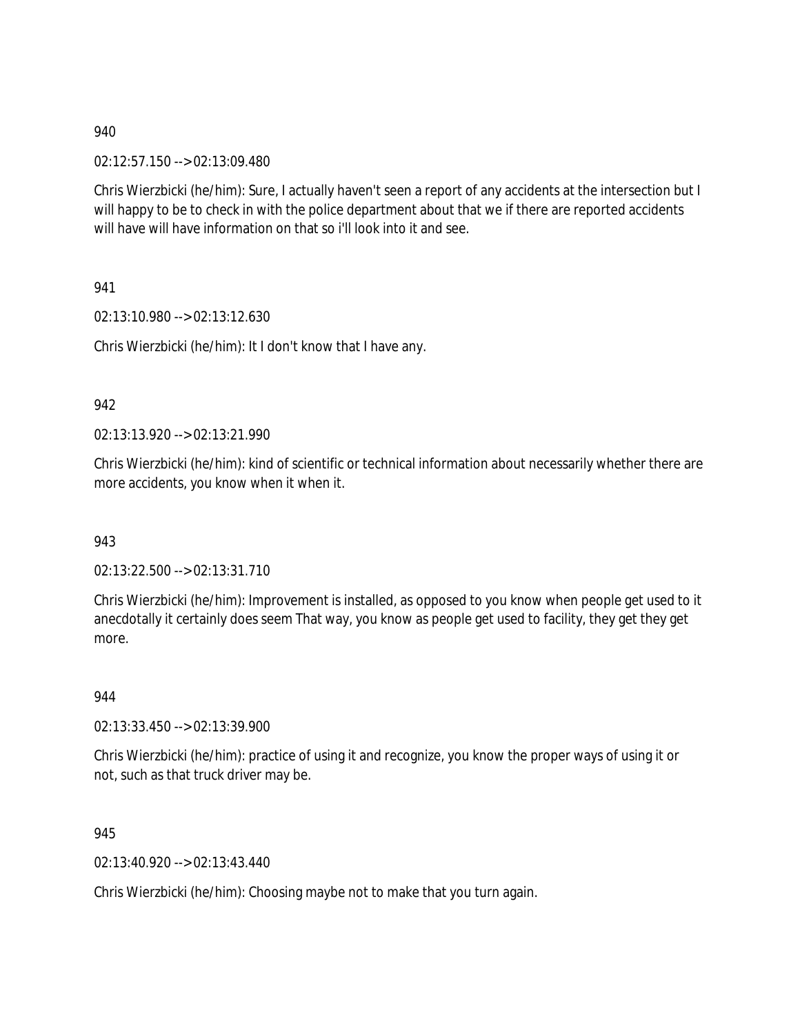02:12:57.150 --> 02:13:09.480

Chris Wierzbicki (he/him): Sure, I actually haven't seen a report of any accidents at the intersection but I will happy to be to check in with the police department about that we if there are reported accidents will have will have information on that so i'll look into it and see.

941

02:13:10.980 --> 02:13:12.630

Chris Wierzbicki (he/him): It I don't know that I have any.

### 942

02:13:13.920 --> 02:13:21.990

Chris Wierzbicki (he/him): kind of scientific or technical information about necessarily whether there are more accidents, you know when it when it.

943

02:13:22.500 --> 02:13:31.710

Chris Wierzbicki (he/him): Improvement is installed, as opposed to you know when people get used to it anecdotally it certainly does seem That way, you know as people get used to facility, they get they get more.

944

02:13:33.450 --> 02:13:39.900

Chris Wierzbicki (he/him): practice of using it and recognize, you know the proper ways of using it or not, such as that truck driver may be.

945

02:13:40.920 --> 02:13:43.440

Chris Wierzbicki (he/him): Choosing maybe not to make that you turn again.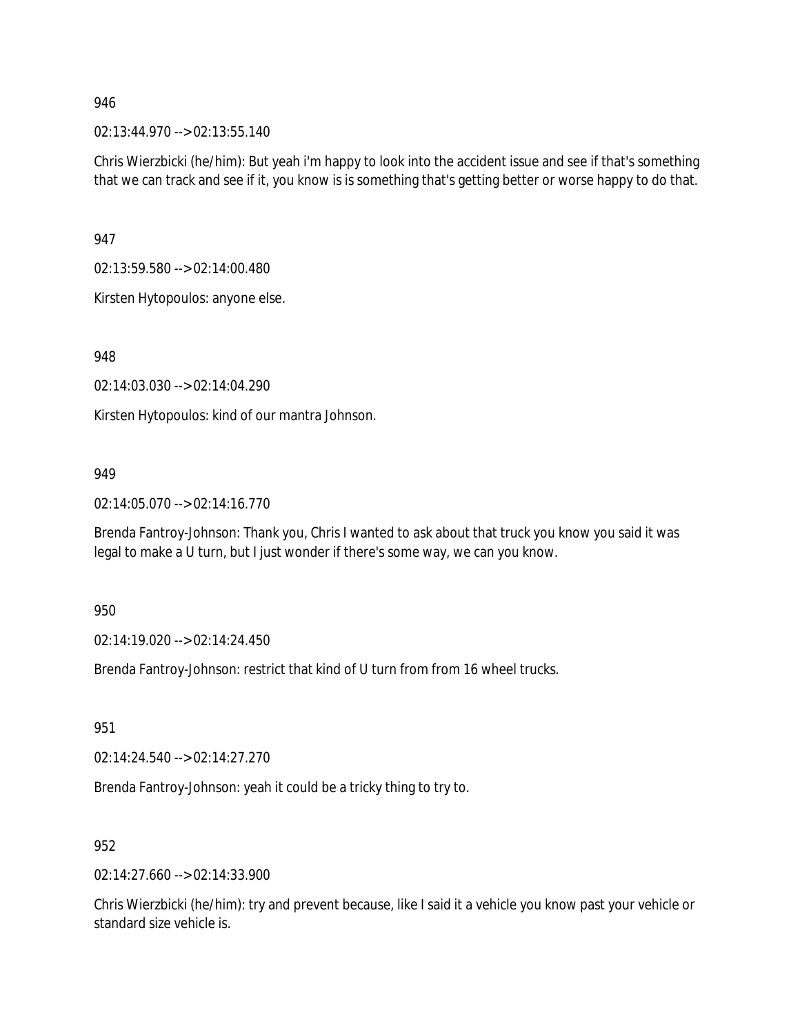02:13:44.970 --> 02:13:55.140

Chris Wierzbicki (he/him): But yeah i'm happy to look into the accident issue and see if that's something that we can track and see if it, you know is is something that's getting better or worse happy to do that.

947

02:13:59.580 --> 02:14:00.480

Kirsten Hytopoulos: anyone else.

948

02:14:03.030 --> 02:14:04.290

Kirsten Hytopoulos: kind of our mantra Johnson.

### 949

02:14:05.070 --> 02:14:16.770

Brenda Fantroy-Johnson: Thank you, Chris I wanted to ask about that truck you know you said it was legal to make a U turn, but I just wonder if there's some way, we can you know.

950

02:14:19.020 --> 02:14:24.450

Brenda Fantroy-Johnson: restrict that kind of U turn from from 16 wheel trucks.

951

02:14:24.540 --> 02:14:27.270

Brenda Fantroy-Johnson: yeah it could be a tricky thing to try to.

952

02:14:27.660 --> 02:14:33.900

Chris Wierzbicki (he/him): try and prevent because, like I said it a vehicle you know past your vehicle or standard size vehicle is.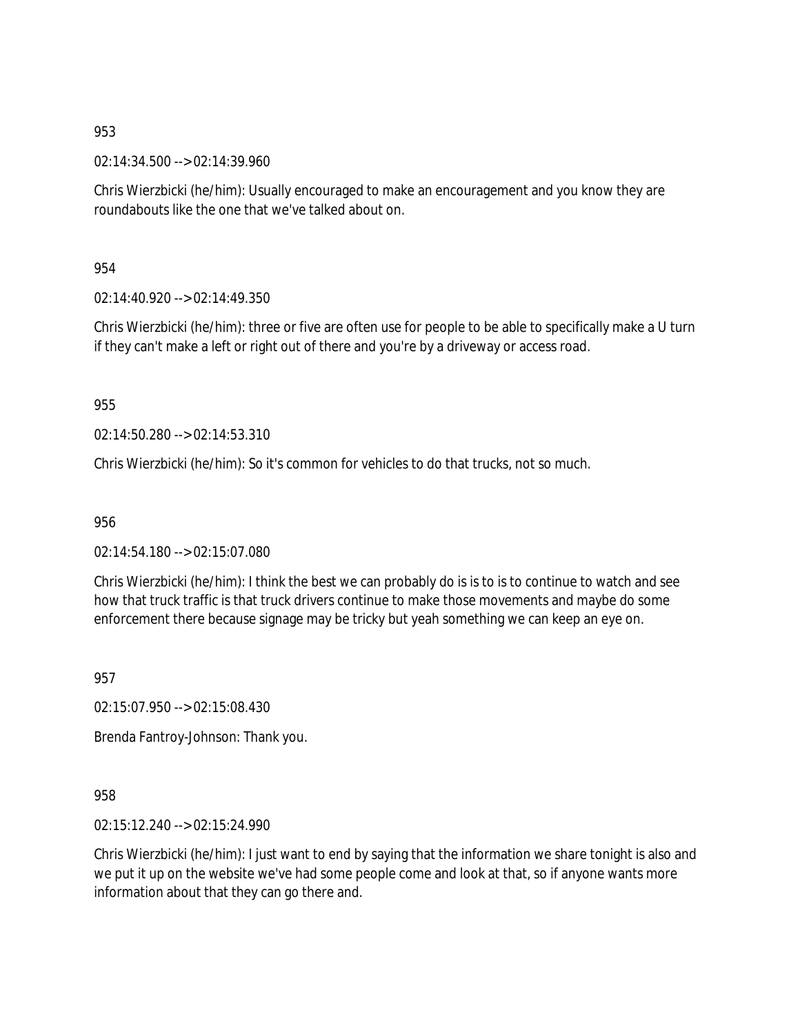02:14:34.500 --> 02:14:39.960

Chris Wierzbicki (he/him): Usually encouraged to make an encouragement and you know they are roundabouts like the one that we've talked about on.

954

02:14:40.920 --> 02:14:49.350

Chris Wierzbicki (he/him): three or five are often use for people to be able to specifically make a U turn if they can't make a left or right out of there and you're by a driveway or access road.

955

02:14:50.280 --> 02:14:53.310

Chris Wierzbicki (he/him): So it's common for vehicles to do that trucks, not so much.

956

02:14:54.180 --> 02:15:07.080

Chris Wierzbicki (he/him): I think the best we can probably do is is to is to continue to watch and see how that truck traffic is that truck drivers continue to make those movements and maybe do some enforcement there because signage may be tricky but yeah something we can keep an eye on.

957

02:15:07.950 --> 02:15:08.430

Brenda Fantroy-Johnson: Thank you.

958

02:15:12.240 --> 02:15:24.990

Chris Wierzbicki (he/him): I just want to end by saying that the information we share tonight is also and we put it up on the website we've had some people come and look at that, so if anyone wants more information about that they can go there and.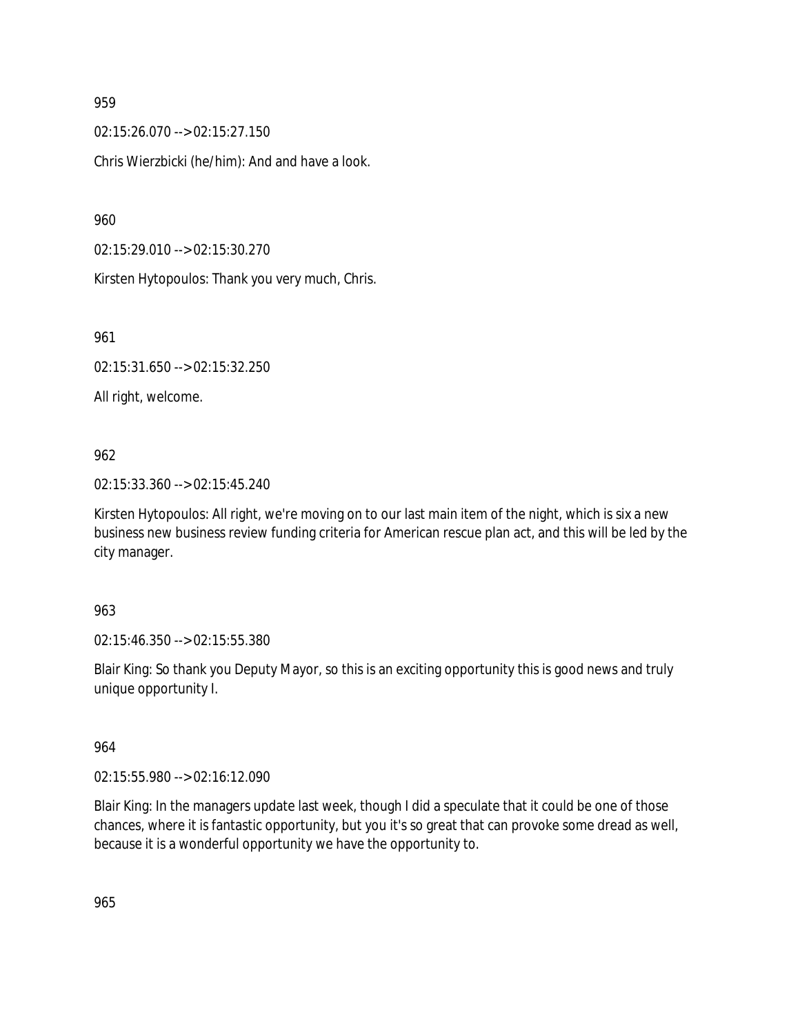02:15:26.070 --> 02:15:27.150 Chris Wierzbicki (he/him): And and have a look.

960

02:15:29.010 --> 02:15:30.270

Kirsten Hytopoulos: Thank you very much, Chris.

961

02:15:31.650 --> 02:15:32.250

All right, welcome.

## 962

02:15:33.360 --> 02:15:45.240

Kirsten Hytopoulos: All right, we're moving on to our last main item of the night, which is six a new business new business review funding criteria for American rescue plan act, and this will be led by the city manager.

### 963

02:15:46.350 --> 02:15:55.380

Blair King: So thank you Deputy Mayor, so this is an exciting opportunity this is good news and truly unique opportunity I.

### 964

02:15:55.980 --> 02:16:12.090

Blair King: In the managers update last week, though I did a speculate that it could be one of those chances, where it is fantastic opportunity, but you it's so great that can provoke some dread as well, because it is a wonderful opportunity we have the opportunity to.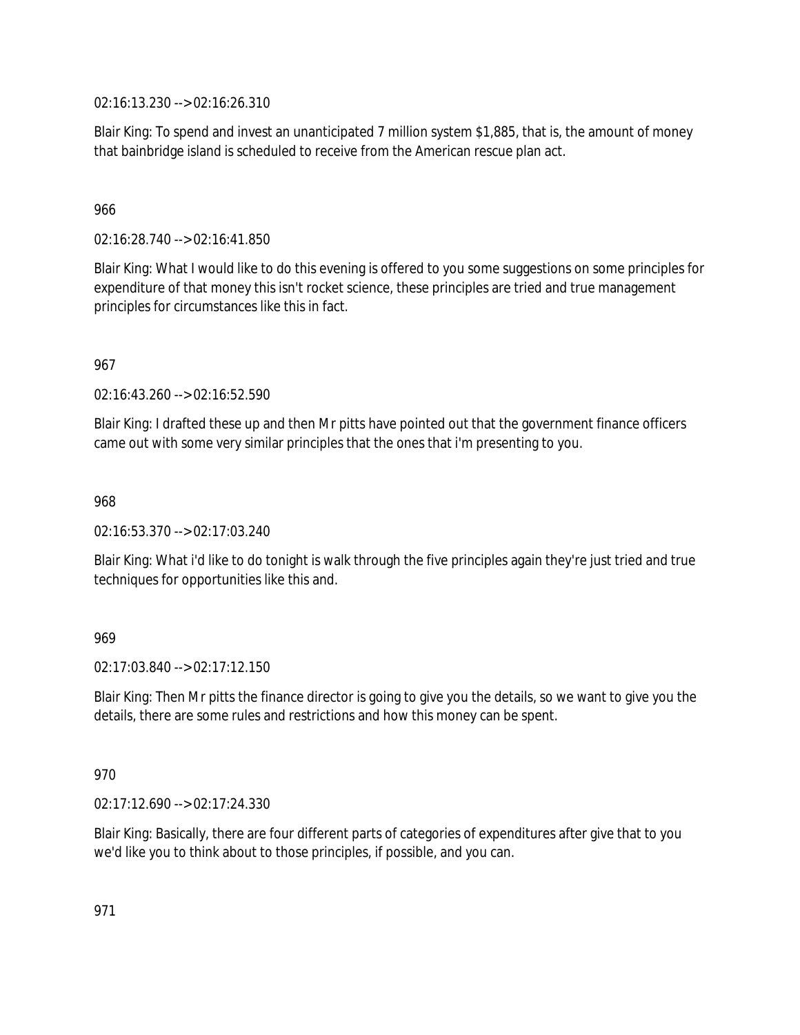02:16:13.230 --> 02:16:26.310

Blair King: To spend and invest an unanticipated 7 million system \$1,885, that is, the amount of money that bainbridge island is scheduled to receive from the American rescue plan act.

## 966

02:16:28.740 --> 02:16:41.850

Blair King: What I would like to do this evening is offered to you some suggestions on some principles for expenditure of that money this isn't rocket science, these principles are tried and true management principles for circumstances like this in fact.

967

02:16:43.260 --> 02:16:52.590

Blair King: I drafted these up and then Mr pitts have pointed out that the government finance officers came out with some very similar principles that the ones that i'm presenting to you.

968

02:16:53.370 --> 02:17:03.240

Blair King: What i'd like to do tonight is walk through the five principles again they're just tried and true techniques for opportunities like this and.

### 969

02:17:03.840 --> 02:17:12.150

Blair King: Then Mr pitts the finance director is going to give you the details, so we want to give you the details, there are some rules and restrictions and how this money can be spent.

### 970

02:17:12.690 --> 02:17:24.330

Blair King: Basically, there are four different parts of categories of expenditures after give that to you we'd like you to think about to those principles, if possible, and you can.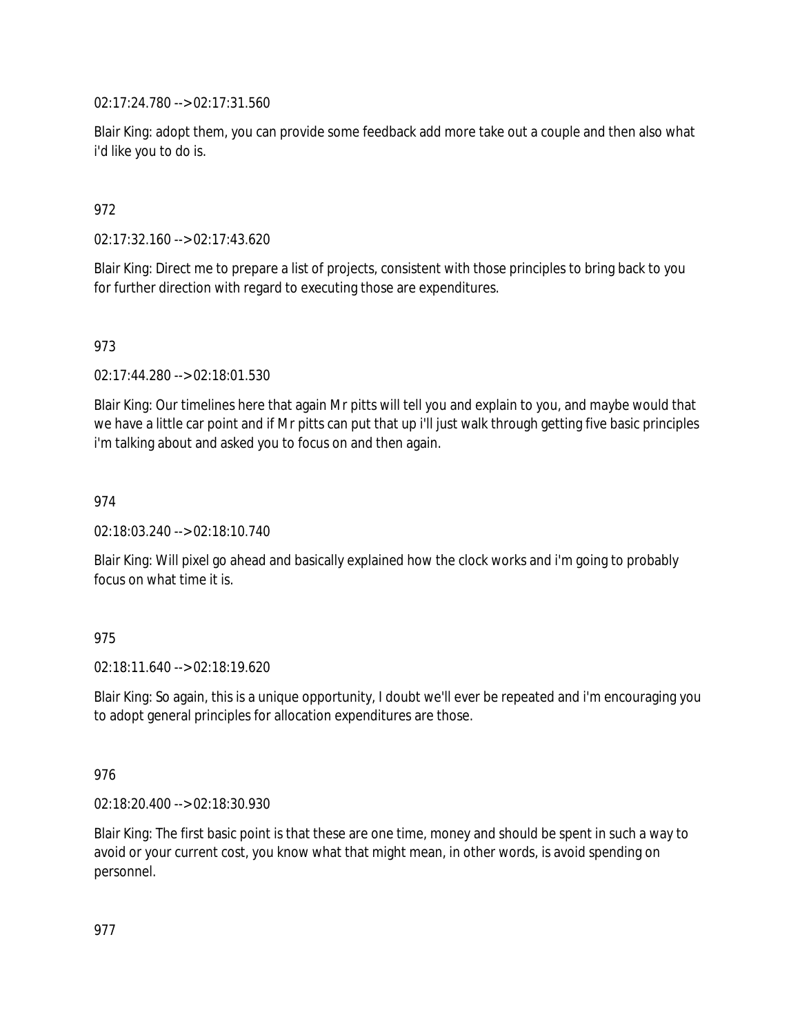02:17:24.780 --> 02:17:31.560

Blair King: adopt them, you can provide some feedback add more take out a couple and then also what i'd like you to do is.

## 972

02:17:32.160 --> 02:17:43.620

Blair King: Direct me to prepare a list of projects, consistent with those principles to bring back to you for further direction with regard to executing those are expenditures.

## 973

02:17:44.280 --> 02:18:01.530

Blair King: Our timelines here that again Mr pitts will tell you and explain to you, and maybe would that we have a little car point and if Mr pitts can put that up i'll just walk through getting five basic principles i'm talking about and asked you to focus on and then again.

974

02:18:03.240 --> 02:18:10.740

Blair King: Will pixel go ahead and basically explained how the clock works and i'm going to probably focus on what time it is.

### 975

02:18:11.640 --> 02:18:19.620

Blair King: So again, this is a unique opportunity, I doubt we'll ever be repeated and i'm encouraging you to adopt general principles for allocation expenditures are those.

### 976

02:18:20.400 --> 02:18:30.930

Blair King: The first basic point is that these are one time, money and should be spent in such a way to avoid or your current cost, you know what that might mean, in other words, is avoid spending on personnel.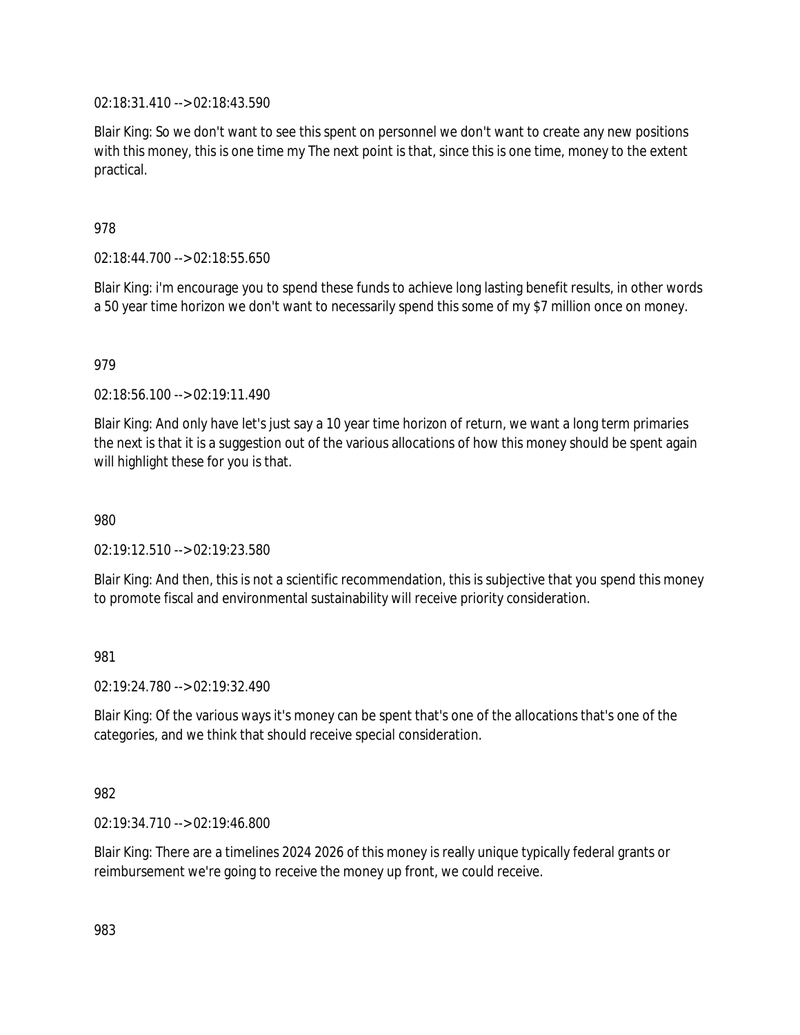02:18:31.410 --> 02:18:43.590

Blair King: So we don't want to see this spent on personnel we don't want to create any new positions with this money, this is one time my The next point is that, since this is one time, money to the extent practical.

978

02:18:44.700 --> 02:18:55.650

Blair King: i'm encourage you to spend these funds to achieve long lasting benefit results, in other words a 50 year time horizon we don't want to necessarily spend this some of my \$7 million once on money.

979

02:18:56.100 --> 02:19:11.490

Blair King: And only have let's just say a 10 year time horizon of return, we want a long term primaries the next is that it is a suggestion out of the various allocations of how this money should be spent again will highlight these for you is that.

980

02:19:12.510 --> 02:19:23.580

Blair King: And then, this is not a scientific recommendation, this is subjective that you spend this money to promote fiscal and environmental sustainability will receive priority consideration.

981

02:19:24.780 --> 02:19:32.490

Blair King: Of the various ways it's money can be spent that's one of the allocations that's one of the categories, and we think that should receive special consideration.

982

02:19:34.710 --> 02:19:46.800

Blair King: There are a timelines 2024 2026 of this money is really unique typically federal grants or reimbursement we're going to receive the money up front, we could receive.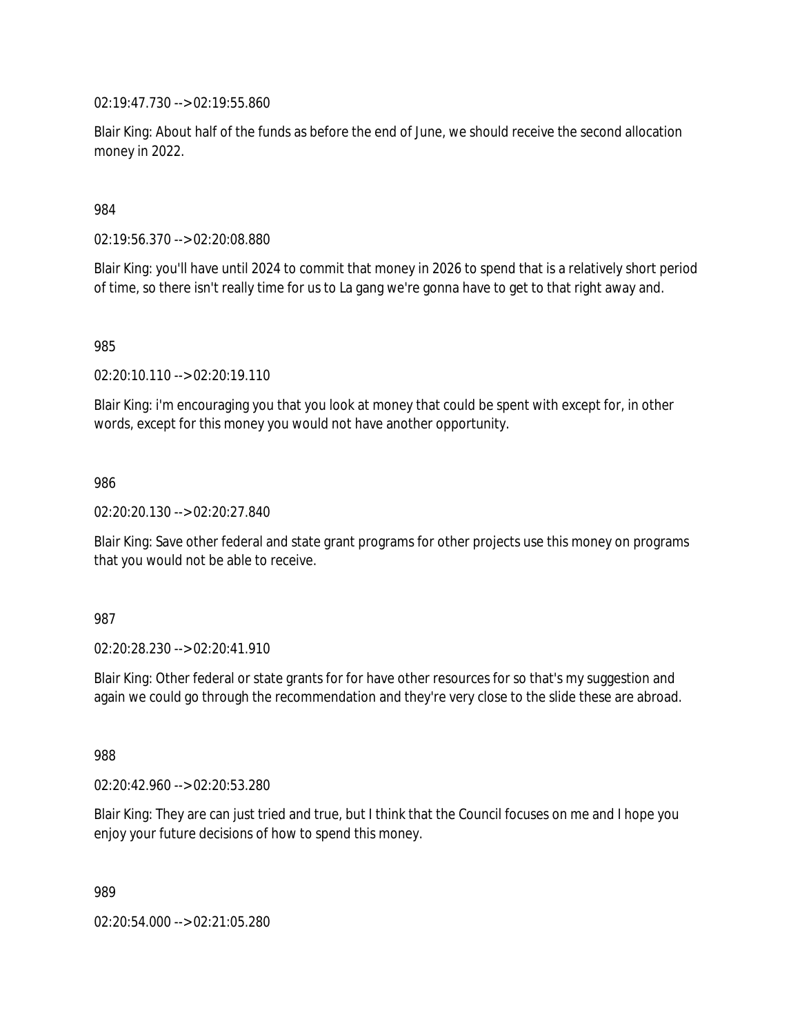02:19:47.730 --> 02:19:55.860

Blair King: About half of the funds as before the end of June, we should receive the second allocation money in 2022.

984

02:19:56.370 --> 02:20:08.880

Blair King: you'll have until 2024 to commit that money in 2026 to spend that is a relatively short period of time, so there isn't really time for us to La gang we're gonna have to get to that right away and.

985

02:20:10.110 --> 02:20:19.110

Blair King: i'm encouraging you that you look at money that could be spent with except for, in other words, except for this money you would not have another opportunity.

986

02:20:20.130 --> 02:20:27.840

Blair King: Save other federal and state grant programs for other projects use this money on programs that you would not be able to receive.

987

02:20:28.230 --> 02:20:41.910

Blair King: Other federal or state grants for for have other resources for so that's my suggestion and again we could go through the recommendation and they're very close to the slide these are abroad.

988

02:20:42.960 --> 02:20:53.280

Blair King: They are can just tried and true, but I think that the Council focuses on me and I hope you enjoy your future decisions of how to spend this money.

989

02:20:54.000 --> 02:21:05.280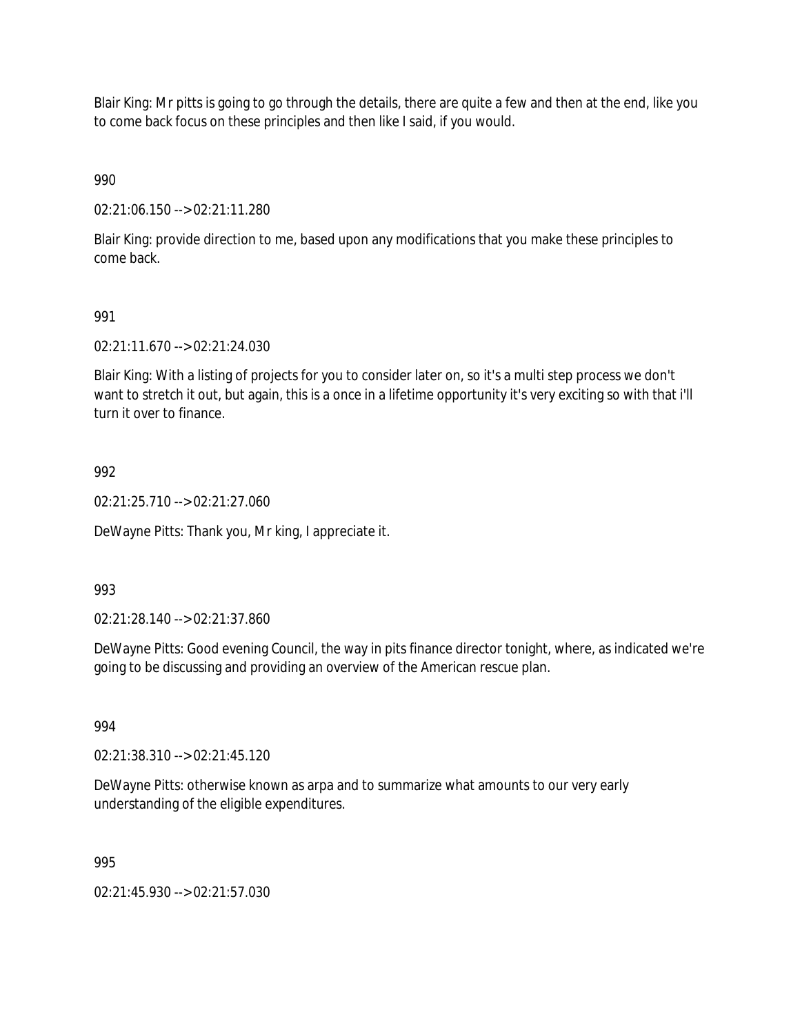Blair King: Mr pitts is going to go through the details, there are quite a few and then at the end, like you to come back focus on these principles and then like I said, if you would.

990

02:21:06.150 --> 02:21:11.280

Blair King: provide direction to me, based upon any modifications that you make these principles to come back.

## 991

02:21:11.670 --> 02:21:24.030

Blair King: With a listing of projects for you to consider later on, so it's a multi step process we don't want to stretch it out, but again, this is a once in a lifetime opportunity it's very exciting so with that i'll turn it over to finance.

## 992

02:21:25.710 --> 02:21:27.060

DeWayne Pitts: Thank you, Mr king, I appreciate it.

### 993

02:21:28.140 --> 02:21:37.860

DeWayne Pitts: Good evening Council, the way in pits finance director tonight, where, as indicated we're going to be discussing and providing an overview of the American rescue plan.

### 994

02:21:38.310 --> 02:21:45.120

DeWayne Pitts: otherwise known as arpa and to summarize what amounts to our very early understanding of the eligible expenditures.

### 995

02:21:45.930 --> 02:21:57.030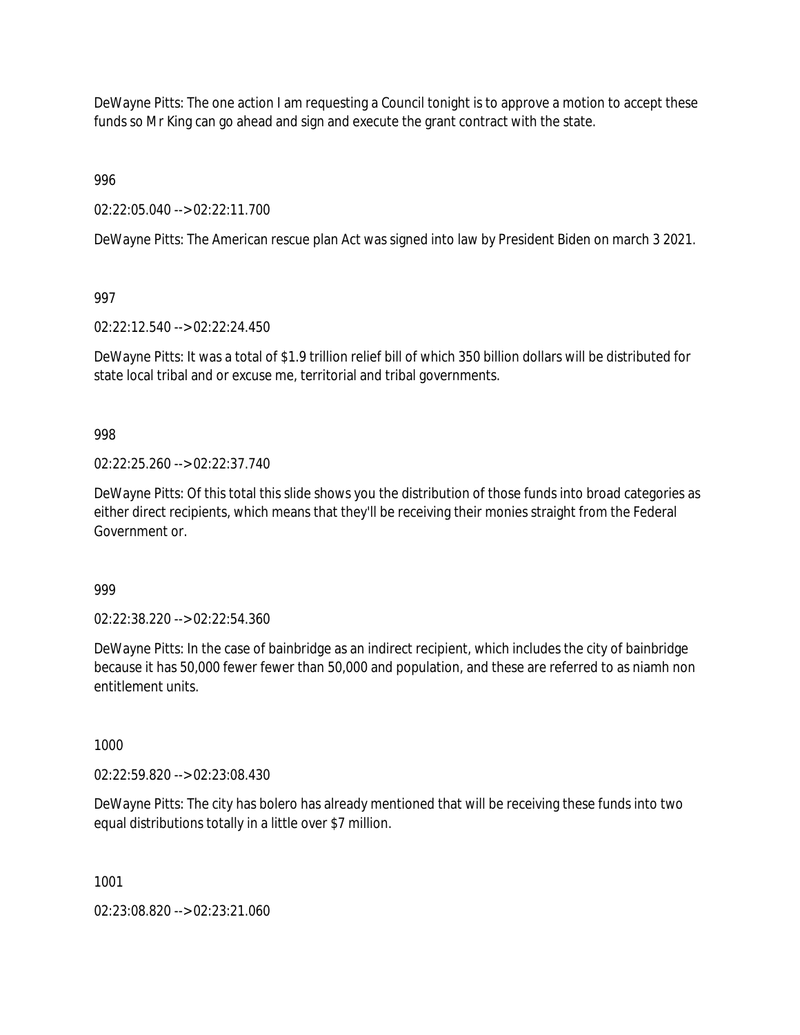DeWayne Pitts: The one action I am requesting a Council tonight is to approve a motion to accept these funds so Mr King can go ahead and sign and execute the grant contract with the state.

996

02:22:05.040 --> 02:22:11.700

DeWayne Pitts: The American rescue plan Act was signed into law by President Biden on march 3 2021.

997

02:22:12.540 --> 02:22:24.450

DeWayne Pitts: It was a total of \$1.9 trillion relief bill of which 350 billion dollars will be distributed for state local tribal and or excuse me, territorial and tribal governments.

998

02:22:25.260 --> 02:22:37.740

DeWayne Pitts: Of this total this slide shows you the distribution of those funds into broad categories as either direct recipients, which means that they'll be receiving their monies straight from the Federal Government or.

999

02:22:38.220 --> 02:22:54.360

DeWayne Pitts: In the case of bainbridge as an indirect recipient, which includes the city of bainbridge because it has 50,000 fewer fewer than 50,000 and population, and these are referred to as niamh non entitlement units.

1000

02:22:59.820 --> 02:23:08.430

DeWayne Pitts: The city has bolero has already mentioned that will be receiving these funds into two equal distributions totally in a little over \$7 million.

1001

02:23:08.820 --> 02:23:21.060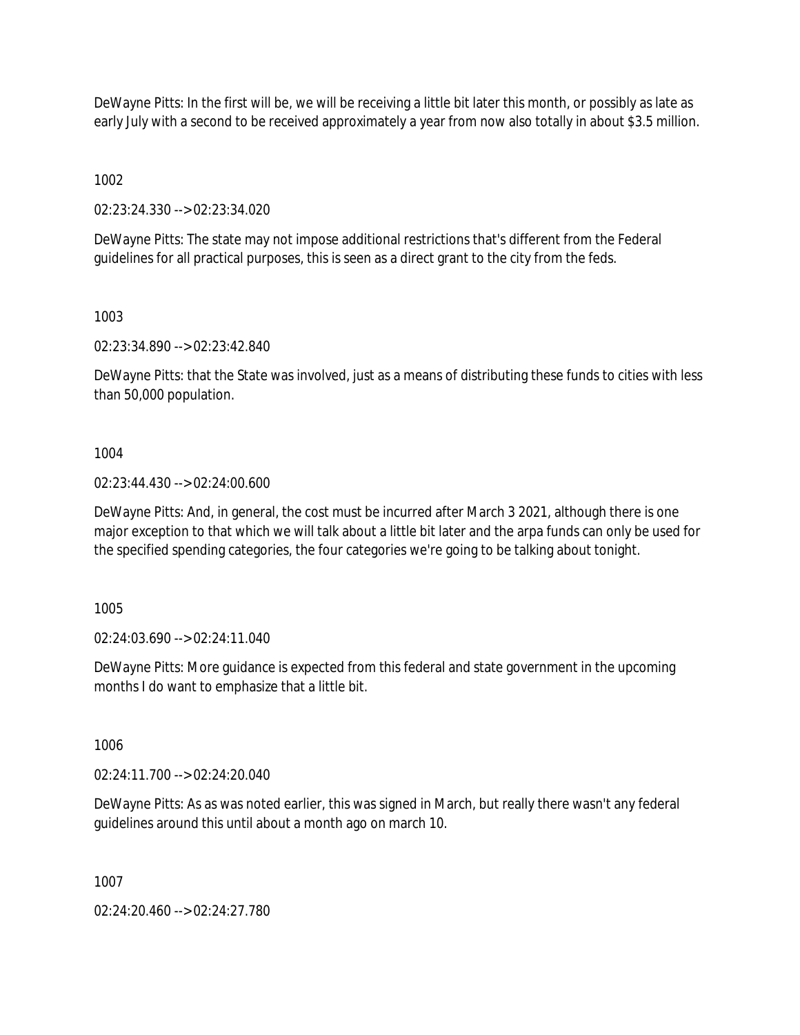DeWayne Pitts: In the first will be, we will be receiving a little bit later this month, or possibly as late as early July with a second to be received approximately a year from now also totally in about \$3.5 million.

1002

02:23:24.330 --> 02:23:34.020

DeWayne Pitts: The state may not impose additional restrictions that's different from the Federal guidelines for all practical purposes, this is seen as a direct grant to the city from the feds.

1003

02:23:34.890 --> 02:23:42.840

DeWayne Pitts: that the State was involved, just as a means of distributing these funds to cities with less than 50,000 population.

1004

02:23:44.430 --> 02:24:00.600

DeWayne Pitts: And, in general, the cost must be incurred after March 3 2021, although there is one major exception to that which we will talk about a little bit later and the arpa funds can only be used for the specified spending categories, the four categories we're going to be talking about tonight.

1005

02:24:03.690 --> 02:24:11.040

DeWayne Pitts: More guidance is expected from this federal and state government in the upcoming months I do want to emphasize that a little bit.

1006

02:24:11.700 --> 02:24:20.040

DeWayne Pitts: As as was noted earlier, this was signed in March, but really there wasn't any federal guidelines around this until about a month ago on march 10.

1007

02:24:20.460 --> 02:24:27.780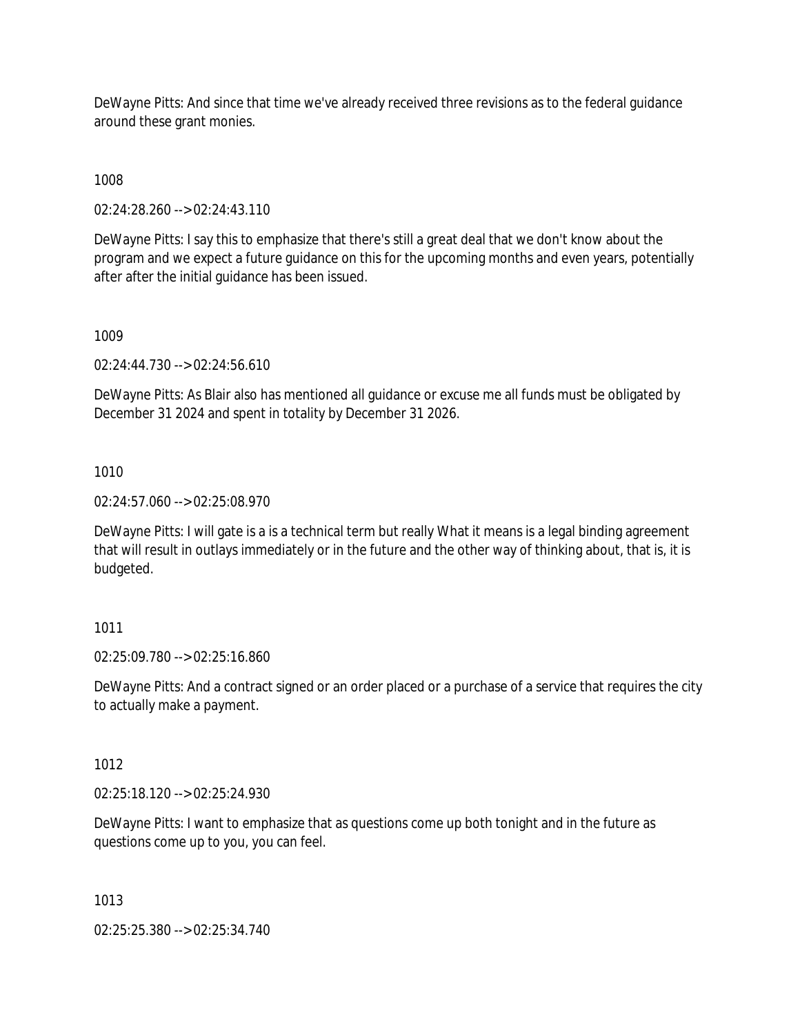DeWayne Pitts: And since that time we've already received three revisions as to the federal guidance around these grant monies.

1008

02:24:28.260 --> 02:24:43.110

DeWayne Pitts: I say this to emphasize that there's still a great deal that we don't know about the program and we expect a future guidance on this for the upcoming months and even years, potentially after after the initial guidance has been issued.

1009

02:24:44.730 --> 02:24:56.610

DeWayne Pitts: As Blair also has mentioned all guidance or excuse me all funds must be obligated by December 31 2024 and spent in totality by December 31 2026.

1010

02:24:57.060 --> 02:25:08.970

DeWayne Pitts: I will gate is a is a technical term but really What it means is a legal binding agreement that will result in outlays immediately or in the future and the other way of thinking about, that is, it is budgeted.

# 1011

02:25:09.780 --> 02:25:16.860

DeWayne Pitts: And a contract signed or an order placed or a purchase of a service that requires the city to actually make a payment.

# 1012

02:25:18.120 --> 02:25:24.930

DeWayne Pitts: I want to emphasize that as questions come up both tonight and in the future as questions come up to you, you can feel.

1013

02:25:25.380 --> 02:25:34.740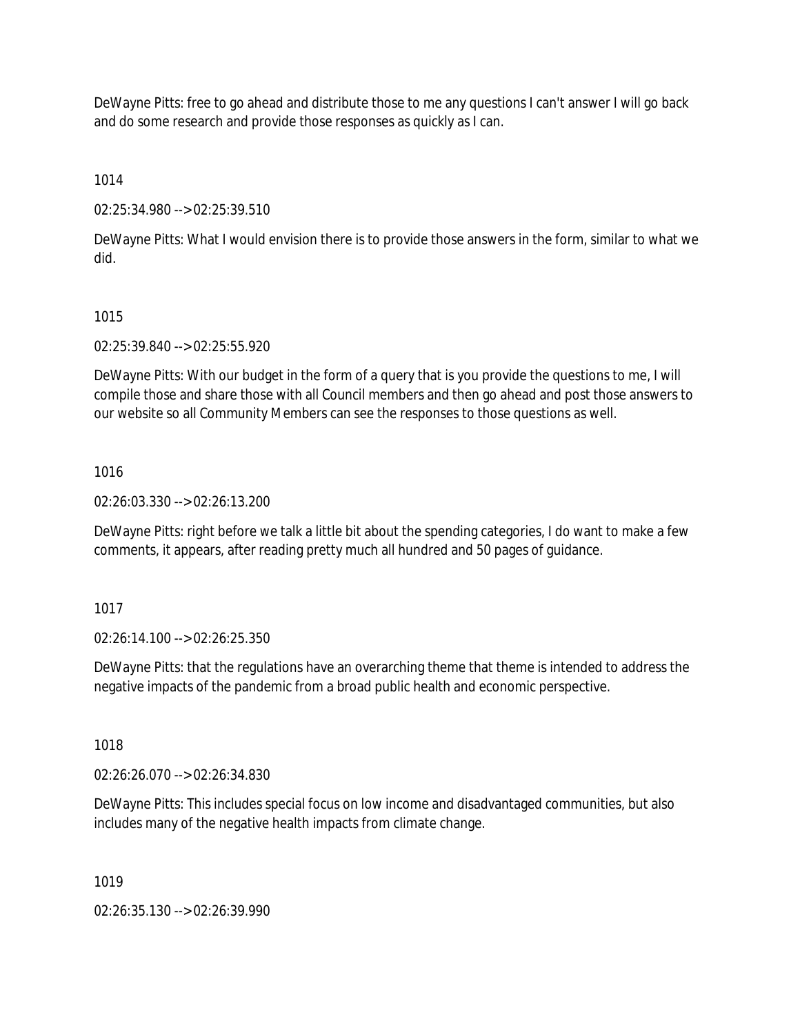DeWayne Pitts: free to go ahead and distribute those to me any questions I can't answer I will go back and do some research and provide those responses as quickly as I can.

1014

02:25:34.980 --> 02:25:39.510

DeWayne Pitts: What I would envision there is to provide those answers in the form, similar to what we did.

### 1015

02:25:39.840 --> 02:25:55.920

DeWayne Pitts: With our budget in the form of a query that is you provide the questions to me, I will compile those and share those with all Council members and then go ahead and post those answers to our website so all Community Members can see the responses to those questions as well.

#### 1016

02:26:03.330 --> 02:26:13.200

DeWayne Pitts: right before we talk a little bit about the spending categories, I do want to make a few comments, it appears, after reading pretty much all hundred and 50 pages of guidance.

### 1017

02:26:14.100 --> 02:26:25.350

DeWayne Pitts: that the regulations have an overarching theme that theme is intended to address the negative impacts of the pandemic from a broad public health and economic perspective.

1018

02:26:26.070 --> 02:26:34.830

DeWayne Pitts: This includes special focus on low income and disadvantaged communities, but also includes many of the negative health impacts from climate change.

1019

02:26:35.130 --> 02:26:39.990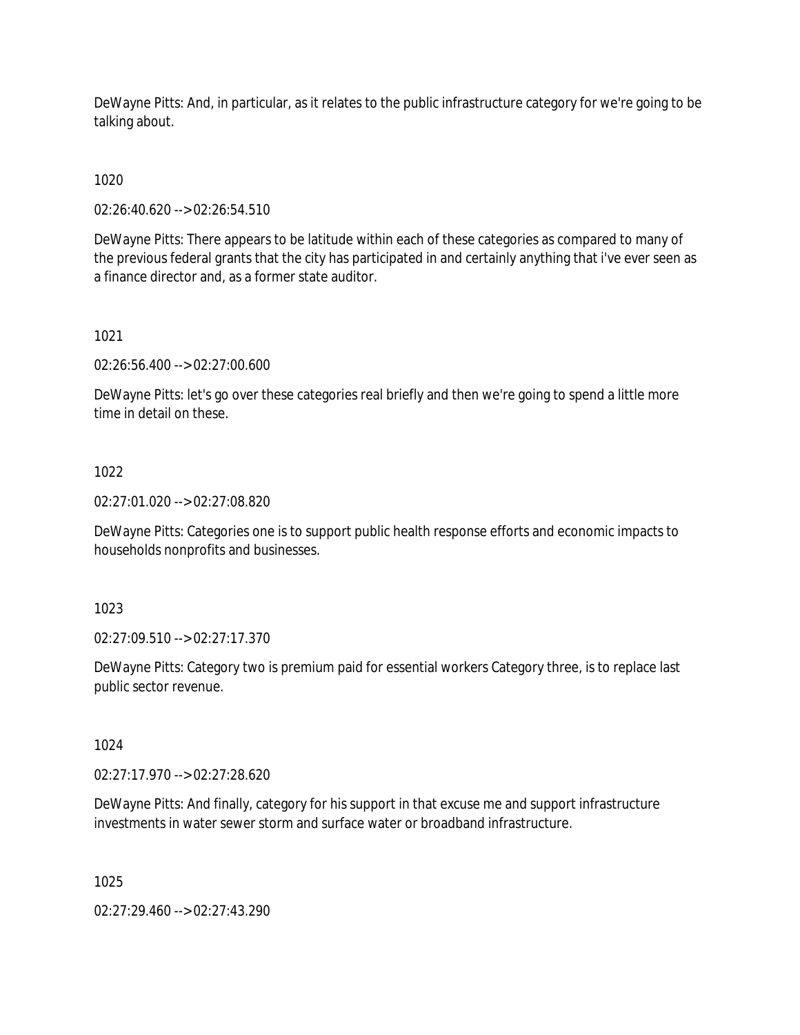DeWayne Pitts: And, in particular, as it relates to the public infrastructure category for we're going to be talking about.

1020

02:26:40.620 --> 02:26:54.510

DeWayne Pitts: There appears to be latitude within each of these categories as compared to many of the previous federal grants that the city has participated in and certainly anything that i've ever seen as a finance director and, as a former state auditor.

1021

02:26:56.400 --> 02:27:00.600

DeWayne Pitts: let's go over these categories real briefly and then we're going to spend a little more time in detail on these.

## 1022

02:27:01.020 --> 02:27:08.820

DeWayne Pitts: Categories one is to support public health response efforts and economic impacts to households nonprofits and businesses.

1023

02:27:09.510 --> 02:27:17.370

DeWayne Pitts: Category two is premium paid for essential workers Category three, is to replace last public sector revenue.

1024

02:27:17.970 --> 02:27:28.620

DeWayne Pitts: And finally, category for his support in that excuse me and support infrastructure investments in water sewer storm and surface water or broadband infrastructure.

1025

02:27:29.460 --> 02:27:43.290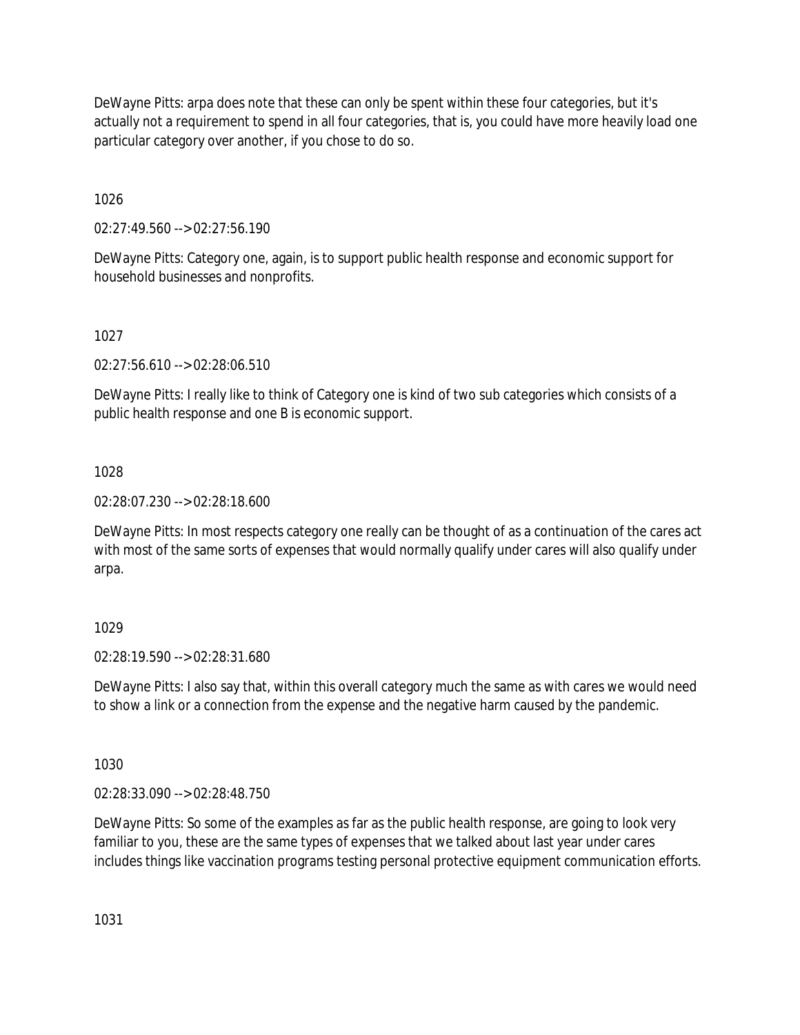DeWayne Pitts: arpa does note that these can only be spent within these four categories, but it's actually not a requirement to spend in all four categories, that is, you could have more heavily load one particular category over another, if you chose to do so.

1026

02:27:49.560 --> 02:27:56.190

DeWayne Pitts: Category one, again, is to support public health response and economic support for household businesses and nonprofits.

# 1027

02:27:56.610 --> 02:28:06.510

DeWayne Pitts: I really like to think of Category one is kind of two sub categories which consists of a public health response and one B is economic support.

# 1028

02:28:07.230 --> 02:28:18.600

DeWayne Pitts: In most respects category one really can be thought of as a continuation of the cares act with most of the same sorts of expenses that would normally qualify under cares will also qualify under arpa.

# 1029

02:28:19.590 --> 02:28:31.680

DeWayne Pitts: I also say that, within this overall category much the same as with cares we would need to show a link or a connection from the expense and the negative harm caused by the pandemic.

1030

02:28:33.090 --> 02:28:48.750

DeWayne Pitts: So some of the examples as far as the public health response, are going to look very familiar to you, these are the same types of expenses that we talked about last year under cares includes things like vaccination programs testing personal protective equipment communication efforts.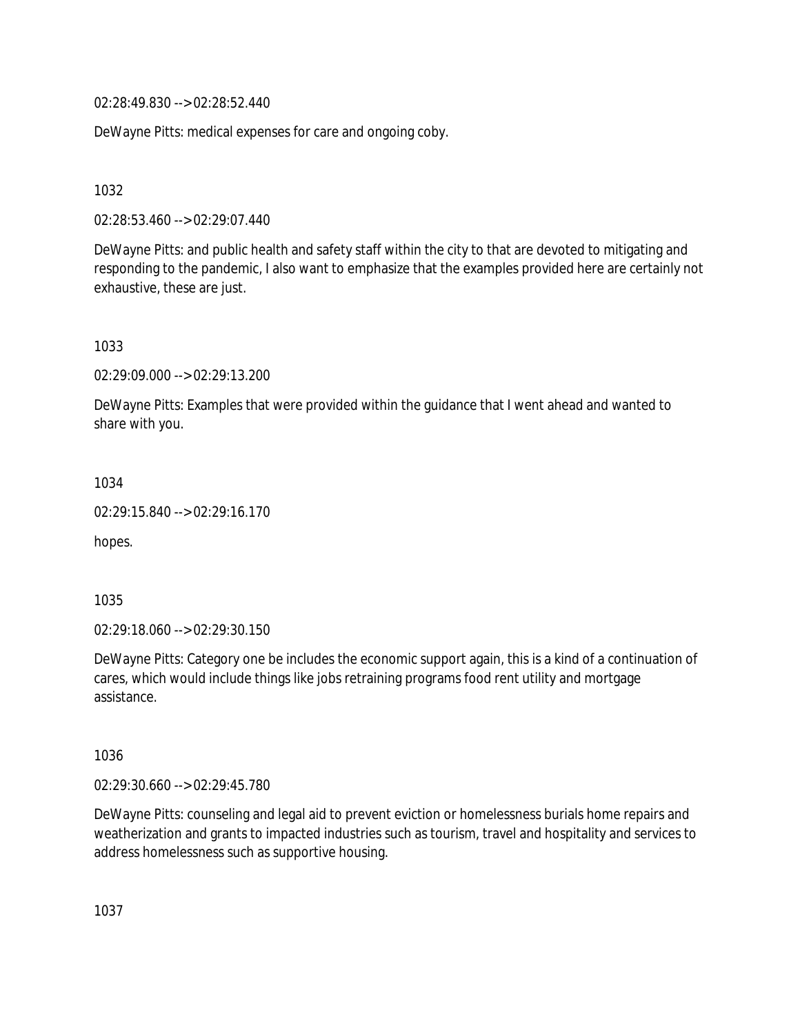02:28:49.830 --> 02:28:52.440

DeWayne Pitts: medical expenses for care and ongoing coby.

1032

02:28:53.460 --> 02:29:07.440

DeWayne Pitts: and public health and safety staff within the city to that are devoted to mitigating and responding to the pandemic, I also want to emphasize that the examples provided here are certainly not exhaustive, these are just.

1033

02:29:09.000 --> 02:29:13.200

DeWayne Pitts: Examples that were provided within the guidance that I went ahead and wanted to share with you.

1034

02:29:15.840 --> 02:29:16.170

hopes.

1035

02:29:18.060 --> 02:29:30.150

DeWayne Pitts: Category one be includes the economic support again, this is a kind of a continuation of cares, which would include things like jobs retraining programs food rent utility and mortgage assistance.

1036

02:29:30.660 --> 02:29:45.780

DeWayne Pitts: counseling and legal aid to prevent eviction or homelessness burials home repairs and weatherization and grants to impacted industries such as tourism, travel and hospitality and services to address homelessness such as supportive housing.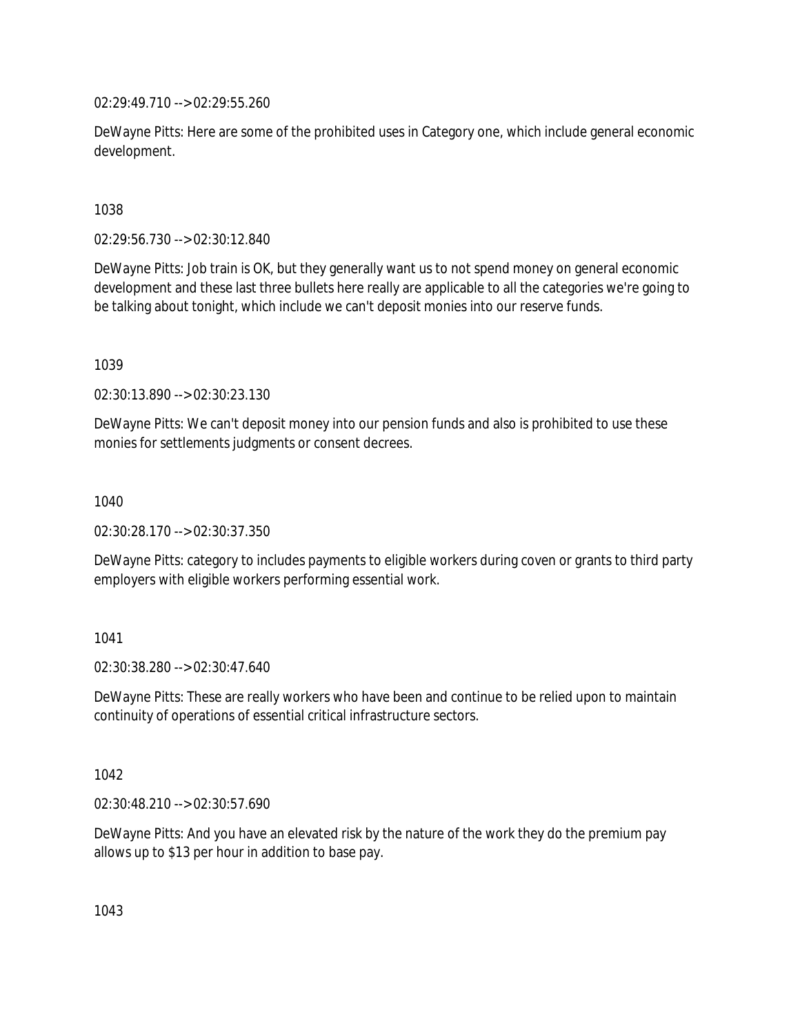02:29:49.710 --> 02:29:55.260

DeWayne Pitts: Here are some of the prohibited uses in Category one, which include general economic development.

1038

02:29:56.730 --> 02:30:12.840

DeWayne Pitts: Job train is OK, but they generally want us to not spend money on general economic development and these last three bullets here really are applicable to all the categories we're going to be talking about tonight, which include we can't deposit monies into our reserve funds.

1039

02:30:13.890 --> 02:30:23.130

DeWayne Pitts: We can't deposit money into our pension funds and also is prohibited to use these monies for settlements judgments or consent decrees.

1040

02:30:28.170 --> 02:30:37.350

DeWayne Pitts: category to includes payments to eligible workers during coven or grants to third party employers with eligible workers performing essential work.

1041

02:30:38.280 --> 02:30:47.640

DeWayne Pitts: These are really workers who have been and continue to be relied upon to maintain continuity of operations of essential critical infrastructure sectors.

1042

02:30:48.210 --> 02:30:57.690

DeWayne Pitts: And you have an elevated risk by the nature of the work they do the premium pay allows up to \$13 per hour in addition to base pay.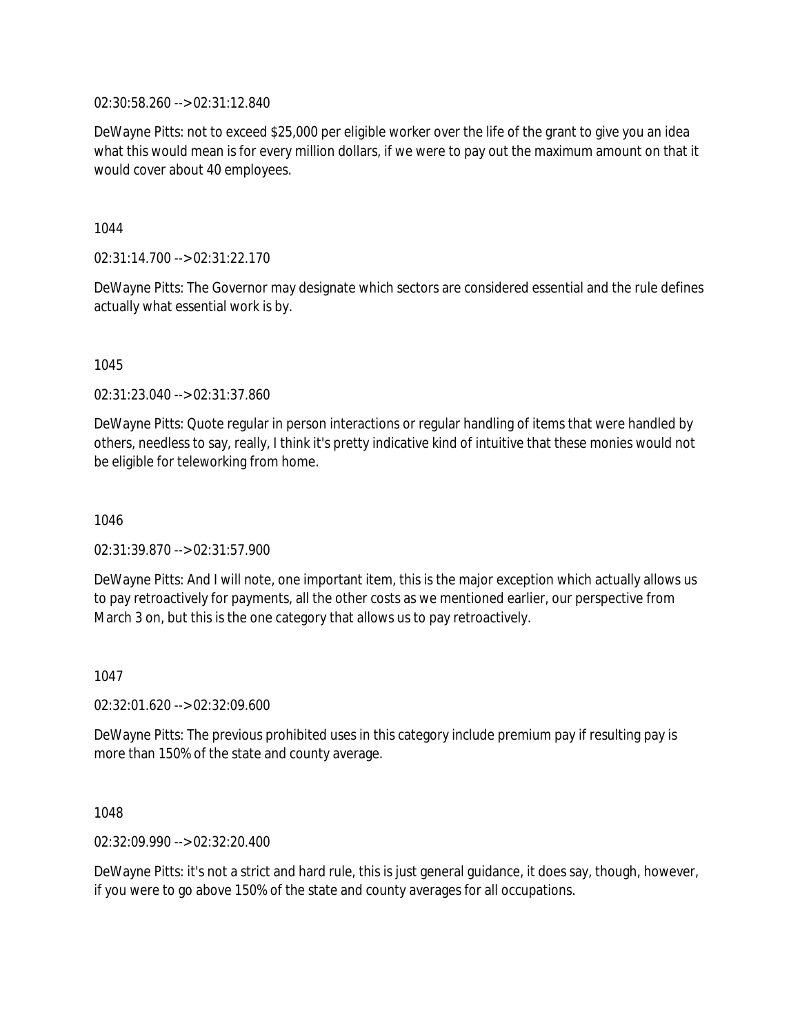02:30:58.260 --> 02:31:12.840

DeWayne Pitts: not to exceed \$25,000 per eligible worker over the life of the grant to give you an idea what this would mean is for every million dollars, if we were to pay out the maximum amount on that it would cover about 40 employees.

1044

02:31:14.700 --> 02:31:22.170

DeWayne Pitts: The Governor may designate which sectors are considered essential and the rule defines actually what essential work is by.

1045

02:31:23.040 --> 02:31:37.860

DeWayne Pitts: Quote regular in person interactions or regular handling of items that were handled by others, needless to say, really, I think it's pretty indicative kind of intuitive that these monies would not be eligible for teleworking from home.

1046

02:31:39.870 --> 02:31:57.900

DeWayne Pitts: And I will note, one important item, this is the major exception which actually allows us to pay retroactively for payments, all the other costs as we mentioned earlier, our perspective from March 3 on, but this is the one category that allows us to pay retroactively.

1047

02:32:01.620 --> 02:32:09.600

DeWayne Pitts: The previous prohibited uses in this category include premium pay if resulting pay is more than 150% of the state and county average.

1048

02:32:09.990 --> 02:32:20.400

DeWayne Pitts: it's not a strict and hard rule, this is just general guidance, it does say, though, however, if you were to go above 150% of the state and county averages for all occupations.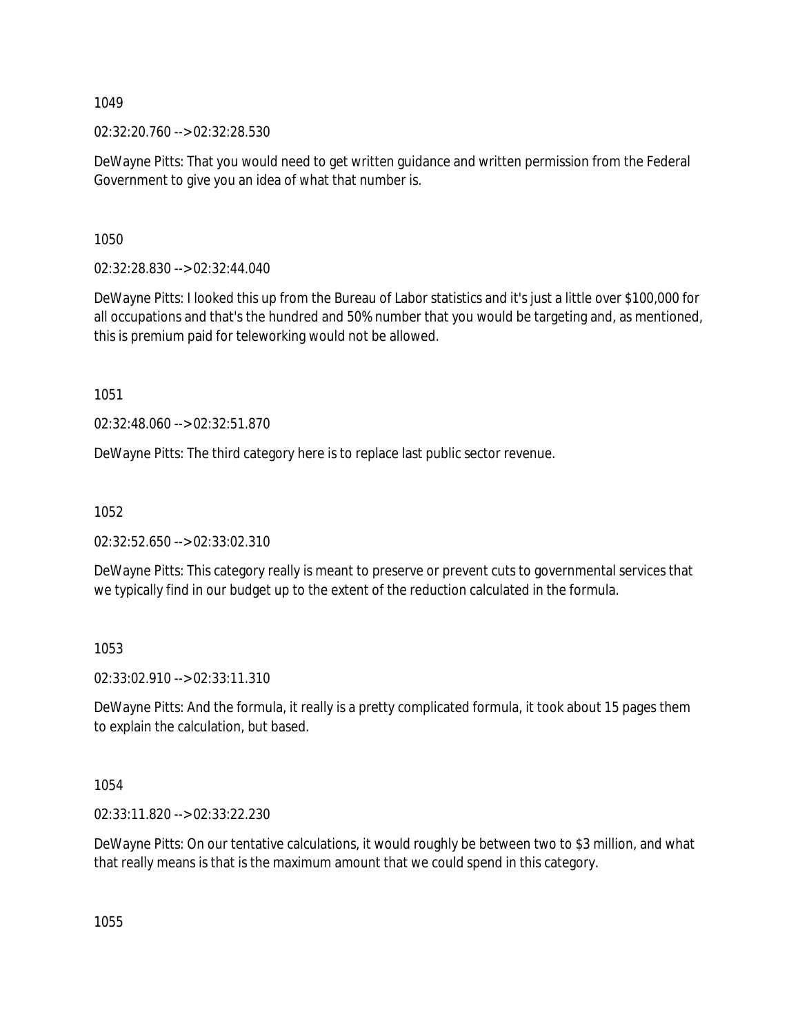02:32:20.760 --> 02:32:28.530

DeWayne Pitts: That you would need to get written guidance and written permission from the Federal Government to give you an idea of what that number is.

1050

02:32:28.830 --> 02:32:44.040

DeWayne Pitts: I looked this up from the Bureau of Labor statistics and it's just a little over \$100,000 for all occupations and that's the hundred and 50% number that you would be targeting and, as mentioned, this is premium paid for teleworking would not be allowed.

1051

02:32:48.060 --> 02:32:51.870

DeWayne Pitts: The third category here is to replace last public sector revenue.

1052

02:32:52.650 --> 02:33:02.310

DeWayne Pitts: This category really is meant to preserve or prevent cuts to governmental services that we typically find in our budget up to the extent of the reduction calculated in the formula.

1053

02:33:02.910 --> 02:33:11.310

DeWayne Pitts: And the formula, it really is a pretty complicated formula, it took about 15 pages them to explain the calculation, but based.

1054

02:33:11.820 --> 02:33:22.230

DeWayne Pitts: On our tentative calculations, it would roughly be between two to \$3 million, and what that really means is that is the maximum amount that we could spend in this category.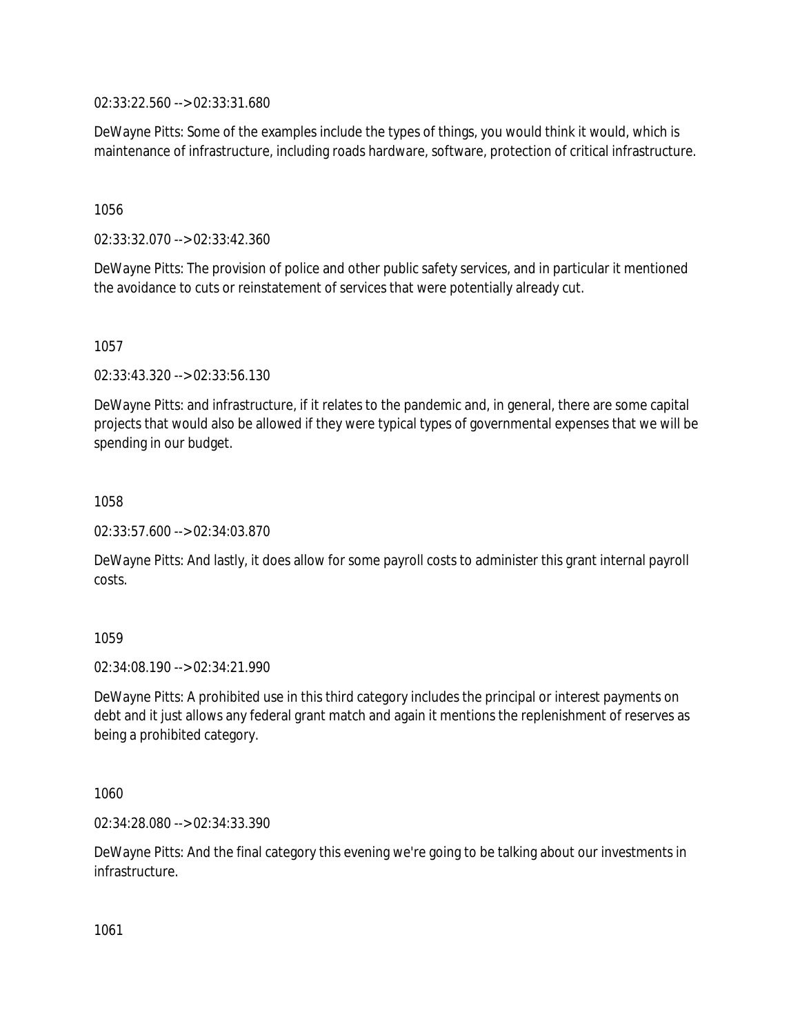02:33:22.560 --> 02:33:31.680

DeWayne Pitts: Some of the examples include the types of things, you would think it would, which is maintenance of infrastructure, including roads hardware, software, protection of critical infrastructure.

1056

02:33:32.070 --> 02:33:42.360

DeWayne Pitts: The provision of police and other public safety services, and in particular it mentioned the avoidance to cuts or reinstatement of services that were potentially already cut.

1057

02:33:43.320 --> 02:33:56.130

DeWayne Pitts: and infrastructure, if it relates to the pandemic and, in general, there are some capital projects that would also be allowed if they were typical types of governmental expenses that we will be spending in our budget.

1058

02:33:57.600 --> 02:34:03.870

DeWayne Pitts: And lastly, it does allow for some payroll costs to administer this grant internal payroll costs.

1059

02:34:08.190 --> 02:34:21.990

DeWayne Pitts: A prohibited use in this third category includes the principal or interest payments on debt and it just allows any federal grant match and again it mentions the replenishment of reserves as being a prohibited category.

1060

02:34:28.080 --> 02:34:33.390

DeWayne Pitts: And the final category this evening we're going to be talking about our investments in infrastructure.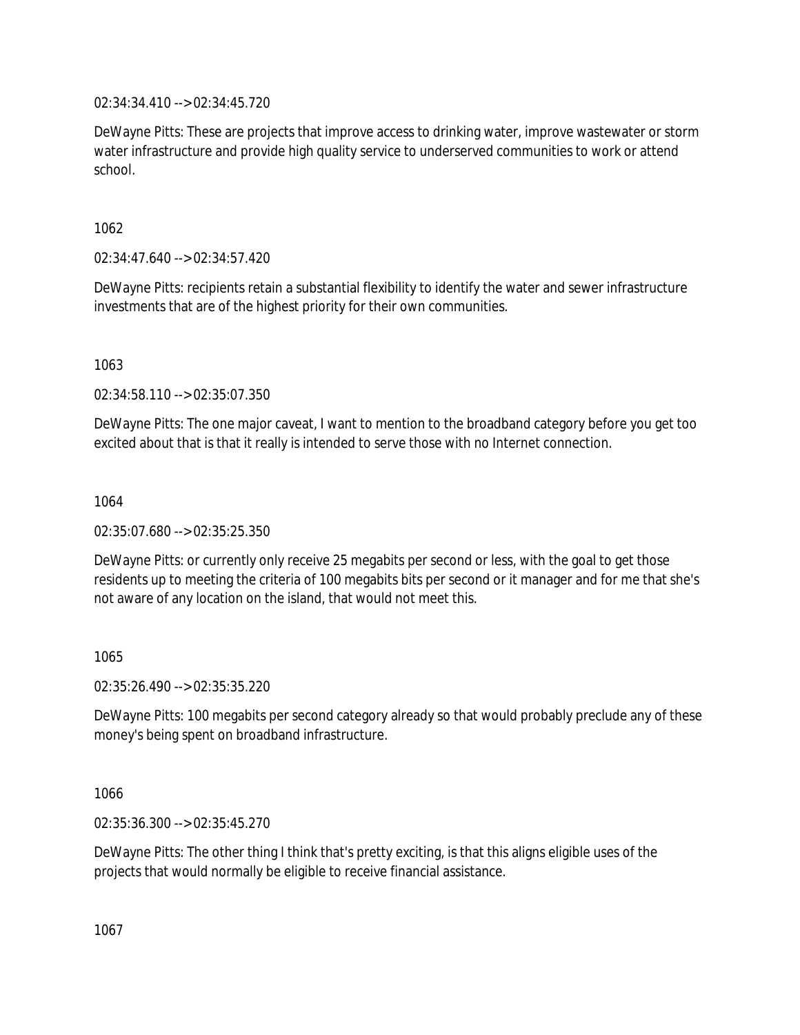02:34:34.410 --> 02:34:45.720

DeWayne Pitts: These are projects that improve access to drinking water, improve wastewater or storm water infrastructure and provide high quality service to underserved communities to work or attend school.

1062

02:34:47.640 --> 02:34:57.420

DeWayne Pitts: recipients retain a substantial flexibility to identify the water and sewer infrastructure investments that are of the highest priority for their own communities.

1063

02:34:58.110 --> 02:35:07.350

DeWayne Pitts: The one major caveat, I want to mention to the broadband category before you get too excited about that is that it really is intended to serve those with no Internet connection.

1064

02:35:07.680 --> 02:35:25.350

DeWayne Pitts: or currently only receive 25 megabits per second or less, with the goal to get those residents up to meeting the criteria of 100 megabits bits per second or it manager and for me that she's not aware of any location on the island, that would not meet this.

1065

02:35:26.490 --> 02:35:35.220

DeWayne Pitts: 100 megabits per second category already so that would probably preclude any of these money's being spent on broadband infrastructure.

1066

02:35:36.300 --> 02:35:45.270

DeWayne Pitts: The other thing I think that's pretty exciting, is that this aligns eligible uses of the projects that would normally be eligible to receive financial assistance.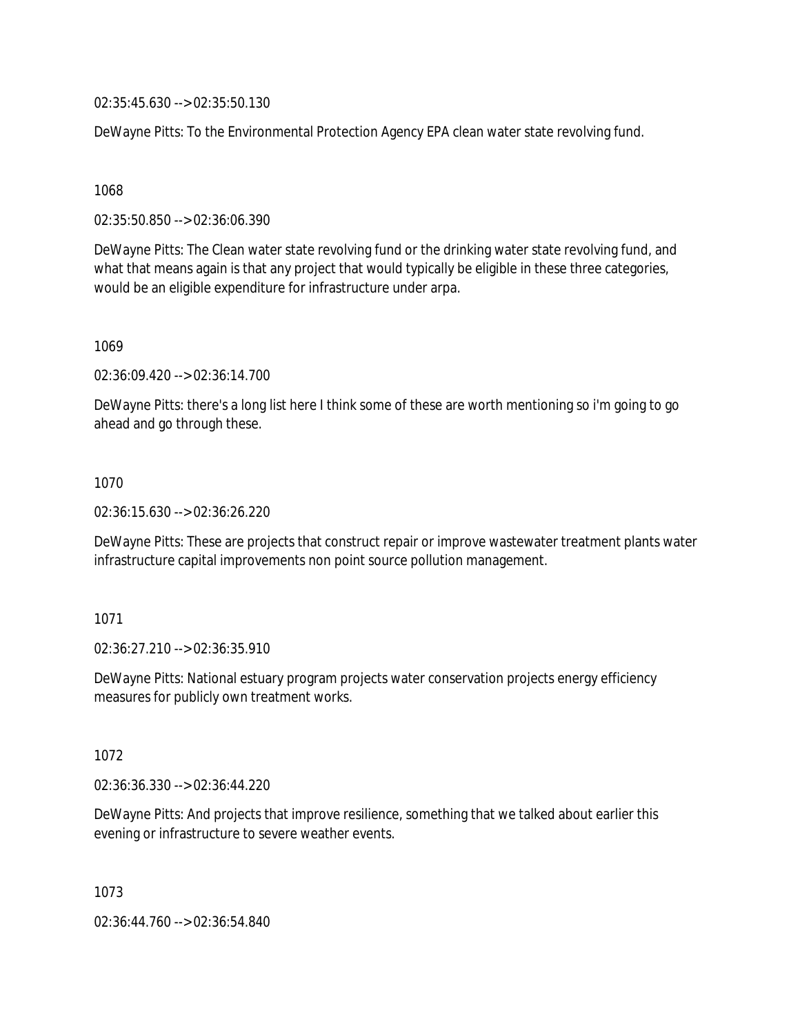02:35:45.630 --> 02:35:50.130

DeWayne Pitts: To the Environmental Protection Agency EPA clean water state revolving fund.

1068

02:35:50.850 --> 02:36:06.390

DeWayne Pitts: The Clean water state revolving fund or the drinking water state revolving fund, and what that means again is that any project that would typically be eligible in these three categories, would be an eligible expenditure for infrastructure under arpa.

1069

02:36:09.420 --> 02:36:14.700

DeWayne Pitts: there's a long list here I think some of these are worth mentioning so i'm going to go ahead and go through these.

1070

02:36:15.630 --> 02:36:26.220

DeWayne Pitts: These are projects that construct repair or improve wastewater treatment plants water infrastructure capital improvements non point source pollution management.

1071

02:36:27.210 --> 02:36:35.910

DeWayne Pitts: National estuary program projects water conservation projects energy efficiency measures for publicly own treatment works.

1072

02:36:36.330 --> 02:36:44.220

DeWayne Pitts: And projects that improve resilience, something that we talked about earlier this evening or infrastructure to severe weather events.

1073

02:36:44.760 --> 02:36:54.840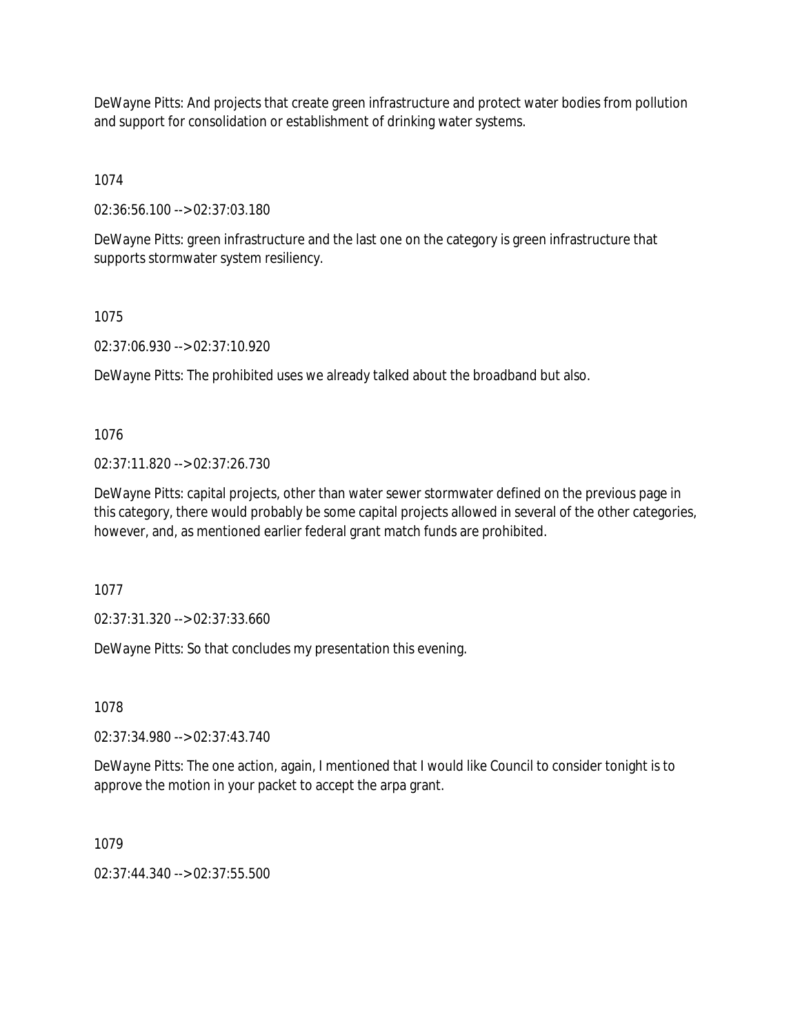DeWayne Pitts: And projects that create green infrastructure and protect water bodies from pollution and support for consolidation or establishment of drinking water systems.

1074

02:36:56.100 --> 02:37:03.180

DeWayne Pitts: green infrastructure and the last one on the category is green infrastructure that supports stormwater system resiliency.

1075

02:37:06.930 --> 02:37:10.920

DeWayne Pitts: The prohibited uses we already talked about the broadband but also.

1076

02:37:11.820 --> 02:37:26.730

DeWayne Pitts: capital projects, other than water sewer stormwater defined on the previous page in this category, there would probably be some capital projects allowed in several of the other categories, however, and, as mentioned earlier federal grant match funds are prohibited.

1077

02:37:31.320 --> 02:37:33.660

DeWayne Pitts: So that concludes my presentation this evening.

1078

02:37:34.980 --> 02:37:43.740

DeWayne Pitts: The one action, again, I mentioned that I would like Council to consider tonight is to approve the motion in your packet to accept the arpa grant.

1079

02:37:44.340 --> 02:37:55.500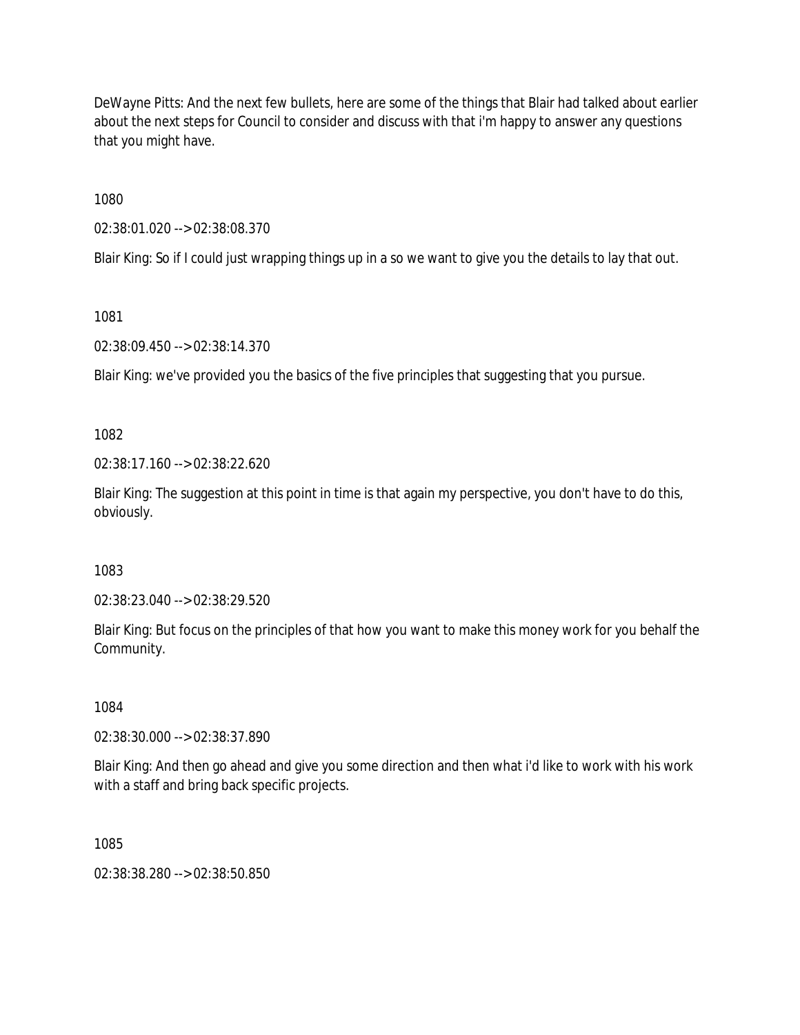DeWayne Pitts: And the next few bullets, here are some of the things that Blair had talked about earlier about the next steps for Council to consider and discuss with that i'm happy to answer any questions that you might have.

1080

02:38:01.020 --> 02:38:08.370

Blair King: So if I could just wrapping things up in a so we want to give you the details to lay that out.

1081

02:38:09.450 --> 02:38:14.370

Blair King: we've provided you the basics of the five principles that suggesting that you pursue.

1082

02:38:17.160 --> 02:38:22.620

Blair King: The suggestion at this point in time is that again my perspective, you don't have to do this, obviously.

1083

02:38:23.040 --> 02:38:29.520

Blair King: But focus on the principles of that how you want to make this money work for you behalf the Community.

1084

02:38:30.000 --> 02:38:37.890

Blair King: And then go ahead and give you some direction and then what i'd like to work with his work with a staff and bring back specific projects.

1085

02:38:38.280 --> 02:38:50.850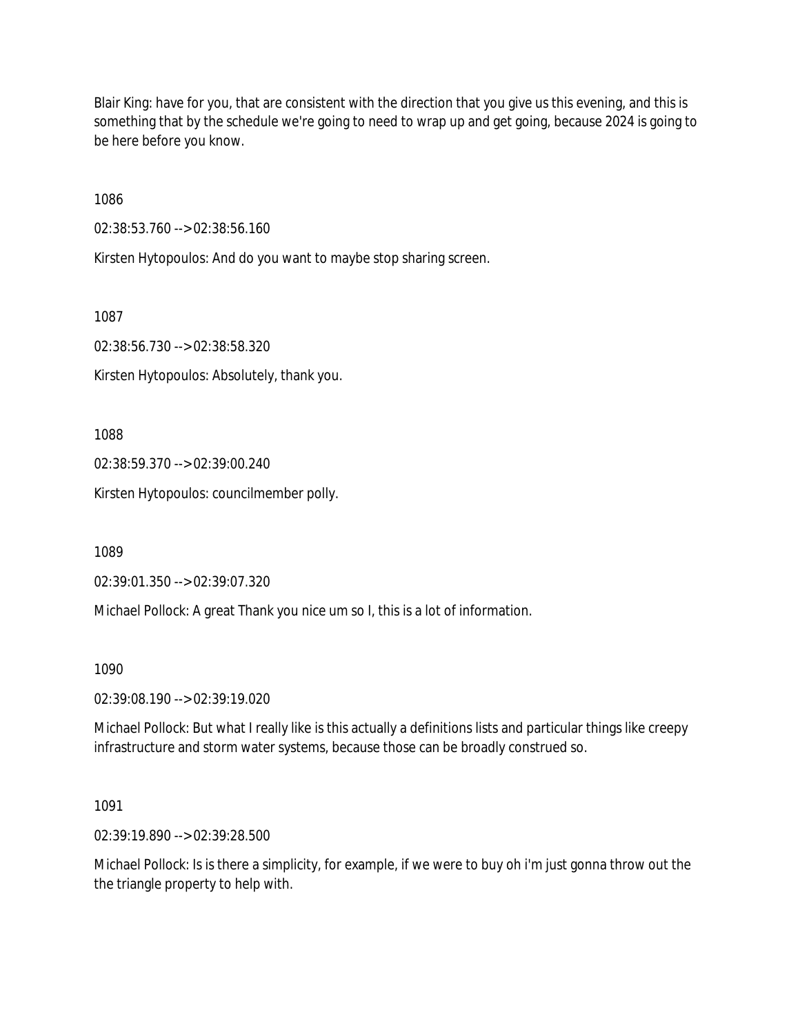Blair King: have for you, that are consistent with the direction that you give us this evening, and this is something that by the schedule we're going to need to wrap up and get going, because 2024 is going to be here before you know.

1086

02:38:53.760 --> 02:38:56.160

Kirsten Hytopoulos: And do you want to maybe stop sharing screen.

1087

02:38:56.730 --> 02:38:58.320

Kirsten Hytopoulos: Absolutely, thank you.

1088

02:38:59.370 --> 02:39:00.240

Kirsten Hytopoulos: councilmember polly.

1089

02:39:01.350 --> 02:39:07.320

Michael Pollock: A great Thank you nice um so I, this is a lot of information.

1090

02:39:08.190 --> 02:39:19.020

Michael Pollock: But what I really like is this actually a definitions lists and particular things like creepy infrastructure and storm water systems, because those can be broadly construed so.

1091

02:39:19.890 --> 02:39:28.500

Michael Pollock: Is is there a simplicity, for example, if we were to buy oh i'm just gonna throw out the the triangle property to help with.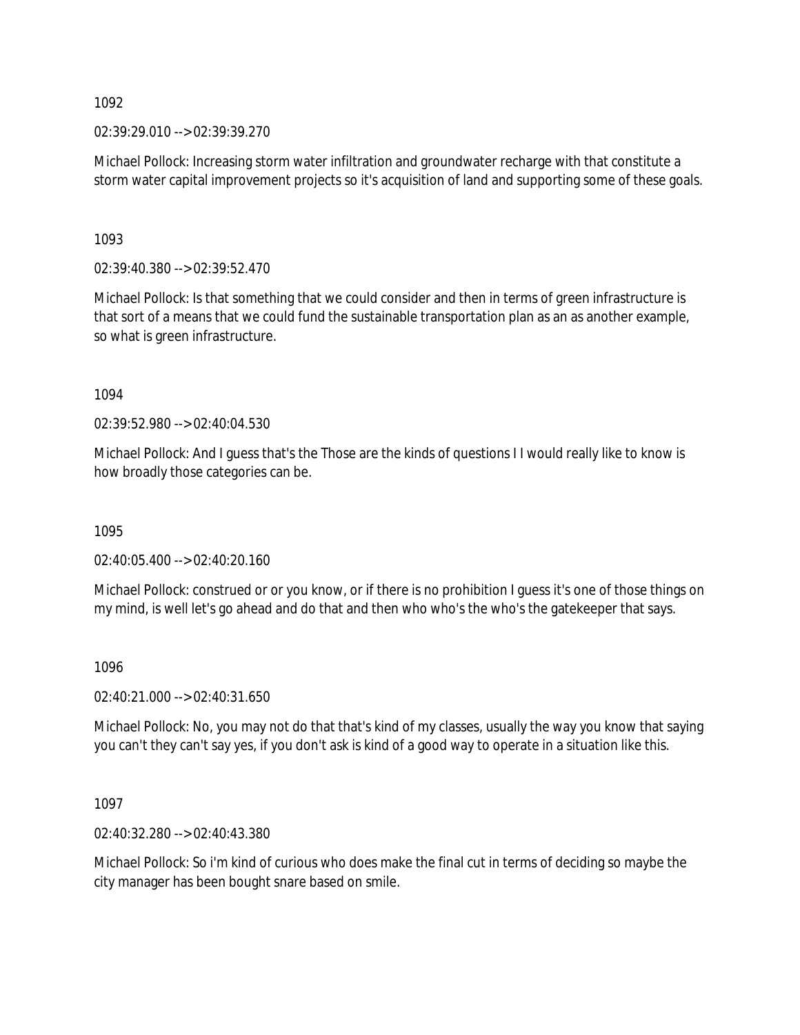02:39:29.010 --> 02:39:39.270

Michael Pollock: Increasing storm water infiltration and groundwater recharge with that constitute a storm water capital improvement projects so it's acquisition of land and supporting some of these goals.

1093

02:39:40.380 --> 02:39:52.470

Michael Pollock: Is that something that we could consider and then in terms of green infrastructure is that sort of a means that we could fund the sustainable transportation plan as an as another example, so what is green infrastructure.

1094

02:39:52.980 --> 02:40:04.530

Michael Pollock: And I guess that's the Those are the kinds of questions I I would really like to know is how broadly those categories can be.

1095

02:40:05.400 --> 02:40:20.160

Michael Pollock: construed or or you know, or if there is no prohibition I guess it's one of those things on my mind, is well let's go ahead and do that and then who who's the who's the gatekeeper that says.

### 1096

02:40:21.000 --> 02:40:31.650

Michael Pollock: No, you may not do that that's kind of my classes, usually the way you know that saying you can't they can't say yes, if you don't ask is kind of a good way to operate in a situation like this.

1097

02:40:32.280 --> 02:40:43.380

Michael Pollock: So i'm kind of curious who does make the final cut in terms of deciding so maybe the city manager has been bought snare based on smile.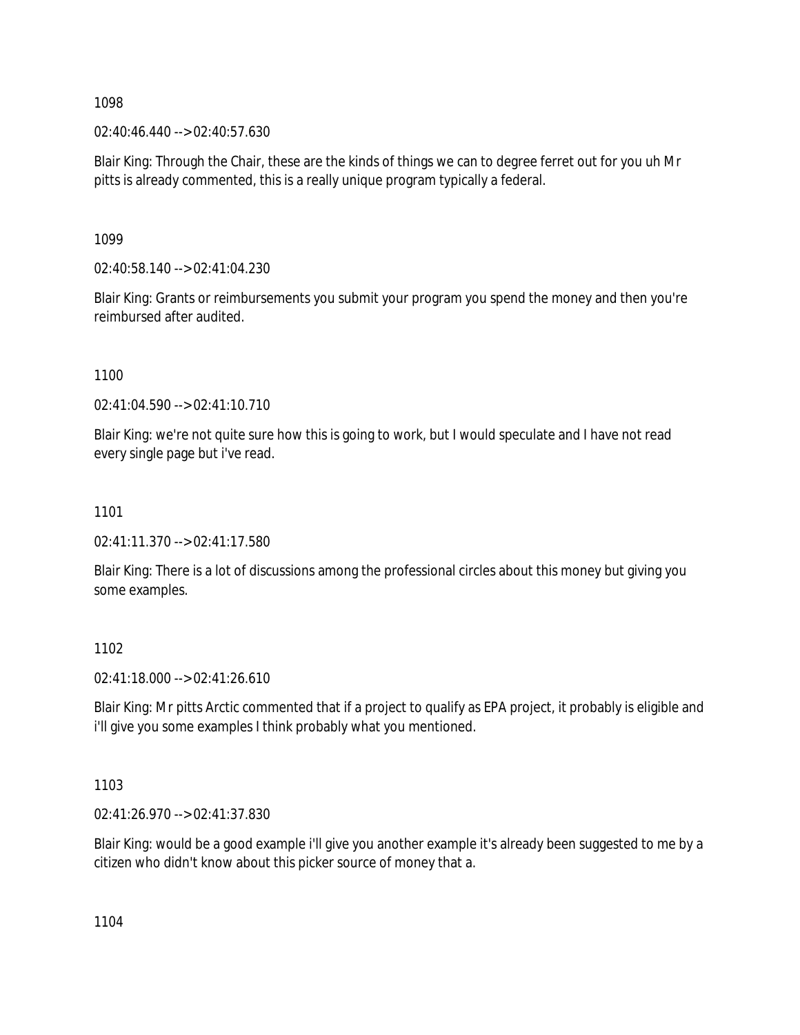02:40:46.440 --> 02:40:57.630

Blair King: Through the Chair, these are the kinds of things we can to degree ferret out for you uh Mr pitts is already commented, this is a really unique program typically a federal.

1099

02:40:58.140 --> 02:41:04.230

Blair King: Grants or reimbursements you submit your program you spend the money and then you're reimbursed after audited.

1100

02:41:04.590 --> 02:41:10.710

Blair King: we're not quite sure how this is going to work, but I would speculate and I have not read every single page but i've read.

1101

02:41:11.370 --> 02:41:17.580

Blair King: There is a lot of discussions among the professional circles about this money but giving you some examples.

1102

02:41:18.000 --> 02:41:26.610

Blair King: Mr pitts Arctic commented that if a project to qualify as EPA project, it probably is eligible and i'll give you some examples I think probably what you mentioned.

1103

02:41:26.970 --> 02:41:37.830

Blair King: would be a good example i'll give you another example it's already been suggested to me by a citizen who didn't know about this picker source of money that a.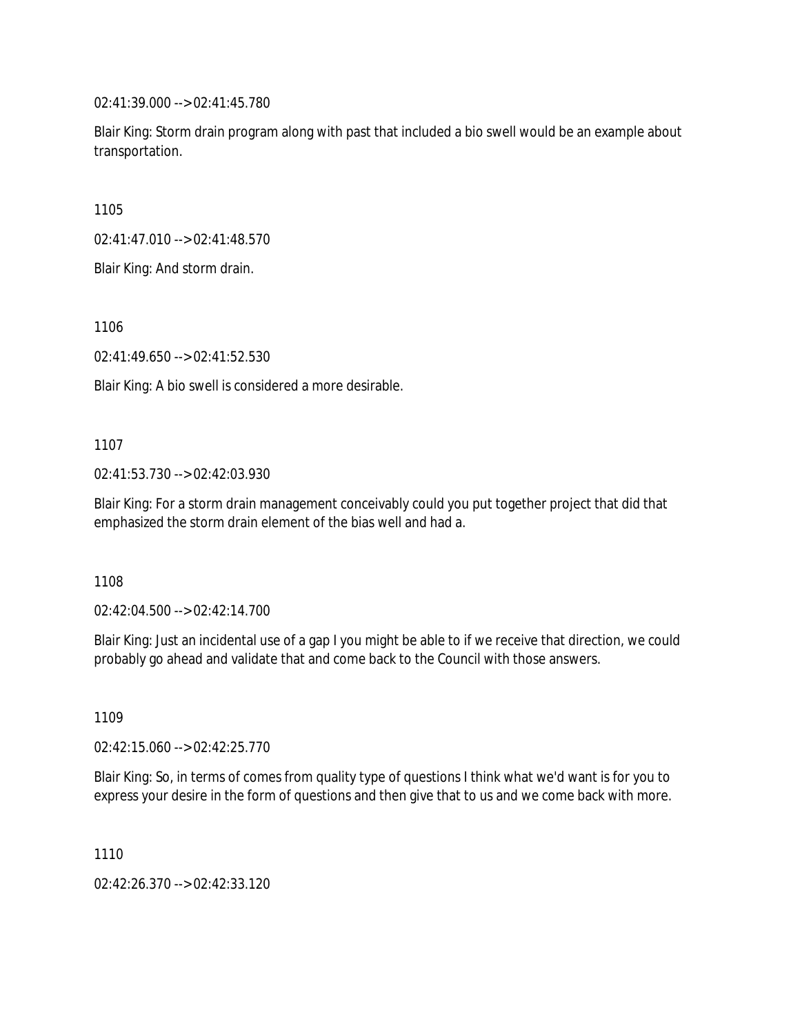02:41:39.000 --> 02:41:45.780

Blair King: Storm drain program along with past that included a bio swell would be an example about transportation.

1105

02:41:47.010 --> 02:41:48.570

Blair King: And storm drain.

1106

02:41:49.650 --> 02:41:52.530

Blair King: A bio swell is considered a more desirable.

1107

02:41:53.730 --> 02:42:03.930

Blair King: For a storm drain management conceivably could you put together project that did that emphasized the storm drain element of the bias well and had a.

1108

02:42:04.500 --> 02:42:14.700

Blair King: Just an incidental use of a gap I you might be able to if we receive that direction, we could probably go ahead and validate that and come back to the Council with those answers.

1109

02:42:15.060 --> 02:42:25.770

Blair King: So, in terms of comes from quality type of questions I think what we'd want is for you to express your desire in the form of questions and then give that to us and we come back with more.

1110

02:42:26.370 --> 02:42:33.120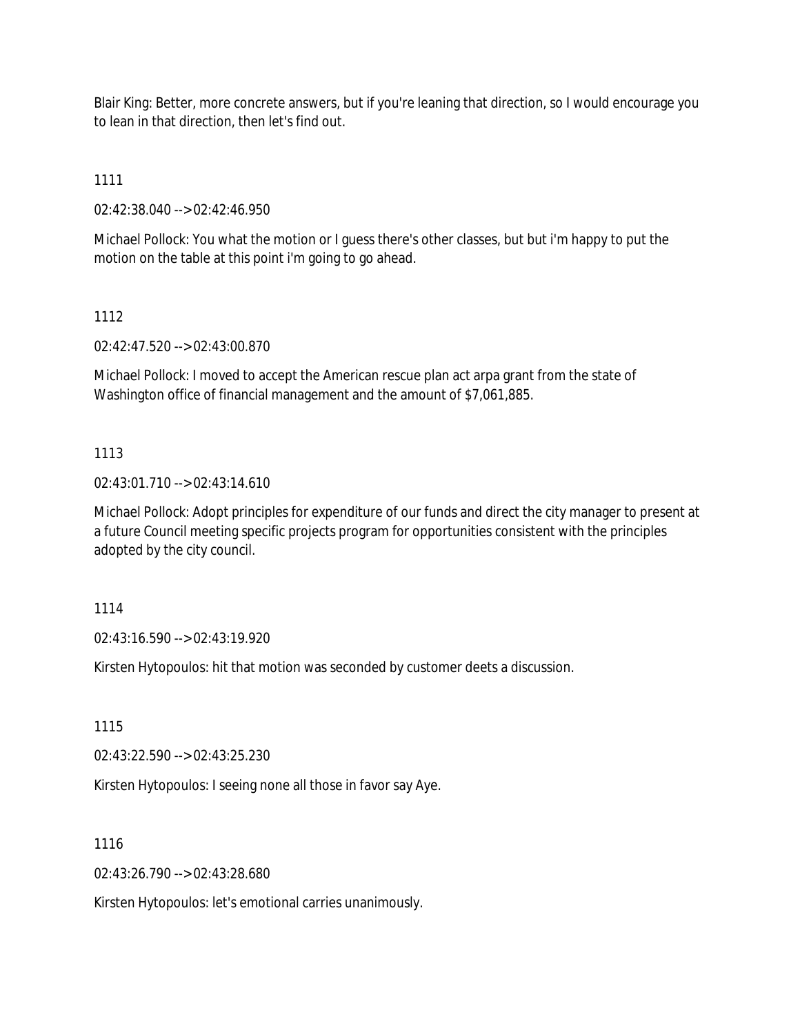Blair King: Better, more concrete answers, but if you're leaning that direction, so I would encourage you to lean in that direction, then let's find out.

1111

02:42:38.040 --> 02:42:46.950

Michael Pollock: You what the motion or I guess there's other classes, but but i'm happy to put the motion on the table at this point i'm going to go ahead.

1112

02:42:47.520 --> 02:43:00.870

Michael Pollock: I moved to accept the American rescue plan act arpa grant from the state of Washington office of financial management and the amount of \$7,061,885.

## 1113

02:43:01.710 --> 02:43:14.610

Michael Pollock: Adopt principles for expenditure of our funds and direct the city manager to present at a future Council meeting specific projects program for opportunities consistent with the principles adopted by the city council.

1114

02:43:16.590 --> 02:43:19.920

Kirsten Hytopoulos: hit that motion was seconded by customer deets a discussion.

1115

02:43:22.590 --> 02:43:25.230

Kirsten Hytopoulos: I seeing none all those in favor say Aye.

1116

02:43:26.790 --> 02:43:28.680

Kirsten Hytopoulos: let's emotional carries unanimously.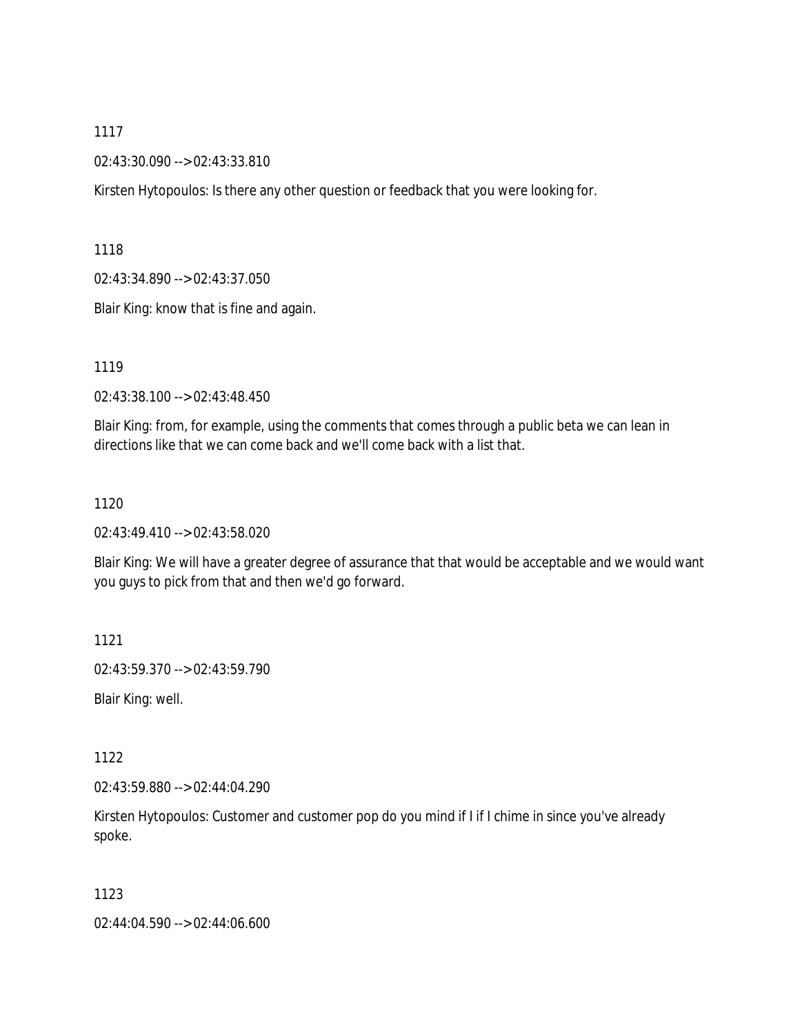#### 02:43:30.090 --> 02:43:33.810

Kirsten Hytopoulos: Is there any other question or feedback that you were looking for.

1118

02:43:34.890 --> 02:43:37.050

Blair King: know that is fine and again.

1119

02:43:38.100 --> 02:43:48.450

Blair King: from, for example, using the comments that comes through a public beta we can lean in directions like that we can come back and we'll come back with a list that.

#### 1120

02:43:49.410 --> 02:43:58.020

Blair King: We will have a greater degree of assurance that that would be acceptable and we would want you guys to pick from that and then we'd go forward.

1121

02:43:59.370 --> 02:43:59.790

Blair King: well.

1122

02:43:59.880 --> 02:44:04.290

Kirsten Hytopoulos: Customer and customer pop do you mind if I if I chime in since you've already spoke.

1123

02:44:04.590 --> 02:44:06.600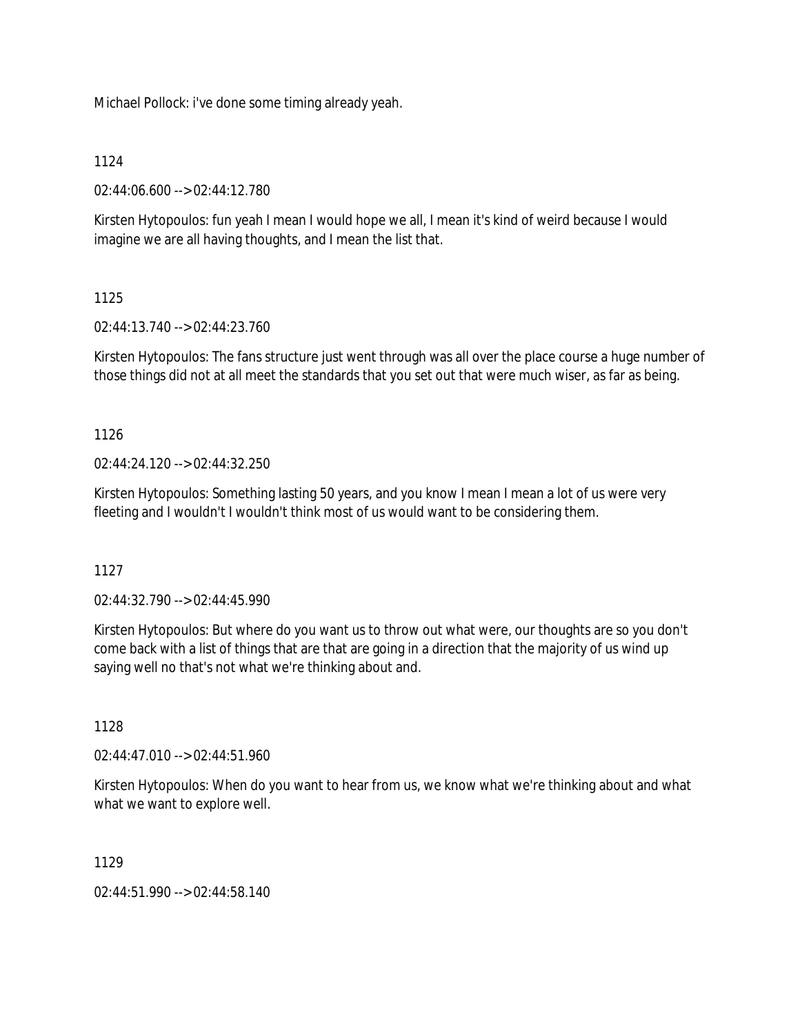Michael Pollock: i've done some timing already yeah.

### 1124

02:44:06.600 --> 02:44:12.780

Kirsten Hytopoulos: fun yeah I mean I would hope we all, I mean it's kind of weird because I would imagine we are all having thoughts, and I mean the list that.

# 1125

02:44:13.740 --> 02:44:23.760

Kirsten Hytopoulos: The fans structure just went through was all over the place course a huge number of those things did not at all meet the standards that you set out that were much wiser, as far as being.

1126

 $02.44.24.120 - 02.44.32.250$ 

Kirsten Hytopoulos: Something lasting 50 years, and you know I mean I mean a lot of us were very fleeting and I wouldn't I wouldn't think most of us would want to be considering them.

1127

02:44:32.790 --> 02:44:45.990

Kirsten Hytopoulos: But where do you want us to throw out what were, our thoughts are so you don't come back with a list of things that are that are going in a direction that the majority of us wind up saying well no that's not what we're thinking about and.

1128

02:44:47.010 --> 02:44:51.960

Kirsten Hytopoulos: When do you want to hear from us, we know what we're thinking about and what what we want to explore well.

1129

02:44:51.990 --> 02:44:58.140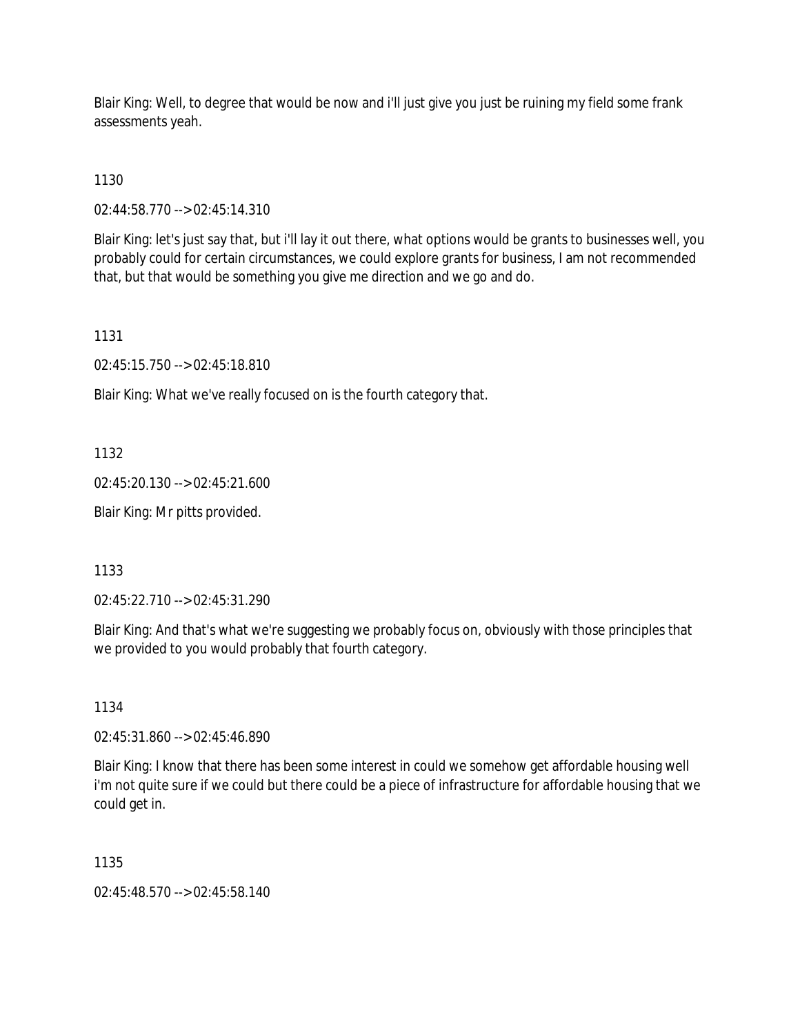Blair King: Well, to degree that would be now and i'll just give you just be ruining my field some frank assessments yeah.

1130

02:44:58.770 --> 02:45:14.310

Blair King: let's just say that, but i'll lay it out there, what options would be grants to businesses well, you probably could for certain circumstances, we could explore grants for business, I am not recommended that, but that would be something you give me direction and we go and do.

1131

02:45:15.750 --> 02:45:18.810

Blair King: What we've really focused on is the fourth category that.

1132

02:45:20.130 --> 02:45:21.600

Blair King: Mr pitts provided.

1133

02:45:22.710 --> 02:45:31.290

Blair King: And that's what we're suggesting we probably focus on, obviously with those principles that we provided to you would probably that fourth category.

1134

02:45:31.860 --> 02:45:46.890

Blair King: I know that there has been some interest in could we somehow get affordable housing well i'm not quite sure if we could but there could be a piece of infrastructure for affordable housing that we could get in.

1135

02:45:48.570 --> 02:45:58.140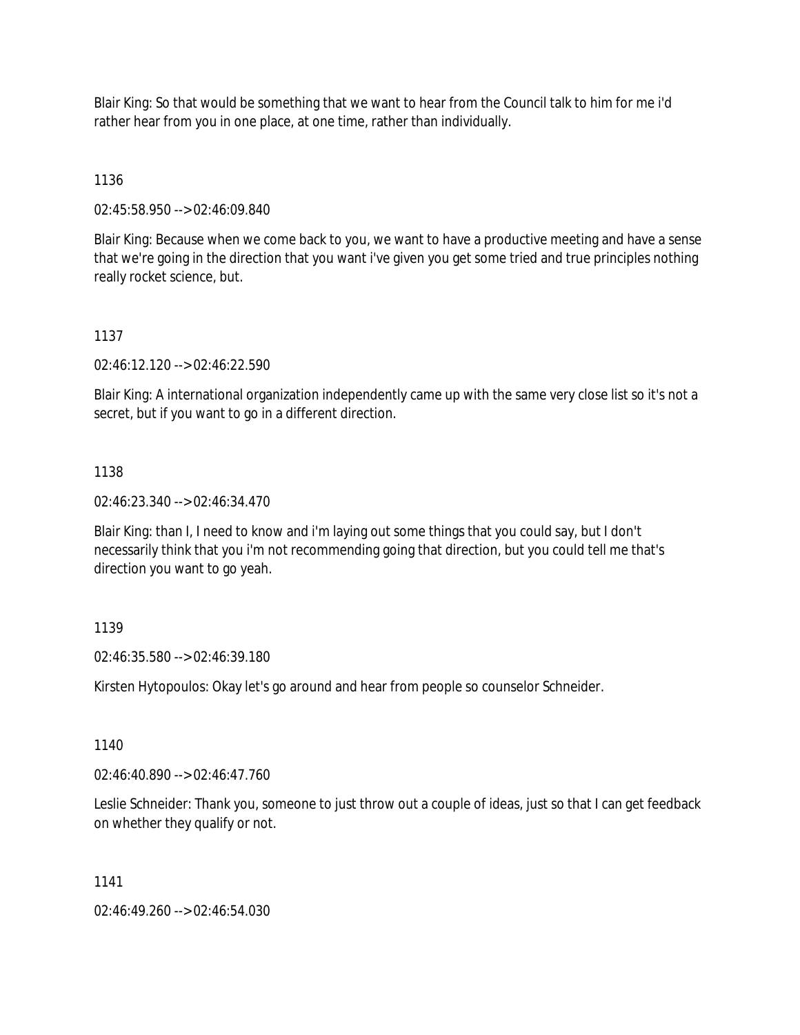Blair King: So that would be something that we want to hear from the Council talk to him for me i'd rather hear from you in one place, at one time, rather than individually.

# 1136

02:45:58.950 --> 02:46:09.840

Blair King: Because when we come back to you, we want to have a productive meeting and have a sense that we're going in the direction that you want i've given you get some tried and true principles nothing really rocket science, but.

# 1137

02:46:12.120 --> 02:46:22.590

Blair King: A international organization independently came up with the same very close list so it's not a secret, but if you want to go in a different direction.

# 1138

02:46:23.340 --> 02:46:34.470

Blair King: than I, I need to know and i'm laying out some things that you could say, but I don't necessarily think that you i'm not recommending going that direction, but you could tell me that's direction you want to go yeah.

# 1139

02:46:35.580 --> 02:46:39.180

Kirsten Hytopoulos: Okay let's go around and hear from people so counselor Schneider.

1140

02:46:40.890 --> 02:46:47.760

Leslie Schneider: Thank you, someone to just throw out a couple of ideas, just so that I can get feedback on whether they qualify or not.

# 1141

02:46:49.260 --> 02:46:54.030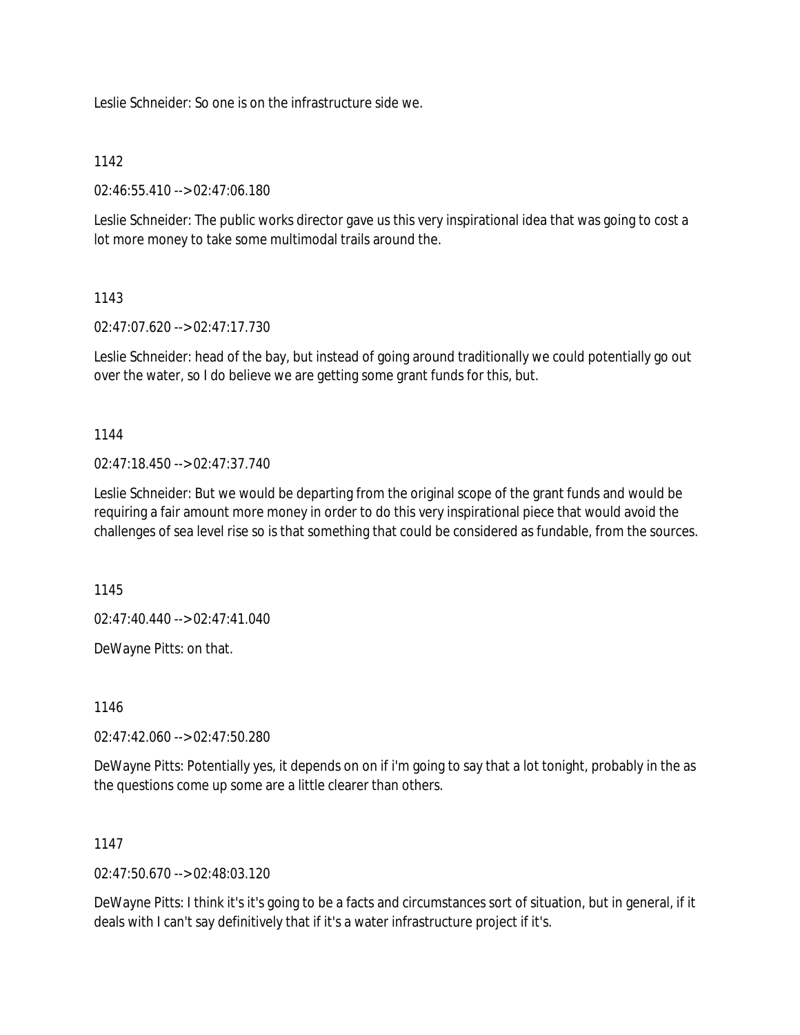Leslie Schneider: So one is on the infrastructure side we.

### 1142

02:46:55.410 --> 02:47:06.180

Leslie Schneider: The public works director gave us this very inspirational idea that was going to cost a lot more money to take some multimodal trails around the.

### 1143

02:47:07.620 --> 02:47:17.730

Leslie Schneider: head of the bay, but instead of going around traditionally we could potentially go out over the water, so I do believe we are getting some grant funds for this, but.

1144

02:47:18.450 --> 02:47:37.740

Leslie Schneider: But we would be departing from the original scope of the grant funds and would be requiring a fair amount more money in order to do this very inspirational piece that would avoid the challenges of sea level rise so is that something that could be considered as fundable, from the sources.

1145

02:47:40.440 --> 02:47:41.040

DeWayne Pitts: on that.

1146

02:47:42.060 --> 02:47:50.280

DeWayne Pitts: Potentially yes, it depends on on if i'm going to say that a lot tonight, probably in the as the questions come up some are a little clearer than others.

#### 1147

02:47:50.670 --> 02:48:03.120

DeWayne Pitts: I think it's it's going to be a facts and circumstances sort of situation, but in general, if it deals with I can't say definitively that if it's a water infrastructure project if it's.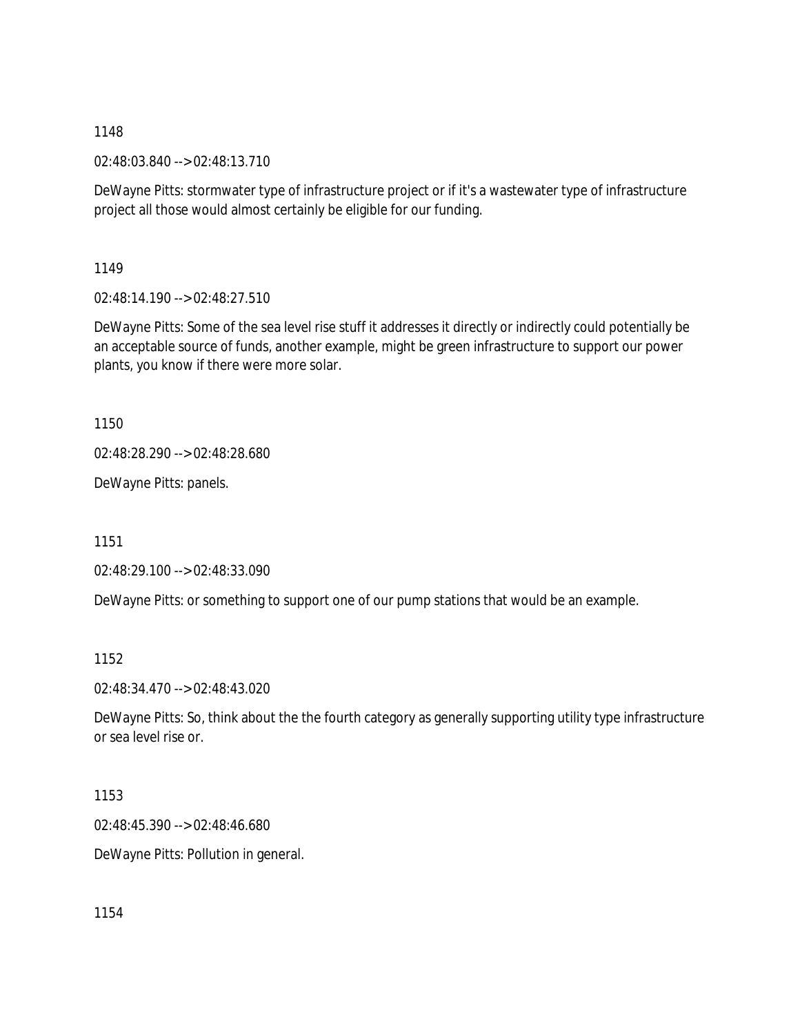02:48:03.840 --> 02:48:13.710

DeWayne Pitts: stormwater type of infrastructure project or if it's a wastewater type of infrastructure project all those would almost certainly be eligible for our funding.

1149

02:48:14.190 --> 02:48:27.510

DeWayne Pitts: Some of the sea level rise stuff it addresses it directly or indirectly could potentially be an acceptable source of funds, another example, might be green infrastructure to support our power plants, you know if there were more solar.

1150

02:48:28.290 --> 02:48:28.680

DeWayne Pitts: panels.

1151

02:48:29.100 --> 02:48:33.090

DeWayne Pitts: or something to support one of our pump stations that would be an example.

1152

02:48:34.470 --> 02:48:43.020

DeWayne Pitts: So, think about the the fourth category as generally supporting utility type infrastructure or sea level rise or.

1153

02:48:45.390 --> 02:48:46.680

DeWayne Pitts: Pollution in general.

1154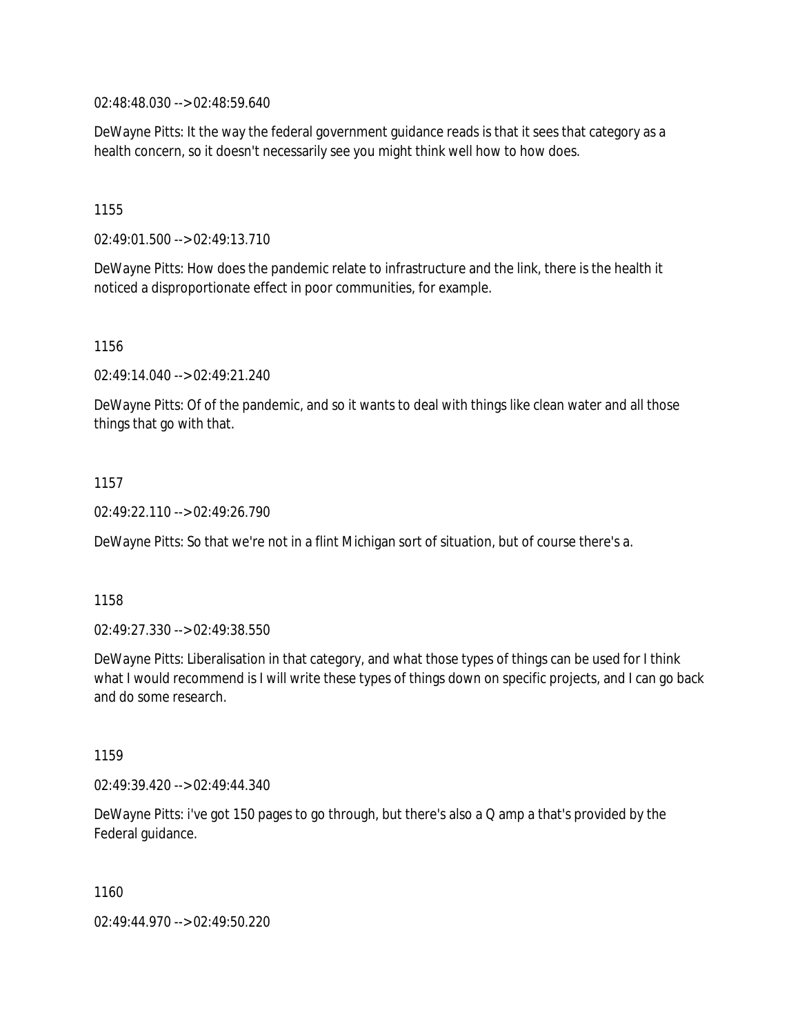02:48:48.030 --> 02:48:59.640

DeWayne Pitts: It the way the federal government guidance reads is that it sees that category as a health concern, so it doesn't necessarily see you might think well how to how does.

1155

02:49:01.500 --> 02:49:13.710

DeWayne Pitts: How does the pandemic relate to infrastructure and the link, there is the health it noticed a disproportionate effect in poor communities, for example.

1156

02:49:14.040 --> 02:49:21.240

DeWayne Pitts: Of of the pandemic, and so it wants to deal with things like clean water and all those things that go with that.

1157

02:49:22.110 --> 02:49:26.790

DeWayne Pitts: So that we're not in a flint Michigan sort of situation, but of course there's a.

1158

02:49:27.330 --> 02:49:38.550

DeWayne Pitts: Liberalisation in that category, and what those types of things can be used for I think what I would recommend is I will write these types of things down on specific projects, and I can go back and do some research.

1159

02:49:39.420 --> 02:49:44.340

DeWayne Pitts: i've got 150 pages to go through, but there's also a Q amp a that's provided by the Federal guidance.

1160

02:49:44.970 --> 02:49:50.220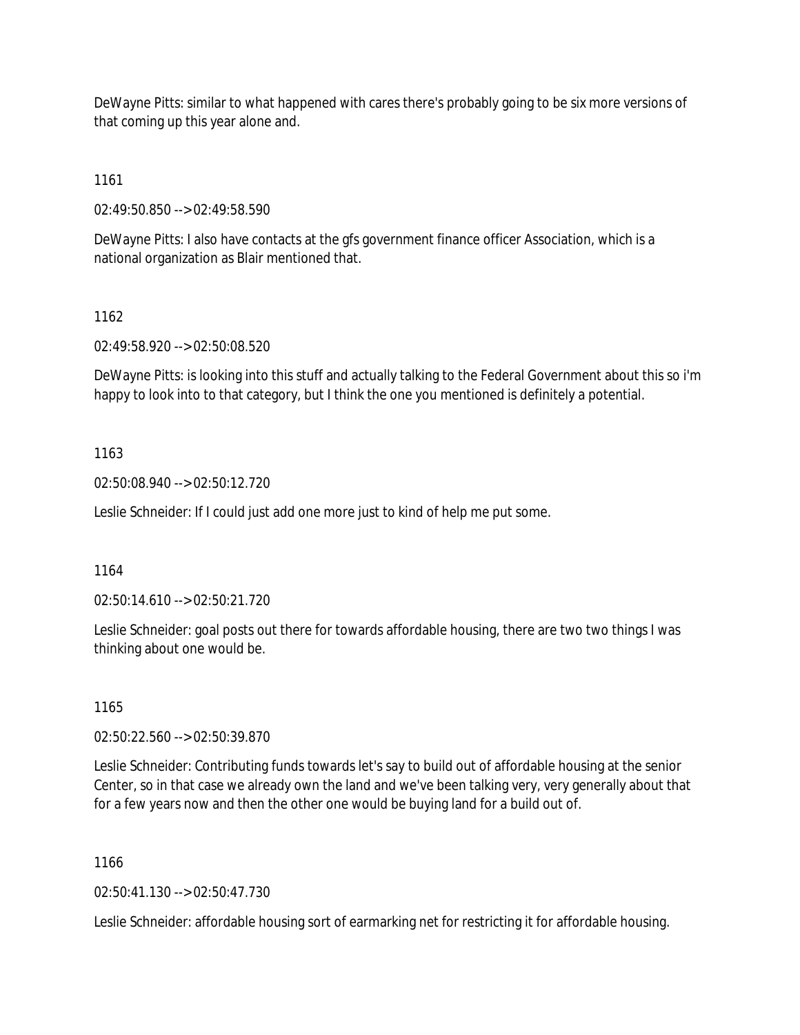DeWayne Pitts: similar to what happened with cares there's probably going to be six more versions of that coming up this year alone and.

1161

02:49:50.850 --> 02:49:58.590

DeWayne Pitts: I also have contacts at the gfs government finance officer Association, which is a national organization as Blair mentioned that.

# 1162

02:49:58.920 --> 02:50:08.520

DeWayne Pitts: is looking into this stuff and actually talking to the Federal Government about this so i'm happy to look into to that category, but I think the one you mentioned is definitely a potential.

# 1163

02:50:08.940 --> 02:50:12.720

Leslie Schneider: If I could just add one more just to kind of help me put some.

#### 1164

02:50:14.610 --> 02:50:21.720

Leslie Schneider: goal posts out there for towards affordable housing, there are two two things I was thinking about one would be.

#### 1165

02:50:22.560 --> 02:50:39.870

Leslie Schneider: Contributing funds towards let's say to build out of affordable housing at the senior Center, so in that case we already own the land and we've been talking very, very generally about that for a few years now and then the other one would be buying land for a build out of.

#### 1166

02:50:41.130 --> 02:50:47.730

Leslie Schneider: affordable housing sort of earmarking net for restricting it for affordable housing.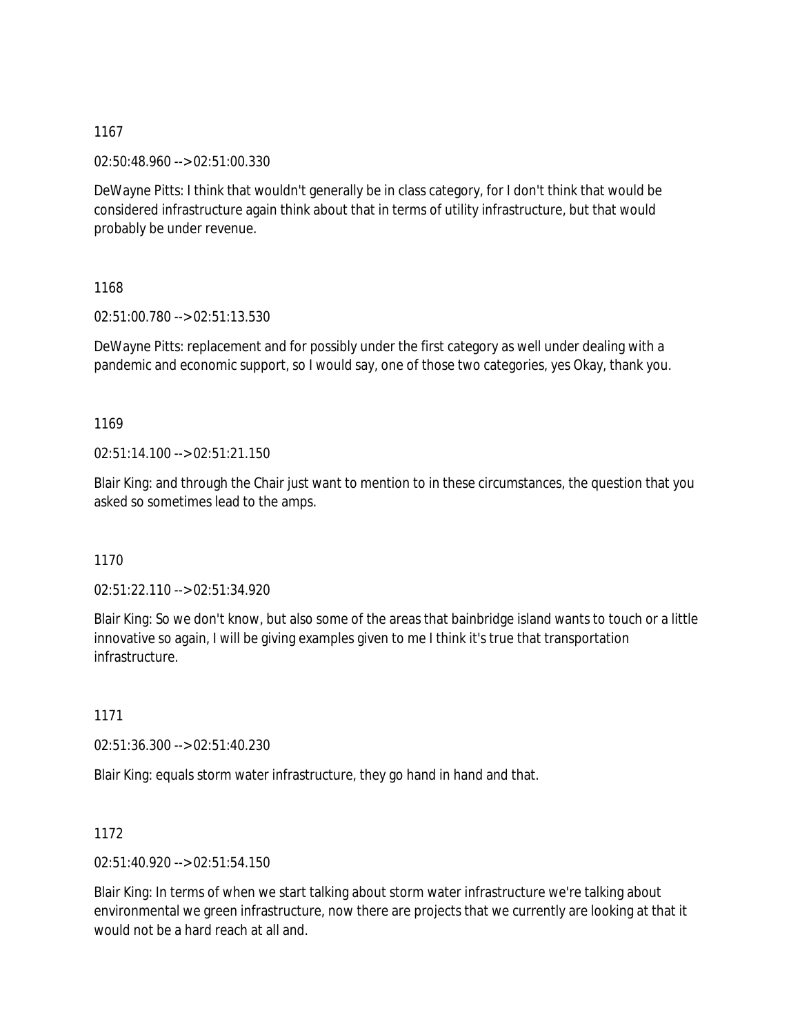02:50:48.960 --> 02:51:00.330

DeWayne Pitts: I think that wouldn't generally be in class category, for I don't think that would be considered infrastructure again think about that in terms of utility infrastructure, but that would probably be under revenue.

1168

02:51:00.780 --> 02:51:13.530

DeWayne Pitts: replacement and for possibly under the first category as well under dealing with a pandemic and economic support, so I would say, one of those two categories, yes Okay, thank you.

1169

02:51:14.100 --> 02:51:21.150

Blair King: and through the Chair just want to mention to in these circumstances, the question that you asked so sometimes lead to the amps.

1170

02:51:22.110 --> 02:51:34.920

Blair King: So we don't know, but also some of the areas that bainbridge island wants to touch or a little innovative so again, I will be giving examples given to me I think it's true that transportation infrastructure.

1171

02:51:36.300 --> 02:51:40.230

Blair King: equals storm water infrastructure, they go hand in hand and that.

1172

02:51:40.920 --> 02:51:54.150

Blair King: In terms of when we start talking about storm water infrastructure we're talking about environmental we green infrastructure, now there are projects that we currently are looking at that it would not be a hard reach at all and.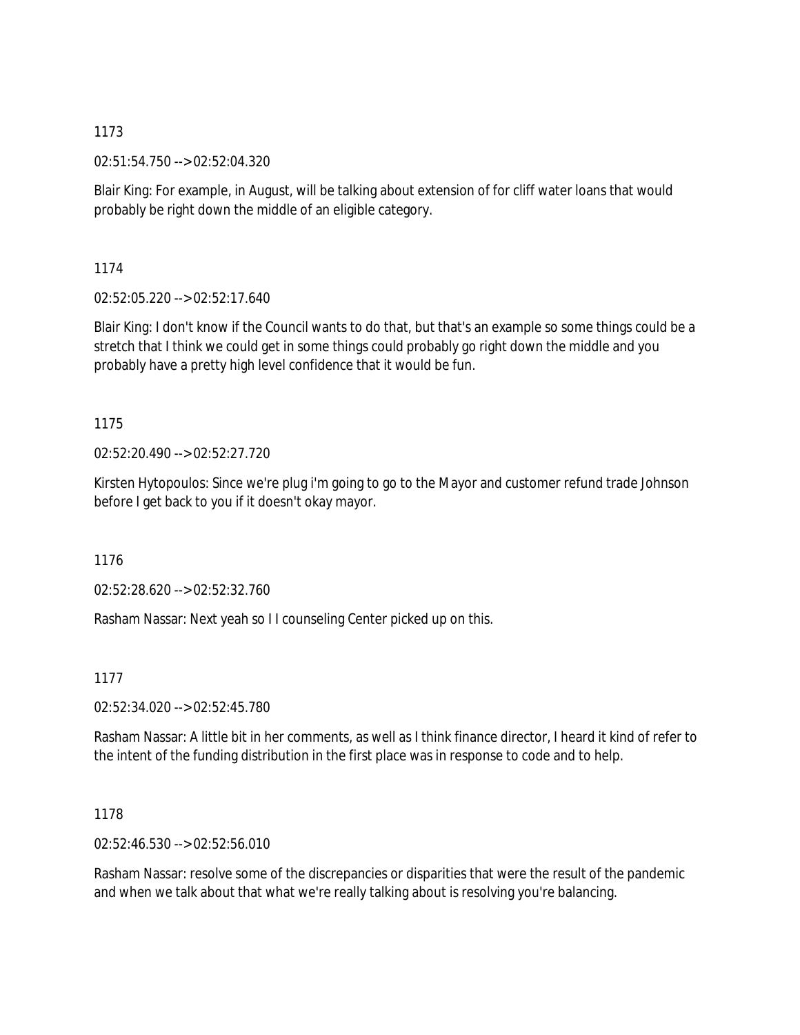02:51:54.750 --> 02:52:04.320

Blair King: For example, in August, will be talking about extension of for cliff water loans that would probably be right down the middle of an eligible category.

1174

02:52:05.220 --> 02:52:17.640

Blair King: I don't know if the Council wants to do that, but that's an example so some things could be a stretch that I think we could get in some things could probably go right down the middle and you probably have a pretty high level confidence that it would be fun.

1175

02:52:20.490 --> 02:52:27.720

Kirsten Hytopoulos: Since we're plug i'm going to go to the Mayor and customer refund trade Johnson before I get back to you if it doesn't okay mayor.

1176

02:52:28.620 --> 02:52:32.760

Rasham Nassar: Next yeah so I I counseling Center picked up on this.

1177

02:52:34.020 --> 02:52:45.780

Rasham Nassar: A little bit in her comments, as well as I think finance director, I heard it kind of refer to the intent of the funding distribution in the first place was in response to code and to help.

1178

02:52:46.530 --> 02:52:56.010

Rasham Nassar: resolve some of the discrepancies or disparities that were the result of the pandemic and when we talk about that what we're really talking about is resolving you're balancing.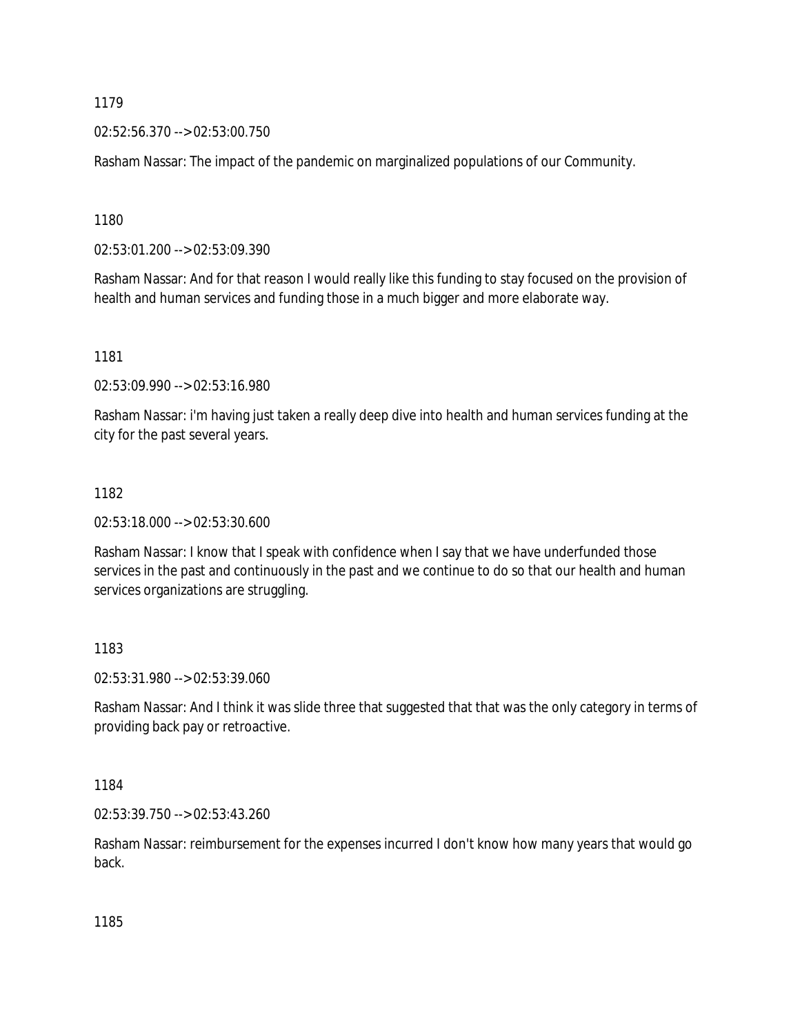02:52:56.370 --> 02:53:00.750

Rasham Nassar: The impact of the pandemic on marginalized populations of our Community.

1180

02:53:01.200 --> 02:53:09.390

Rasham Nassar: And for that reason I would really like this funding to stay focused on the provision of health and human services and funding those in a much bigger and more elaborate way.

1181

02:53:09.990 --> 02:53:16.980

Rasham Nassar: i'm having just taken a really deep dive into health and human services funding at the city for the past several years.

#### 1182

02:53:18.000 --> 02:53:30.600

Rasham Nassar: I know that I speak with confidence when I say that we have underfunded those services in the past and continuously in the past and we continue to do so that our health and human services organizations are struggling.

#### 1183

02:53:31.980 --> 02:53:39.060

Rasham Nassar: And I think it was slide three that suggested that that was the only category in terms of providing back pay or retroactive.

1184

02:53:39.750 --> 02:53:43.260

Rasham Nassar: reimbursement for the expenses incurred I don't know how many years that would go back.

1185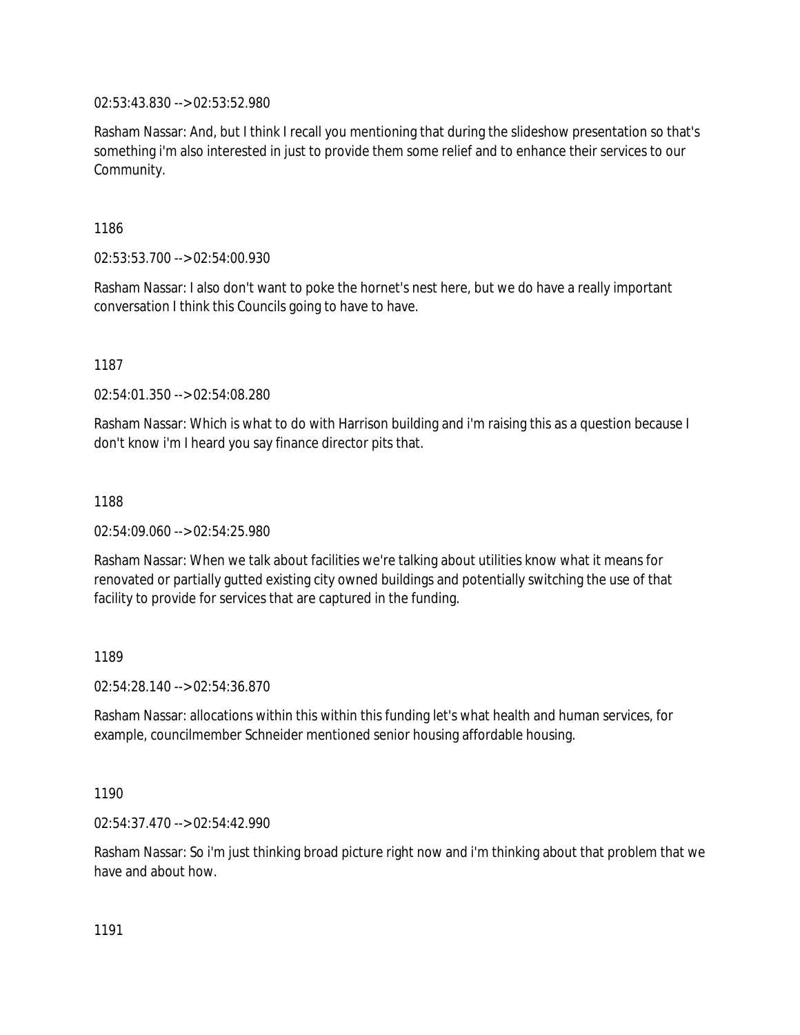02:53:43.830 --> 02:53:52.980

Rasham Nassar: And, but I think I recall you mentioning that during the slideshow presentation so that's something i'm also interested in just to provide them some relief and to enhance their services to our Community.

1186

02:53:53.700 --> 02:54:00.930

Rasham Nassar: I also don't want to poke the hornet's nest here, but we do have a really important conversation I think this Councils going to have to have.

1187

02:54:01.350 --> 02:54:08.280

Rasham Nassar: Which is what to do with Harrison building and i'm raising this as a question because I don't know i'm I heard you say finance director pits that.

1188

02:54:09.060 --> 02:54:25.980

Rasham Nassar: When we talk about facilities we're talking about utilities know what it means for renovated or partially gutted existing city owned buildings and potentially switching the use of that facility to provide for services that are captured in the funding.

1189

02:54:28.140 --> 02:54:36.870

Rasham Nassar: allocations within this within this funding let's what health and human services, for example, councilmember Schneider mentioned senior housing affordable housing.

1190

02:54:37.470 --> 02:54:42.990

Rasham Nassar: So i'm just thinking broad picture right now and i'm thinking about that problem that we have and about how.

1191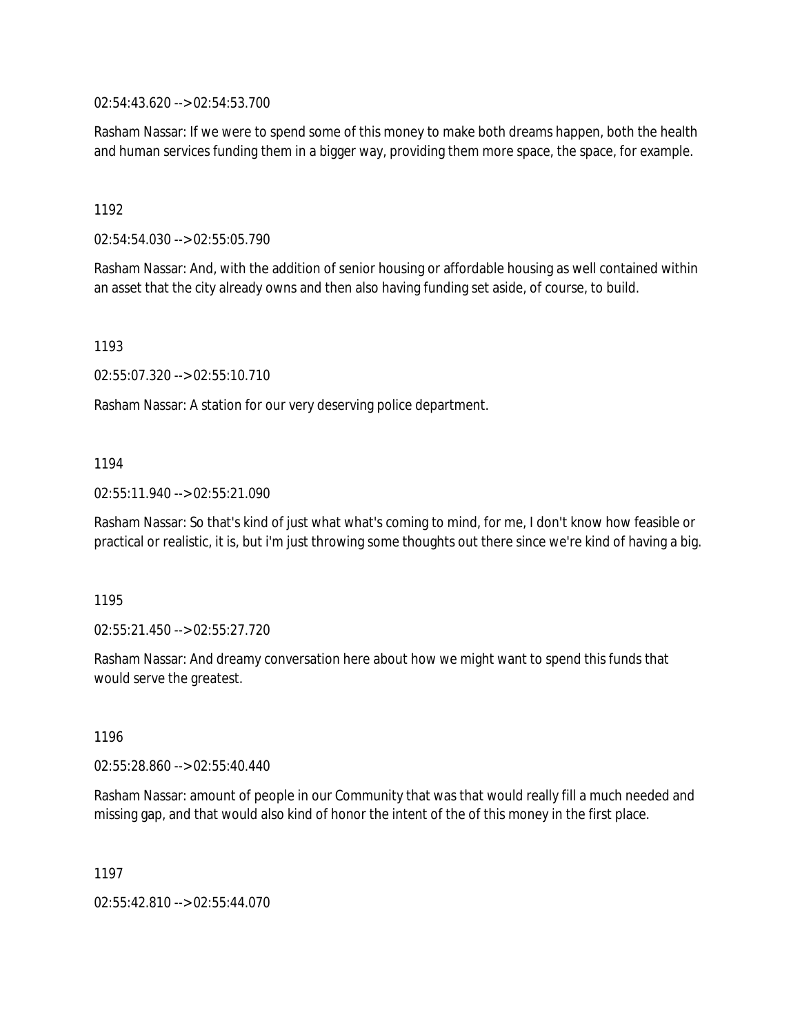02:54:43.620 --> 02:54:53.700

Rasham Nassar: If we were to spend some of this money to make both dreams happen, both the health and human services funding them in a bigger way, providing them more space, the space, for example.

1192

02:54:54.030 --> 02:55:05.790

Rasham Nassar: And, with the addition of senior housing or affordable housing as well contained within an asset that the city already owns and then also having funding set aside, of course, to build.

1193

02:55:07.320 --> 02:55:10.710

Rasham Nassar: A station for our very deserving police department.

### 1194

02:55:11.940 --> 02:55:21.090

Rasham Nassar: So that's kind of just what what's coming to mind, for me, I don't know how feasible or practical or realistic, it is, but i'm just throwing some thoughts out there since we're kind of having a big.

1195

02:55:21.450 --> 02:55:27.720

Rasham Nassar: And dreamy conversation here about how we might want to spend this funds that would serve the greatest.

1196

02:55:28.860 --> 02:55:40.440

Rasham Nassar: amount of people in our Community that was that would really fill a much needed and missing gap, and that would also kind of honor the intent of the of this money in the first place.

1197

02:55:42.810 --> 02:55:44.070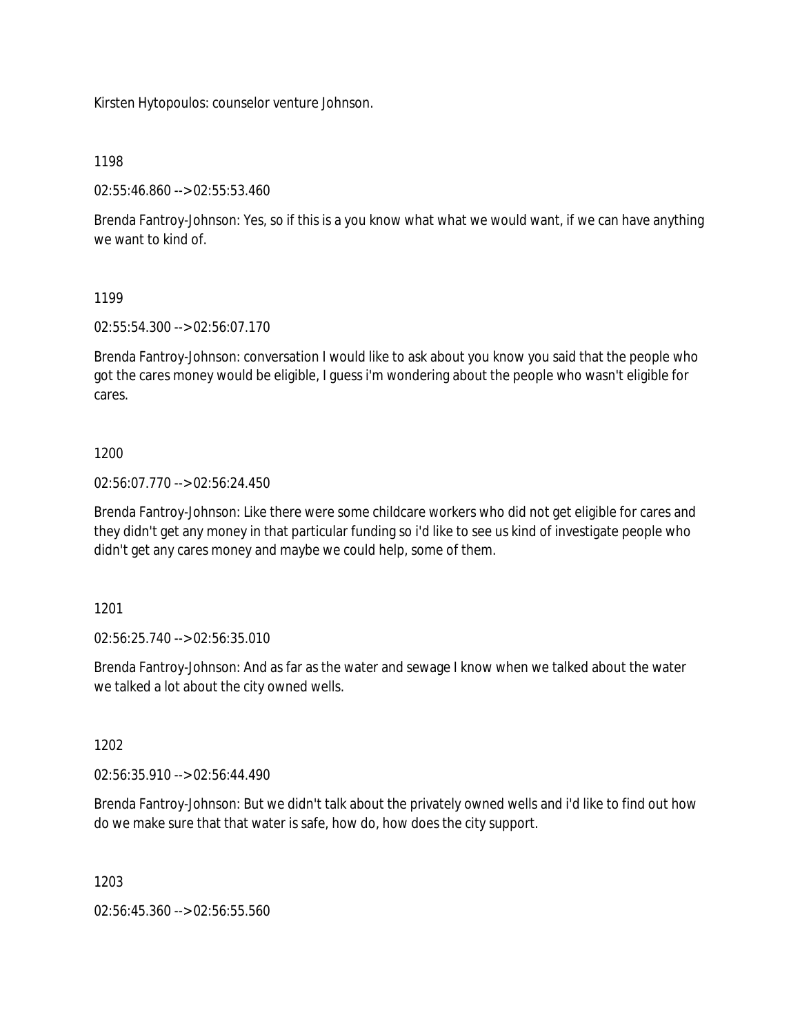Kirsten Hytopoulos: counselor venture Johnson.

1198

02:55:46.860 --> 02:55:53.460

Brenda Fantroy-Johnson: Yes, so if this is a you know what what we would want, if we can have anything we want to kind of.

1199

02:55:54.300 --> 02:56:07.170

Brenda Fantroy-Johnson: conversation I would like to ask about you know you said that the people who got the cares money would be eligible, I guess i'm wondering about the people who wasn't eligible for cares.

### 1200

02:56:07.770 --> 02:56:24.450

Brenda Fantroy-Johnson: Like there were some childcare workers who did not get eligible for cares and they didn't get any money in that particular funding so i'd like to see us kind of investigate people who didn't get any cares money and maybe we could help, some of them.

1201

02:56:25.740 --> 02:56:35.010

Brenda Fantroy-Johnson: And as far as the water and sewage I know when we talked about the water we talked a lot about the city owned wells.

1202

02:56:35.910 --> 02:56:44.490

Brenda Fantroy-Johnson: But we didn't talk about the privately owned wells and i'd like to find out how do we make sure that that water is safe, how do, how does the city support.

1203

02:56:45.360 --> 02:56:55.560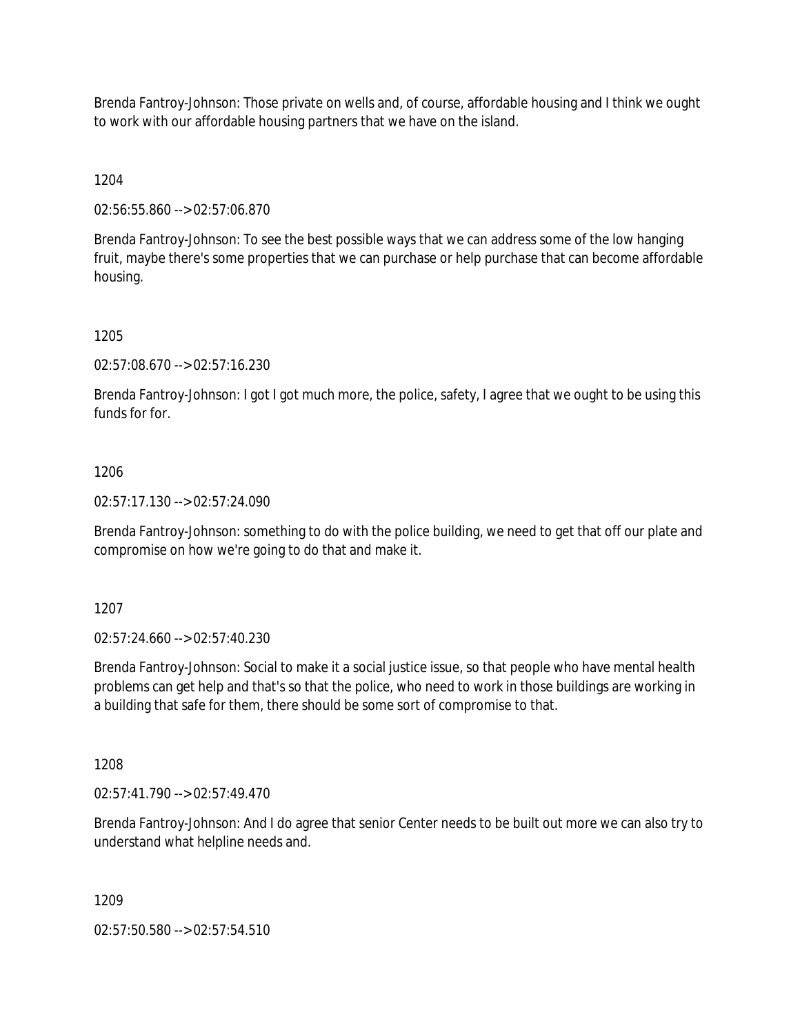Brenda Fantroy-Johnson: Those private on wells and, of course, affordable housing and I think we ought to work with our affordable housing partners that we have on the island.

1204

02:56:55.860 --> 02:57:06.870

Brenda Fantroy-Johnson: To see the best possible ways that we can address some of the low hanging fruit, maybe there's some properties that we can purchase or help purchase that can become affordable housing.

1205

02:57:08.670 --> 02:57:16.230

Brenda Fantroy-Johnson: I got I got much more, the police, safety, I agree that we ought to be using this funds for for.

1206

02:57:17.130 --> 02:57:24.090

Brenda Fantroy-Johnson: something to do with the police building, we need to get that off our plate and compromise on how we're going to do that and make it.

1207

02:57:24.660 --> 02:57:40.230

Brenda Fantroy-Johnson: Social to make it a social justice issue, so that people who have mental health problems can get help and that's so that the police, who need to work in those buildings are working in a building that safe for them, there should be some sort of compromise to that.

1208

02:57:41.790 --> 02:57:49.470

Brenda Fantroy-Johnson: And I do agree that senior Center needs to be built out more we can also try to understand what helpline needs and.

1209

02:57:50.580 --> 02:57:54.510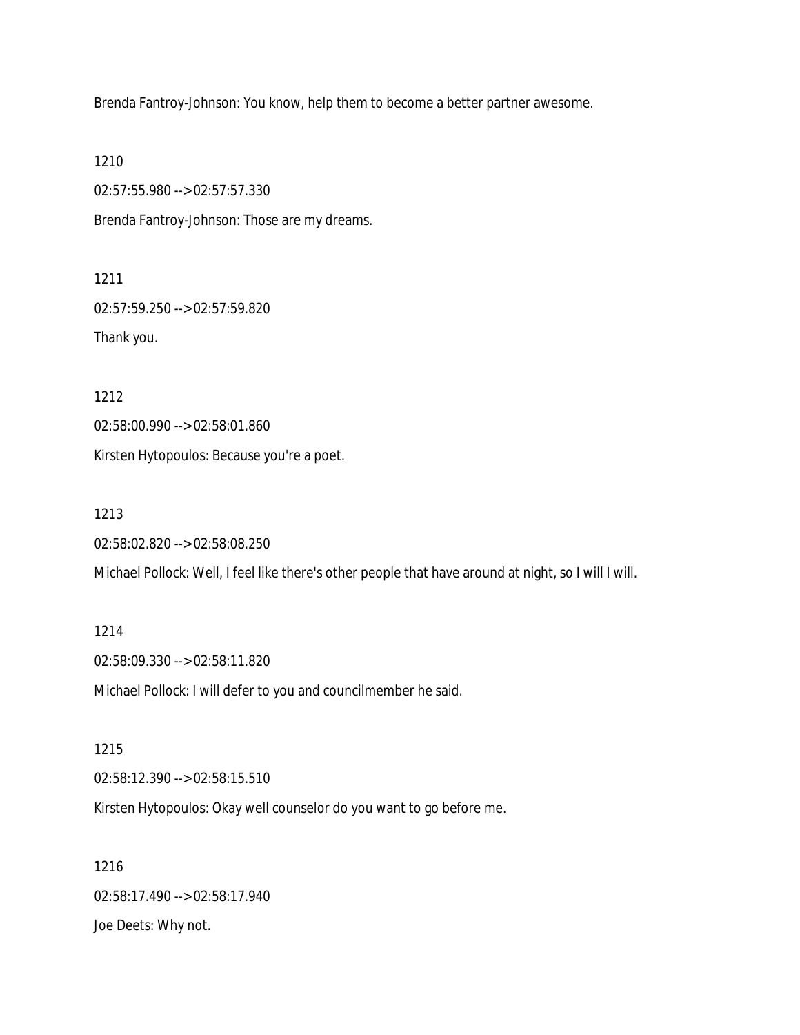Brenda Fantroy-Johnson: You know, help them to become a better partner awesome.

1210

02:57:55.980 --> 02:57:57.330

Brenda Fantroy-Johnson: Those are my dreams.

1211

02:57:59.250 --> 02:57:59.820

Thank you.

1212

02:58:00.990 --> 02:58:01.860

Kirsten Hytopoulos: Because you're a poet.

1213

02:58:02.820 --> 02:58:08.250

Michael Pollock: Well, I feel like there's other people that have around at night, so I will I will.

1214 02:58:09.330 --> 02:58:11.820 Michael Pollock: I will defer to you and councilmember he said.

1215 02:58:12.390 --> 02:58:15.510 Kirsten Hytopoulos: Okay well counselor do you want to go before me.

1216 02:58:17.490 --> 02:58:17.940 Joe Deets: Why not.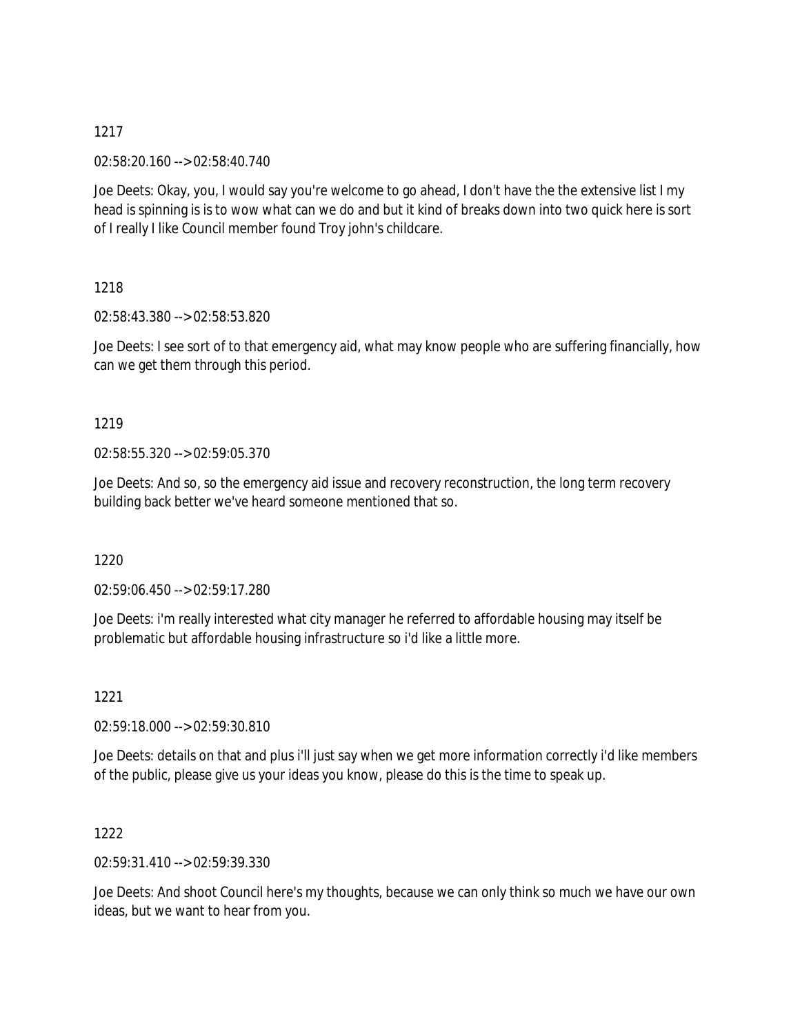02:58:20.160 --> 02:58:40.740

Joe Deets: Okay, you, I would say you're welcome to go ahead, I don't have the the extensive list I my head is spinning is is to wow what can we do and but it kind of breaks down into two quick here is sort of I really I like Council member found Troy john's childcare.

# 1218

02:58:43.380 --> 02:58:53.820

Joe Deets: I see sort of to that emergency aid, what may know people who are suffering financially, how can we get them through this period.

# 1219

02:58:55.320 --> 02:59:05.370

Joe Deets: And so, so the emergency aid issue and recovery reconstruction, the long term recovery building back better we've heard someone mentioned that so.

#### 1220

02:59:06.450 --> 02:59:17.280

Joe Deets: i'm really interested what city manager he referred to affordable housing may itself be problematic but affordable housing infrastructure so i'd like a little more.

# 1221

02:59:18.000 --> 02:59:30.810

Joe Deets: details on that and plus i'll just say when we get more information correctly i'd like members of the public, please give us your ideas you know, please do this is the time to speak up.

# 1222

02:59:31.410 --> 02:59:39.330

Joe Deets: And shoot Council here's my thoughts, because we can only think so much we have our own ideas, but we want to hear from you.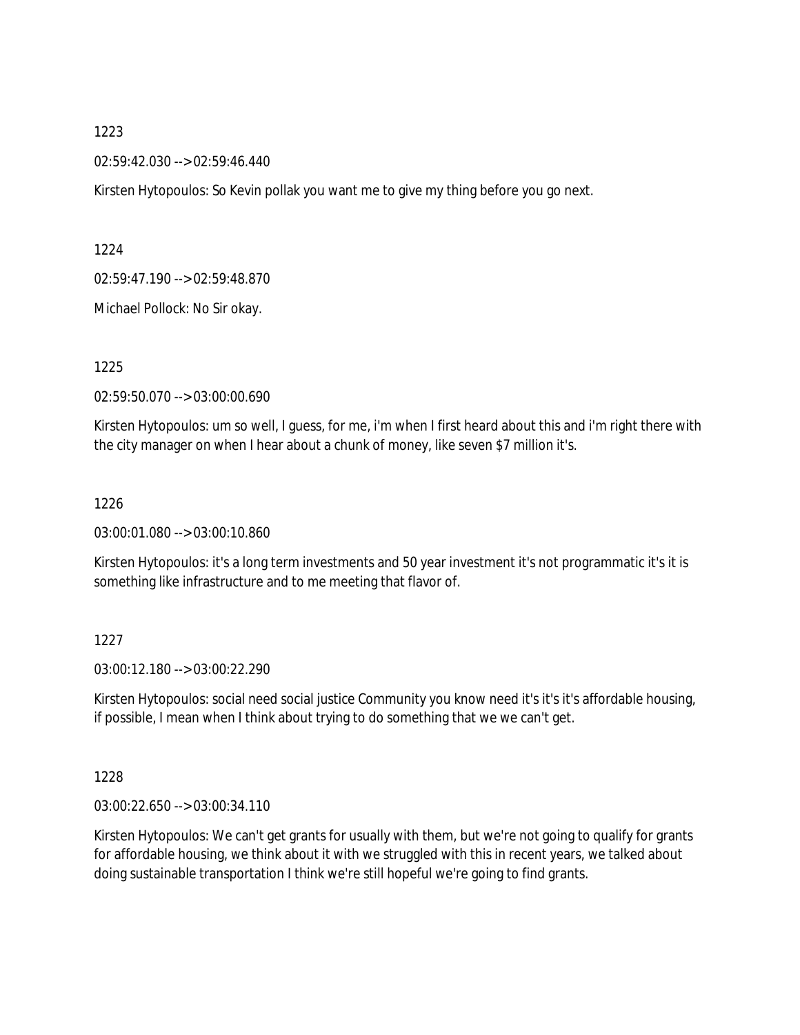#### 02:59:42.030 --> 02:59:46.440

Kirsten Hytopoulos: So Kevin pollak you want me to give my thing before you go next.

1224

02:59:47.190 --> 02:59:48.870

Michael Pollock: No Sir okay.

1225

02:59:50.070 --> 03:00:00.690

Kirsten Hytopoulos: um so well, I guess, for me, i'm when I first heard about this and i'm right there with the city manager on when I hear about a chunk of money, like seven \$7 million it's.

#### 1226

03:00:01.080 --> 03:00:10.860

Kirsten Hytopoulos: it's a long term investments and 50 year investment it's not programmatic it's it is something like infrastructure and to me meeting that flavor of.

#### 1227

03:00:12.180 --> 03:00:22.290

Kirsten Hytopoulos: social need social justice Community you know need it's it's it's affordable housing, if possible, I mean when I think about trying to do something that we we can't get.

1228

03:00:22.650 --> 03:00:34.110

Kirsten Hytopoulos: We can't get grants for usually with them, but we're not going to qualify for grants for affordable housing, we think about it with we struggled with this in recent years, we talked about doing sustainable transportation I think we're still hopeful we're going to find grants.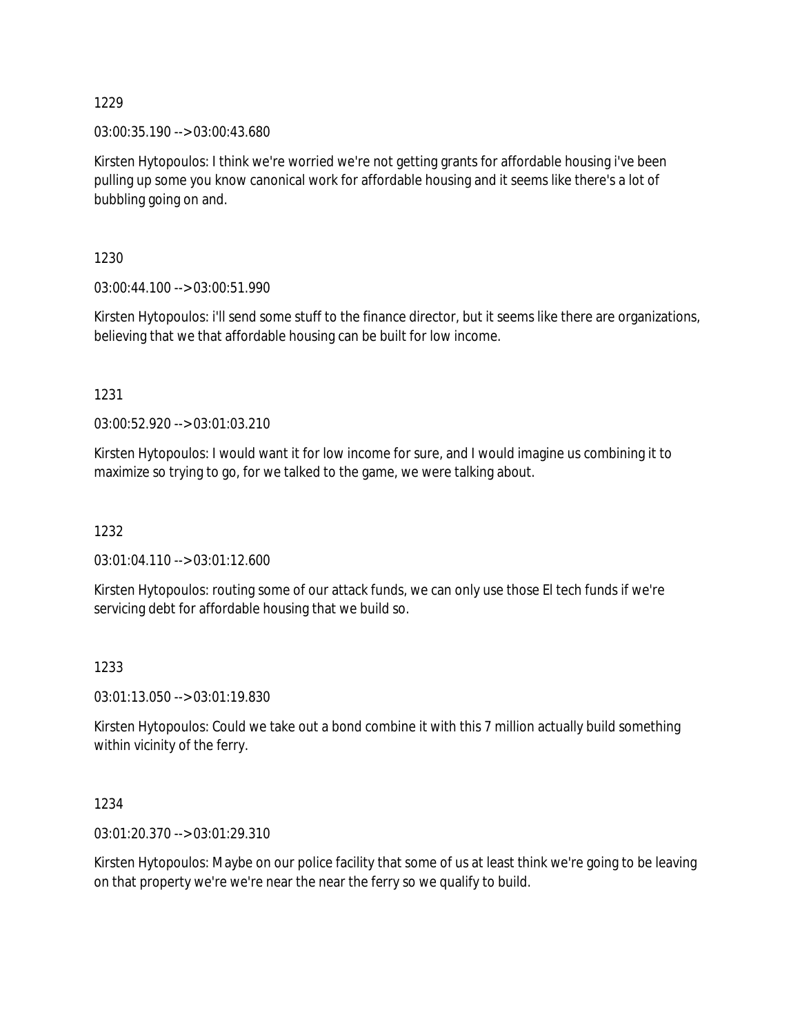03:00:35.190 --> 03:00:43.680

Kirsten Hytopoulos: I think we're worried we're not getting grants for affordable housing i've been pulling up some you know canonical work for affordable housing and it seems like there's a lot of bubbling going on and.

1230

03:00:44.100 --> 03:00:51.990

Kirsten Hytopoulos: i'll send some stuff to the finance director, but it seems like there are organizations, believing that we that affordable housing can be built for low income.

1231

03:00:52.920 --> 03:01:03.210

Kirsten Hytopoulos: I would want it for low income for sure, and I would imagine us combining it to maximize so trying to go, for we talked to the game, we were talking about.

1232

03:01:04.110 --> 03:01:12.600

Kirsten Hytopoulos: routing some of our attack funds, we can only use those El tech funds if we're servicing debt for affordable housing that we build so.

#### 1233

03:01:13.050 --> 03:01:19.830

Kirsten Hytopoulos: Could we take out a bond combine it with this 7 million actually build something within vicinity of the ferry.

1234

03:01:20.370 --> 03:01:29.310

Kirsten Hytopoulos: Maybe on our police facility that some of us at least think we're going to be leaving on that property we're we're near the near the ferry so we qualify to build.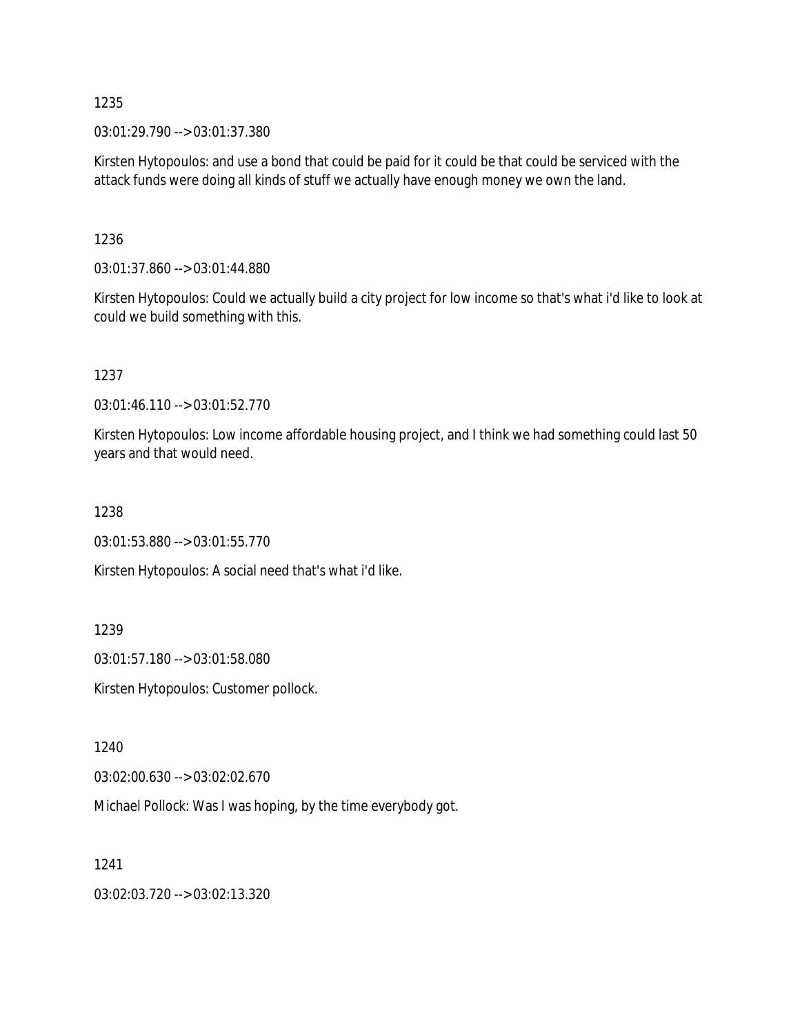03:01:29.790 --> 03:01:37.380

Kirsten Hytopoulos: and use a bond that could be paid for it could be that could be serviced with the attack funds were doing all kinds of stuff we actually have enough money we own the land.

1236

03:01:37.860 --> 03:01:44.880

Kirsten Hytopoulos: Could we actually build a city project for low income so that's what i'd like to look at could we build something with this.

1237

03:01:46.110 --> 03:01:52.770

Kirsten Hytopoulos: Low income affordable housing project, and I think we had something could last 50 years and that would need.

1238

03:01:53.880 --> 03:01:55.770

Kirsten Hytopoulos: A social need that's what i'd like.

1239

03:01:57.180 --> 03:01:58.080

Kirsten Hytopoulos: Customer pollock.

1240

03:02:00.630 --> 03:02:02.670

Michael Pollock: Was I was hoping, by the time everybody got.

1241

03:02:03.720 --> 03:02:13.320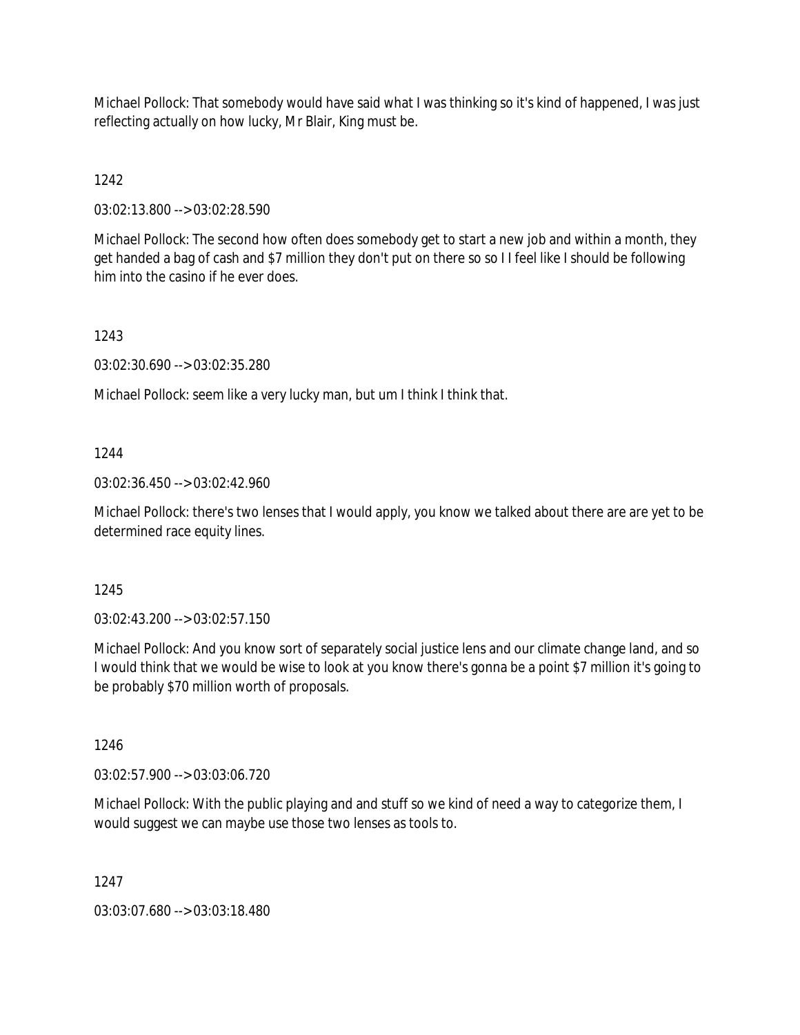Michael Pollock: That somebody would have said what I was thinking so it's kind of happened, I was just reflecting actually on how lucky, Mr Blair, King must be.

1242

03:02:13.800 --> 03:02:28.590

Michael Pollock: The second how often does somebody get to start a new job and within a month, they get handed a bag of cash and \$7 million they don't put on there so so I I feel like I should be following him into the casino if he ever does.

1243

03:02:30.690 --> 03:02:35.280

Michael Pollock: seem like a very lucky man, but um I think I think that.

1244

03:02:36.450 --> 03:02:42.960

Michael Pollock: there's two lenses that I would apply, you know we talked about there are are yet to be determined race equity lines.

1245

03:02:43.200 --> 03:02:57.150

Michael Pollock: And you know sort of separately social justice lens and our climate change land, and so I would think that we would be wise to look at you know there's gonna be a point \$7 million it's going to be probably \$70 million worth of proposals.

1246

03:02:57.900 --> 03:03:06.720

Michael Pollock: With the public playing and and stuff so we kind of need a way to categorize them, I would suggest we can maybe use those two lenses as tools to.

1247

03:03:07.680 --> 03:03:18.480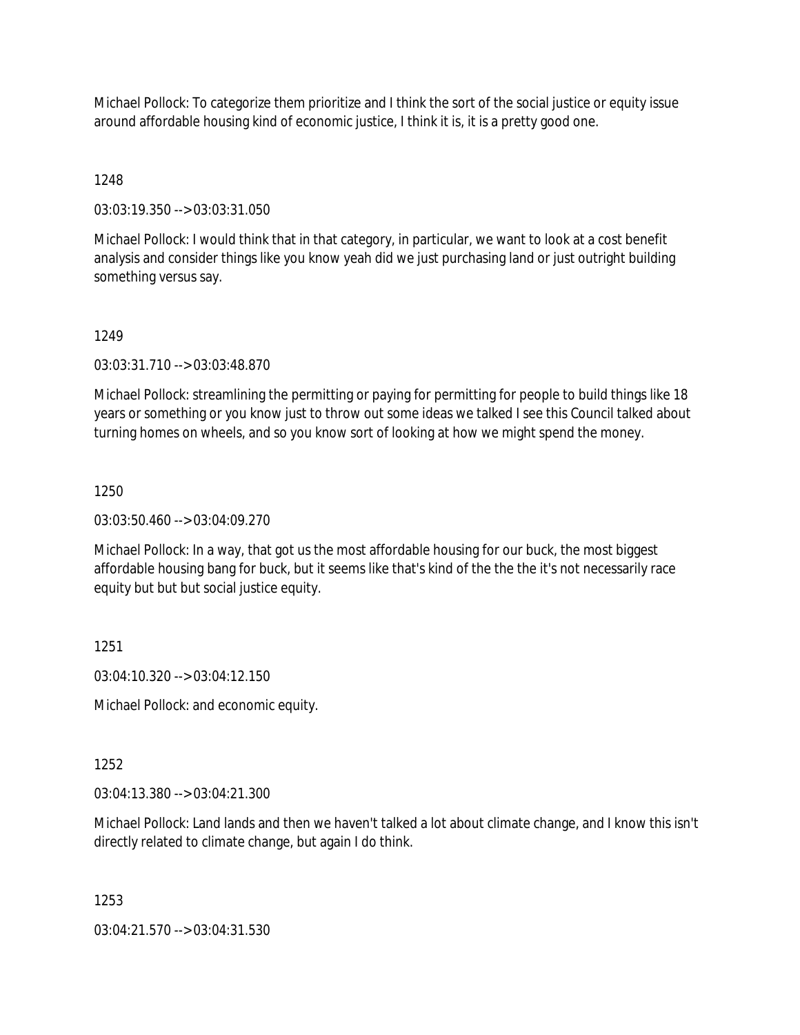Michael Pollock: To categorize them prioritize and I think the sort of the social justice or equity issue around affordable housing kind of economic justice, I think it is, it is a pretty good one.

1248

03:03:19.350 --> 03:03:31.050

Michael Pollock: I would think that in that category, in particular, we want to look at a cost benefit analysis and consider things like you know yeah did we just purchasing land or just outright building something versus say.

### 1249

03:03:31.710 --> 03:03:48.870

Michael Pollock: streamlining the permitting or paying for permitting for people to build things like 18 years or something or you know just to throw out some ideas we talked I see this Council talked about turning homes on wheels, and so you know sort of looking at how we might spend the money.

# 1250

03:03:50.460 --> 03:04:09.270

Michael Pollock: In a way, that got us the most affordable housing for our buck, the most biggest affordable housing bang for buck, but it seems like that's kind of the the the it's not necessarily race equity but but but social justice equity.

# 1251

03:04:10.320 --> 03:04:12.150

Michael Pollock: and economic equity.

# 1252

03:04:13.380 --> 03:04:21.300

Michael Pollock: Land lands and then we haven't talked a lot about climate change, and I know this isn't directly related to climate change, but again I do think.

# 1253

03:04:21.570 --> 03:04:31.530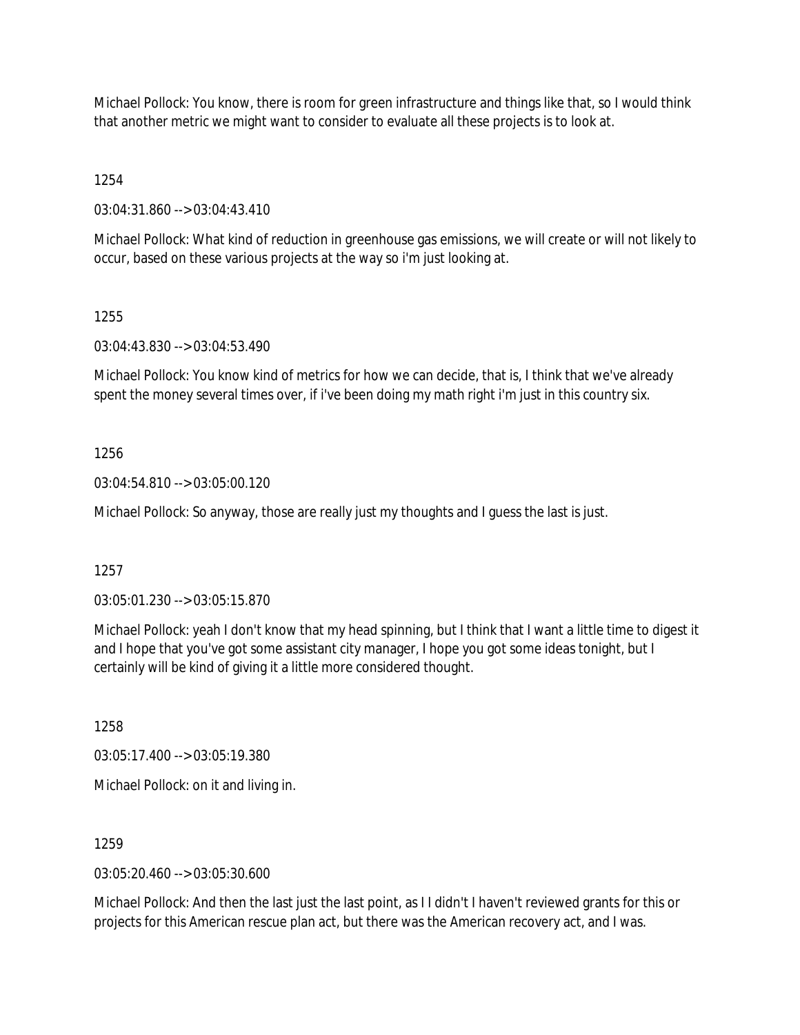Michael Pollock: You know, there is room for green infrastructure and things like that, so I would think that another metric we might want to consider to evaluate all these projects is to look at.

1254

03:04:31.860 --> 03:04:43.410

Michael Pollock: What kind of reduction in greenhouse gas emissions, we will create or will not likely to occur, based on these various projects at the way so i'm just looking at.

1255

03:04:43.830 --> 03:04:53.490

Michael Pollock: You know kind of metrics for how we can decide, that is, I think that we've already spent the money several times over, if i've been doing my math right i'm just in this country six.

1256

03:04:54.810 --> 03:05:00.120

Michael Pollock: So anyway, those are really just my thoughts and I guess the last is just.

1257

03:05:01.230 --> 03:05:15.870

Michael Pollock: yeah I don't know that my head spinning, but I think that I want a little time to digest it and I hope that you've got some assistant city manager, I hope you got some ideas tonight, but I certainly will be kind of giving it a little more considered thought.

1258

03:05:17.400 --> 03:05:19.380

Michael Pollock: on it and living in.

1259

03:05:20.460 --> 03:05:30.600

Michael Pollock: And then the last just the last point, as I I didn't I haven't reviewed grants for this or projects for this American rescue plan act, but there was the American recovery act, and I was.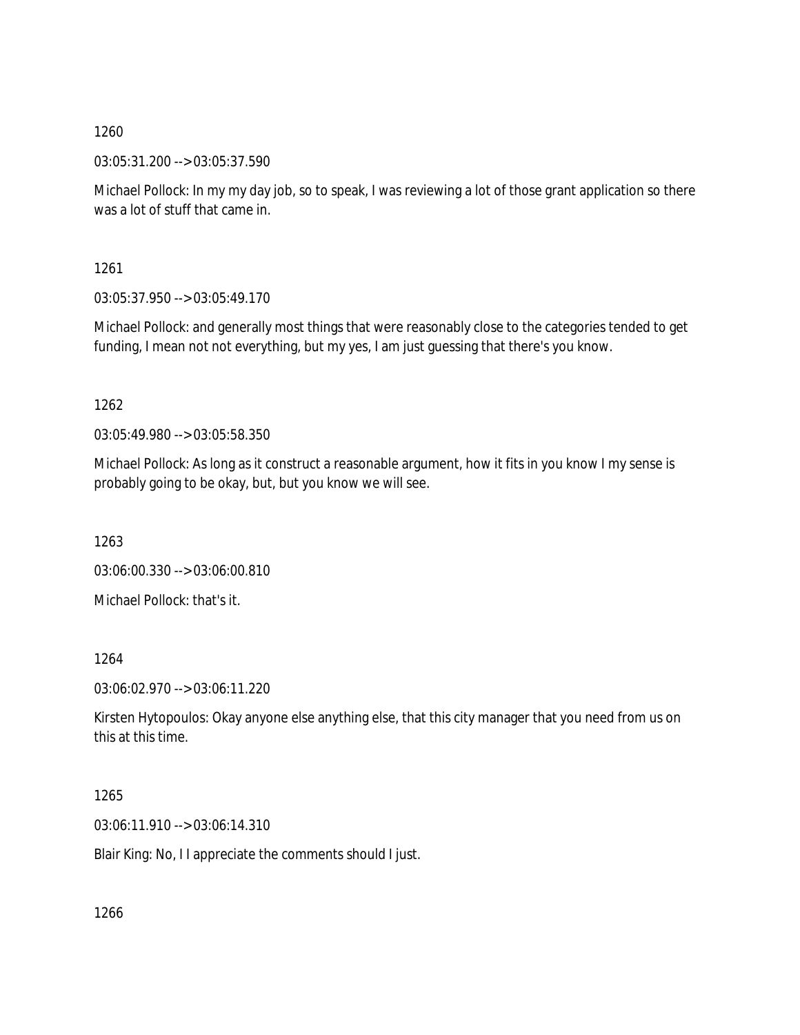03:05:31.200 --> 03:05:37.590

Michael Pollock: In my my day job, so to speak, I was reviewing a lot of those grant application so there was a lot of stuff that came in.

1261

03:05:37.950 --> 03:05:49.170

Michael Pollock: and generally most things that were reasonably close to the categories tended to get funding, I mean not not everything, but my yes, I am just guessing that there's you know.

1262

03:05:49.980 --> 03:05:58.350

Michael Pollock: As long as it construct a reasonable argument, how it fits in you know I my sense is probably going to be okay, but, but you know we will see.

1263

03:06:00.330 --> 03:06:00.810

Michael Pollock: that's it.

1264

03:06:02.970 --> 03:06:11.220

Kirsten Hytopoulos: Okay anyone else anything else, that this city manager that you need from us on this at this time.

1265

03:06:11.910 --> 03:06:14.310

Blair King: No, I I appreciate the comments should I just.

1266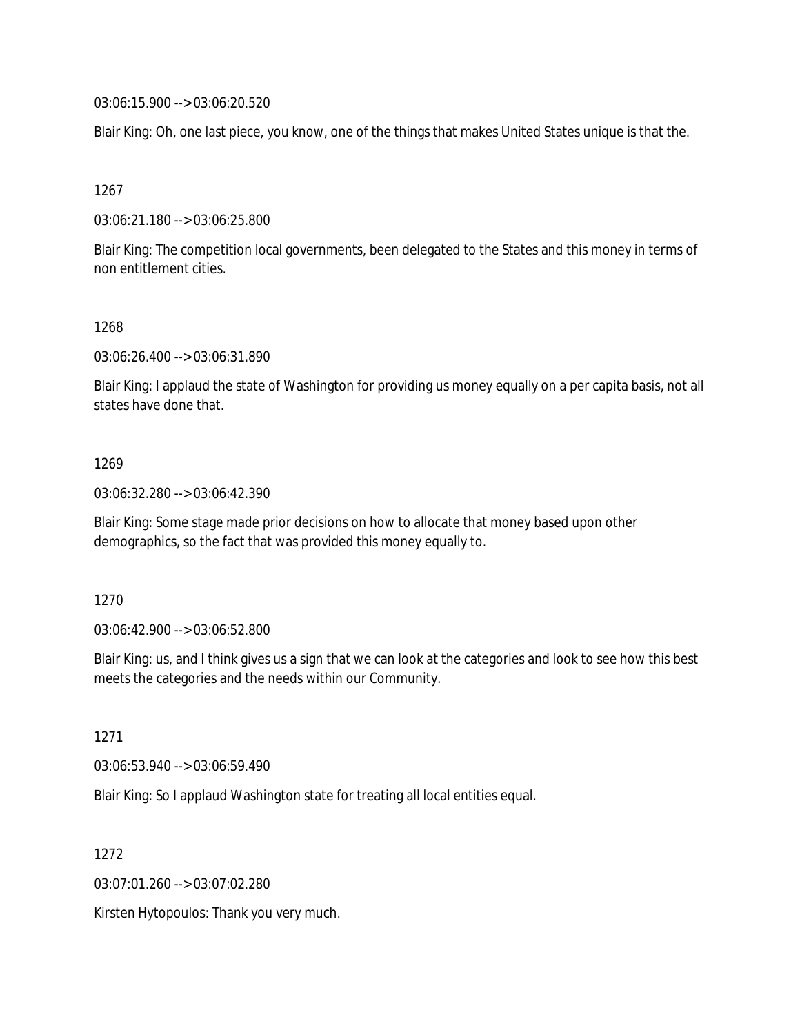03:06:15.900 --> 03:06:20.520

Blair King: Oh, one last piece, you know, one of the things that makes United States unique is that the.

1267

03:06:21.180 --> 03:06:25.800

Blair King: The competition local governments, been delegated to the States and this money in terms of non entitlement cities.

#### 1268

03:06:26.400 --> 03:06:31.890

Blair King: I applaud the state of Washington for providing us money equally on a per capita basis, not all states have done that.

#### 1269

03:06:32.280 --> 03:06:42.390

Blair King: Some stage made prior decisions on how to allocate that money based upon other demographics, so the fact that was provided this money equally to.

#### 1270

03:06:42.900 --> 03:06:52.800

Blair King: us, and I think gives us a sign that we can look at the categories and look to see how this best meets the categories and the needs within our Community.

#### 1271

03:06:53.940 --> 03:06:59.490

Blair King: So I applaud Washington state for treating all local entities equal.

1272

03:07:01.260 --> 03:07:02.280

Kirsten Hytopoulos: Thank you very much.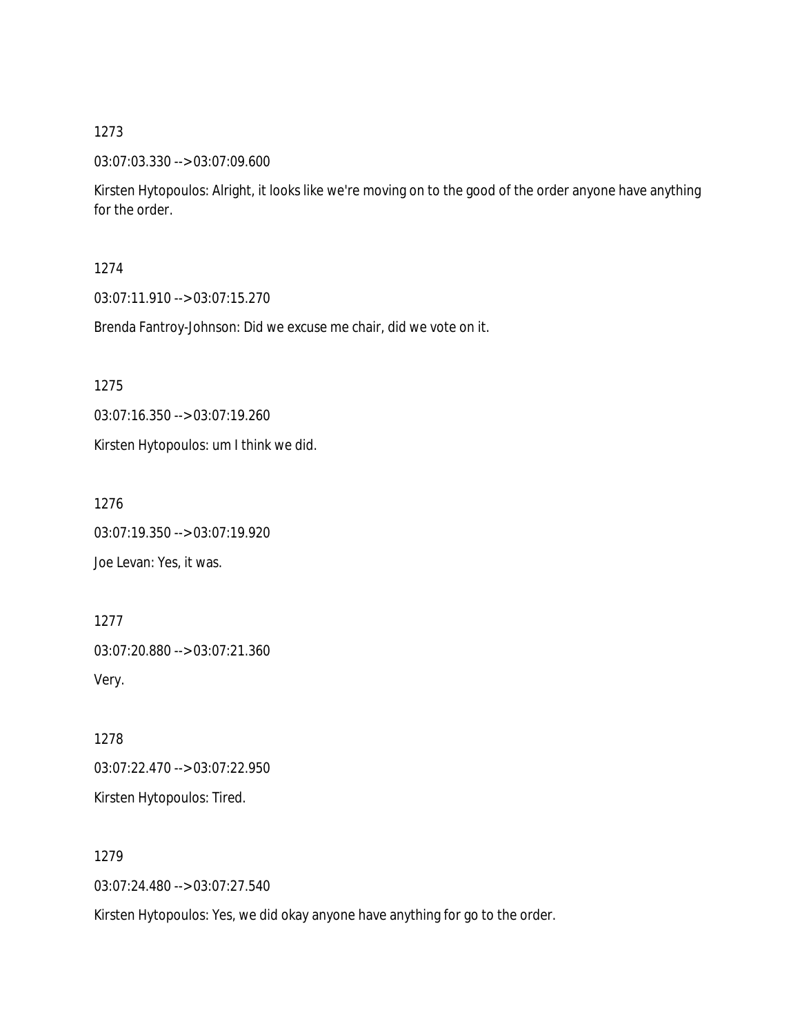#### 03:07:03.330 --> 03:07:09.600

Kirsten Hytopoulos: Alright, it looks like we're moving on to the good of the order anyone have anything for the order.

### 1274

03:07:11.910 --> 03:07:15.270

Brenda Fantroy-Johnson: Did we excuse me chair, did we vote on it.

1275

03:07:16.350 --> 03:07:19.260

Kirsten Hytopoulos: um I think we did.

1276

03:07:19.350 --> 03:07:19.920 Joe Levan: Yes, it was.

1277 03:07:20.880 --> 03:07:21.360 Very.

1278 03:07:22.470 --> 03:07:22.950 Kirsten Hytopoulos: Tired.

1279 03:07:24.480 --> 03:07:27.540

Kirsten Hytopoulos: Yes, we did okay anyone have anything for go to the order.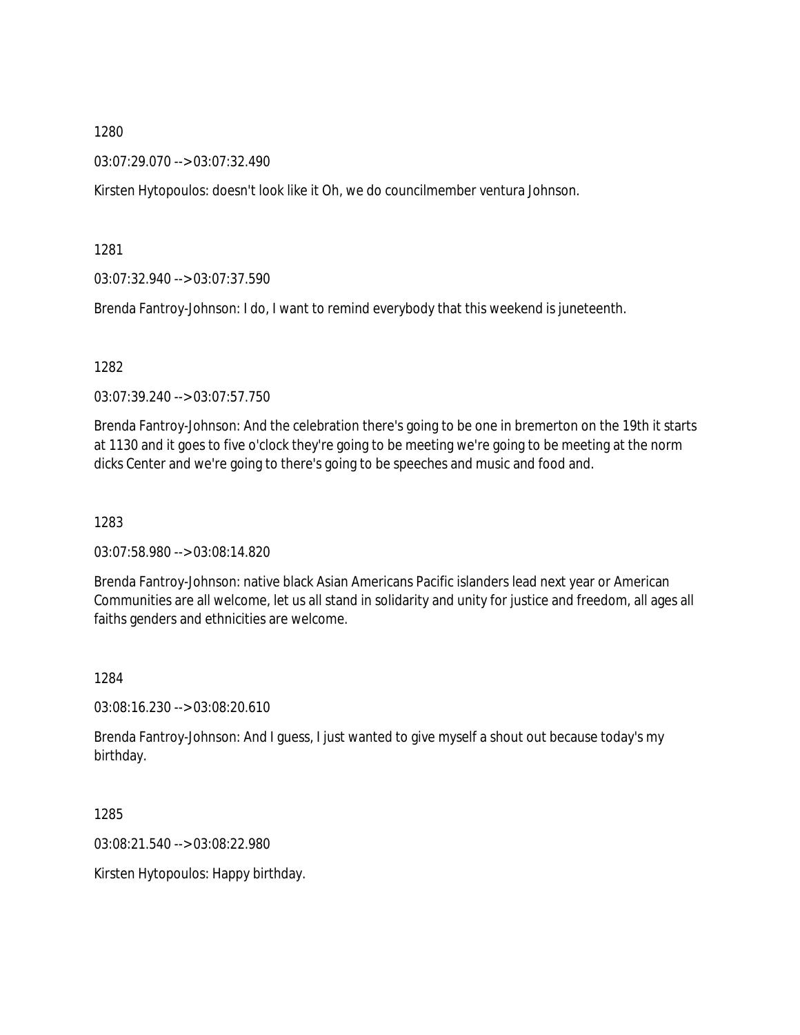03:07:29.070 --> 03:07:32.490

Kirsten Hytopoulos: doesn't look like it Oh, we do councilmember ventura Johnson.

1281

03:07:32.940 --> 03:07:37.590

Brenda Fantroy-Johnson: I do, I want to remind everybody that this weekend is juneteenth.

1282

03:07:39.240 --> 03:07:57.750

Brenda Fantroy-Johnson: And the celebration there's going to be one in bremerton on the 19th it starts at 1130 and it goes to five o'clock they're going to be meeting we're going to be meeting at the norm dicks Center and we're going to there's going to be speeches and music and food and.

1283

03:07:58.980 --> 03:08:14.820

Brenda Fantroy-Johnson: native black Asian Americans Pacific islanders lead next year or American Communities are all welcome, let us all stand in solidarity and unity for justice and freedom, all ages all faiths genders and ethnicities are welcome.

1284

03:08:16.230 --> 03:08:20.610

Brenda Fantroy-Johnson: And I guess, I just wanted to give myself a shout out because today's my birthday.

1285

03:08:21.540 --> 03:08:22.980

Kirsten Hytopoulos: Happy birthday.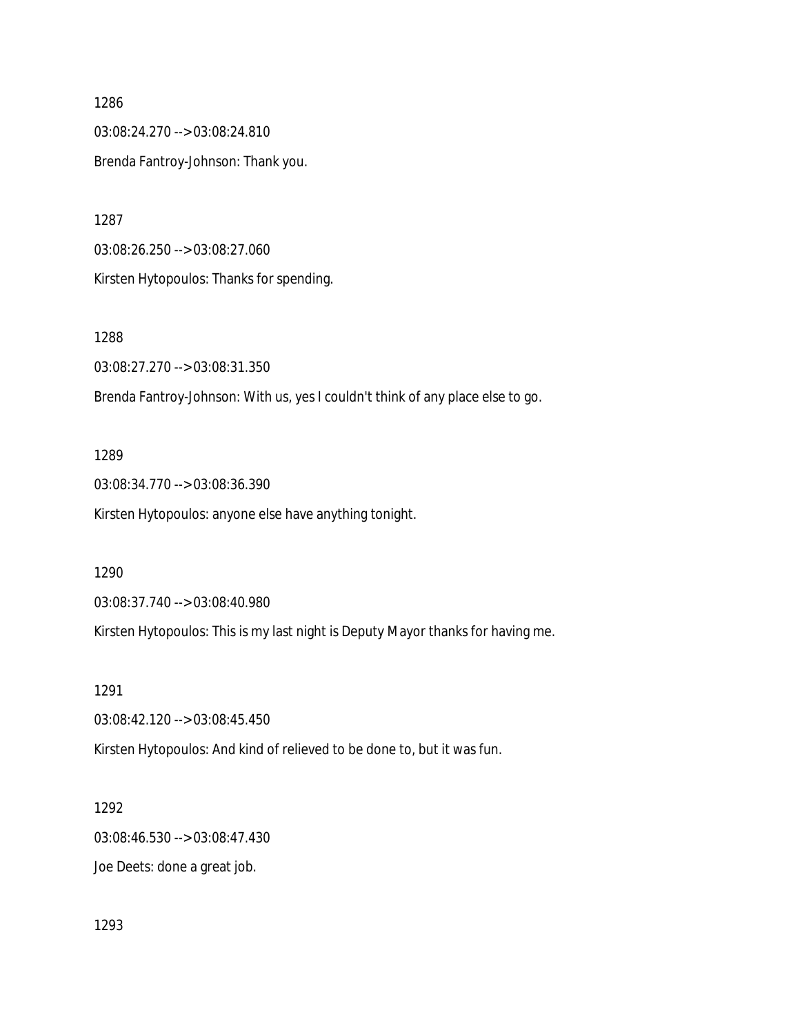1286 03:08:24.270 --> 03:08:24.810 Brenda Fantroy-Johnson: Thank you.

1287 03:08:26.250 --> 03:08:27.060 Kirsten Hytopoulos: Thanks for spending.

1288 03:08:27.270 --> 03:08:31.350 Brenda Fantroy-Johnson: With us, yes I couldn't think of any place else to go.

1289 03:08:34.770 --> 03:08:36.390 Kirsten Hytopoulos: anyone else have anything tonight.

1290

03:08:37.740 --> 03:08:40.980

Kirsten Hytopoulos: This is my last night is Deputy Mayor thanks for having me.

1291

03:08:42.120 --> 03:08:45.450

Kirsten Hytopoulos: And kind of relieved to be done to, but it was fun.

1292

03:08:46.530 --> 03:08:47.430

Joe Deets: done a great job.

1293